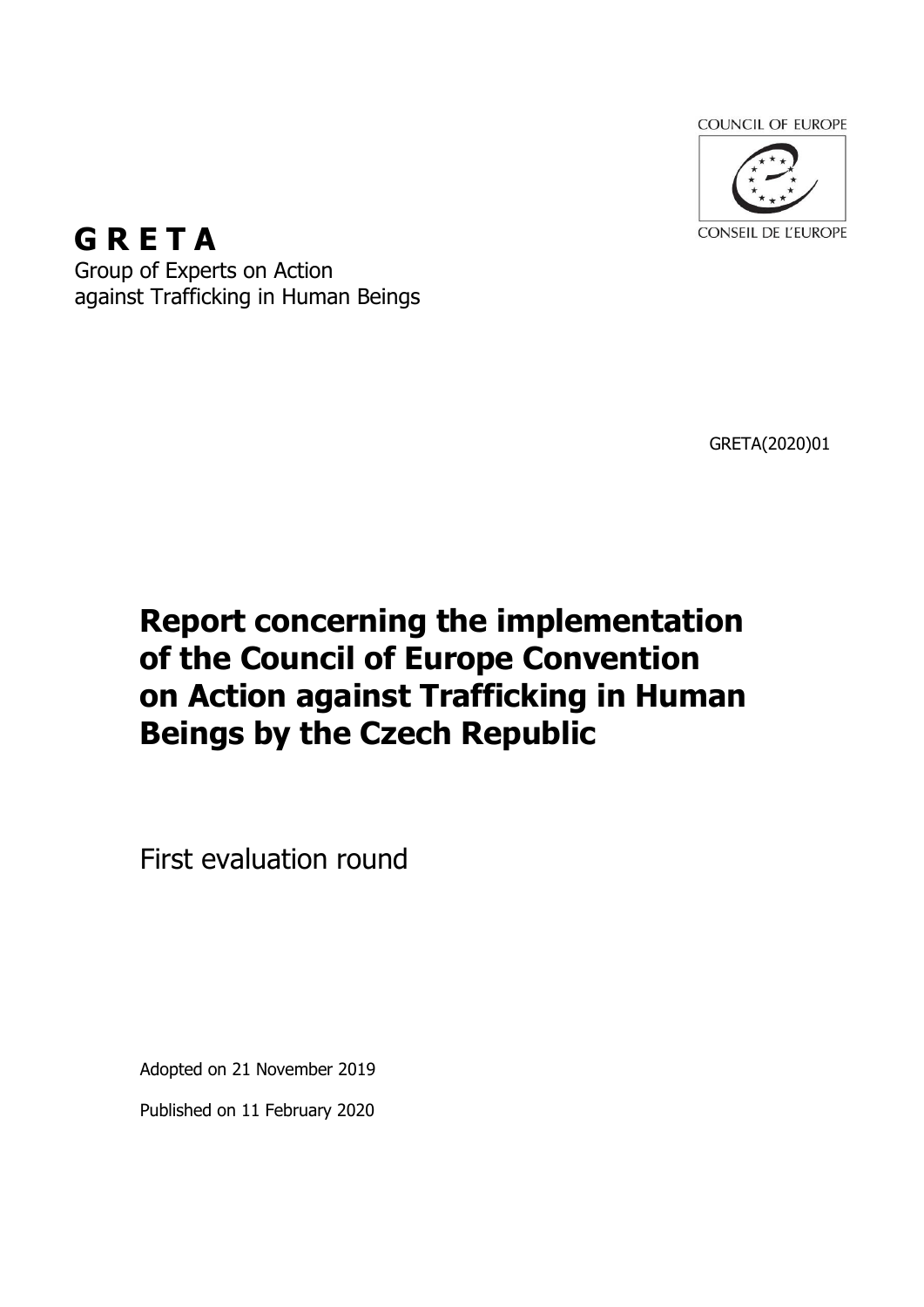**COUNCIL OF EUROPE** 



**G R E T A** Group of Experts on Action against Trafficking in Human Beings

GRETA(2020)01

# **Report concerning the implementation of the Council of Europe Convention on Action against Trafficking in Human Beings by the Czech Republic**

First evaluation round

Adopted on 21 November 2019

Published on 11 February 2020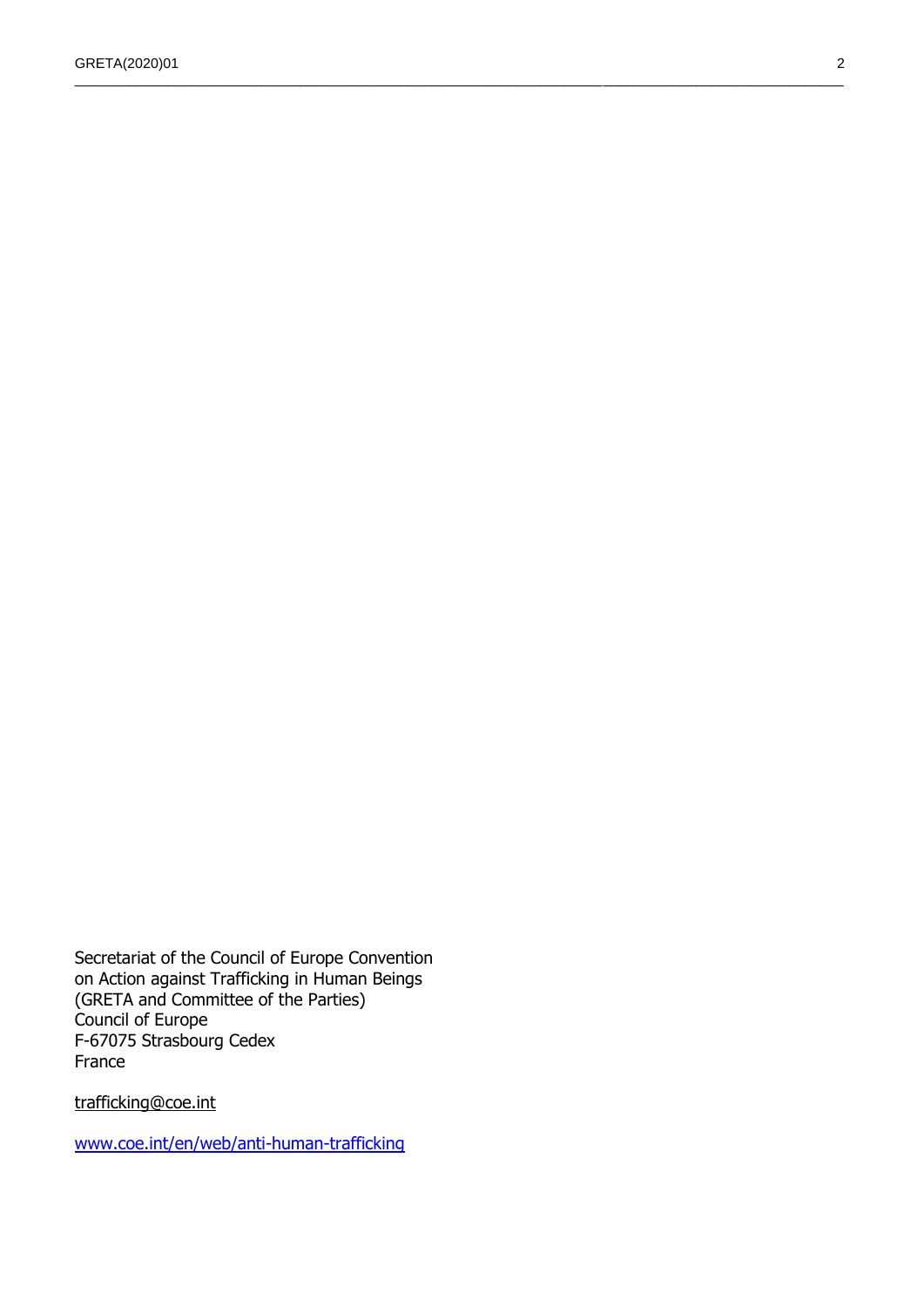\_\_\_\_\_\_\_\_\_\_\_\_\_\_\_\_\_\_\_\_\_\_\_\_\_\_\_\_\_\_\_\_\_\_\_\_\_\_\_\_\_\_\_\_\_\_\_\_\_\_\_\_\_\_\_\_\_\_\_\_\_\_\_\_\_\_\_\_\_\_\_\_\_\_\_\_\_\_\_\_\_\_\_\_\_\_\_\_\_\_\_\_\_\_\_\_\_\_\_

Secretariat of the Council of Europe Convention on Action against Trafficking in Human Beings (GRETA and Committee of the Parties) Council of Europe F-67075 Strasbourg Cedex France

[trafficking@coe.int](file:///D:/WINXP/Profiles/charbonnel/Local%20Settings/Temporary%20Internet%20Files/OLK6F/trafficking@coe.int)

[www.coe.int/en/web/anti-human-trafficking](http://www.coe.int/en/web/anti-human-trafficking)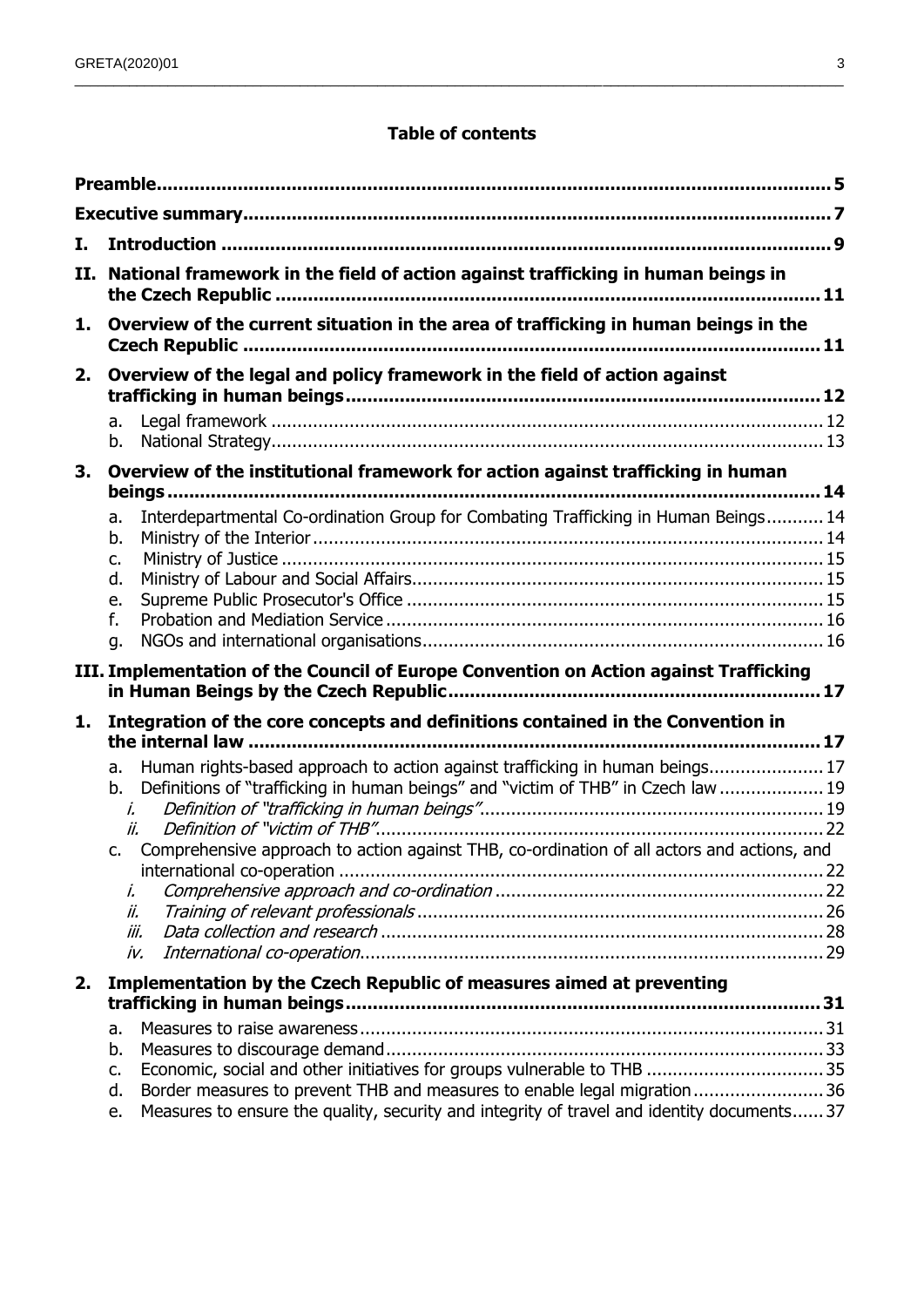#### **Table of contents**

\_\_\_\_\_\_\_\_\_\_\_\_\_\_\_\_\_\_\_\_\_\_\_\_\_\_\_\_\_\_\_\_\_\_\_\_\_\_\_\_\_\_\_\_\_\_\_\_\_\_\_\_\_\_\_\_\_\_\_\_\_\_\_\_\_\_\_\_\_\_\_\_\_\_\_\_\_\_\_\_\_\_\_\_\_\_\_\_\_\_\_\_\_\_\_\_\_\_\_

| I. |                                                                                                                                                                                            |  |  |  |
|----|--------------------------------------------------------------------------------------------------------------------------------------------------------------------------------------------|--|--|--|
|    | II. National framework in the field of action against trafficking in human beings in<br>Overview of the current situation in the area of trafficking in human beings in the                |  |  |  |
| 1. |                                                                                                                                                                                            |  |  |  |
| 2. | Overview of the legal and policy framework in the field of action against                                                                                                                  |  |  |  |
|    | a.<br>b.                                                                                                                                                                                   |  |  |  |
| 3. | Overview of the institutional framework for action against trafficking in human                                                                                                            |  |  |  |
|    | Interdepartmental Co-ordination Group for Combating Trafficking in Human Beings 14<br>a.<br>b.<br>c.<br>d.<br>e.<br>f.<br>g.                                                               |  |  |  |
|    | III. Implementation of the Council of Europe Convention on Action against Trafficking                                                                                                      |  |  |  |
| 1. | Integration of the core concepts and definitions contained in the Convention in                                                                                                            |  |  |  |
|    | Human rights-based approach to action against trafficking in human beings 17<br>a.<br>Definitions of "trafficking in human beings" and "victim of THB" in Czech law  19<br>b.<br>i.<br>ii. |  |  |  |
|    | Comprehensive approach to action against THB, co-ordination of all actors and actions, and<br>$C_{\bullet}$<br>İ.<br>ii.<br>iii.<br>iv.                                                    |  |  |  |
| 2. | Implementation by the Czech Republic of measures aimed at preventing                                                                                                                       |  |  |  |
|    | a.<br>b.<br>c.<br>Border measures to prevent THB and measures to enable legal migration36<br>d.                                                                                            |  |  |  |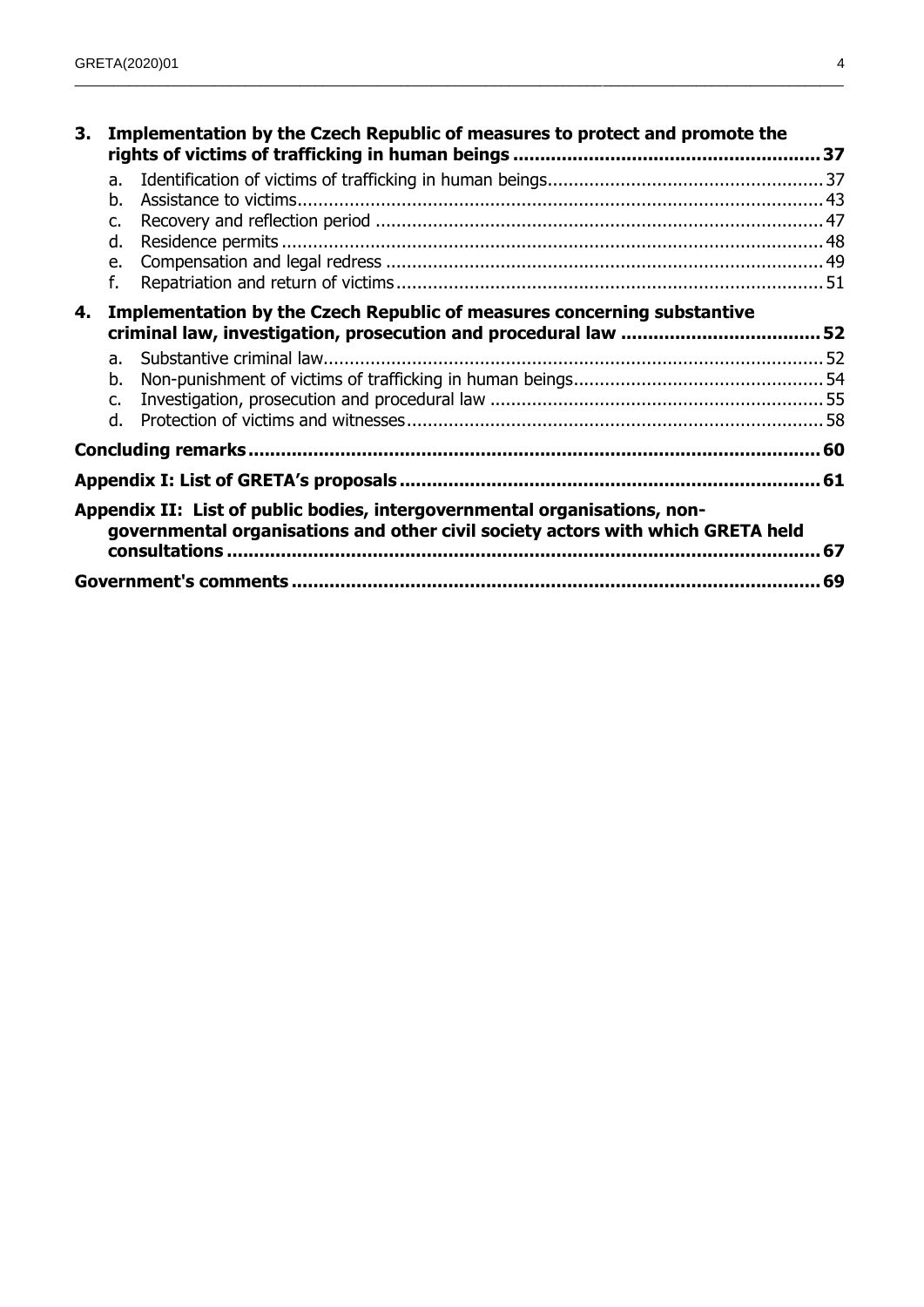| 3. | Implementation by the Czech Republic of measures to protect and promote the |                                                                                                                                                              |    |
|----|-----------------------------------------------------------------------------|--------------------------------------------------------------------------------------------------------------------------------------------------------------|----|
|    | a.<br>b.<br>C.                                                              |                                                                                                                                                              |    |
|    | d.                                                                          |                                                                                                                                                              |    |
|    | e.<br>f.                                                                    |                                                                                                                                                              |    |
| 4. |                                                                             | <b>Implementation by the Czech Republic of measures concerning substantive</b>                                                                               |    |
|    | a.                                                                          |                                                                                                                                                              |    |
|    | b.                                                                          |                                                                                                                                                              |    |
|    | c.                                                                          |                                                                                                                                                              |    |
|    | d.                                                                          |                                                                                                                                                              |    |
|    |                                                                             |                                                                                                                                                              |    |
|    |                                                                             |                                                                                                                                                              |    |
|    |                                                                             | Appendix II: List of public bodies, intergovernmental organisations, non-<br>governmental organisations and other civil society actors with which GRETA held | 67 |
|    |                                                                             |                                                                                                                                                              |    |

\_\_\_\_\_\_\_\_\_\_\_\_\_\_\_\_\_\_\_\_\_\_\_\_\_\_\_\_\_\_\_\_\_\_\_\_\_\_\_\_\_\_\_\_\_\_\_\_\_\_\_\_\_\_\_\_\_\_\_\_\_\_\_\_\_\_\_\_\_\_\_\_\_\_\_\_\_\_\_\_\_\_\_\_\_\_\_\_\_\_\_\_\_\_\_\_\_\_\_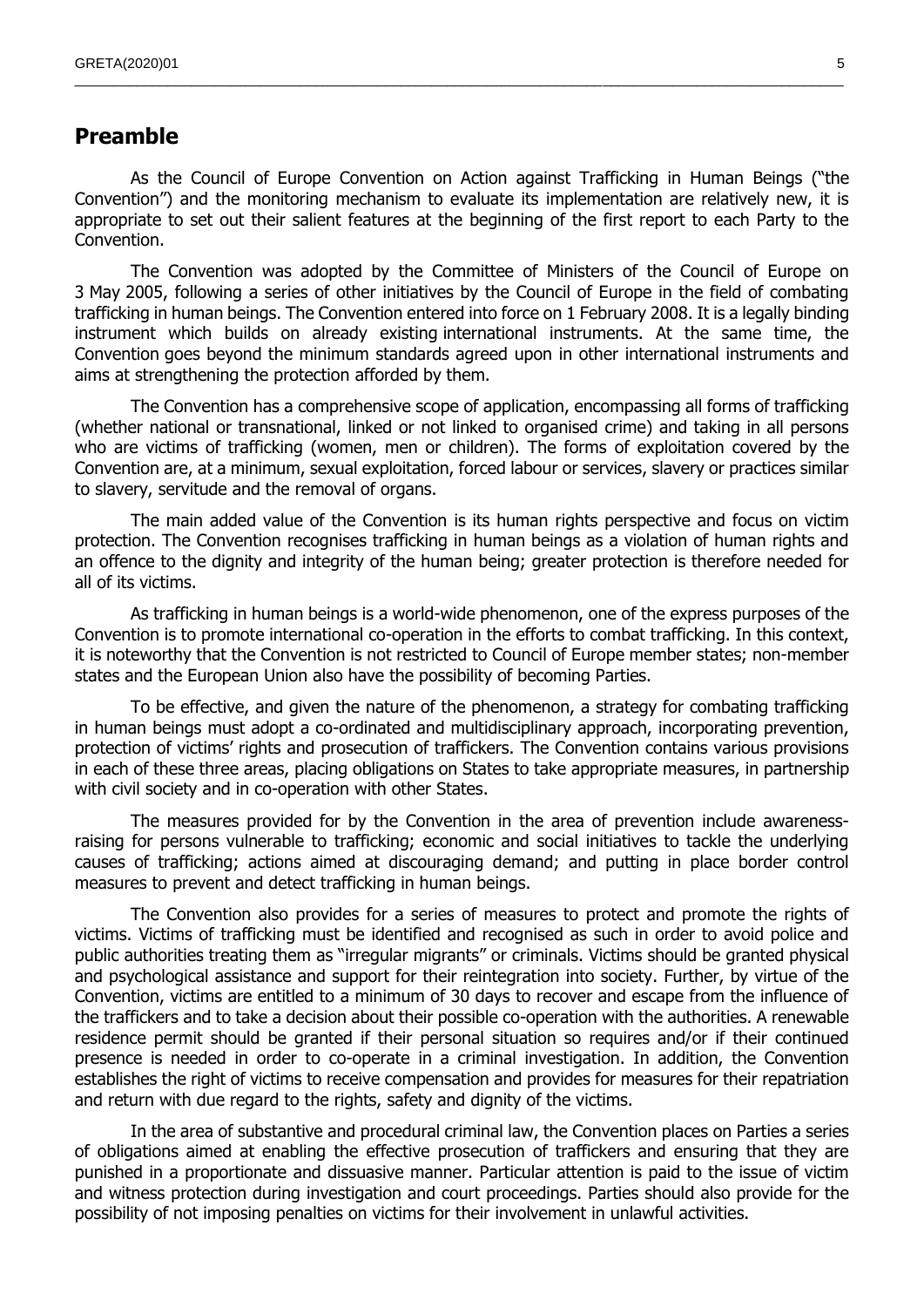## <span id="page-4-0"></span>**Preamble**

As the Council of Europe Convention on Action against Trafficking in Human Beings ("the Convention") and the monitoring mechanism to evaluate its implementation are relatively new, it is appropriate to set out their salient features at the beginning of the first report to each Party to the Convention.

\_\_\_\_\_\_\_\_\_\_\_\_\_\_\_\_\_\_\_\_\_\_\_\_\_\_\_\_\_\_\_\_\_\_\_\_\_\_\_\_\_\_\_\_\_\_\_\_\_\_\_\_\_\_\_\_\_\_\_\_\_\_\_\_\_\_\_\_\_\_\_\_\_\_\_\_\_\_\_\_\_\_\_\_\_\_\_\_\_\_\_\_\_\_\_\_\_\_\_

The Convention was adopted by the Committee of Ministers of the Council of Europe on 3 May 2005, following a series of other initiatives by the Council of Europe in the field of combating trafficking in human beings. The Convention entered into force on 1 February 2008. It is a legally binding instrument which builds on already existing international instruments. At the same time, the Convention goes beyond the minimum standards agreed upon in other international instruments and aims at strengthening the protection afforded by them.

The Convention has a comprehensive scope of application, encompassing all forms of trafficking (whether national or transnational, linked or not linked to organised crime) and taking in all persons who are victims of trafficking (women, men or children). The forms of exploitation covered by the Convention are, at a minimum, sexual exploitation, forced labour or services, slavery or practices similar to slavery, servitude and the removal of organs.

The main added value of the Convention is its human rights perspective and focus on victim protection. The Convention recognises trafficking in human beings as a violation of human rights and an offence to the dignity and integrity of the human being; greater protection is therefore needed for all of its victims.

As trafficking in human beings is a world-wide phenomenon, one of the express purposes of the Convention is to promote international co-operation in the efforts to combat trafficking. In this context, it is noteworthy that the Convention is not restricted to Council of Europe member states; non-member states and the European Union also have the possibility of becoming Parties.

To be effective, and given the nature of the phenomenon, a strategy for combating trafficking in human beings must adopt a co-ordinated and multidisciplinary approach, incorporating prevention, protection of victims' rights and prosecution of traffickers. The Convention contains various provisions in each of these three areas, placing obligations on States to take appropriate measures, in partnership with civil society and in co-operation with other States.

The measures provided for by the Convention in the area of prevention include awarenessraising for persons vulnerable to trafficking; economic and social initiatives to tackle the underlying causes of trafficking; actions aimed at discouraging demand; and putting in place border control measures to prevent and detect trafficking in human beings.

The Convention also provides for a series of measures to protect and promote the rights of victims. Victims of trafficking must be identified and recognised as such in order to avoid police and public authorities treating them as "irregular migrants" or criminals. Victims should be granted physical and psychological assistance and support for their reintegration into society. Further, by virtue of the Convention, victims are entitled to a minimum of 30 days to recover and escape from the influence of the traffickers and to take a decision about their possible co-operation with the authorities. A renewable residence permit should be granted if their personal situation so requires and/or if their continued presence is needed in order to co-operate in a criminal investigation. In addition, the Convention establishes the right of victims to receive compensation and provides for measures for their repatriation and return with due regard to the rights, safety and dignity of the victims.

In the area of substantive and procedural criminal law, the Convention places on Parties a series of obligations aimed at enabling the effective prosecution of traffickers and ensuring that they are punished in a proportionate and dissuasive manner. Particular attention is paid to the issue of victim and witness protection during investigation and court proceedings. Parties should also provide for the possibility of not imposing penalties on victims for their involvement in unlawful activities.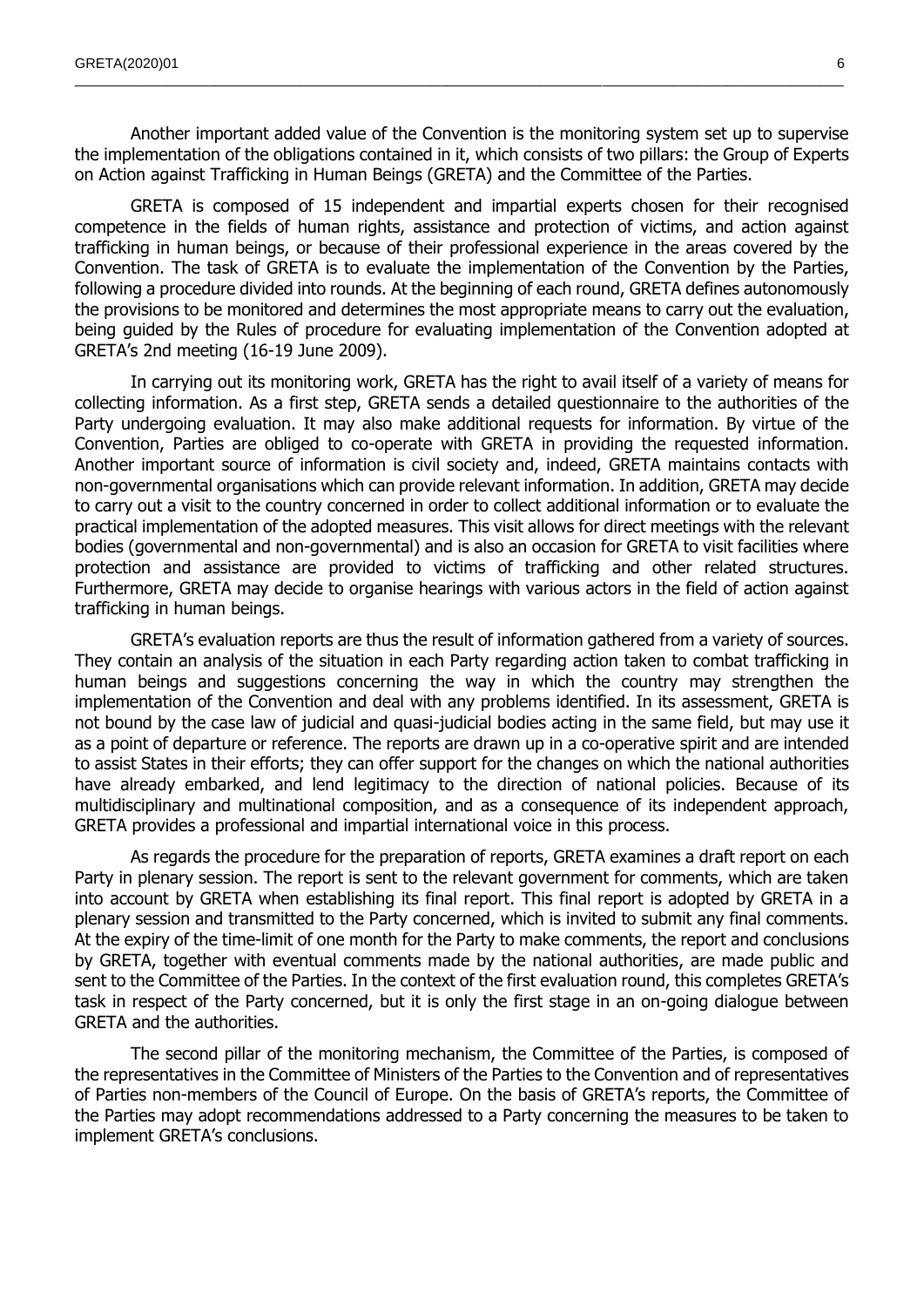Another important added value of the Convention is the monitoring system set up to supervise the implementation of the obligations contained in it, which consists of two pillars: the Group of Experts on Action against Trafficking in Human Beings (GRETA) and the Committee of the Parties.

\_\_\_\_\_\_\_\_\_\_\_\_\_\_\_\_\_\_\_\_\_\_\_\_\_\_\_\_\_\_\_\_\_\_\_\_\_\_\_\_\_\_\_\_\_\_\_\_\_\_\_\_\_\_\_\_\_\_\_\_\_\_\_\_\_\_\_\_\_\_\_\_\_\_\_\_\_\_\_\_\_\_\_\_\_\_\_\_\_\_\_\_\_\_\_\_\_\_\_

GRETA is composed of 15 independent and impartial experts chosen for their recognised competence in the fields of human rights, assistance and protection of victims, and action against trafficking in human beings, or because of their professional experience in the areas covered by the Convention. The task of GRETA is to evaluate the implementation of the Convention by the Parties, following a procedure divided into rounds. At the beginning of each round, GRETA defines autonomously the provisions to be monitored and determines the most appropriate means to carry out the evaluation, being guided by the Rules of procedure for evaluating implementation of the Convention adopted at GRETA's 2nd meeting (16-19 June 2009).

In carrying out its monitoring work, GRETA has the right to avail itself of a variety of means for collecting information. As a first step, GRETA sends a detailed questionnaire to the authorities of the Party undergoing evaluation. It may also make additional requests for information. By virtue of the Convention, Parties are obliged to co-operate with GRETA in providing the requested information. Another important source of information is civil society and, indeed, GRETA maintains contacts with non-governmental organisations which can provide relevant information. In addition, GRETA may decide to carry out a visit to the country concerned in order to collect additional information or to evaluate the practical implementation of the adopted measures. This visit allows for direct meetings with the relevant bodies (governmental and non-governmental) and is also an occasion for GRETA to visit facilities where protection and assistance are provided to victims of trafficking and other related structures. Furthermore, GRETA may decide to organise hearings with various actors in the field of action against trafficking in human beings.

GRETA's evaluation reports are thus the result of information gathered from a variety of sources. They contain an analysis of the situation in each Party regarding action taken to combat trafficking in human beings and suggestions concerning the way in which the country may strengthen the implementation of the Convention and deal with any problems identified. In its assessment, GRETA is not bound by the case law of judicial and quasi-judicial bodies acting in the same field, but may use it as a point of departure or reference. The reports are drawn up in a co-operative spirit and are intended to assist States in their efforts; they can offer support for the changes on which the national authorities have already embarked, and lend legitimacy to the direction of national policies. Because of its multidisciplinary and multinational composition, and as a consequence of its independent approach, GRETA provides a professional and impartial international voice in this process.

As regards the procedure for the preparation of reports, GRETA examines a draft report on each Party in plenary session. The report is sent to the relevant government for comments, which are taken into account by GRETA when establishing its final report. This final report is adopted by GRETA in a plenary session and transmitted to the Party concerned, which is invited to submit any final comments. At the expiry of the time-limit of one month for the Party to make comments, the report and conclusions by GRETA, together with eventual comments made by the national authorities, are made public and sent to the Committee of the Parties. In the context of the first evaluation round, this completes GRETA's task in respect of the Party concerned, but it is only the first stage in an on-going dialogue between GRETA and the authorities.

The second pillar of the monitoring mechanism, the Committee of the Parties, is composed of the representatives in the Committee of Ministers of the Parties to the Convention and of representatives of Parties non-members of the Council of Europe. On the basis of GRETA's reports, the Committee of the Parties may adopt recommendations addressed to a Party concerning the measures to be taken to implement GRETA's conclusions.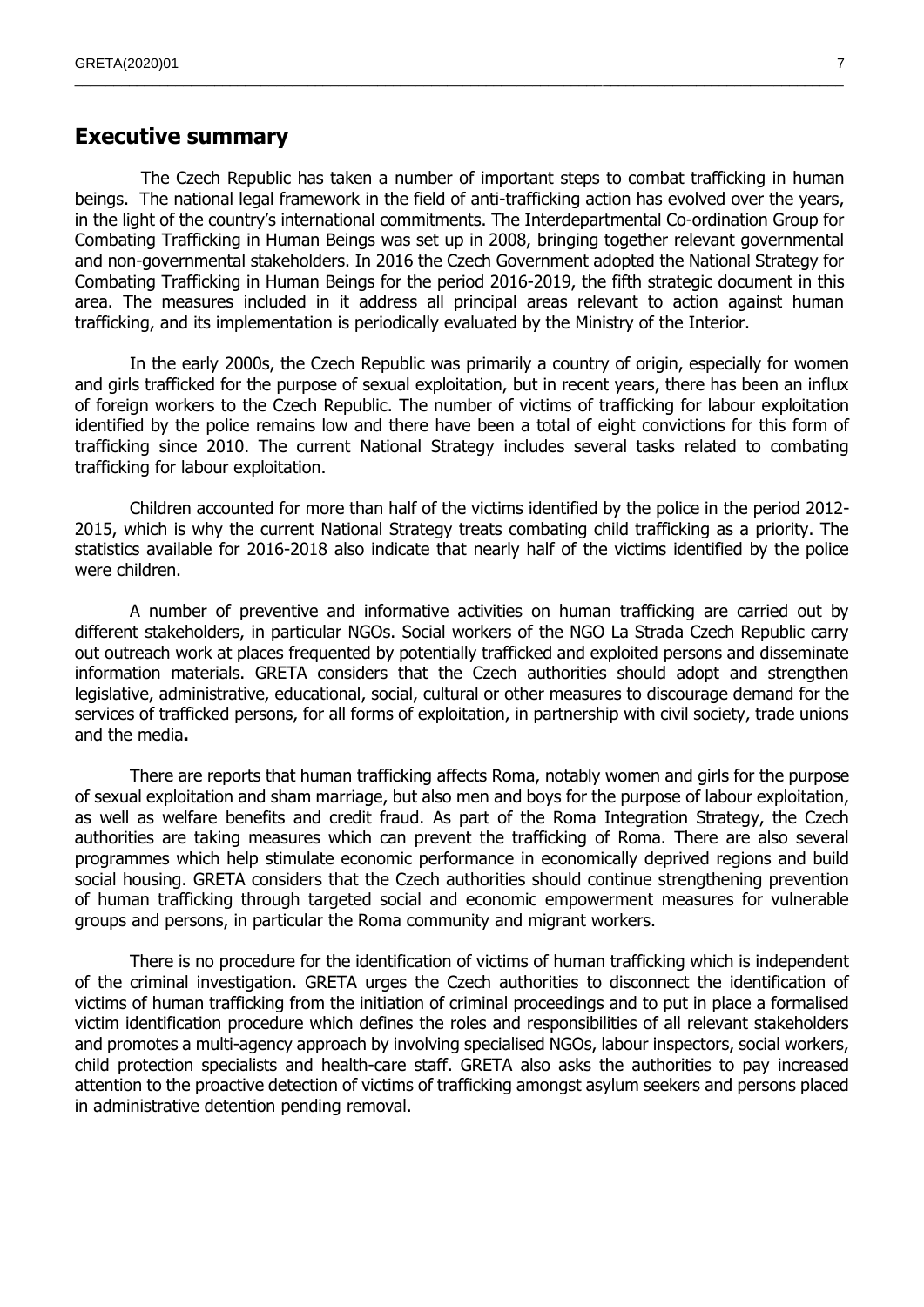### <span id="page-6-0"></span>**Executive summary**

The Czech Republic has taken a number of important steps to combat trafficking in human beings. The national legal framework in the field of anti-trafficking action has evolved over the years, in the light of the country's international commitments. The Interdepartmental Co-ordination Group for Combating Trafficking in Human Beings was set up in 2008, bringing together relevant governmental and non-governmental stakeholders. In 2016 the Czech Government adopted the National Strategy for Combating Trafficking in Human Beings for the period 2016-2019, the fifth strategic document in this area. The measures included in it address all principal areas relevant to action against human trafficking, and its implementation is periodically evaluated by the Ministry of the Interior.

 $\_$  , and the state of the state of the state of the state of the state of the state of the state of the state of the state of the state of the state of the state of the state of the state of the state of the state of the

In the early 2000s, the Czech Republic was primarily a country of origin, especially for women and girls trafficked for the purpose of sexual exploitation, but in recent years, there has been an influx of foreign workers to the Czech Republic. The number of victims of trafficking for labour exploitation identified by the police remains low and there have been a total of eight convictions for this form of trafficking since 2010. The current National Strategy includes several tasks related to combating trafficking for labour exploitation.

Children accounted for more than half of the victims identified by the police in the period 2012- 2015, which is why the current National Strategy treats combating child trafficking as a priority. The statistics available for 2016-2018 also indicate that nearly half of the victims identified by the police were children.

A number of preventive and informative activities on human trafficking are carried out by different stakeholders, in particular NGOs. Social workers of the NGO La Strada Czech Republic carry out outreach work at places frequented by potentially trafficked and exploited persons and disseminate information materials. GRETA considers that the Czech authorities should adopt and strengthen legislative, administrative, educational, social, cultural or other measures to discourage demand for the services of trafficked persons, for all forms of exploitation, in partnership with civil society, trade unions and the media**.**

There are reports that human trafficking affects Roma, notably women and girls for the purpose of sexual exploitation and sham marriage, but also men and boys for the purpose of labour exploitation, as well as welfare benefits and credit fraud. As part of the Roma Integration Strategy, the Czech authorities are taking measures which can prevent the trafficking of Roma. There are also several programmes which help stimulate economic performance in economically deprived regions and build social housing. GRETA considers that the Czech authorities should continue strengthening prevention of human trafficking through targeted social and economic empowerment measures for vulnerable groups and persons, in particular the Roma community and migrant workers.

There is no procedure for the identification of victims of human trafficking which is independent of the criminal investigation. GRETA urges the Czech authorities to disconnect the identification of victims of human trafficking from the initiation of criminal proceedings and to put in place a formalised victim identification procedure which defines the roles and responsibilities of all relevant stakeholders and promotes a multi-agency approach by involving specialised NGOs, labour inspectors, social workers, child protection specialists and health-care staff. GRETA also asks the authorities to pay increased attention to the proactive detection of victims of trafficking amongst asylum seekers and persons placed in administrative detention pending removal.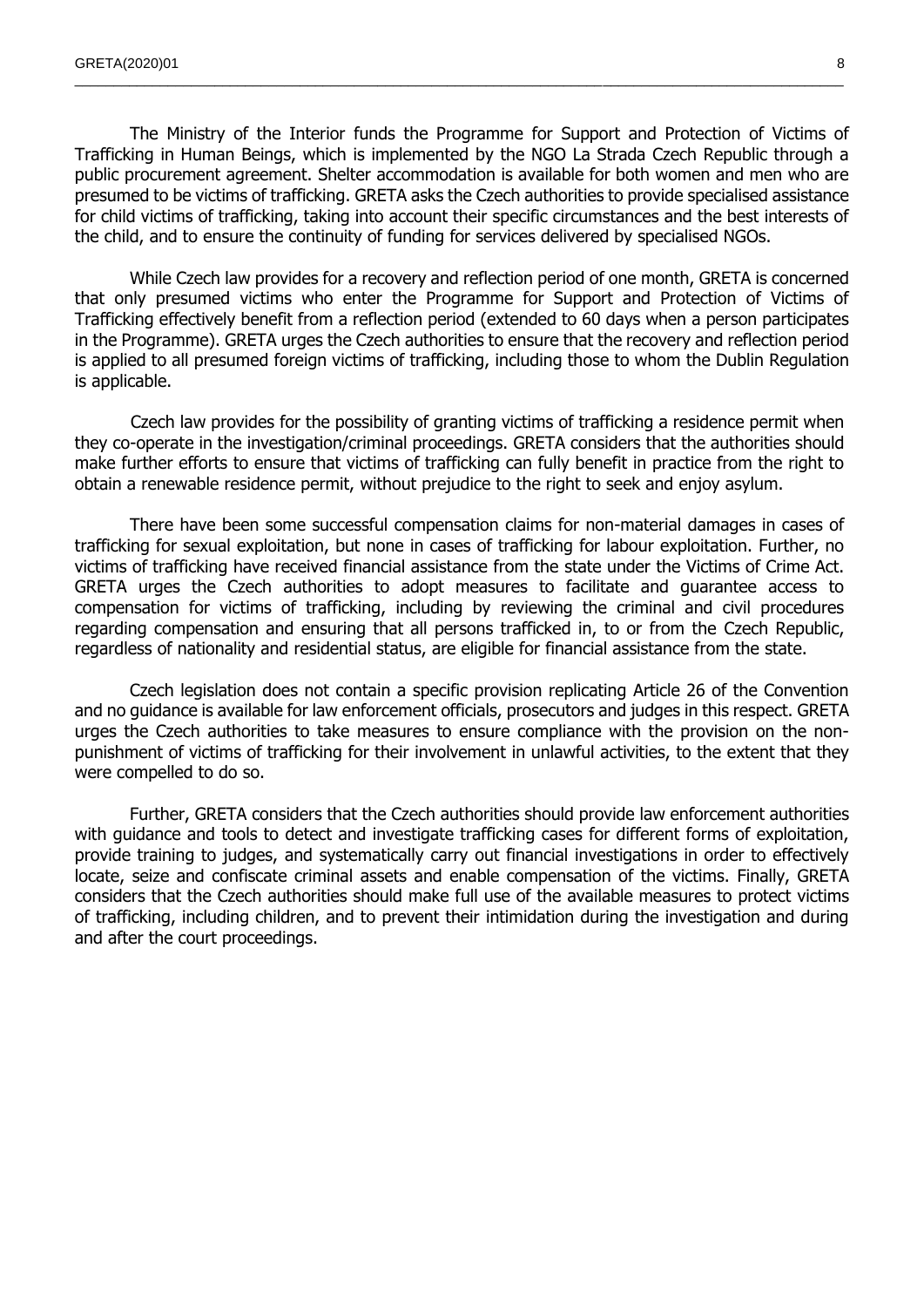The Ministry of the Interior funds the Programme for Support and Protection of Victims of Trafficking in Human Beings, which is implemented by the NGO La Strada Czech Republic through a public procurement agreement. Shelter accommodation is available for both women and men who are presumed to be victims of trafficking. GRETA asks the Czech authorities to provide specialised assistance for child victims of trafficking, taking into account their specific circumstances and the best interests of the child, and to ensure the continuity of funding for services delivered by specialised NGOs.

 $\_$  , and the state of the state of the state of the state of the state of the state of the state of the state of the state of the state of the state of the state of the state of the state of the state of the state of the

While Czech law provides for a recovery and reflection period of one month, GRETA is concerned that only presumed victims who enter the Programme for Support and Protection of Victims of Trafficking effectively benefit from a reflection period (extended to 60 days when a person participates in the Programme). GRETA urges the Czech authorities to ensure that the recovery and reflection period is applied to all presumed foreign victims of trafficking, including those to whom the Dublin Regulation is applicable.

Czech law provides for the possibility of granting victims of trafficking a residence permit when they co-operate in the investigation/criminal proceedings. GRETA considers that the authorities should make further efforts to ensure that victims of trafficking can fully benefit in practice from the right to obtain a renewable residence permit, without prejudice to the right to seek and enjoy asylum.

There have been some successful compensation claims for non-material damages in cases of trafficking for sexual exploitation, but none in cases of trafficking for labour exploitation. Further, no victims of trafficking have received financial assistance from the state under the Victims of Crime Act. GRETA urges the Czech authorities to adopt measures to facilitate and guarantee access to compensation for victims of trafficking, including by reviewing the criminal and civil procedures regarding compensation and ensuring that all persons trafficked in, to or from the Czech Republic, regardless of nationality and residential status, are eligible for financial assistance from the state.

Czech legislation does not contain a specific provision replicating Article 26 of the Convention and no guidance is available for law enforcement officials, prosecutors and judges in this respect. GRETA urges the Czech authorities to take measures to ensure compliance with the provision on the nonpunishment of victims of trafficking for their involvement in unlawful activities, to the extent that they were compelled to do so.

Further, GRETA considers that the Czech authorities should provide law enforcement authorities with guidance and tools to detect and investigate trafficking cases for different forms of exploitation, provide training to judges, and systematically carry out financial investigations in order to effectively locate, seize and confiscate criminal assets and enable compensation of the victims. Finally, GRETA considers that the Czech authorities should make full use of the available measures to protect victims of trafficking, including children, and to prevent their intimidation during the investigation and during and after the court proceedings.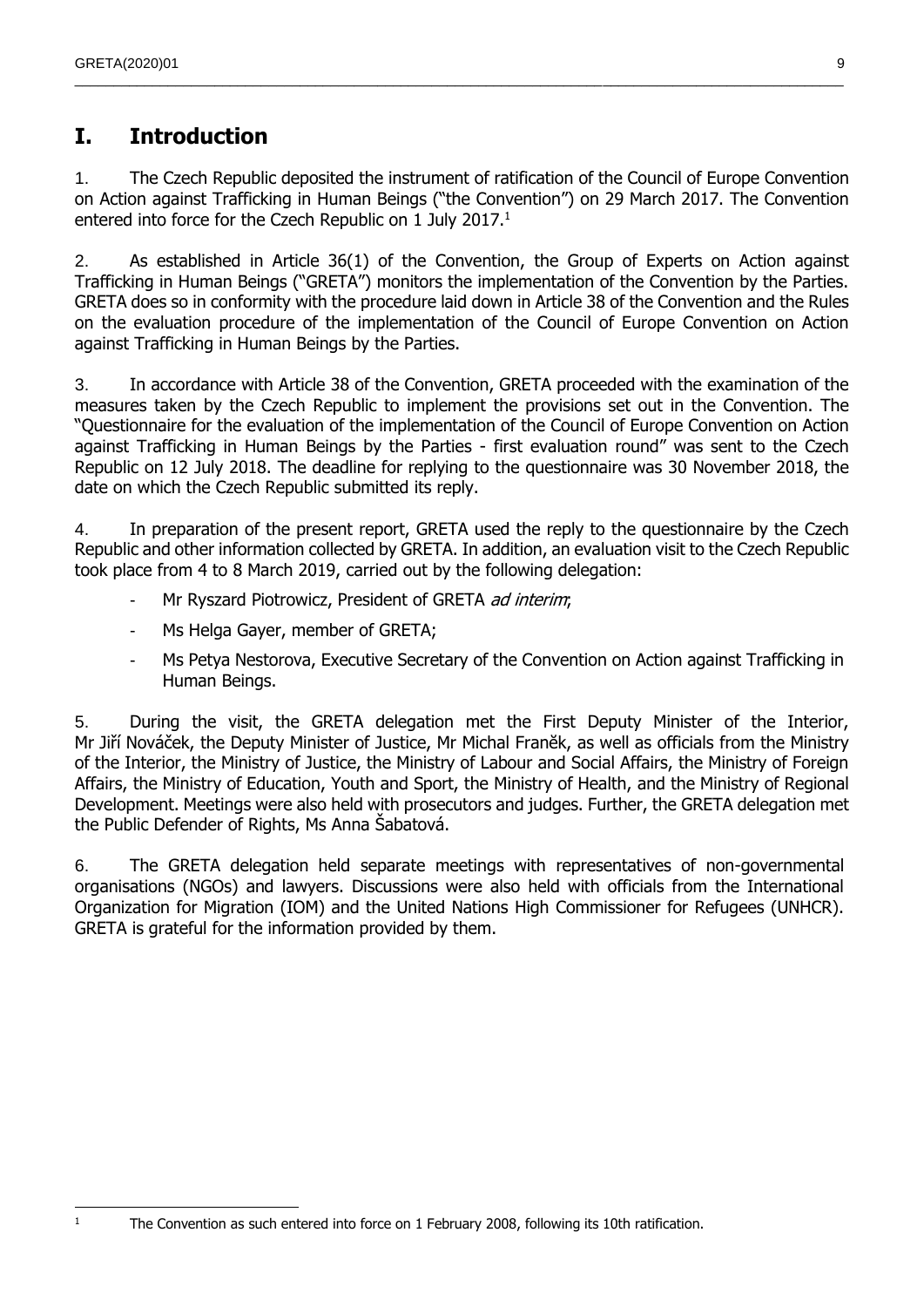# <span id="page-8-0"></span>**I. Introduction**

1. The Czech Republic deposited the instrument of ratification of the Council of Europe Convention on Action against Trafficking in Human Beings ("the Convention") on 29 March 2017. The Convention entered into force for the Czech Republic on 1 July 2017.<sup>1</sup>

 $\_$  , and the state of the state of the state of the state of the state of the state of the state of the state of the state of the state of the state of the state of the state of the state of the state of the state of the

2. As established in Article 36(1) of the Convention, the Group of Experts on Action against Trafficking in Human Beings ("GRETA") monitors the implementation of the Convention by the Parties. GRETA does so in conformity with the procedure laid down in Article 38 of the Convention and the Rules on the evaluation procedure of the implementation of the Council of Europe Convention on Action against Trafficking in Human Beings by the Parties.

3. In accordance with Article 38 of the Convention, GRETA proceeded with the examination of the measures taken by the Czech Republic to implement the provisions set out in the Convention. The "Questionnaire for the evaluation of the implementation of the Council of Europe Convention on Action against Trafficking in Human Beings by the Parties - first evaluation round" was sent to the Czech Republic on 12 July 2018. The deadline for replying to the questionnaire was 30 November 2018, the date on which the Czech Republic submitted its reply.

4. In preparation of the present report, GRETA used the reply to the questionnaire by the Czech Republic and other information collected by GRETA. In addition, an evaluation visit to the Czech Republic took place from 4 to 8 March 2019, carried out by the following delegation:

- Mr Ryszard Piotrowicz, President of GRETA *ad interim*;
- Ms Helga Gayer, member of GRETA;
- Ms Petya Nestorova, Executive Secretary of the Convention on Action against Trafficking in Human Beings.

5. During the visit, the GRETA delegation met the First Deputy Minister of the Interior, Mr Jiří Nováček, the Deputy Minister of Justice, Mr Michal Franĕk, as well as officials from the Ministry of the Interior, the Ministry of Justice, the Ministry of Labour and Social Affairs, the Ministry of Foreign Affairs, the Ministry of Education, Youth and Sport, the Ministry of Health, and the Ministry of Regional Development. Meetings were also held with prosecutors and judges. Further, the GRETA delegation met the Public Defender of Rights, Ms Anna Šabatová.

6. The GRETA delegation held separate meetings with representatives of non-governmental organisations (NGOs) and lawyers. Discussions were also held with officials from the International Organization for Migration (IOM) and the United Nations High Commissioner for Refugees (UNHCR). GRETA is grateful for the information provided by them.

 $\frac{1}{1}$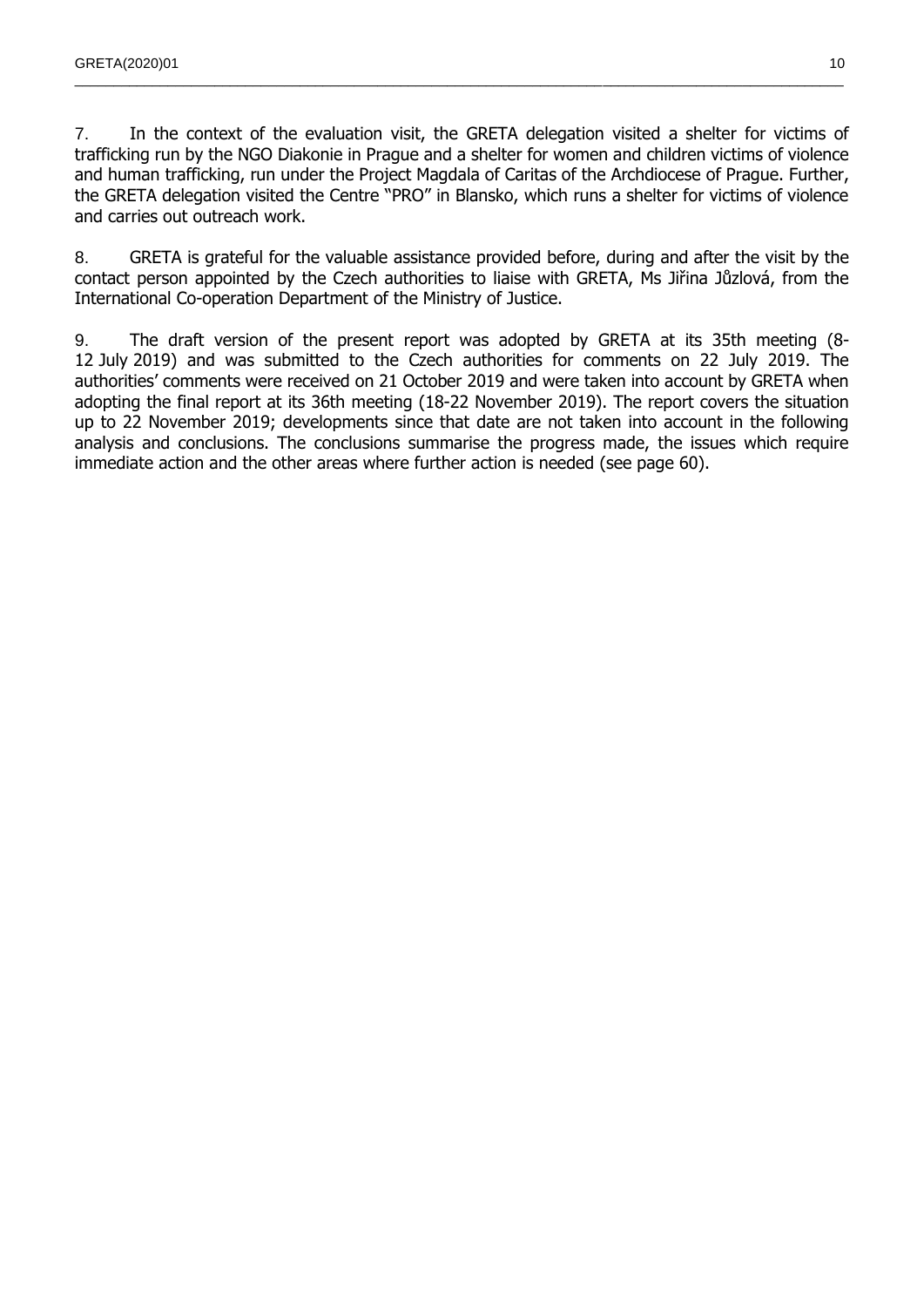7. In the context of the evaluation visit, the GRETA delegation visited a shelter for victims of trafficking run by the NGO Diakonie in Prague and a shelter for women and children victims of violence and human trafficking, run under the Project Magdala of Caritas of the Archdiocese of Prague. Further, the GRETA delegation visited the Centre "PRO" in Blansko, which runs a shelter for victims of violence and carries out outreach work.

 $\_$  , and the state of the state of the state of the state of the state of the state of the state of the state of the state of the state of the state of the state of the state of the state of the state of the state of the

8. GRETA is grateful for the valuable assistance provided before, during and after the visit by the contact person appointed by the Czech authorities to liaise with GRETA, Ms Jiřina Jůzlová, from the International Co-operation Department of the Ministry of Justice.

9. The draft version of the present report was adopted by GRETA at its 35th meeting (8- 12 July 2019) and was submitted to the Czech authorities for comments on 22 July 2019. The authorities' comments were received on 21 October 2019 and were taken into account by GRETA when adopting the final report at its 36th meeting (18-22 November 2019). The report covers the situation up to 22 November 2019; developments since that date are not taken into account in the following analysis and conclusions. The conclusions summarise the progress made, the issues which require immediate action and the other areas where further action is needed (see page 60).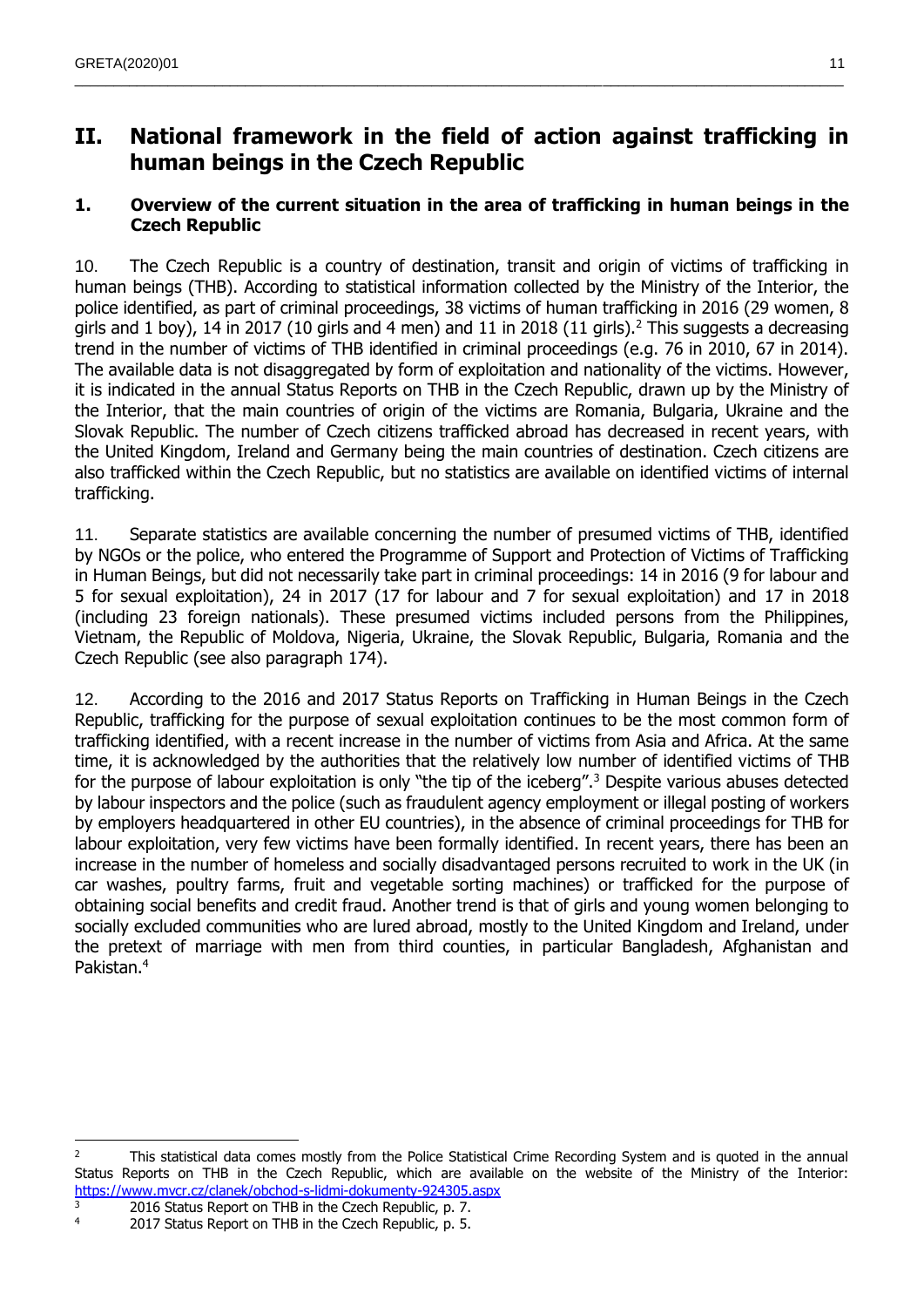# <span id="page-10-0"></span>**II. National framework in the field of action against trafficking in human beings in the Czech Republic**

 $\_$  , and the state of the state of the state of the state of the state of the state of the state of the state of the state of the state of the state of the state of the state of the state of the state of the state of the

### <span id="page-10-1"></span>**1. Overview of the current situation in the area of trafficking in human beings in the Czech Republic**

10. The Czech Republic is a country of destination, transit and origin of victims of trafficking in human beings (THB). According to statistical information collected by the Ministry of the Interior, the police identified, as part of criminal proceedings, 38 victims of human trafficking in 2016 (29 women, 8 girls and 1 boy), 14 in 2017 (10 girls and 4 men) and 11 in 2018 (11 girls).<sup>2</sup> This suggests a decreasing trend in the number of victims of THB identified in criminal proceedings (e.g. 76 in 2010, 67 in 2014). The available data is not disaggregated by form of exploitation and nationality of the victims. However, it is indicated in the annual Status Reports on THB in the Czech Republic, drawn up by the Ministry of the Interior, that the main countries of origin of the victims are Romania, Bulgaria, Ukraine and the Slovak Republic. The number of Czech citizens trafficked abroad has decreased in recent years, with the United Kingdom, Ireland and Germany being the main countries of destination. Czech citizens are also trafficked within the Czech Republic, but no statistics are available on identified victims of internal trafficking.

11. Separate statistics are available concerning the number of presumed victims of THB, identified by NGOs or the police, who entered the Programme of Support and Protection of Victims of Trafficking in Human Beings, but did not necessarily take part in criminal proceedings: 14 in 2016 (9 for labour and 5 for sexual exploitation), 24 in 2017 (17 for labour and 7 for sexual exploitation) and 17 in 2018 (including 23 foreign nationals). These presumed victims included persons from the Philippines, Vietnam, the Republic of Moldova, Nigeria, Ukraine, the Slovak Republic, Bulgaria, Romania and the Czech Republic (see also paragraph 174).

12. According to the 2016 and 2017 Status Reports on Trafficking in Human Beings in the Czech Republic, trafficking for the purpose of sexual exploitation continues to be the most common form of trafficking identified, with a recent increase in the number of victims from Asia and Africa. At the same time, it is acknowledged by the authorities that the relatively low number of identified victims of THB for the purpose of labour exploitation is only "the tip of the iceberg".<sup>3</sup> Despite various abuses detected by labour inspectors and the police (such as fraudulent agency employment or illegal posting of workers by employers headquartered in other EU countries), in the absence of criminal proceedings for THB for labour exploitation, very few victims have been formally identified. In recent years, there has been an increase in the number of homeless and socially disadvantaged persons recruited to work in the UK (in car washes, poultry farms, fruit and vegetable sorting machines) or trafficked for the purpose of obtaining social benefits and credit fraud. Another trend is that of girls and young women belonging to socially excluded communities who are lured abroad, mostly to the United Kingdom and Ireland, under the pretext of marriage with men from third counties, in particular Bangladesh, Afghanistan and Pakistan.<sup>4</sup>

 $\overline{a}$ <sup>2</sup> This statistical data comes mostly from the Police Statistical Crime Recording System and is quoted in the annual Status Reports on THB in the Czech Republic, which are available on the website of the Ministry of the Interior: <https://www.mvcr.cz/clanek/obchod-s-lidmi-dokumenty-924305.aspx>

 $\frac{3}{4}$  2016 Status Report on THB in the Czech Republic, p. 7.<br>2017 Status Report on THB in the Czech Penublic, p. 5.

<sup>2017</sup> Status Report on THB in the Czech Republic, p. 5.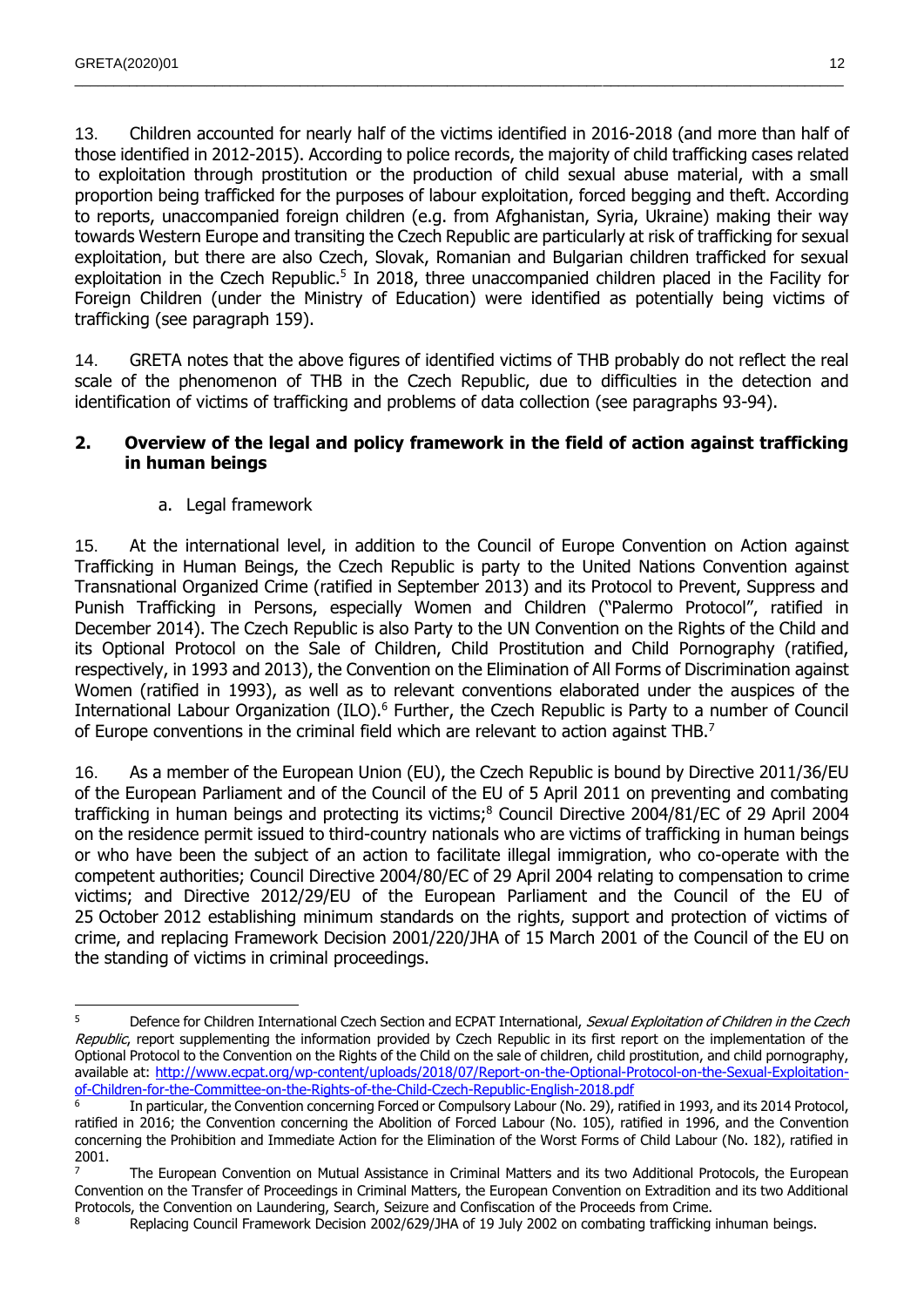13. Children accounted for nearly half of the victims identified in 2016-2018 (and more than half of those identified in 2012-2015). According to police records, the majority of child trafficking cases related to exploitation through prostitution or the production of child sexual abuse material, with a small proportion being trafficked for the purposes of labour exploitation, forced begging and theft. According to reports, unaccompanied foreign children (e.g. from Afghanistan, Syria, Ukraine) making their way towards Western Europe and transiting the Czech Republic are particularly at risk of trafficking for sexual exploitation, but there are also Czech, Slovak, Romanian and Bulgarian children trafficked for sexual exploitation in the Czech Republic.<sup>5</sup> In 2018, three unaccompanied children placed in the Facility for Foreign Children (under the Ministry of Education) were identified as potentially being victims of trafficking (see paragraph 159).

 $\_$  , and the state of the state of the state of the state of the state of the state of the state of the state of the state of the state of the state of the state of the state of the state of the state of the state of the

14. GRETA notes that the above figures of identified victims of THB probably do not reflect the real scale of the phenomenon of THB in the Czech Republic, due to difficulties in the detection and identification of victims of trafficking and problems of data collection (see paragraphs 93-94).

#### <span id="page-11-0"></span>**2. Overview of the legal and policy framework in the field of action against trafficking in human beings**

a. Legal framework

<span id="page-11-1"></span>15. At the international level, in addition to the Council of Europe Convention on Action against Trafficking in Human Beings, the Czech Republic is party to the United Nations Convention against Transnational Organized Crime (ratified in September 2013) and its Protocol to Prevent, Suppress and Punish Trafficking in Persons, especially Women and Children ("Palermo Protocol", ratified in December 2014). The Czech Republic is also Party to the UN Convention on the Rights of the Child and its Optional Protocol on the Sale of Children, Child Prostitution and Child Pornography (ratified, respectively, in 1993 and 2013), the Convention on the Elimination of All Forms of Discrimination against Women (ratified in 1993), as well as to relevant conventions elaborated under the auspices of the International Labour Organization (ILO).<sup>6</sup> Further, the Czech Republic is Party to a number of Council of Europe conventions in the criminal field which are relevant to action against THB.<sup>7</sup>

16. As a member of the European Union (EU), the Czech Republic is bound by Directive 2011/36/EU of the European Parliament and of the Council of the EU of 5 April 2011 on preventing and combating trafficking in human beings and protecting its victims;<sup>8</sup> Council Directive 2004/81/EC of 29 April 2004 on the residence permit issued to third-country nationals who are victims of trafficking in human beings or who have been the subject of an action to facilitate illegal immigration, who co-operate with the competent authorities; Council Directive 2004/80/EC of 29 April 2004 relating to compensation to crime victims; and Directive 2012/29/EU of the European Parliament and the Council of the EU of 25 October 2012 establishing minimum standards on the rights, support and protection of victims of crime, and replacing Framework Decision 2001/220/JHA of 15 March 2001 of the Council of the EU on the standing of victims in criminal proceedings.

 <sup>5</sup> Defence for Children International Czech Section and ECPAT International, Sexual Exploitation of Children in the Czech Republic, report supplementing the information provided by Czech Republic in its first report on the implementation of the Optional Protocol to the Convention on the Rights of the Child on the sale of children, child prostitution, and child pornography, available at: [http://www.ecpat.org/wp-content/uploads/2018/07/Report-on-the-Optional-Protocol-on-the-Sexual-Exploitation](http://www.ecpat.org/wp-content/uploads/2018/07/Report-on-the-Optional-Protocol-on-the-Sexual-Exploitation-of-Children-for-the-Committee-on-the-Rights-of-the-Child-Czech-Republic-English-2018.pdf)[of-Children-for-the-Committee-on-the-Rights-of-the-Child-Czech-Republic-English-2018.pdf](http://www.ecpat.org/wp-content/uploads/2018/07/Report-on-the-Optional-Protocol-on-the-Sexual-Exploitation-of-Children-for-the-Committee-on-the-Rights-of-the-Child-Czech-Republic-English-2018.pdf)

<sup>6</sup> In particular, the Convention concerning Forced or Compulsory Labour (No. 29), ratified in 1993, and its 2014 Protocol, ratified in 2016; the Convention concerning the Abolition of Forced Labour (No. 105), ratified in 1996, and the Convention concerning the Prohibition and Immediate Action for the Elimination of the Worst Forms of Child Labour (No. 182), ratified in 2001.

<sup>7</sup> The European Convention on Mutual Assistance in Criminal Matters and its two Additional Protocols, the European Convention on the Transfer of Proceedings in Criminal Matters, the European Convention on Extradition and its two Additional Protocols, the Convention on Laundering, Search, Seizure and Confiscation of the Proceeds from Crime.

Replacing Council Framework Decision 2002/629/JHA of 19 July 2002 on combating trafficking inhuman beings.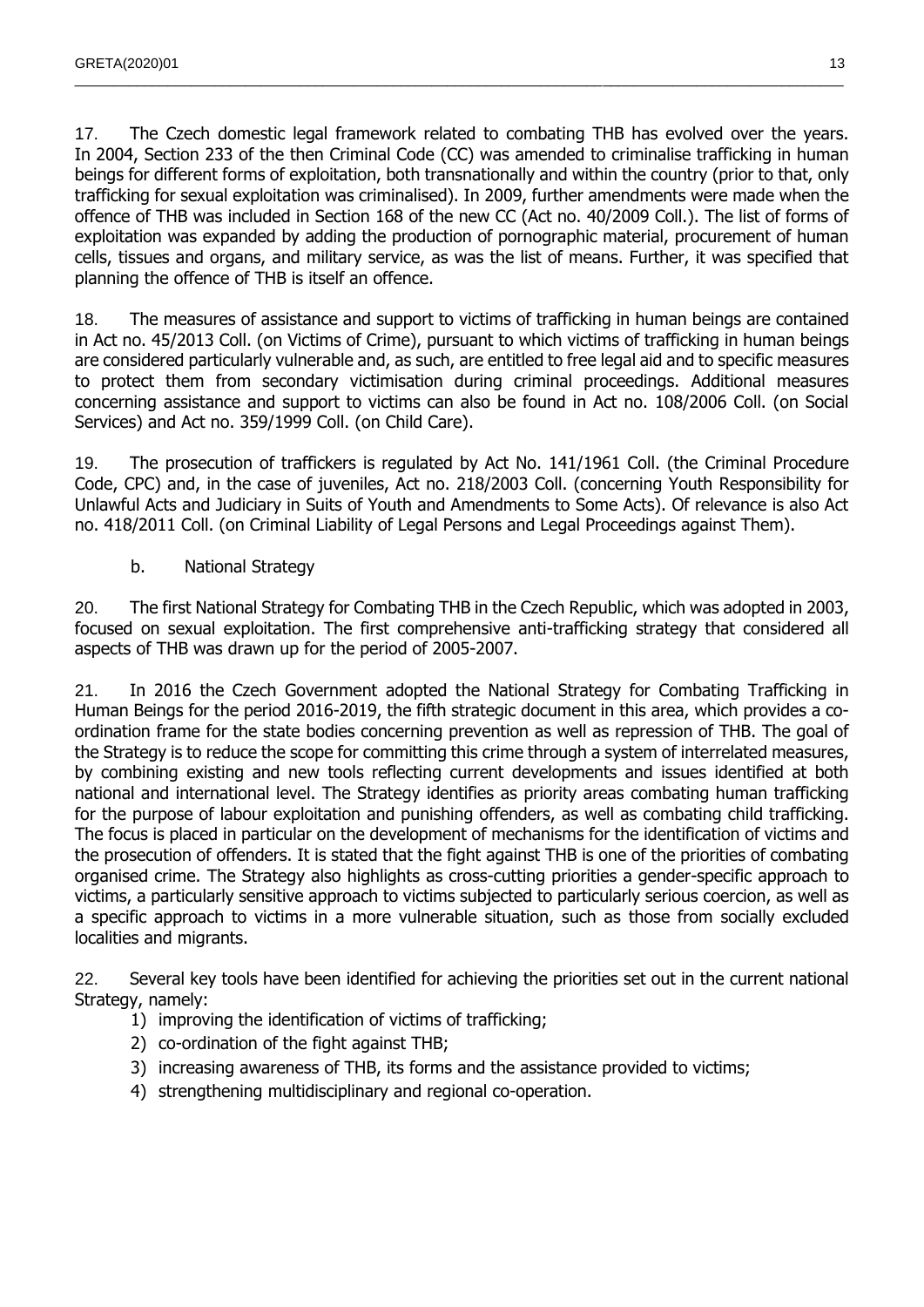17. The Czech domestic legal framework related to combating THB has evolved over the years. In 2004, Section 233 of the then Criminal Code (CC) was amended to criminalise trafficking in human beings for different forms of exploitation, both transnationally and within the country (prior to that, only trafficking for sexual exploitation was criminalised). In 2009, further amendments were made when the offence of THB was included in Section 168 of the new CC (Act no. 40/2009 Coll.). The list of forms of exploitation was expanded by adding the production of pornographic material, procurement of human cells, tissues and organs, and military service, as was the list of means. Further, it was specified that planning the offence of THB is itself an offence.

 $\_$  , and the state of the state of the state of the state of the state of the state of the state of the state of the state of the state of the state of the state of the state of the state of the state of the state of the

18. The measures of assistance and support to victims of trafficking in human beings are contained in Act no. 45/2013 Coll. (on Victims of Crime), pursuant to which victims of trafficking in human beings are considered particularly vulnerable and, as such, are entitled to free legal aid and to specific measures to protect them from secondary victimisation during criminal proceedings. Additional measures concerning assistance and support to victims can also be found in Act no. 108/2006 Coll. (on Social Services) and Act no. 359/1999 Coll. (on Child Care).

19. The prosecution of traffickers is regulated by Act No. 141/1961 Coll. (the Criminal Procedure Code, CPC) and, in the case of juveniles, Act no. 218/2003 Coll. (concerning Youth Responsibility for Unlawful Acts and Judiciary in Suits of Youth and Amendments to Some Acts). Of relevance is also Act no. 418/2011 Coll. (on Criminal Liability of Legal Persons and Legal Proceedings against Them).

b. National Strategy

<span id="page-12-0"></span>20. The first National Strategy for Combating THB in the Czech Republic, which was adopted in 2003, focused on sexual exploitation. The first comprehensive anti-trafficking strategy that considered all aspects of THB was drawn up for the period of 2005-2007.

21. In 2016 the Czech Government adopted the National Strategy for Combating Trafficking in Human Beings for the period 2016-2019, the fifth strategic document in this area, which provides a coordination frame for the state bodies concerning prevention as well as repression of THB. The goal of the Strategy is to reduce the scope for committing this crime through a system of interrelated measures, by combining existing and new tools reflecting current developments and issues identified at both national and international level. The Strategy identifies as priority areas combating human trafficking for the purpose of labour exploitation and punishing offenders, as well as combating child trafficking. The focus is placed in particular on the development of mechanisms for the identification of victims and the prosecution of offenders. It is stated that the fight against THB is one of the priorities of combating organised crime. The Strategy also highlights as cross-cutting priorities a gender-specific approach to victims, a particularly sensitive approach to victims subjected to particularly serious coercion, as well as a specific approach to victims in a more vulnerable situation, such as those from socially excluded localities and migrants.

22. Several key tools have been identified for achieving the priorities set out in the current national Strategy, namely:

- 1) improving the identification of victims of trafficking;
- 2) co-ordination of the fight against THB;
- 3) increasing awareness of THB, its forms and the assistance provided to victims;
- 4) strengthening multidisciplinary and regional co-operation.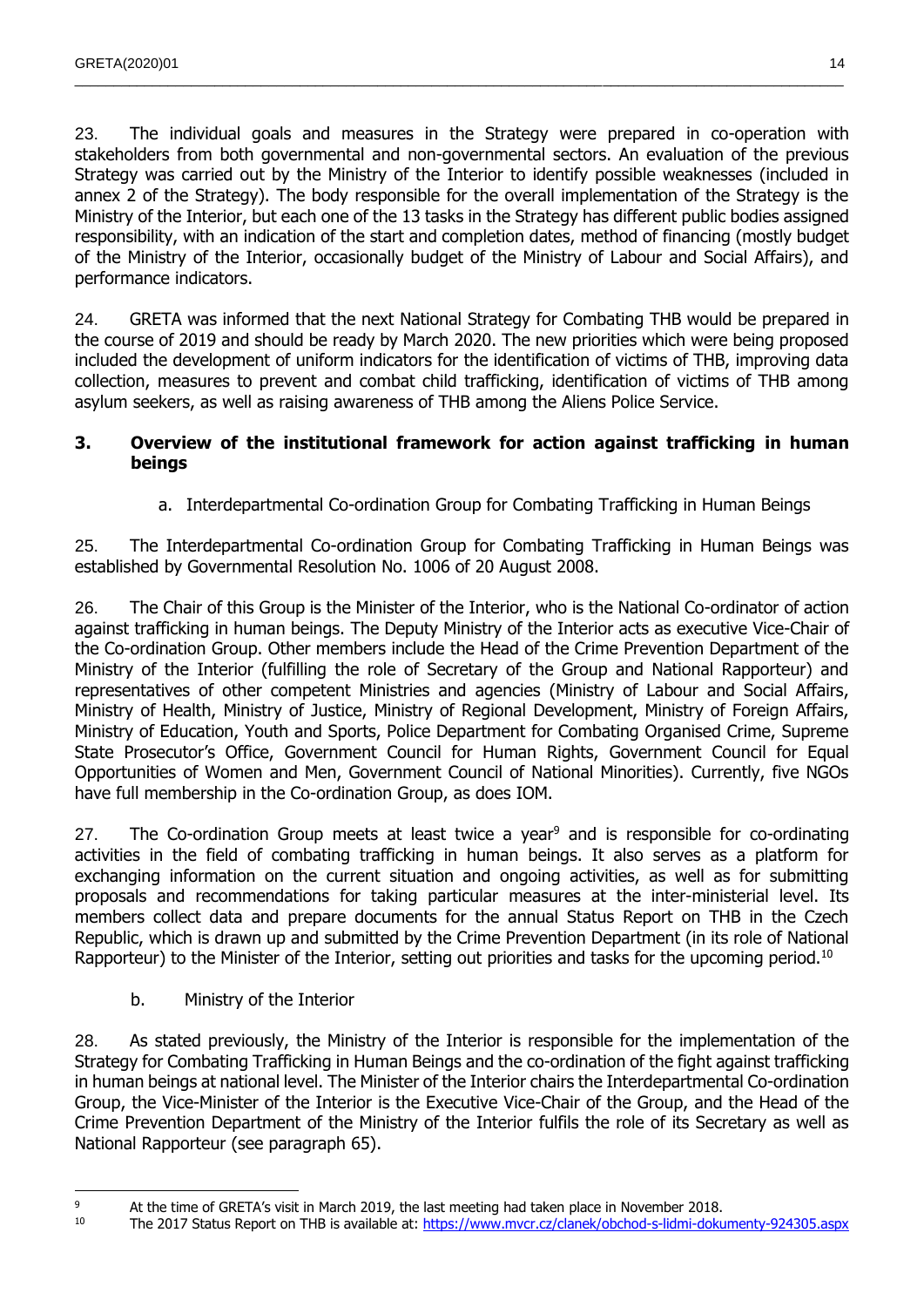23. The individual goals and measures in the Strategy were prepared in co-operation with stakeholders from both governmental and non-governmental sectors. An evaluation of the previous Strategy was carried out by the Ministry of the Interior to identify possible weaknesses (included in annex 2 of the Strategy). The body responsible for the overall implementation of the Strategy is the Ministry of the Interior, but each one of the 13 tasks in the Strategy has different public bodies assigned responsibility, with an indication of the start and completion dates, method of financing (mostly budget of the Ministry of the Interior, occasionally budget of the Ministry of Labour and Social Affairs), and performance indicators.

 $\_$  , and the state of the state of the state of the state of the state of the state of the state of the state of the state of the state of the state of the state of the state of the state of the state of the state of the

24. GRETA was informed that the next National Strategy for Combating THB would be prepared in the course of 2019 and should be ready by March 2020. The new priorities which were being proposed included the development of uniform indicators for the identification of victims of THB, improving data collection, measures to prevent and combat child trafficking, identification of victims of THB among asylum seekers, as well as raising awareness of THB among the Aliens Police Service.

#### <span id="page-13-0"></span>**3. Overview of the institutional framework for action against trafficking in human beings**

a. Interdepartmental Co-ordination Group for Combating Trafficking in Human Beings

<span id="page-13-1"></span>25. The Interdepartmental Co-ordination Group for Combating Trafficking in Human Beings was established by Governmental Resolution No. 1006 of 20 August 2008.

26. The Chair of this Group is the Minister of the Interior, who is the National Co-ordinator of action against trafficking in human beings. The Deputy Ministry of the Interior acts as executive Vice-Chair of the Co-ordination Group. Other members include the Head of the Crime Prevention Department of the Ministry of the Interior (fulfilling the role of Secretary of the Group and National Rapporteur) and representatives of other competent Ministries and agencies (Ministry of Labour and Social Affairs, Ministry of Health, Ministry of Justice, Ministry of Regional Development, Ministry of Foreign Affairs, Ministry of Education, Youth and Sports, Police Department for Combating Organised Crime, Supreme State Prosecutor's Office, Government Council for Human Rights, Government Council for Equal Opportunities of Women and Men, Government Council of National Minorities). Currently, five NGOs have full membership in the Co-ordination Group, as does IOM.

27. The Co-ordination Group meets at least twice a year<sup>9</sup> and is responsible for co-ordinating activities in the field of combating trafficking in human beings. It also serves as a platform for exchanging information on the current situation and ongoing activities, as well as for submitting proposals and recommendations for taking particular measures at the inter-ministerial level. Its members collect data and prepare documents for the annual Status Report on THB in the Czech Republic, which is drawn up and submitted by the Crime Prevention Department (in its role of National Rapporteur) to the Minister of the Interior, setting out priorities and tasks for the upcoming period.<sup>10</sup>

b. Ministry of the Interior

 $\overline{a}$ 

<span id="page-13-2"></span>28. As stated previously, the Ministry of the Interior is responsible for the implementation of the Strategy for Combating Trafficking in Human Beings and the co-ordination of the fight against trafficking in human beings at national level. The Minister of the Interior chairs the Interdepartmental Co-ordination Group, the Vice-Minister of the Interior is the Executive Vice-Chair of the Group, and the Head of the Crime Prevention Department of the Ministry of the Interior fulfils the role of its Secretary as well as National Rapporteur (see paragraph 65).

<sup>&</sup>lt;sup>9</sup> At the time of GRETA's visit in March 2019, the last meeting had taken place in November 2018.<br><sup>9</sup> The 2017 Status Beport on THB is available at: https://www.mysr.cz/clapek/obchod.s.lidmi.doku

<sup>10</sup> The 2017 Status Report on THB is available at:<https://www.mvcr.cz/clanek/obchod-s-lidmi-dokumenty-924305.aspx>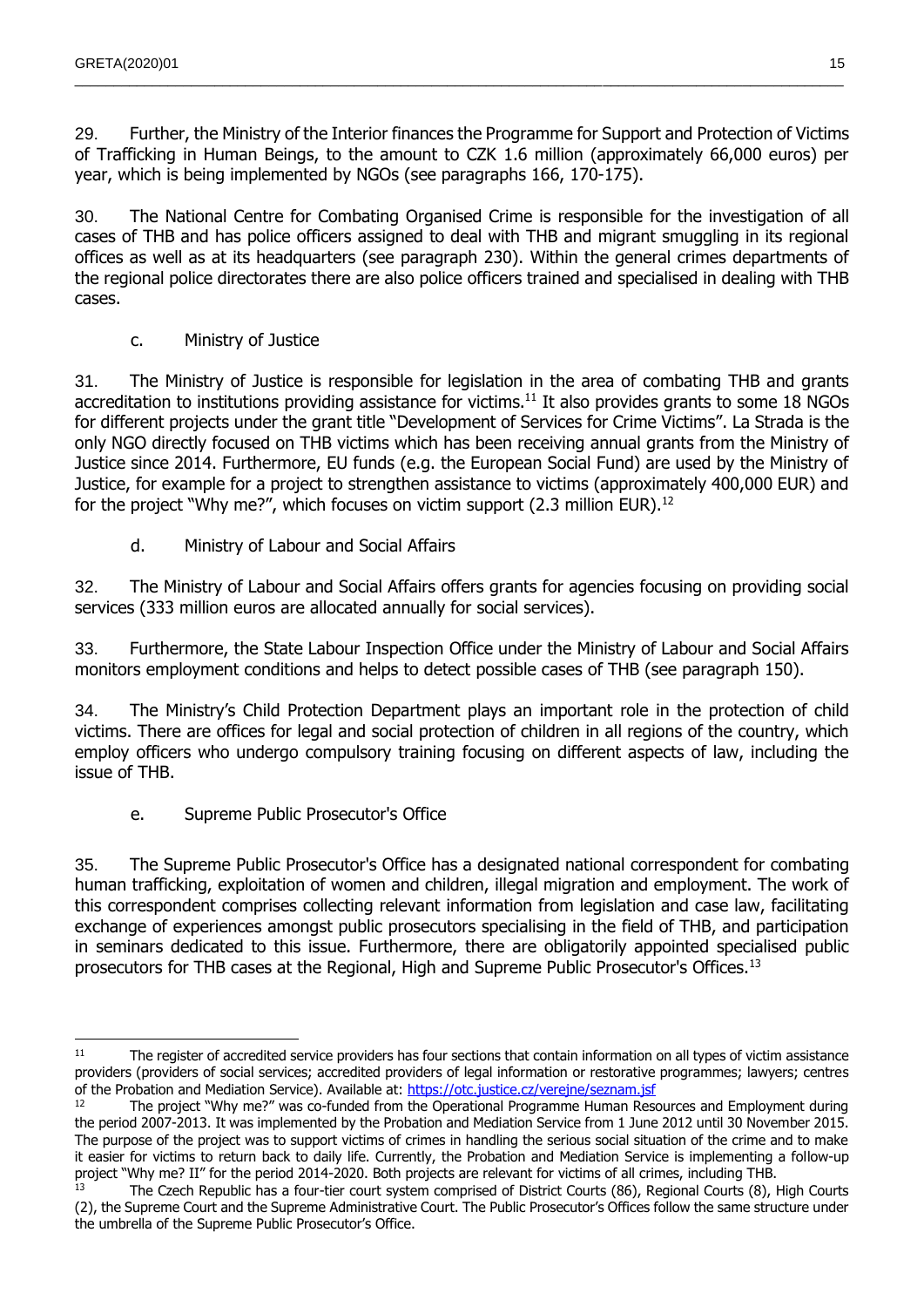29. Further, the Ministry of the Interior finances the Programme for Support and Protection of Victims of Trafficking in Human Beings, to the amount to CZK 1.6 million (approximately 66,000 euros) per year, which is being implemented by NGOs (see paragraphs 166, 170-175).

 $\_$  , and the state of the state of the state of the state of the state of the state of the state of the state of the state of the state of the state of the state of the state of the state of the state of the state of the

30. The National Centre for Combating Organised Crime is responsible for the investigation of all cases of THB and has police officers assigned to deal with THB and migrant smuggling in its regional offices as well as at its headquarters (see paragraph 230). Within the general crimes departments of the regional police directorates there are also police officers trained and specialised in dealing with THB cases.

c. Ministry of Justice

<span id="page-14-0"></span>31. The Ministry of Justice is responsible for legislation in the area of combating THB and grants accreditation to institutions providing assistance for victims.<sup>11</sup> It also provides grants to some 18 NGOs for different projects under the grant title "Development of Services for Crime Victims". La Strada is the only NGO directly focused on THB victims which has been receiving annual grants from the Ministry of Justice since 2014. Furthermore, EU funds (e.g. the European Social Fund) are used by the Ministry of Justice, for example for a project to strengthen assistance to victims (approximately 400,000 EUR) and for the project "Why me?", which focuses on victim support (2.3 million EUR).<sup>12</sup>

d. Ministry of Labour and Social Affairs

<span id="page-14-1"></span>32. The Ministry of Labour and Social Affairs offers grants for agencies focusing on providing social services (333 million euros are allocated annually for social services).

33. Furthermore, the State Labour Inspection Office under the Ministry of Labour and Social Affairs monitors employment conditions and helps to detect possible cases of THB (see paragraph 150).

34. The Ministry's Child Protection Department plays an important role in the protection of child victims. There are offices for legal and social protection of children in all regions of the country, which employ officers who undergo compulsory training focusing on different aspects of law, including the issue of THB.

e. Supreme Public Prosecutor's Office

<span id="page-14-2"></span>35. The Supreme Public Prosecutor's Office has a designated national correspondent for combating human trafficking, exploitation of women and children, illegal migration and employment. The work of this correspondent comprises collecting relevant information from legislation and case law, facilitating exchange of experiences amongst public prosecutors specialising in the field of THB, and participation in seminars dedicated to this issue. Furthermore, there are obligatorily appointed specialised public prosecutors for THB cases at the Regional, High and Supreme Public Prosecutor's Offices.<sup>13</sup>

 <sup>11</sup> The register of accredited service providers has four sections that contain information on all types of victim assistance providers (providers of social services; accredited providers of legal information or restorative programmes; lawyers; centres of the Probation and Mediation Service). Available at:<https://otc.justice.cz/verejne/seznam.jsf>

<sup>12</sup> The project "Why me?" was co-funded from the Operational Programme Human Resources and Employment during the period 2007-2013. It was implemented by the Probation and Mediation Service from 1 June 2012 until 30 November 2015. The purpose of the project was to support victims of crimes in handling the serious social situation of the crime and to make it easier for victims to return back to daily life. Currently, the Probation and Mediation Service is implementing a follow-up project "Why me? II" for the period 2014-2020. Both projects are relevant for victims of all crimes, including THB.

The Czech Republic has a four-tier court system comprised of District Courts (86), Regional Courts (8), High Courts (2), the Supreme Court and the Supreme Administrative Court. The Public Prosecutor's Offices follow the same structure under the umbrella of the Supreme Public Prosecutor's Office.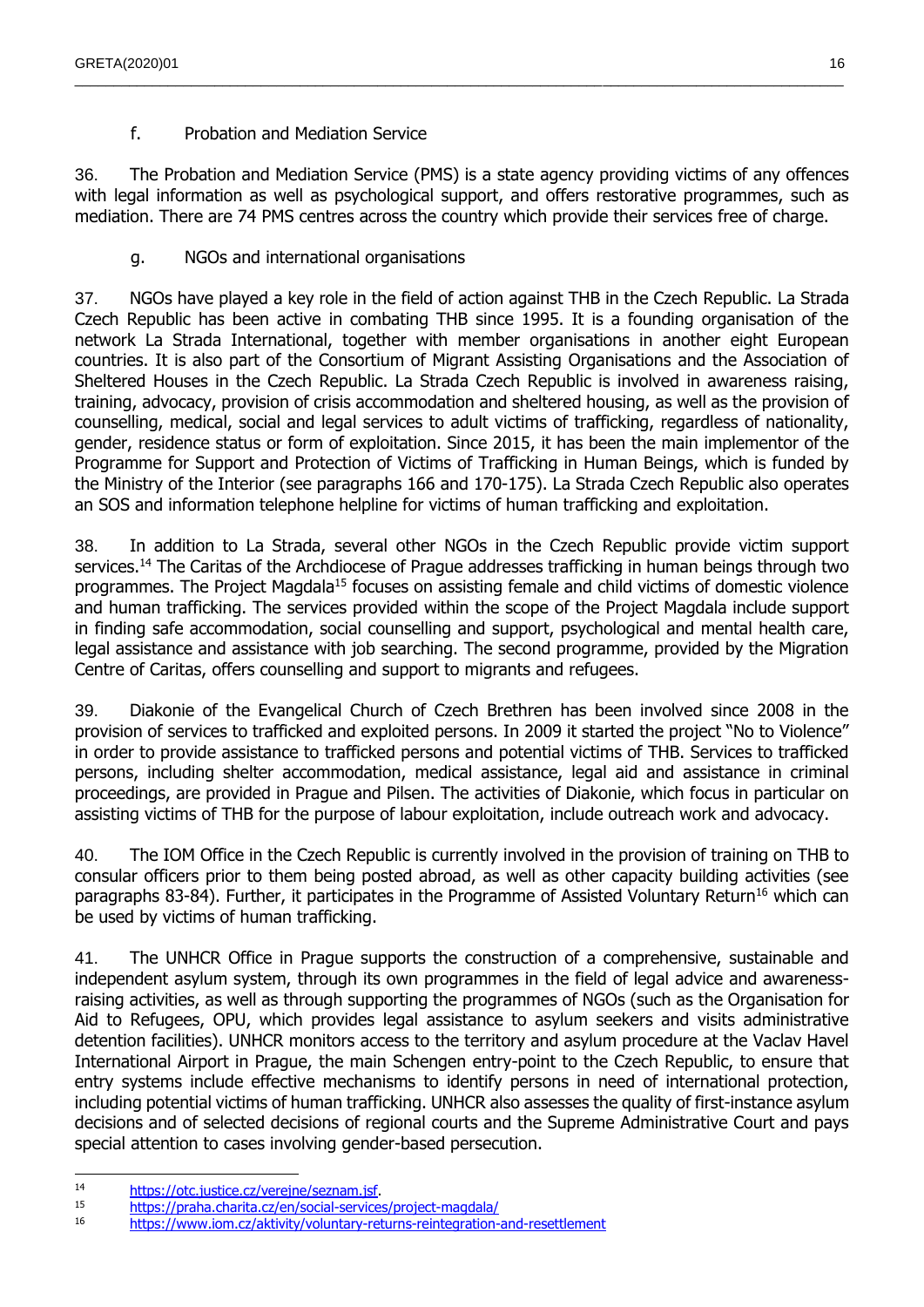f. Probation and Mediation Service

<span id="page-15-0"></span>36. The Probation and Mediation Service (PMS) is a state agency providing victims of any offences with legal information as well as psychological support, and offers restorative programmes, such as mediation. There are 74 PMS centres across the country which provide their services free of charge.

 $\_$  , and the state of the state of the state of the state of the state of the state of the state of the state of the state of the state of the state of the state of the state of the state of the state of the state of the

g. NGOs and international organisations

<span id="page-15-1"></span>37. NGOs have played a key role in the field of action against THB in the Czech Republic. La Strada Czech Republic has been active in combating THB since 1995. It is a founding organisation of the network La Strada International, together with member organisations in another eight European countries. It is also part of the Consortium of Migrant Assisting Organisations and the Association of Sheltered Houses in the Czech Republic. La Strada Czech Republic is involved in awareness raising, training, advocacy, provision of crisis accommodation and sheltered housing, as well as the provision of counselling, medical, social and legal services to adult victims of trafficking, regardless of nationality, gender, residence status or form of exploitation. Since 2015, it has been the main implementor of the Programme for Support and Protection of Victims of Trafficking in Human Beings, which is funded by the Ministry of the Interior (see paragraphs 166 and 170-175). La Strada Czech Republic also operates an SOS and information telephone helpline for victims of human trafficking and exploitation.

38. In addition to La Strada, several other NGOs in the Czech Republic provide victim support services.<sup>14</sup> The Caritas of the Archdiocese of Prague addresses trafficking in human beings through two programmes. The Project Magdala<sup>15</sup> focuses on assisting female and child victims of domestic violence and human trafficking. The services provided within the scope of the Project Magdala include support in finding safe accommodation, social counselling and support, psychological and mental health care, legal assistance and assistance with job searching. The second programme, provided by the Migration Centre of Caritas, offers counselling and support to migrants and refugees.

39. Diakonie of the Evangelical Church of Czech Brethren has been involved since 2008 in the provision of services to trafficked and exploited persons. In 2009 it started the project "No to Violence" in order to provide assistance to trafficked persons and potential victims of THB. Services to trafficked persons, including shelter accommodation, medical assistance, legal aid and assistance in criminal proceedings, are provided in Prague and Pilsen. The activities of Diakonie, which focus in particular on assisting victims of THB for the purpose of labour exploitation, include outreach work and advocacy.

40. The IOM Office in the Czech Republic is currently involved in the provision of training on THB to consular officers prior to them being posted abroad, as well as other capacity building activities (see paragraphs 83-84). Further, it participates in the Programme of Assisted Voluntary Return<sup>16</sup> which can be used by victims of human trafficking.

41. The UNHCR Office in Prague supports the construction of a comprehensive, sustainable and independent asylum system, through its own programmes in the field of legal advice and awarenessraising activities, as well as through supporting the programmes of NGOs (such as the Organisation for Aid to Refugees, OPU, which provides legal assistance to asylum seekers and visits administrative detention facilities). UNHCR monitors access to the territory and asylum procedure at the Vaclav Havel International Airport in Prague, the main Schengen entry-point to the Czech Republic, to ensure that entry systems include effective mechanisms to identify persons in need of international protection, including potential victims of human trafficking. UNHCR also assesses the quality of first-instance asylum decisions and of selected decisions of regional courts and the Supreme Administrative Court and pays special attention to cases involving gender-based persecution.

- <sup>14</sup> [https://otc.justice.cz/verejne/seznam.jsf.](https://otc.justice.cz/verejne/seznam.jsf)
- 15 <https://praha.charita.cz/en/social-services/project-magdala/><br>16 https://praha.charita.cz/en/social-services/project-magdala/

<sup>16</sup> <https://www.iom.cz/aktivity/voluntary-returns-reintegration-and-resettlement>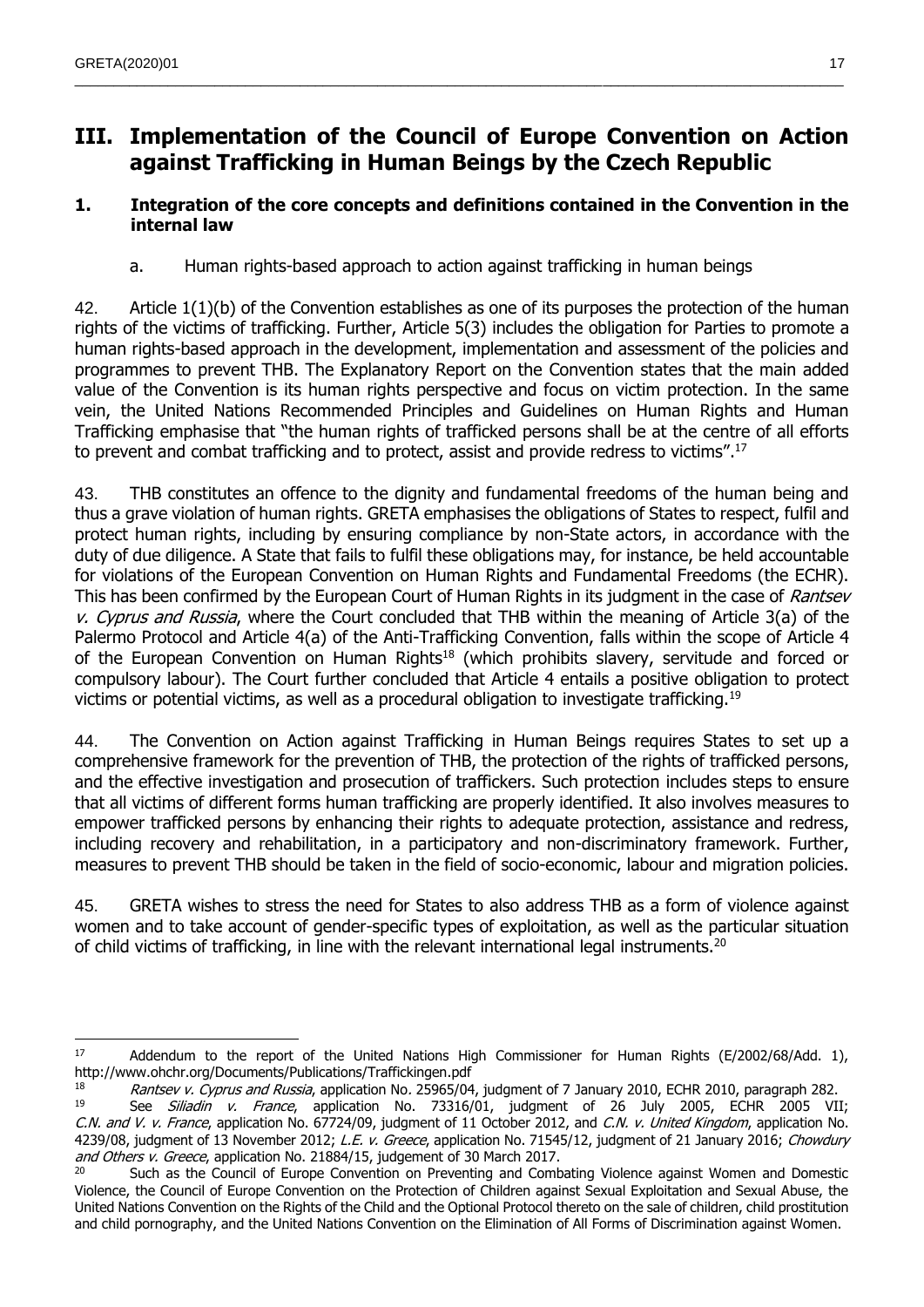# <span id="page-16-0"></span>**III. Implementation of the Council of Europe Convention on Action against Trafficking in Human Beings by the Czech Republic**

 $\_$  , and the state of the state of the state of the state of the state of the state of the state of the state of the state of the state of the state of the state of the state of the state of the state of the state of the

### <span id="page-16-1"></span>**1. Integration of the core concepts and definitions contained in the Convention in the internal law**

a. Human rights-based approach to action against trafficking in human beings

<span id="page-16-2"></span>42. Article 1(1)(b) of the Convention establishes as one of its purposes the protection of the human rights of the victims of trafficking. Further, Article 5(3) includes the obligation for Parties to promote a human rights-based approach in the development, implementation and assessment of the policies and programmes to prevent THB. The Explanatory Report on the Convention states that the main added value of the Convention is its human rights perspective and focus on victim protection. In the same vein, the United Nations Recommended Principles and Guidelines on Human Rights and Human Trafficking emphasise that "the human rights of trafficked persons shall be at the centre of all efforts to prevent and combat trafficking and to protect, assist and provide redress to victims".<sup>17</sup>

43. THB constitutes an offence to the dignity and fundamental freedoms of the human being and thus a grave violation of human rights. GRETA emphasises the obligations of States to respect, fulfil and protect human rights, including by ensuring compliance by non-State actors, in accordance with the duty of due diligence. A State that fails to fulfil these obligations may, for instance, be held accountable for violations of the European Convention on Human Rights and Fundamental Freedoms (the ECHR). This has been confirmed by the European Court of Human Rights in its judgment in the case of Rantsev v. Cyprus and Russia, where the Court concluded that THB within the meaning of Article 3(a) of the Palermo Protocol and Article 4(a) of the Anti-Trafficking Convention, falls within the scope of Article 4 of the European Convention on Human Rights<sup>18</sup> (which prohibits slavery, servitude and forced or compulsory labour). The Court further concluded that Article 4 entails a positive obligation to protect victims or potential victims, as well as a procedural obligation to investigate trafficking.<sup>19</sup>

44. The Convention on Action against Trafficking in Human Beings requires States to set up a comprehensive framework for the prevention of THB, the protection of the rights of trafficked persons, and the effective investigation and prosecution of traffickers. Such protection includes steps to ensure that all victims of different forms human trafficking are properly identified. It also involves measures to empower trafficked persons by enhancing their rights to adequate protection, assistance and redress, including recovery and rehabilitation, in a participatory and non-discriminatory framework. Further, measures to prevent THB should be taken in the field of socio-economic, labour and migration policies.

45. GRETA wishes to stress the need for States to also address THB as a form of violence against women and to take account of gender-specific types of exploitation, as well as the particular situation of child victims of trafficking, in line with the relevant international legal instruments.<sup>20</sup>

  $17$  Addendum to the report of the United Nations High Commissioner for Human Rights (E/2002/68/Add. 1), http://www.ohchr.org/Documents/Publications/Traffickingen.pdf

Rantsev v. Cyprus and Russia, application No. 25965/04, judgment of 7 January 2010, ECHR 2010, paragraph 282.

<sup>&</sup>lt;sup>19</sup> See *Siliadin v. France*, application No. 73316/01, judgment of 26 July 2005, ECHR 2005 VII; C.N. and V. v. France, application No. 67724/09, judgment of 11 October 2012, and C.N. v. United Kingdom, application No. 4239/08, judgment of 13 November 2012; L.E. v. Greece, application No. 71545/12, judgment of 21 January 2016; Chowdury and Others v. Greece, application No. 21884/15, judgement of 30 March 2017.

<sup>&</sup>lt;sup>20</sup> Such as the Council of Europe Convention on Preventing and Combating Violence against Women and Domestic Violence, the Council of Europe Convention on the Protection of Children against Sexual Exploitation and Sexual Abuse, the United Nations Convention on the Rights of the Child and the Optional Protocol thereto on the sale of children, child prostitution and child pornography, and the United Nations Convention on the Elimination of All Forms of Discrimination against Women.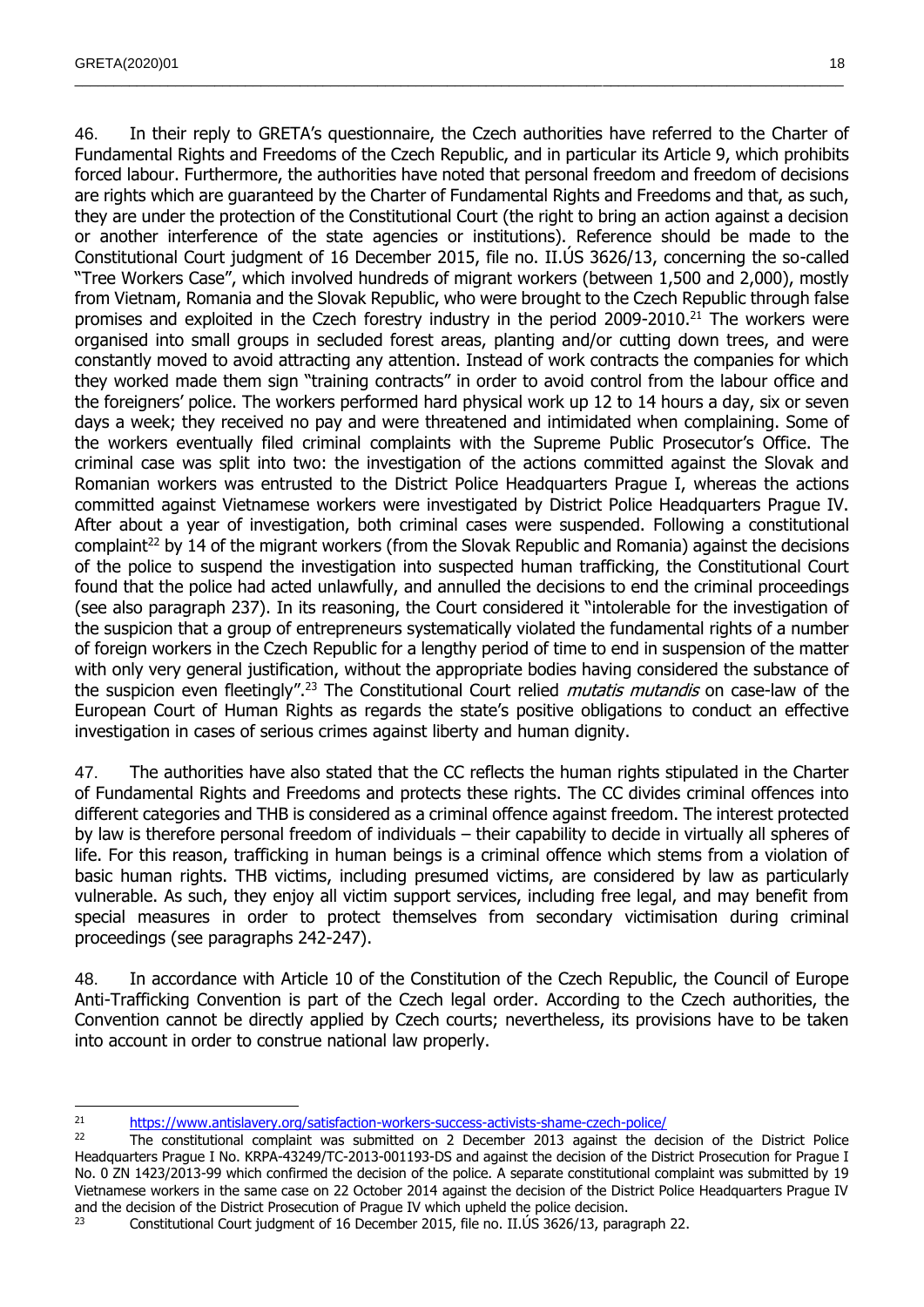46. In their reply to GRETA's questionnaire, the Czech authorities have referred to the Charter of Fundamental Rights and Freedoms of the Czech Republic, and in particular its Article 9, which prohibits forced labour. Furthermore, the authorities have noted that personal freedom and freedom of decisions are rights which are guaranteed by the Charter of Fundamental Rights and Freedoms and that, as such, they are under the protection of the Constitutional Court (the right to bring an action against a decision or another interference of the state agencies or institutions). Reference should be made to the Constitutional Court judgment of 16 December 2015, file no. II.ÚS 3626/13, concerning the so-called "Tree Workers Case", which involved hundreds of migrant workers (between 1,500 and 2,000), mostly from Vietnam, Romania and the Slovak Republic, who were brought to the Czech Republic through false promises and exploited in the Czech forestry industry in the period 2009-2010.<sup>21</sup> The workers were organised into small groups in secluded forest areas, planting and/or cutting down trees, and were constantly moved to avoid attracting any attention. Instead of work contracts the companies for which they worked made them sign "training contracts" in order to avoid control from the labour office and the foreigners' police. The workers performed hard physical work up 12 to 14 hours a day, six or seven days a week; they received no pay and were threatened and intimidated when complaining. Some of the workers eventually filed criminal complaints with the Supreme Public Prosecutor's Office. The criminal case was split into two: the investigation of the actions committed against the Slovak and Romanian workers was entrusted to the District Police Headquarters Prague I, whereas the actions committed against Vietnamese workers were investigated by District Police Headquarters Prague IV. After about a year of investigation, both criminal cases were suspended. Following a constitutional complaint<sup>22</sup> by 14 of the migrant workers (from the Slovak Republic and Romania) against the decisions of the police to suspend the investigation into suspected human trafficking, the Constitutional Court found that the police had acted unlawfully, and annulled the decisions to end the criminal proceedings (see also paragraph 237). In its reasoning, the Court considered it "intolerable for the investigation of the suspicion that a group of entrepreneurs systematically violated the fundamental rights of a number of foreign workers in the Czech Republic for a lengthy period of time to end in suspension of the matter with only very general justification, without the appropriate bodies having considered the substance of the suspicion even fleetingly".<sup>23</sup> The Constitutional Court relied *mutatis mutandis* on case-law of the European Court of Human Rights as regards the state's positive obligations to conduct an effective investigation in cases of serious crimes against liberty and human dignity.

 $\_$  , and the state of the state of the state of the state of the state of the state of the state of the state of the state of the state of the state of the state of the state of the state of the state of the state of the

47. The authorities have also stated that the CC reflects the human rights stipulated in the Charter of Fundamental Rights and Freedoms and protects these rights. The CC divides criminal offences into different categories and THB is considered as a criminal offence against freedom. The interest protected by law is therefore personal freedom of individuals – their capability to decide in virtually all spheres of life. For this reason, trafficking in human beings is a criminal offence which stems from a violation of basic human rights. THB victims, including presumed victims, are considered by law as particularly vulnerable. As such, they enjoy all victim support services, including free legal, and may benefit from special measures in order to protect themselves from secondary victimisation during criminal proceedings (see paragraphs 242-247).

48. In accordance with Article 10 of the Constitution of the Czech Republic, the Council of Europe Anti-Trafficking Convention is part of the Czech legal order. According to the Czech authorities, the Convention cannot be directly applied by Czech courts; nevertheless, its provisions have to be taken into account in order to construe national law properly.

 $\overline{a}$ <sup>21</sup> <https://www.antislavery.org/satisfaction-workers-success-activists-shame-czech-police/><br><sup>22</sup> The constitutional complaint was submitted on 2 December 2013 against the de

The constitutional complaint was submitted on 2 December 2013 against the decision of the District Police Headquarters Prague I No. KRPA-43249/TC-2013-001193-DS and against the decision of the District Prosecution for Prague I No. 0 ZN 1423/2013-99 which confirmed the decision of the police. A separate constitutional complaint was submitted by 19 Vietnamese workers in the same case on 22 October 2014 against the decision of the District Police Headquarters Prague IV and the decision of the District Prosecution of Prague IV which upheld the police decision.

<sup>&</sup>lt;sup>23</sup> Constitutional Court judgment of 16 December 2015, file no. II. US 3626/13, paragraph 22.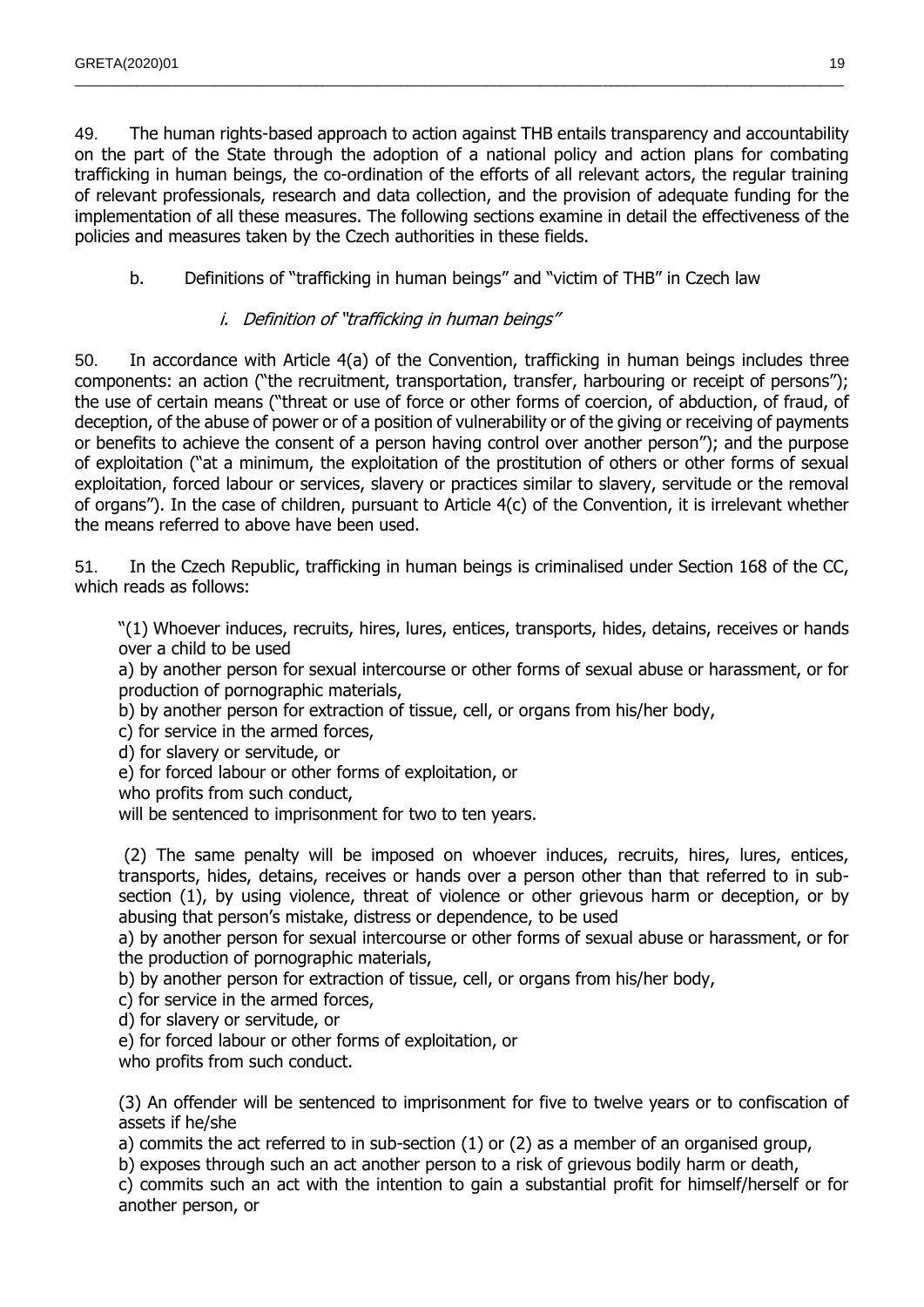49. The human rights-based approach to action against THB entails transparency and accountability on the part of the State through the adoption of a national policy and action plans for combating trafficking in human beings, the co-ordination of the efforts of all relevant actors, the regular training of relevant professionals, research and data collection, and the provision of adequate funding for the implementation of all these measures. The following sections examine in detail the effectiveness of the policies and measures taken by the Czech authorities in these fields.

 $\_$  , and the state of the state of the state of the state of the state of the state of the state of the state of the state of the state of the state of the state of the state of the state of the state of the state of the

<span id="page-18-0"></span>b. Definitions of "trafficking in human beings" and "victim of THB" in Czech law

#### i. Definition of "trafficking in human beings"

<span id="page-18-1"></span>50. In accordance with Article 4(a) of the Convention, trafficking in human beings includes three components: an action ("the recruitment, transportation, transfer, harbouring or receipt of persons"); the use of certain means ("threat or use of force or other forms of coercion, of abduction, of fraud, of deception, of the abuse of power or of a position of vulnerability or of the giving or receiving of payments or benefits to achieve the consent of a person having control over another person"); and the purpose of exploitation ("at a minimum, the exploitation of the prostitution of others or other forms of sexual exploitation, forced labour or services, slavery or practices similar to slavery, servitude or the removal of organs"). In the case of children, pursuant to Article 4(c) of the Convention, it is irrelevant whether the means referred to above have been used.

51. In the Czech Republic, trafficking in human beings is criminalised under Section 168 of the CC, which reads as follows:

"(1) Whoever induces, recruits, hires, lures, entices, transports, hides, detains, receives or hands over a child to be used

a) by another person for sexual intercourse or other forms of sexual abuse or harassment, or for production of pornographic materials,

b) by another person for extraction of tissue, cell, or organs from his/her body,

c) for service in the armed forces,

d) for slavery or servitude, or

e) for forced labour or other forms of exploitation, or

who profits from such conduct,

will be sentenced to imprisonment for two to ten years.

(2) The same penalty will be imposed on whoever induces, recruits, hires, lures, entices, transports, hides, detains, receives or hands over a person other than that referred to in subsection (1), by using violence, threat of violence or other grievous harm or deception, or by abusing that person's mistake, distress or dependence, to be used

a) by another person for sexual intercourse or other forms of sexual abuse or harassment, or for the production of pornographic materials,

b) by another person for extraction of tissue, cell, or organs from his/her body,

c) for service in the armed forces,

d) for slavery or servitude, or

e) for forced labour or other forms of exploitation, or

who profits from such conduct.

(3) An offender will be sentenced to imprisonment for five to twelve years or to confiscation of assets if he/she

a) commits the act referred to in sub-section (1) or (2) as a member of an organised group,

b) exposes through such an act another person to a risk of grievous bodily harm or death,

c) commits such an act with the intention to gain a substantial profit for himself/herself or for another person, or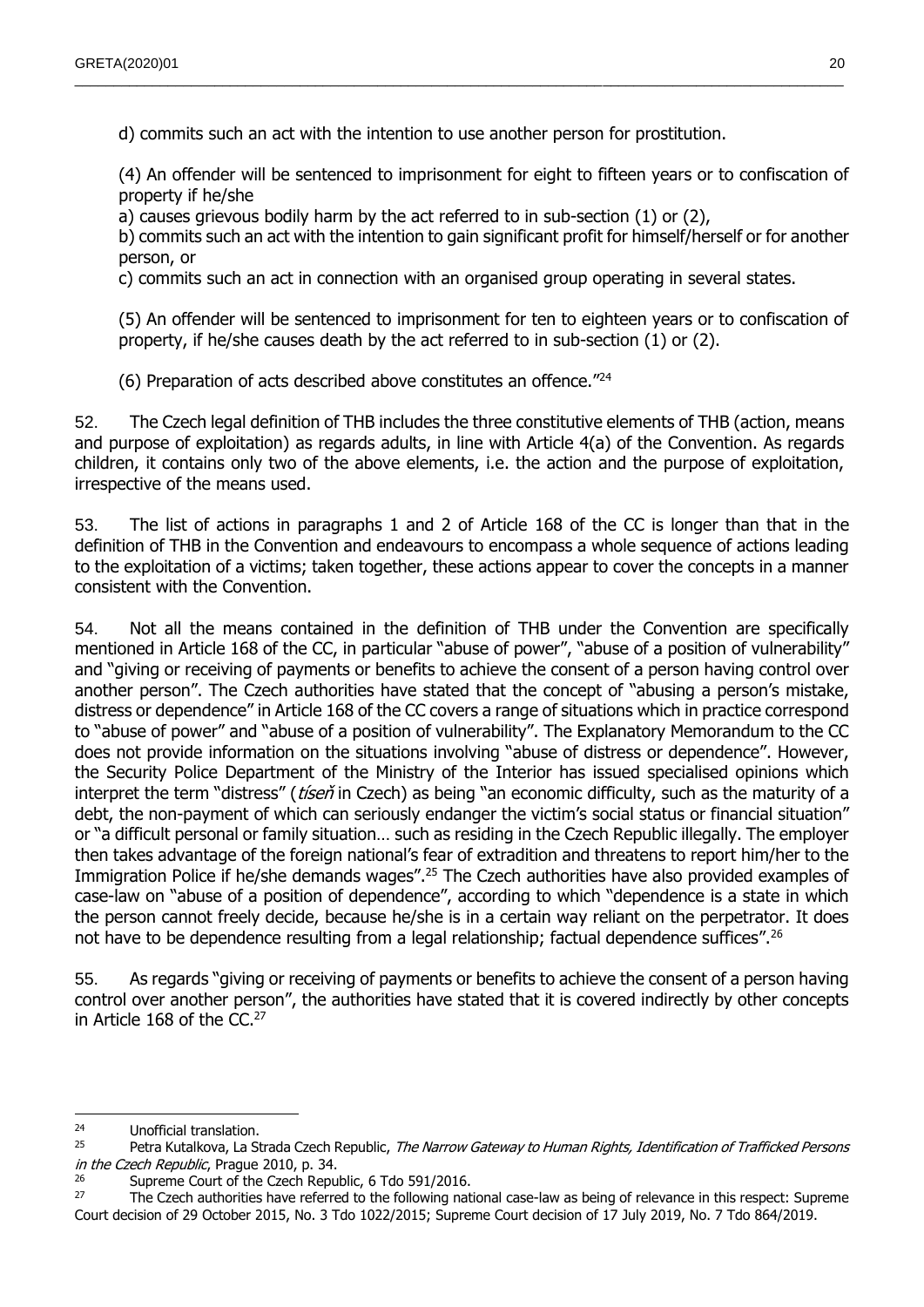d) commits such an act with the intention to use another person for prostitution.

(4) An offender will be sentenced to imprisonment for eight to fifteen years or to confiscation of property if he/she

a) causes grievous bodily harm by the act referred to in sub-section (1) or (2),

b) commits such an act with the intention to gain significant profit for himself/herself or for another person, or

c) commits such an act in connection with an organised group operating in several states.

 $\_$  , and the state of the state of the state of the state of the state of the state of the state of the state of the state of the state of the state of the state of the state of the state of the state of the state of the

(5) An offender will be sentenced to imprisonment for ten to eighteen years or to confiscation of property, if he/she causes death by the act referred to in sub-section (1) or (2).

(6) Preparation of acts described above constitutes an offence."<sup>24</sup>

52. The Czech legal definition of THB includes the three constitutive elements of THB (action, means and purpose of exploitation) as regards adults, in line with Article 4(a) of the Convention. As regards children, it contains only two of the above elements, i.e. the action and the purpose of exploitation, irrespective of the means used.

53. The list of actions in paragraphs 1 and 2 of Article 168 of the CC is longer than that in the definition of THB in the Convention and endeavours to encompass a whole sequence of actions leading to the exploitation of a victims; taken together, these actions appear to cover the concepts in a manner consistent with the Convention.

54. Not all the means contained in the definition of THB under the Convention are specifically mentioned in Article 168 of the CC, in particular "abuse of power", "abuse of a position of vulnerability" and "giving or receiving of payments or benefits to achieve the consent of a person having control over another person". The Czech authorities have stated that the concept of "abusing a person's mistake, distress or dependence" in Article 168 of the CC covers a range of situations which in practice correspond to "abuse of power" and "abuse of a position of vulnerability". The Explanatory Memorandum to the CC does not provide information on the situations involving "abuse of distress or dependence". However, the Security Police Department of the Ministry of the Interior has issued specialised opinions which interpret the term "distress" (*tiseň* in Czech) as being "an economic difficulty, such as the maturity of a debt, the non-payment of which can seriously endanger the victim's social status or financial situation" or "a difficult personal or family situation… such as residing in the Czech Republic illegally. The employer then takes advantage of the foreign national's fear of extradition and threatens to report him/her to the Immigration Police if he/she demands wages".<sup>25</sup> The Czech authorities have also provided examples of case-law on "abuse of a position of dependence", according to which "dependence is a state in which the person cannot freely decide, because he/she is in a certain way reliant on the perpetrator. It does not have to be dependence resulting from a legal relationship; factual dependence suffices".<sup>26</sup>

55. As regards "giving or receiving of payments or benefits to achieve the consent of a person having control over another person", the authorities have stated that it is covered indirectly by other concepts in Article 168 of the CC.<sup>27</sup>

 $24$ <sup>24</sup> Unofficial translation.<br><sup>25</sup> Dotra Kutalkova, La Si

Petra Kutalkova, La Strada Czech Republic, The Narrow Gateway to Human Rights, Identification of Trafficked Persons in the Czech Republic, Prague 2010, p. 34.

<sup>&</sup>lt;sup>26</sup> Supreme Court of the Czech Republic, 6 Tdo 591/2016.<br><sup>27</sup> The Czech authorities have referred to the following pat

<sup>27</sup> The Czech authorities have referred to the following national case-law as being of relevance in this respect: Supreme Court decision of 29 October 2015, No. 3 Tdo 1022/2015; Supreme Court decision of 17 July 2019, No. 7 Tdo 864/2019.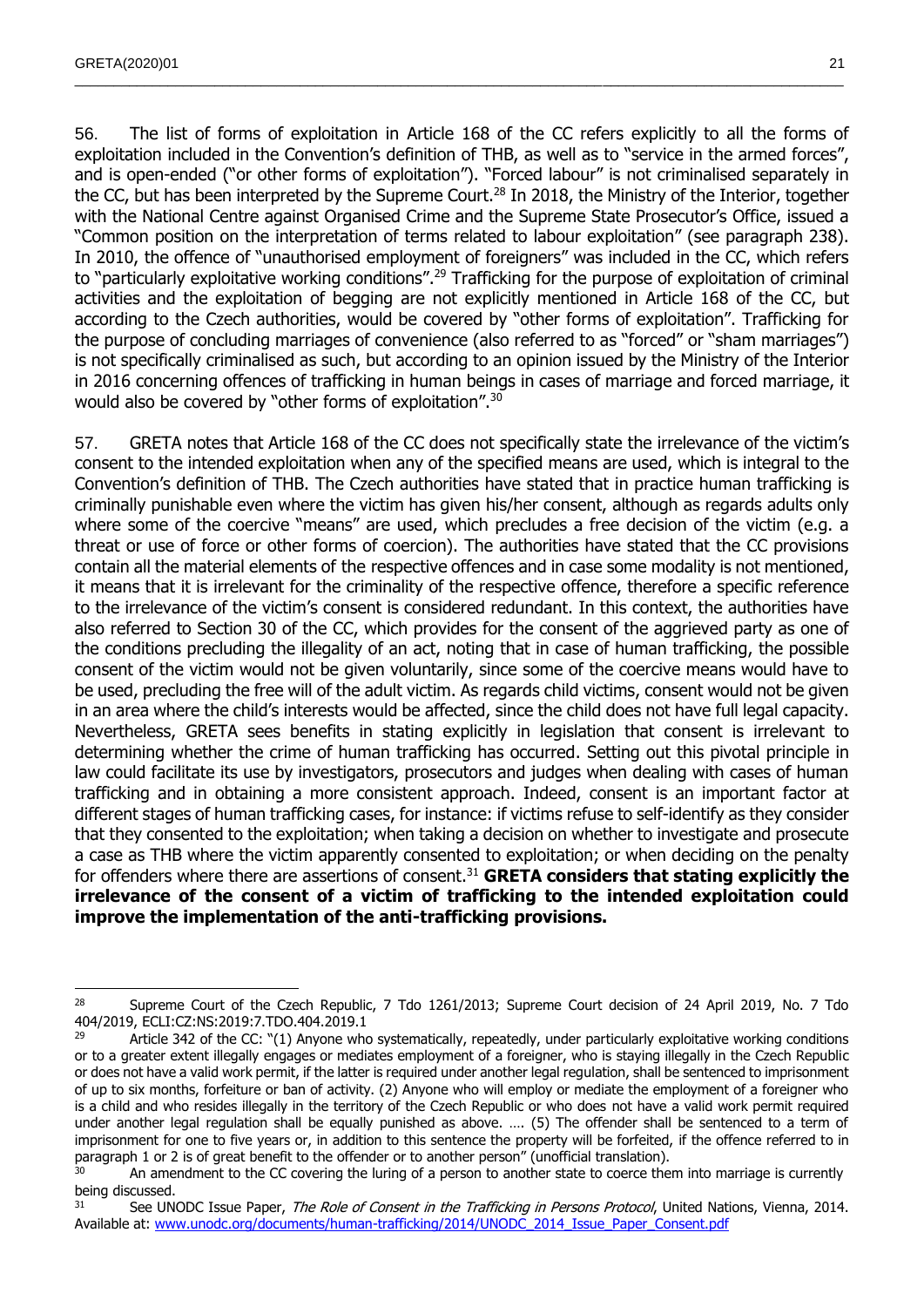$\overline{a}$ 

56. The list of forms of exploitation in Article 168 of the CC refers explicitly to all the forms of exploitation included in the Convention's definition of THB, as well as to "service in the armed forces", and is open-ended ("or other forms of exploitation"). "Forced labour" is not criminalised separately in the CC, but has been interpreted by the Supreme Court.<sup>28</sup> In 2018, the Ministry of the Interior, together with the National Centre against Organised Crime and the Supreme State Prosecutor's Office, issued a "Common position on the interpretation of terms related to labour exploitation" (see paragraph 238). In 2010, the offence of "unauthorised employment of foreigners" was included in the CC, which refers to "particularly exploitative working conditions".<sup>29</sup> Trafficking for the purpose of exploitation of criminal activities and the exploitation of begging are not explicitly mentioned in Article 168 of the CC, but according to the Czech authorities, would be covered by "other forms of exploitation". Trafficking for the purpose of concluding marriages of convenience (also referred to as "forced" or "sham marriages") is not specifically criminalised as such, but according to an opinion issued by the Ministry of the Interior in 2016 concerning offences of trafficking in human beings in cases of marriage and forced marriage, it would also be covered by "other forms of exploitation".<sup>30</sup>

 $\_$  , and the state of the state of the state of the state of the state of the state of the state of the state of the state of the state of the state of the state of the state of the state of the state of the state of the

57. GRETA notes that Article 168 of the CC does not specifically state the irrelevance of the victim's consent to the intended exploitation when any of the specified means are used, which is integral to the Convention's definition of THB. The Czech authorities have stated that in practice human trafficking is criminally punishable even where the victim has given his/her consent, although as regards adults only where some of the coercive "means" are used, which precludes a free decision of the victim (e.g. a threat or use of force or other forms of coercion). The authorities have stated that the CC provisions contain all the material elements of the respective offences and in case some modality is not mentioned, it means that it is irrelevant for the criminality of the respective offence, therefore a specific reference to the irrelevance of the victim's consent is considered redundant. In this context, the authorities have also referred to Section 30 of the CC, which provides for the consent of the aggrieved party as one of the conditions precluding the illegality of an act, noting that in case of human trafficking, the possible consent of the victim would not be given voluntarily, since some of the coercive means would have to be used, precluding the free will of the adult victim. As regards child victims, consent would not be given in an area where the child's interests would be affected, since the child does not have full legal capacity. Nevertheless, GRETA sees benefits in stating explicitly in legislation that consent is irrelevant to determining whether the crime of human trafficking has occurred. Setting out this pivotal principle in law could facilitate its use by investigators, prosecutors and judges when dealing with cases of human trafficking and in obtaining a more consistent approach. Indeed, consent is an important factor at different stages of human trafficking cases, for instance: if victims refuse to self-identify as they consider that they consented to the exploitation; when taking a decision on whether to investigate and prosecute a case as THB where the victim apparently consented to exploitation; or when deciding on the penalty for offenders where there are assertions of consent.<sup>31</sup> **GRETA considers that stating explicitly the irrelevance of the consent of a victim of trafficking to the intended exploitation could improve the implementation of the anti-trafficking provisions.**

<sup>&</sup>lt;sup>28</sup> Supreme Court of the Czech Republic, 7 Tdo 1261/2013; Supreme Court decision of 24 April 2019, No. 7 Tdo 404/2019, ECLI:CZ:NS:2019:7.TDO.404.2019.1

<sup>&</sup>lt;sup>29</sup> Article 342 of the CC: "(1) Anyone who systematically, repeatedly, under particularly exploitative working conditions or to a greater extent illegally engages or mediates employment of a foreigner, who is staying illegally in the Czech Republic or does not have a valid work permit, if the latter is required under another legal regulation, shall be sentenced to imprisonment of up to six months, forfeiture or ban of activity. (2) Anyone who will employ or mediate the employment of a foreigner who is a child and who resides illegally in the territory of the Czech Republic or who does not have a valid work permit required under another legal regulation shall be equally punished as above. …. (5) The offender shall be sentenced to a term of imprisonment for one to five years or, in addition to this sentence the property will be forfeited, if the offence referred to in paragraph 1 or 2 is of great benefit to the offender or to another person" (unofficial translation).

<sup>30</sup> An amendment to the CC covering the luring of a person to another state to coerce them into marriage is currently being discussed.

<sup>&</sup>lt;sup>31</sup> See UNODC Issue Paper, *The Role of Consent in the Trafficking in Persons Protocol*, United Nations, Vienna, 2014. Available at: [www.unodc.org/documents/human-trafficking/2014/UNODC\\_2014\\_Issue\\_Paper\\_Consent.pdf](http://www.unodc.org/documents/human-trafficking/2014/UNODC_2014_Issue_Paper_Consent.pdf)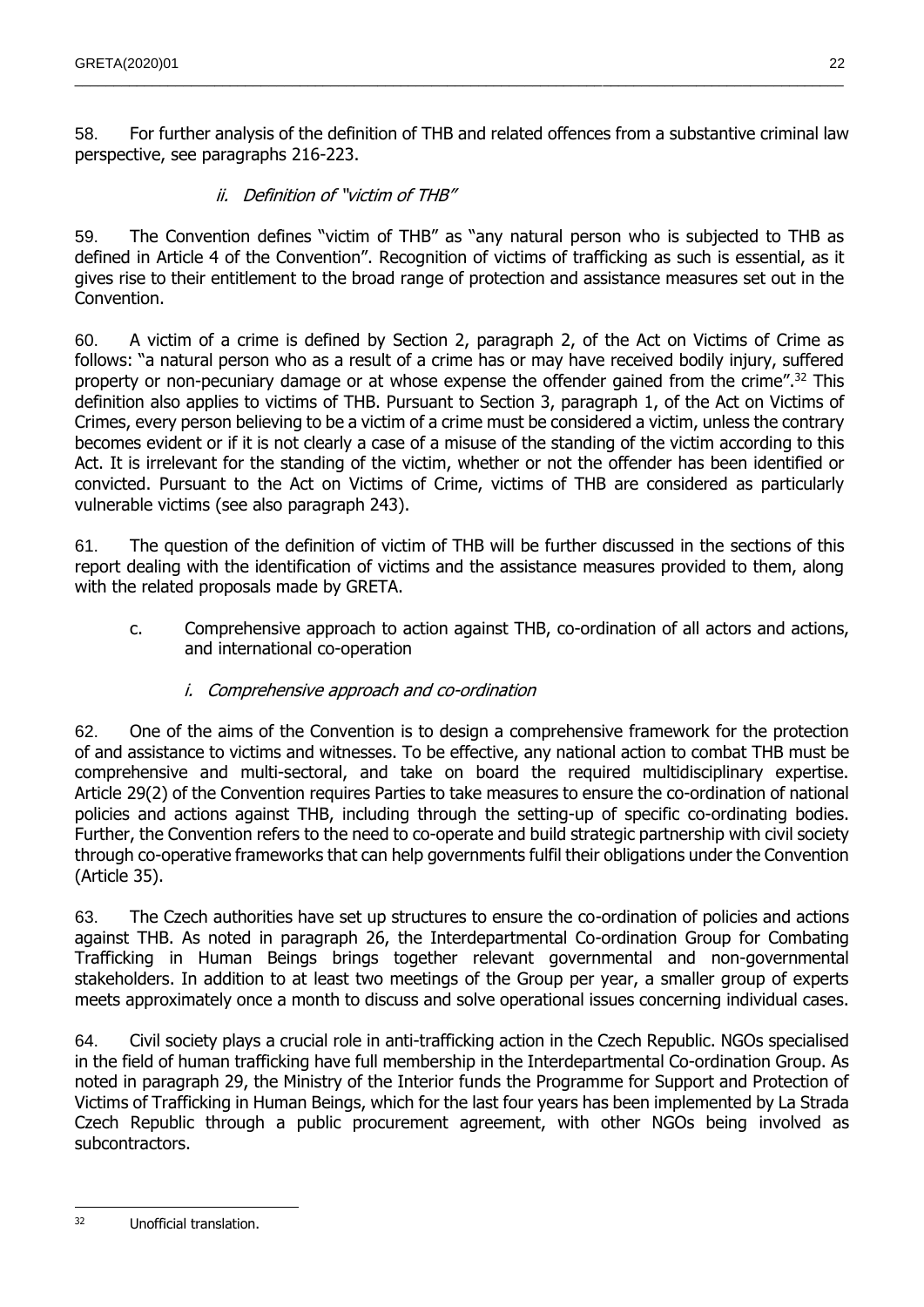58. For further analysis of the definition of THB and related offences from a substantive criminal law perspective, see paragraphs 216-223.

### ii. Definition of "victim of THB"

<span id="page-21-0"></span>59. The Convention defines "victim of THB" as "any natural person who is subjected to THB as defined in Article 4 of the Convention". Recognition of victims of trafficking as such is essential, as it gives rise to their entitlement to the broad range of protection and assistance measures set out in the Convention.

60. A victim of a crime is defined by Section 2, paragraph 2, of the Act on Victims of Crime as follows: "a natural person who as a result of a crime has or may have received bodily injury, suffered property or non-pecuniary damage or at whose expense the offender gained from the crime".<sup>32</sup> This definition also applies to victims of THB. Pursuant to Section 3, paragraph 1, of the Act on Victims of Crimes, every person believing to be a victim of a crime must be considered a victim, unless the contrary becomes evident or if it is not clearly a case of a misuse of the standing of the victim according to this Act. It is irrelevant for the standing of the victim, whether or not the offender has been identified or convicted. Pursuant to the Act on Victims of Crime, victims of THB are considered as particularly vulnerable victims (see also paragraph 243).

61. The question of the definition of victim of THB will be further discussed in the sections of this report dealing with the identification of victims and the assistance measures provided to them, along with the related proposals made by GRETA.

<span id="page-21-1"></span>c. Comprehensive approach to action against THB, co-ordination of all actors and actions, and international co-operation

### i. Comprehensive approach and co-ordination

<span id="page-21-2"></span>62. One of the aims of the Convention is to design a comprehensive framework for the protection of and assistance to victims and witnesses. To be effective, any national action to combat THB must be comprehensive and multi-sectoral, and take on board the required multidisciplinary expertise. Article 29(2) of the Convention requires Parties to take measures to ensure the co-ordination of national policies and actions against THB, including through the setting-up of specific co-ordinating bodies. Further, the Convention refers to the need to co-operate and build strategic partnership with civil society through co-operative frameworks that can help governments fulfil their obligations under the Convention (Article 35).

63. The Czech authorities have set up structures to ensure the co-ordination of policies and actions against THB. As noted in paragraph 26, the Interdepartmental Co-ordination Group for Combating Trafficking in Human Beings brings together relevant governmental and non-governmental stakeholders. In addition to at least two meetings of the Group per year, a smaller group of experts meets approximately once a month to discuss and solve operational issues concerning individual cases.

64. Civil society plays a crucial role in anti-trafficking action in the Czech Republic. NGOs specialised in the field of human trafficking have full membership in the Interdepartmental Co-ordination Group. As noted in paragraph 29, the Ministry of the Interior funds the Programme for Support and Protection of Victims of Trafficking in Human Beings, which for the last four years has been implemented by La Strada Czech Republic through a public procurement agreement, with other NGOs being involved as subcontractors.

 $\overline{32}$ Unofficial translation.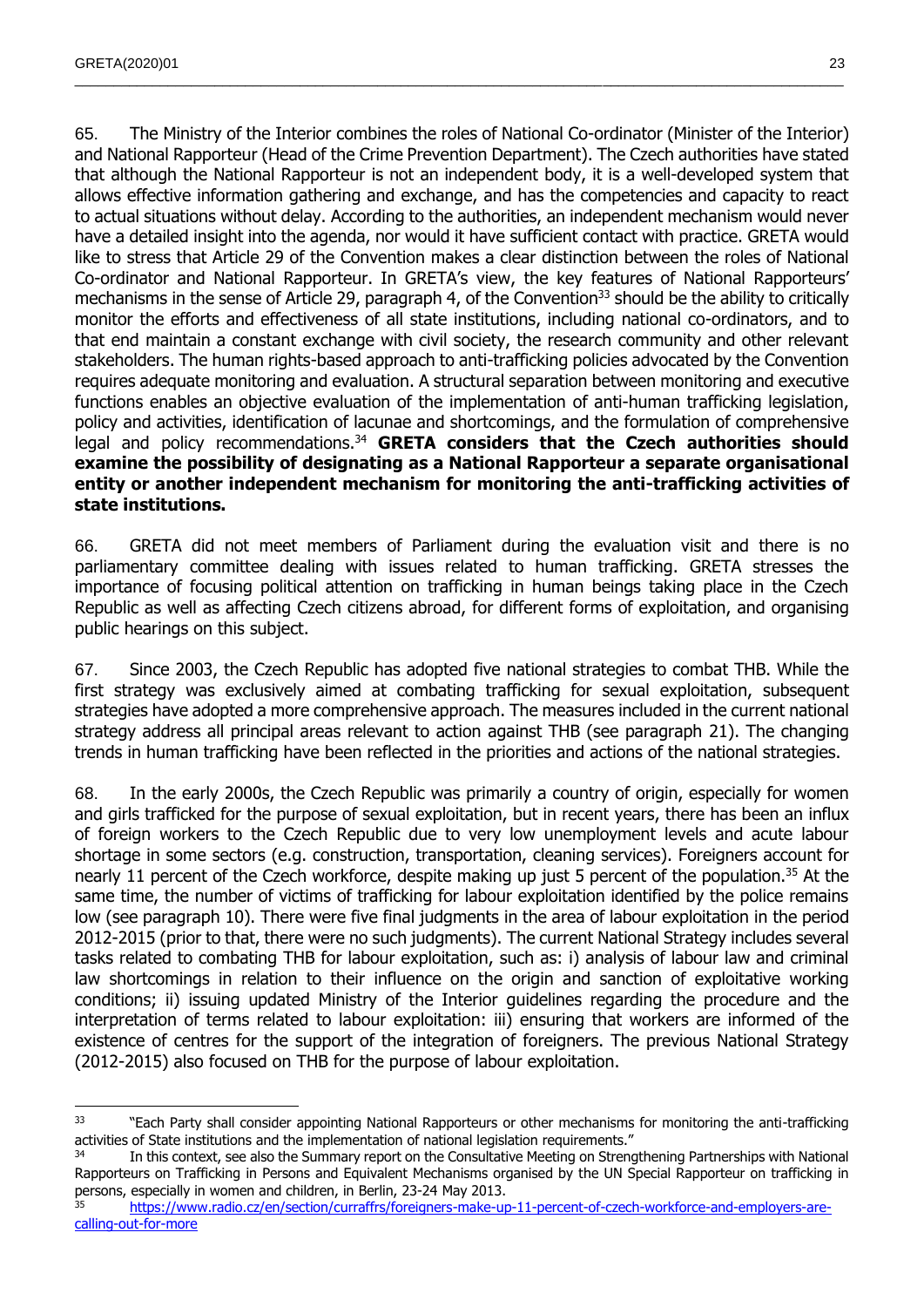65. The Ministry of the Interior combines the roles of National Co-ordinator (Minister of the Interior) and National Rapporteur (Head of the Crime Prevention Department). The Czech authorities have stated that although the National Rapporteur is not an independent body, it is a well-developed system that allows effective information gathering and exchange, and has the competencies and capacity to react to actual situations without delay. According to the authorities, an independent mechanism would never have a detailed insight into the agenda, nor would it have sufficient contact with practice. GRETA would like to stress that Article 29 of the Convention makes a clear distinction between the roles of National Co-ordinator and National Rapporteur. In GRETA's view, the key features of National Rapporteurs' mechanisms in the sense of Article 29, paragraph 4, of the Convention<sup>33</sup> should be the ability to critically monitor the efforts and effectiveness of all state institutions, including national co-ordinators, and to that end maintain a constant exchange with civil society, the research community and other relevant stakeholders. The human rights-based approach to anti-trafficking policies advocated by the Convention requires adequate monitoring and evaluation. A structural separation between monitoring and executive functions enables an objective evaluation of the implementation of anti-human trafficking legislation, policy and activities, identification of lacunae and shortcomings, and the formulation of comprehensive legal and policy recommendations.<sup>34</sup> GRETA considers that the Czech authorities should **examine the possibility of designating as a National Rapporteur a separate organisational entity or another independent mechanism for monitoring the anti-trafficking activities of state institutions.**

 $\_$  , and the state of the state of the state of the state of the state of the state of the state of the state of the state of the state of the state of the state of the state of the state of the state of the state of the

66. GRETA did not meet members of Parliament during the evaluation visit and there is no parliamentary committee dealing with issues related to human trafficking. GRETA stresses the importance of focusing political attention on trafficking in human beings taking place in the Czech Republic as well as affecting Czech citizens abroad, for different forms of exploitation, and organising public hearings on this subject.

67. Since 2003, the Czech Republic has adopted five national strategies to combat THB. While the first strategy was exclusively aimed at combating trafficking for sexual exploitation, subsequent strategies have adopted a more comprehensive approach. The measures included in the current national strategy address all principal areas relevant to action against THB (see paragraph 21). The changing trends in human trafficking have been reflected in the priorities and actions of the national strategies.

68. In the early 2000s, the Czech Republic was primarily a country of origin, especially for women and girls trafficked for the purpose of sexual exploitation, but in recent years, there has been an influx of foreign workers to the Czech Republic due to very low unemployment levels and acute labour shortage in some sectors (e.g. construction, transportation, cleaning services). Foreigners account for nearly 11 percent of the Czech workforce, despite making up just 5 percent of the population.<sup>35</sup> At the same time, the number of victims of trafficking for labour exploitation identified by the police remains low (see paragraph 10). There were five final judgments in the area of labour exploitation in the period 2012-2015 (prior to that, there were no such judgments). The current National Strategy includes several tasks related to combating THB for labour exploitation, such as: i) analysis of labour law and criminal law shortcomings in relation to their influence on the origin and sanction of exploitative working conditions; ii) issuing updated Ministry of the Interior guidelines regarding the procedure and the interpretation of terms related to labour exploitation: iii) ensuring that workers are informed of the existence of centres for the support of the integration of foreigners. The previous National Strategy (2012-2015) also focused on THB for the purpose of labour exploitation.

 $\overline{a}$ <sup>33</sup> "Each Party shall consider appointing National Rapporteurs or other mechanisms for monitoring the anti-trafficking activities of State institutions and the implementation of national legislation requirements."

In this context, see also the Summary report on the Consultative Meeting on Strengthening Partnerships with National Rapporteurs on Trafficking in Persons and Equivalent Mechanisms organised by the UN Special Rapporteur on trafficking in persons, especially in women and children, in Berlin, 23-24 May 2013.

<sup>35</sup> [https://www.radio.cz/en/section/curraffrs/foreigners-make-up-11-percent-of-czech-workforce-and-employers-are](https://www.radio.cz/en/section/curraffrs/foreigners-make-up-11-percent-of-czech-workforce-and-employers-are-calling-out-for-more)[calling-out-for-more](https://www.radio.cz/en/section/curraffrs/foreigners-make-up-11-percent-of-czech-workforce-and-employers-are-calling-out-for-more)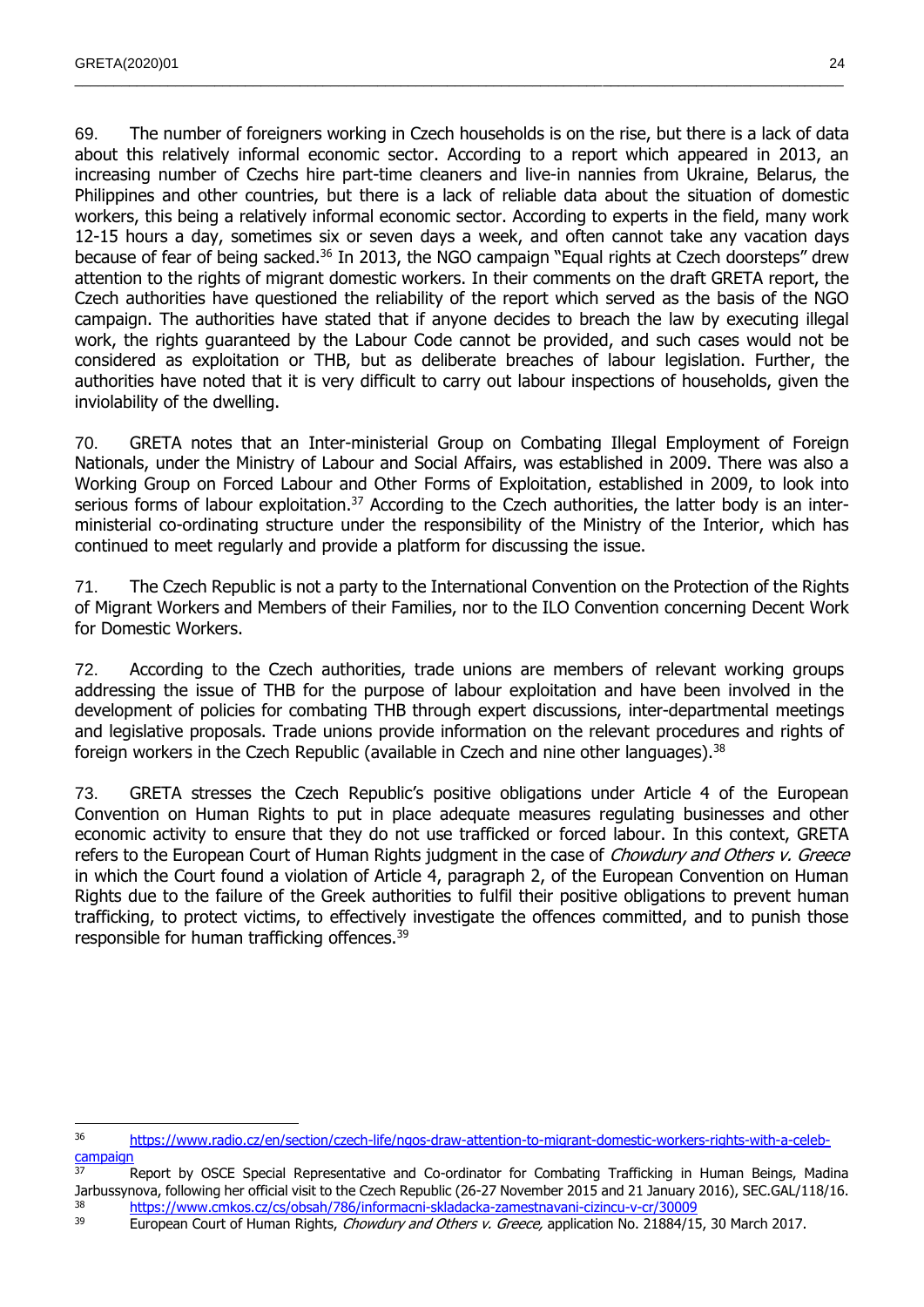69. The number of foreigners working in Czech households is on the rise, but there is a lack of data about this relatively informal economic sector. According to a report which appeared in 2013, an increasing number of Czechs hire part-time cleaners and live-in nannies from Ukraine, Belarus, the Philippines and other countries, but there is a lack of reliable data about the situation of domestic workers, this being a relatively informal economic sector. According to experts in the field, many work 12-15 hours a day, sometimes six or seven days a week, and often cannot take any vacation days because of fear of being sacked.<sup>36</sup> In 2013, the NGO campaign "Equal rights at Czech doorsteps" drew attention to the rights of migrant domestic workers. In their comments on the draft GRETA report, the Czech authorities have questioned the reliability of the report which served as the basis of the NGO campaign. The authorities have stated that if anyone decides to breach the law by executing illegal work, the rights guaranteed by the Labour Code cannot be provided, and such cases would not be considered as exploitation or THB, but as deliberate breaches of labour legislation. Further, the authorities have noted that it is very difficult to carry out labour inspections of households, given the inviolability of the dwelling.

 $\_$  , and the state of the state of the state of the state of the state of the state of the state of the state of the state of the state of the state of the state of the state of the state of the state of the state of the

70. GRETA notes that an Inter-ministerial Group on Combating Illegal Employment of Foreign Nationals, under the Ministry of Labour and Social Affairs, was established in 2009. There was also a Working Group on Forced Labour and Other Forms of Exploitation, established in 2009, to look into serious forms of labour exploitation.<sup>37</sup> According to the Czech authorities, the latter body is an interministerial co-ordinating structure under the responsibility of the Ministry of the Interior, which has continued to meet regularly and provide a platform for discussing the issue.

71. The Czech Republic is not a party to the International Convention on the Protection of the Rights of Migrant Workers and Members of their Families, nor to the ILO Convention concerning Decent Work for Domestic Workers.

72. According to the Czech authorities, trade unions are members of relevant working groups addressing the issue of THB for the purpose of labour exploitation and have been involved in the development of policies for combating THB through expert discussions, inter-departmental meetings and legislative proposals. Trade unions provide information on the relevant procedures and rights of foreign workers in the Czech Republic (available in Czech and nine other languages).<sup>38</sup>

73. GRETA stresses the Czech Republic's positive obligations under Article 4 of the European Convention on Human Rights to put in place adequate measures regulating businesses and other economic activity to ensure that they do not use trafficked or forced labour. In this context, GRETA refers to the European Court of Human Rights judgment in the case of Chowdury and Others v. Greece in which the Court found a violation of Article 4, paragraph 2, of the European Convention on Human Rights due to the failure of the Greek authorities to fulfil their positive obligations to prevent human trafficking, to protect victims, to effectively investigate the offences committed, and to punish those responsible for human trafficking offences.<sup>39</sup>

<sup>36</sup> [https://www.radio.cz/en/section/czech-life/ngos-draw-attention-to-migrant-domestic-workers-rights-with-a-celeb](https://www.radio.cz/en/section/czech-life/ngos-draw-attention-to-migrant-domestic-workers-rights-with-a-celeb-campaign)[campaign](https://www.radio.cz/en/section/czech-life/ngos-draw-attention-to-migrant-domestic-workers-rights-with-a-celeb-campaign)

<sup>&</sup>lt;sup>37</sup> Report by OSCE Special Representative and Co-ordinator for Combating Trafficking in Human Beings, Madina Jarbussynova, following her official visit to the Czech Republic (26-27 November 2015 and 21 January 2016), SEC.GAL/118/16.  $\frac{\text{https://www.cmkos.cz/cs/obsah/786/information-skladacka-zamestnavani-cizincu-v-cr/30009}}{\text{European Court of Human Points.} Chaudury and Others y. Graeca, application No. 21884/1!}$ 

European Court of Human Rights, Chowdury and Others v. Greece, application No. 21884/15, 30 March 2017.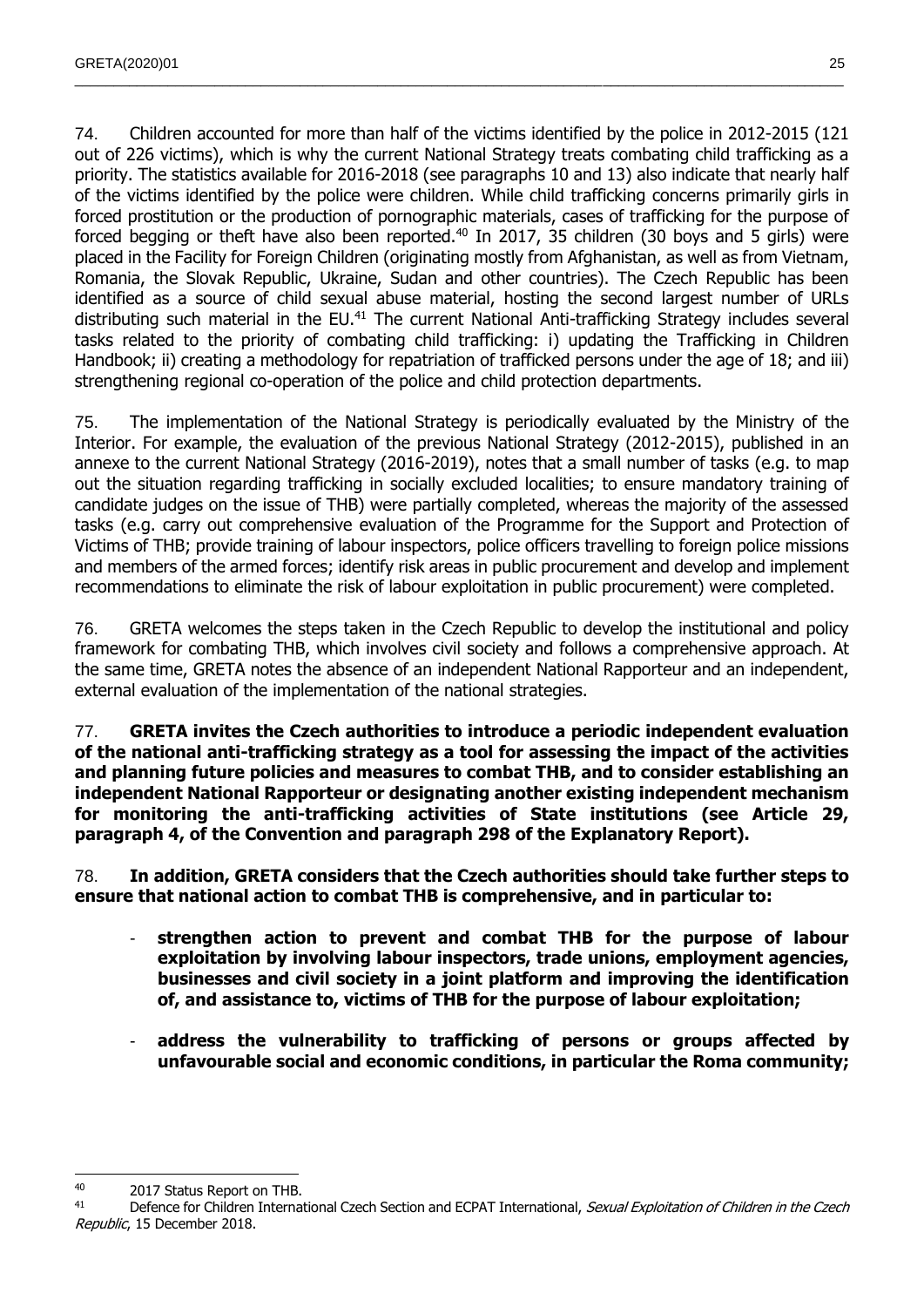74. Children accounted for more than half of the victims identified by the police in 2012-2015 (121 out of 226 victims), which is why the current National Strategy treats combating child trafficking as a priority. The statistics available for 2016-2018 (see paragraphs 10 and 13) also indicate that nearly half of the victims identified by the police were children. While child trafficking concerns primarily girls in forced prostitution or the production of pornographic materials, cases of trafficking for the purpose of forced begging or theft have also been reported.<sup>40</sup> In 2017, 35 children (30 boys and 5 girls) were placed in the Facility for Foreign Children (originating mostly from Afghanistan, as well as from Vietnam, Romania, the Slovak Republic, Ukraine, Sudan and other countries). The Czech Republic has been identified as a source of child sexual abuse material, hosting the second largest number of URLs distributing such material in the EU.<sup>41</sup> The current National Anti-trafficking Strategy includes several tasks related to the priority of combating child trafficking: i) updating the Trafficking in Children Handbook; ii) creating a methodology for repatriation of trafficked persons under the age of 18; and iii) strengthening regional co-operation of the police and child protection departments.

 $\_$  , and the state of the state of the state of the state of the state of the state of the state of the state of the state of the state of the state of the state of the state of the state of the state of the state of the

75. The implementation of the National Strategy is periodically evaluated by the Ministry of the Interior. For example, the evaluation of the previous National Strategy (2012-2015), published in an annexe to the current National Strategy (2016-2019), notes that a small number of tasks (e.g. to map out the situation regarding trafficking in socially excluded localities; to ensure mandatory training of candidate judges on the issue of THB) were partially completed, whereas the majority of the assessed tasks (e.g. carry out comprehensive evaluation of the Programme for the Support and Protection of Victims of THB; provide training of labour inspectors, police officers travelling to foreign police missions and members of the armed forces; identify risk areas in public procurement and develop and implement recommendations to eliminate the risk of labour exploitation in public procurement) were completed.

76. GRETA welcomes the steps taken in the Czech Republic to develop the institutional and policy framework for combating THB, which involves civil society and follows a comprehensive approach. At the same time, GRETA notes the absence of an independent National Rapporteur and an independent, external evaluation of the implementation of the national strategies.

77. **GRETA invites the Czech authorities to introduce a periodic independent evaluation of the national anti-trafficking strategy as a tool for assessing the impact of the activities and planning future policies and measures to combat THB, and to consider establishing an independent National Rapporteur or designating another existing independent mechanism for monitoring the anti-trafficking activities of State institutions (see Article 29, paragraph 4, of the Convention and paragraph 298 of the Explanatory Report).** 

78. **In addition, GRETA considers that the Czech authorities should take further steps to ensure that national action to combat THB is comprehensive, and in particular to:**

- **strengthen action to prevent and combat THB for the purpose of labour exploitation by involving labour inspectors, trade unions, employment agencies, businesses and civil society in a joint platform and improving the identification of, and assistance to, victims of THB for the purpose of labour exploitation;**
- **address the vulnerability to trafficking of persons or groups affected by unfavourable social and economic conditions, in particular the Roma community;**

<sup>40</sup> 2017 Status Report on THB.

<sup>&</sup>lt;sup>41</sup> Defence for Children International Czech Section and ECPAT International, Sexual Exploitation of Children in the Czech Republic, 15 December 2018.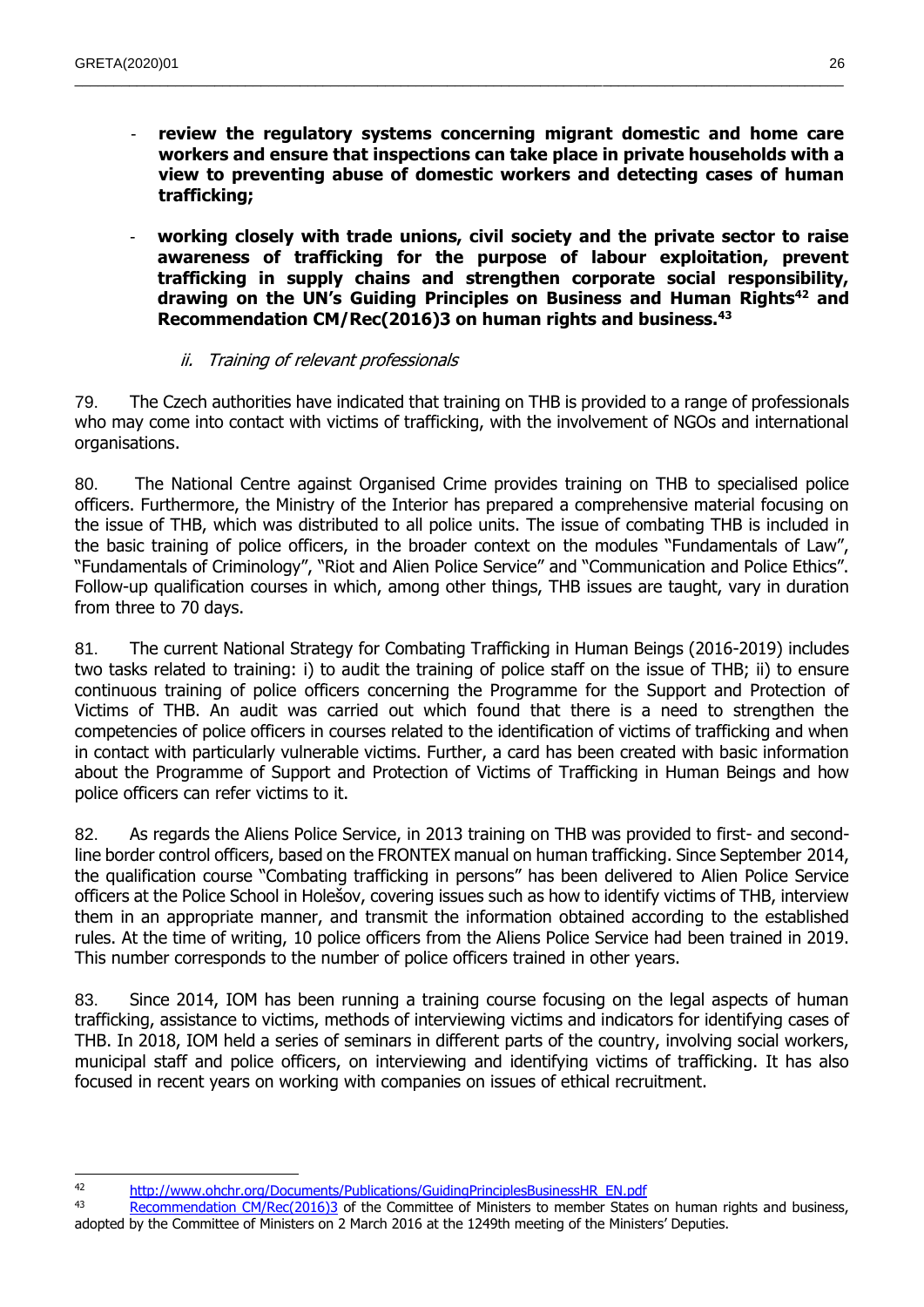review the regulatory systems concerning migrant domestic and home care **workers and ensure that inspections can take place in private households with a view to preventing abuse of domestic workers and detecting cases of human trafficking;**

 $\_$  , and the state of the state of the state of the state of the state of the state of the state of the state of the state of the state of the state of the state of the state of the state of the state of the state of the

- **working closely with trade unions, civil society and the private sector to raise awareness of trafficking for the purpose of labour exploitation, prevent trafficking in supply chains and strengthen corporate social responsibility, drawing on the UN's Guiding Principles on Business and Human Rights<sup>42</sup> and Recommendation CM/Rec(2016)3 on human rights and business.<sup>43</sup>**

#### ii. Training of relevant professionals

<span id="page-25-0"></span>79. The Czech authorities have indicated that training on THB is provided to a range of professionals who may come into contact with victims of trafficking, with the involvement of NGOs and international organisations.

80. The National Centre against Organised Crime provides training on THB to specialised police officers. Furthermore, the Ministry of the Interior has prepared a comprehensive material focusing on the issue of THB, which was distributed to all police units. The issue of combating THB is included in the basic training of police officers, in the broader context on the modules "Fundamentals of Law", "Fundamentals of Criminology", "Riot and Alien Police Service" and "Communication and Police Ethics". Follow-up qualification courses in which, among other things, THB issues are taught, vary in duration from three to 70 days.

81. The current National Strategy for Combating Trafficking in Human Beings (2016-2019) includes two tasks related to training: i) to audit the training of police staff on the issue of THB; ii) to ensure continuous training of police officers concerning the Programme for the Support and Protection of Victims of THB. An audit was carried out which found that there is a need to strengthen the competencies of police officers in courses related to the identification of victims of trafficking and when in contact with particularly vulnerable victims. Further, a card has been created with basic information about the Programme of Support and Protection of Victims of Trafficking in Human Beings and how police officers can refer victims to it.

82. As regards the Aliens Police Service, in 2013 training on THB was provided to first- and secondline border control officers, based on the FRONTEX manual on human trafficking. Since September 2014, the qualification course "Combating trafficking in persons" has been delivered to Alien Police Service officers at the Police School in Holešov, covering issues such as how to identify victims of THB, interview them in an appropriate manner, and transmit the information obtained according to the established rules. At the time of writing, 10 police officers from the Aliens Police Service had been trained in 2019. This number corresponds to the number of police officers trained in other years.

83. Since 2014, IOM has been running a training course focusing on the legal aspects of human trafficking, assistance to victims, methods of interviewing victims and indicators for identifying cases of THB. In 2018, IOM held a series of seminars in different parts of the country, involving social workers, municipal staff and police officers, on interviewing and identifying victims of trafficking. It has also focused in recent years on working with companies on issues of ethical recruitment.

43 [Recommendation CM/Rec\(2016\)3](http://search.coe.int/cm/Pages/result_details.aspx?ObjectId=09000016805c1ad4) of the Committee of Ministers to member States on human rights and business, adopted by the Committee of Ministers on 2 March 2016 at the 1249th meeting of the Ministers' Deputies.

 <sup>42</sup> [http://www.ohchr.org/Documents/Publications/GuidingPrinciplesBusinessHR\\_EN.pdf](http://www.ohchr.org/Documents/Publications/GuidingPrinciplesBusinessHR_EN.pdf)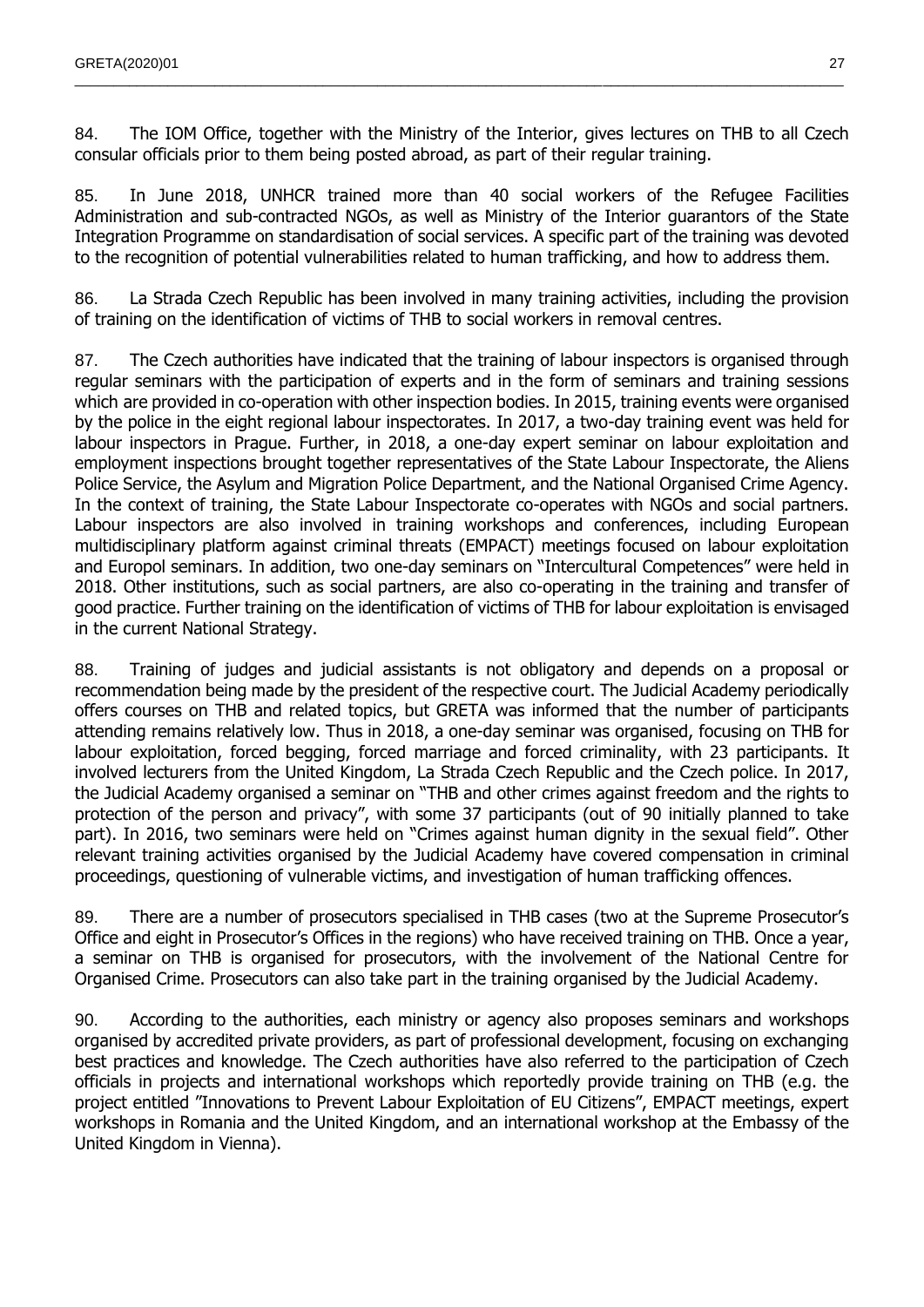84. The IOM Office, together with the Ministry of the Interior, gives lectures on THB to all Czech consular officials prior to them being posted abroad, as part of their regular training.

 $\_$  , and the state of the state of the state of the state of the state of the state of the state of the state of the state of the state of the state of the state of the state of the state of the state of the state of the

85. In June 2018, UNHCR trained more than 40 social workers of the Refugee Facilities Administration and sub-contracted NGOs, as well as Ministry of the Interior guarantors of the State Integration Programme on standardisation of social services. A specific part of the training was devoted to the recognition of potential vulnerabilities related to human trafficking, and how to address them.

86. La Strada Czech Republic has been involved in many training activities, including the provision of training on the identification of victims of THB to social workers in removal centres.

87. The Czech authorities have indicated that the training of labour inspectors is organised through regular seminars with the participation of experts and in the form of seminars and training sessions which are provided in co-operation with other inspection bodies. In 2015, training events were organised by the police in the eight regional labour inspectorates. In 2017, a two-day training event was held for labour inspectors in Prague. Further, in 2018, a one-day expert seminar on labour exploitation and employment inspections brought together representatives of the State Labour Inspectorate, the Aliens Police Service, the Asylum and Migration Police Department, and the National Organised Crime Agency. In the context of training, the State Labour Inspectorate co-operates with NGOs and social partners. Labour inspectors are also involved in training workshops and conferences, including European multidisciplinary platform against criminal threats (EMPACT) meetings focused on labour exploitation and Europol seminars. In addition, two one-day seminars on "Intercultural Competences" were held in 2018. Other institutions, such as social partners, are also co-operating in the training and transfer of good practice. Further training on the identification of victims of THB for labour exploitation is envisaged in the current National Strategy.

88. Training of judges and judicial assistants is not obligatory and depends on a proposal or recommendation being made by the president of the respective court. The Judicial Academy periodically offers courses on THB and related topics, but GRETA was informed that the number of participants attending remains relatively low. Thus in 2018, a one-day seminar was organised, focusing on THB for labour exploitation, forced begging, forced marriage and forced criminality, with 23 participants. It involved lecturers from the United Kingdom, La Strada Czech Republic and the Czech police. In 2017, the Judicial Academy organised a seminar on "THB and other crimes against freedom and the rights to protection of the person and privacy", with some 37 participants (out of 90 initially planned to take part). In 2016, two seminars were held on "Crimes against human dignity in the sexual field". Other relevant training activities organised by the Judicial Academy have covered compensation in criminal proceedings, questioning of vulnerable victims, and investigation of human trafficking offences.

89. There are a number of prosecutors specialised in THB cases (two at the Supreme Prosecutor's Office and eight in Prosecutor's Offices in the regions) who have received training on THB. Once a year, a seminar on THB is organised for prosecutors, with the involvement of the National Centre for Organised Crime. Prosecutors can also take part in the training organised by the Judicial Academy.

90. According to the authorities, each ministry or agency also proposes seminars and workshops organised by accredited private providers, as part of professional development, focusing on exchanging best practices and knowledge. The Czech authorities have also referred to the participation of Czech officials in projects and international workshops which reportedly provide training on THB (e.g. the project entitled "Innovations to Prevent Labour Exploitation of EU Citizens", EMPACT meetings, expert workshops in Romania and the United Kingdom, and an international workshop at the Embassy of the United Kingdom in Vienna).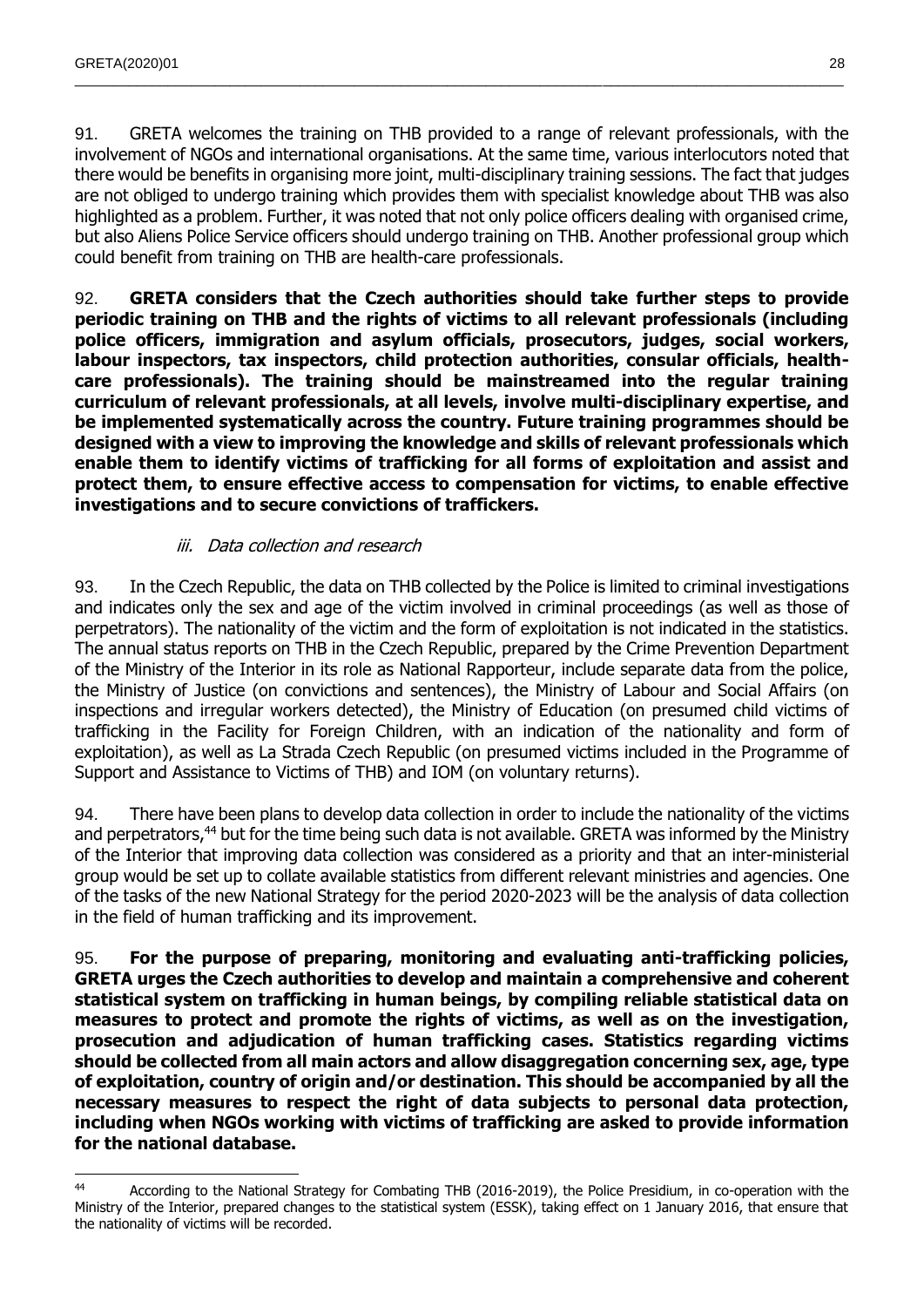91. GRETA welcomes the training on THB provided to a range of relevant professionals, with the involvement of NGOs and international organisations. At the same time, various interlocutors noted that there would be benefits in organising more joint, multi-disciplinary training sessions. The fact that judges are not obliged to undergo training which provides them with specialist knowledge about THB was also highlighted as a problem. Further, it was noted that not only police officers dealing with organised crime, but also Aliens Police Service officers should undergo training on THB. Another professional group which could benefit from training on THB are health-care professionals.

 $\_$  , and the state of the state of the state of the state of the state of the state of the state of the state of the state of the state of the state of the state of the state of the state of the state of the state of the

92. **GRETA considers that the Czech authorities should take further steps to provide periodic training on THB and the rights of victims to all relevant professionals (including police officers, immigration and asylum officials, prosecutors, judges, social workers, labour inspectors, tax inspectors, child protection authorities, consular officials, healthcare professionals). The training should be mainstreamed into the regular training curriculum of relevant professionals, at all levels, involve multi-disciplinary expertise, and be implemented systematically across the country. Future training programmes should be designed with a view to improving the knowledge and skills of relevant professionals which enable them to identify victims of trafficking for all forms of exploitation and assist and protect them, to ensure effective access to compensation for victims, to enable effective investigations and to secure convictions of traffickers.**

### iii. Data collection and research

<span id="page-27-0"></span>93. In the Czech Republic, the data on THB collected by the Police is limited to criminal investigations and indicates only the sex and age of the victim involved in criminal proceedings (as well as those of perpetrators). The nationality of the victim and the form of exploitation is not indicated in the statistics. The annual status reports on THB in the Czech Republic, prepared by the Crime Prevention Department of the Ministry of the Interior in its role as National Rapporteur, include separate data from the police, the Ministry of Justice (on convictions and sentences), the Ministry of Labour and Social Affairs (on inspections and irregular workers detected), the Ministry of Education (on presumed child victims of trafficking in the Facility for Foreign Children, with an indication of the nationality and form of exploitation), as well as La Strada Czech Republic (on presumed victims included in the Programme of Support and Assistance to Victims of THB) and IOM (on voluntary returns).

94. There have been plans to develop data collection in order to include the nationality of the victims and perpetrators,<sup>44</sup> but for the time being such data is not available. GRETA was informed by the Ministry of the Interior that improving data collection was considered as a priority and that an inter-ministerial group would be set up to collate available statistics from different relevant ministries and agencies. One of the tasks of the new National Strategy for the period 2020-2023 will be the analysis of data collection in the field of human trafficking and its improvement.

95. **For the purpose of preparing, monitoring and evaluating anti-trafficking policies, GRETA urges the Czech authorities to develop and maintain a comprehensive and coherent statistical system on trafficking in human beings, by compiling reliable statistical data on measures to protect and promote the rights of victims, as well as on the investigation, prosecution and adjudication of human trafficking cases. Statistics regarding victims should be collected from all main actors and allow disaggregation concerning sex, age, type of exploitation, country of origin and/or destination. This should be accompanied by all the necessary measures to respect the right of data subjects to personal data protection, including when NGOs working with victims of trafficking are asked to provide information for the national database.**

 44 According to the National Strategy for Combating THB (2016-2019), the Police Presidium, in co-operation with the Ministry of the Interior, prepared changes to the statistical system (ESSK), taking effect on 1 January 2016, that ensure that the nationality of victims will be recorded.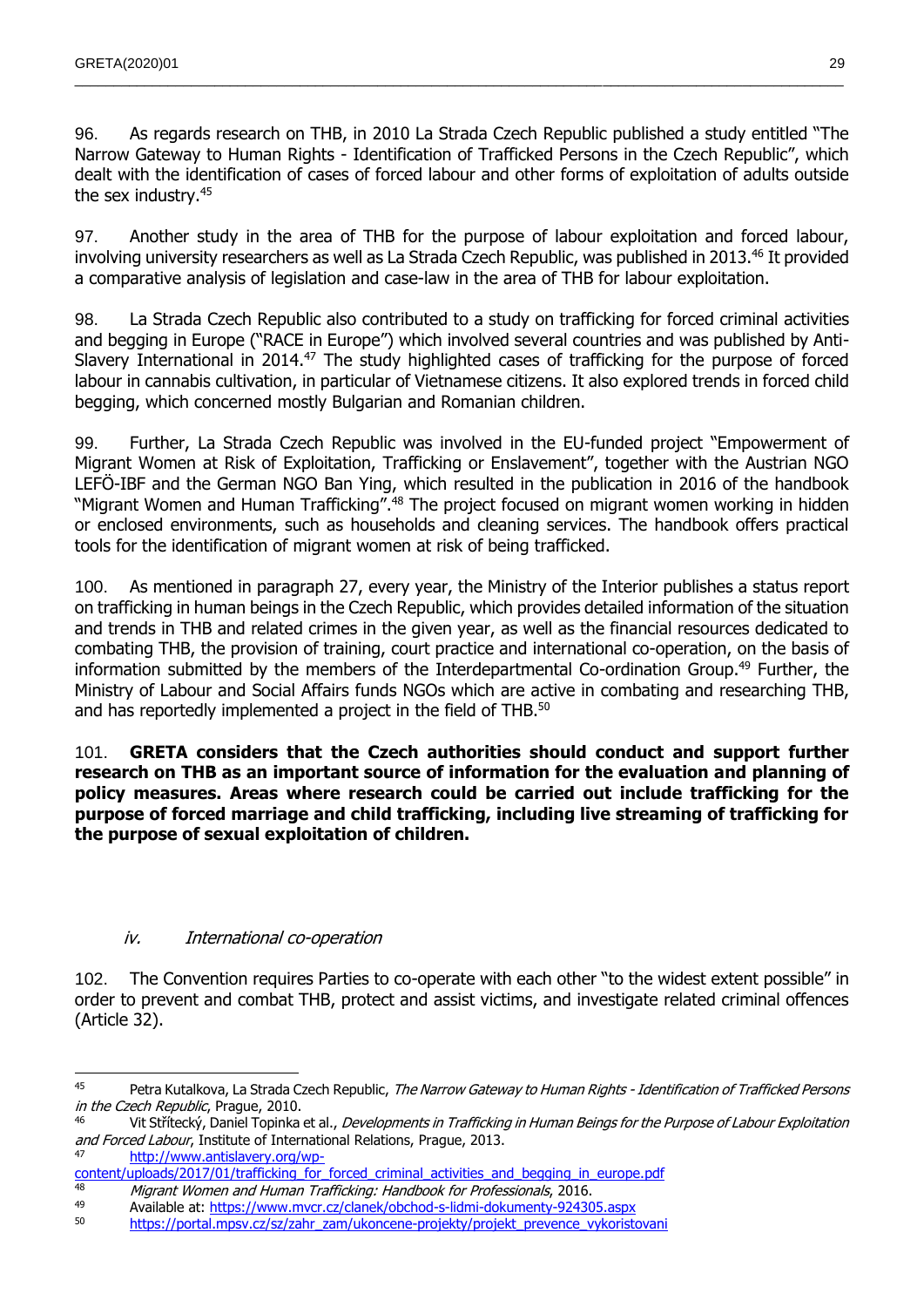96. As regards research on THB, in 2010 La Strada Czech Republic published a study entitled "The Narrow Gateway to Human Rights - Identification of Trafficked Persons in the Czech Republic", which dealt with the identification of cases of forced labour and other forms of exploitation of adults outside the sex industry.<sup>45</sup>

 $\_$  , and the state of the state of the state of the state of the state of the state of the state of the state of the state of the state of the state of the state of the state of the state of the state of the state of the

97. Another study in the area of THB for the purpose of labour exploitation and forced labour, involving university researchers as well as La Strada Czech Republic, was published in 2013.<sup>46</sup> It provided a comparative analysis of legislation and case-law in the area of THB for labour exploitation.

98. La Strada Czech Republic also contributed to a study on trafficking for forced criminal activities and begging in Europe ("RACE in Europe") which involved several countries and was published by Anti-Slavery International in 2014.<sup>47</sup> The study highlighted cases of trafficking for the purpose of forced labour in cannabis cultivation, in particular of Vietnamese citizens. It also explored trends in forced child begging, which concerned mostly Bulgarian and Romanian children.

99. Further, La Strada Czech Republic was involved in the EU-funded project "Empowerment of Migrant Women at Risk of Exploitation, Trafficking or Enslavement", together with the Austrian NGO LEFÖ-IBF and the German NGO Ban Ying, which resulted in the publication in 2016 of the handbook "Migrant Women and Human Trafficking".<sup>48</sup> The project focused on migrant women working in hidden or enclosed environments, such as households and cleaning services. The handbook offers practical tools for the identification of migrant women at risk of being trafficked.

100. As mentioned in paragraph 27, every year, the Ministry of the Interior publishes a status report on trafficking in human beings in the Czech Republic, which provides detailed information of the situation and trends in THB and related crimes in the given year, as well as the financial resources dedicated to combating THB, the provision of training, court practice and international co-operation, on the basis of information submitted by the members of the Interdepartmental Co-ordination Group.<sup>49</sup> Further, the Ministry of Labour and Social Affairs funds NGOs which are active in combating and researching THB, and has reportedly implemented a project in the field of THB.<sup>50</sup>

101. **GRETA considers that the Czech authorities should conduct and support further research on THB as an important source of information for the evaluation and planning of policy measures. Areas where research could be carried out include trafficking for the purpose of forced marriage and child trafficking, including live streaming of trafficking for the purpose of sexual exploitation of children.**

### iv. International co-operation

<span id="page-28-0"></span>102. The Convention requires Parties to co-operate with each other "to the widest extent possible" in order to prevent and combat THB, protect and assist victims, and investigate related criminal offences (Article 32).

[http://www.antislavery.org/wp-](http://www.antislavery.org/wp-content/uploads/2017/01/trafficking_for_forced_criminal_activities_and_begging_in_europe.pdf)

<sup>45</sup> Petra Kutalkova, La Strada Czech Republic, The Narrow Gateway to Human Rights - Identification of Trafficked Persons in the Czech Republic, Prague, 2010.

Vit Střítecký, Daniel Topinka et al., Developments in Trafficking in Human Beings for the Purpose of Labour Exploitation and Forced Labour, Institute of International Relations, Prague, 2013.

[content/uploads/2017/01/trafficking\\_for\\_forced\\_criminal\\_activities\\_and\\_begging\\_in\\_europe.pdf](http://www.antislavery.org/wp-content/uploads/2017/01/trafficking_for_forced_criminal_activities_and_begging_in_europe.pdf)<br>48 Migraet Women and Uuman Traffickings Unadhask for Professionals 2016

<sup>&</sup>lt;sup>48</sup> Migrant Women and Human Trafficking: Handbook for Professionals, 2016. 49 Available at:<https://www.mvcr.cz/clanek/obchod-s-lidmi-dokumenty-924305.aspx><br>50 https://portal.mpg/sz/szlzabr.zam/ukoncope.projekt/projekt\_provence\_vykoristic

[https://portal.mpsv.cz/sz/zahr\\_zam/ukoncene-projekty/projekt\\_prevence\\_vykoristovani](https://portal.mpsv.cz/sz/zahr_zam/ukoncene-projekty/projekt_prevence_vykoristovani)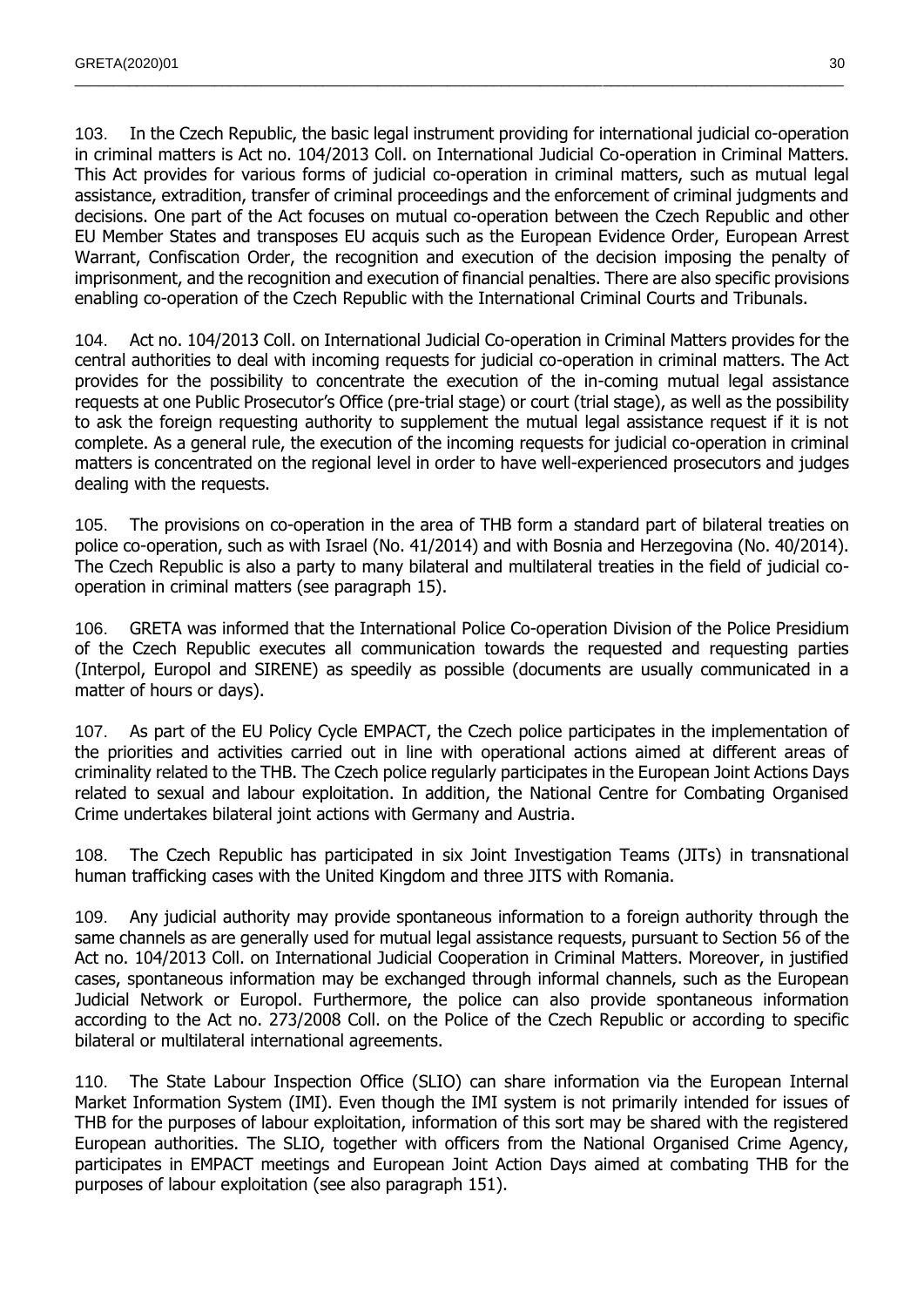103. In the Czech Republic, the basic legal instrument providing for international judicial co-operation in criminal matters is Act no. 104/2013 Coll. on International Judicial Co-operation in Criminal Matters. This Act provides for various forms of judicial co-operation in criminal matters, such as mutual legal assistance, extradition, transfer of criminal proceedings and the enforcement of criminal judgments and decisions. One part of the Act focuses on mutual co-operation between the Czech Republic and other EU Member States and transposes EU acquis such as the European Evidence Order, European Arrest Warrant, Confiscation Order, the recognition and execution of the decision imposing the penalty of imprisonment, and the recognition and execution of financial penalties. There are also specific provisions enabling co-operation of the Czech Republic with the International Criminal Courts and Tribunals.

 $\_$  , and the state of the state of the state of the state of the state of the state of the state of the state of the state of the state of the state of the state of the state of the state of the state of the state of the

104. Act no. 104/2013 Coll. on International Judicial Co-operation in Criminal Matters provides for the central authorities to deal with incoming requests for judicial co-operation in criminal matters. The Act provides for the possibility to concentrate the execution of the in-coming mutual legal assistance requests at one Public Prosecutor's Office (pre-trial stage) or court (trial stage), as well as the possibility to ask the foreign requesting authority to supplement the mutual legal assistance request if it is not complete. As a general rule, the execution of the incoming requests for judicial co-operation in criminal matters is concentrated on the regional level in order to have well-experienced prosecutors and judges dealing with the requests.

105. The provisions on co-operation in the area of THB form a standard part of bilateral treaties on police co-operation, such as with Israel (No. 41/2014) and with Bosnia and Herzegovina (No. 40/2014). The Czech Republic is also a party to many bilateral and multilateral treaties in the field of judicial cooperation in criminal matters (see paragraph 15).

106. GRETA was informed that the International Police Co-operation Division of the Police Presidium of the Czech Republic executes all communication towards the requested and requesting parties (Interpol, Europol and SIRENE) as speedily as possible (documents are usually communicated in a matter of hours or days).

107. As part of the EU Policy Cycle EMPACT, the Czech police participates in the implementation of the priorities and activities carried out in line with operational actions aimed at different areas of criminality related to the THB. The Czech police regularly participates in the European Joint Actions Days related to sexual and labour exploitation. In addition, the National Centre for Combating Organised Crime undertakes bilateral joint actions with Germany and Austria.

108. The Czech Republic has participated in six Joint Investigation Teams (JITs) in transnational human trafficking cases with the United Kingdom and three JITS with Romania.

109. Any judicial authority may provide spontaneous information to a foreign authority through the same channels as are generally used for mutual legal assistance requests, pursuant to Section 56 of the Act no. 104/2013 Coll. on International Judicial Cooperation in Criminal Matters. Moreover, in justified cases, spontaneous information may be exchanged through informal channels, such as the European Judicial Network or Europol. Furthermore, the police can also provide spontaneous information according to the Act no. 273/2008 Coll. on the Police of the Czech Republic or according to specific bilateral or multilateral international agreements.

110. The State Labour Inspection Office (SLIO) can share information via the European Internal Market Information System (IMI). Even though the IMI system is not primarily intended for issues of THB for the purposes of labour exploitation, information of this sort may be shared with the registered European authorities. The SLIO, together with officers from the National Organised Crime Agency, participates in EMPACT meetings and European Joint Action Days aimed at combating THB for the purposes of labour exploitation (see also paragraph 151).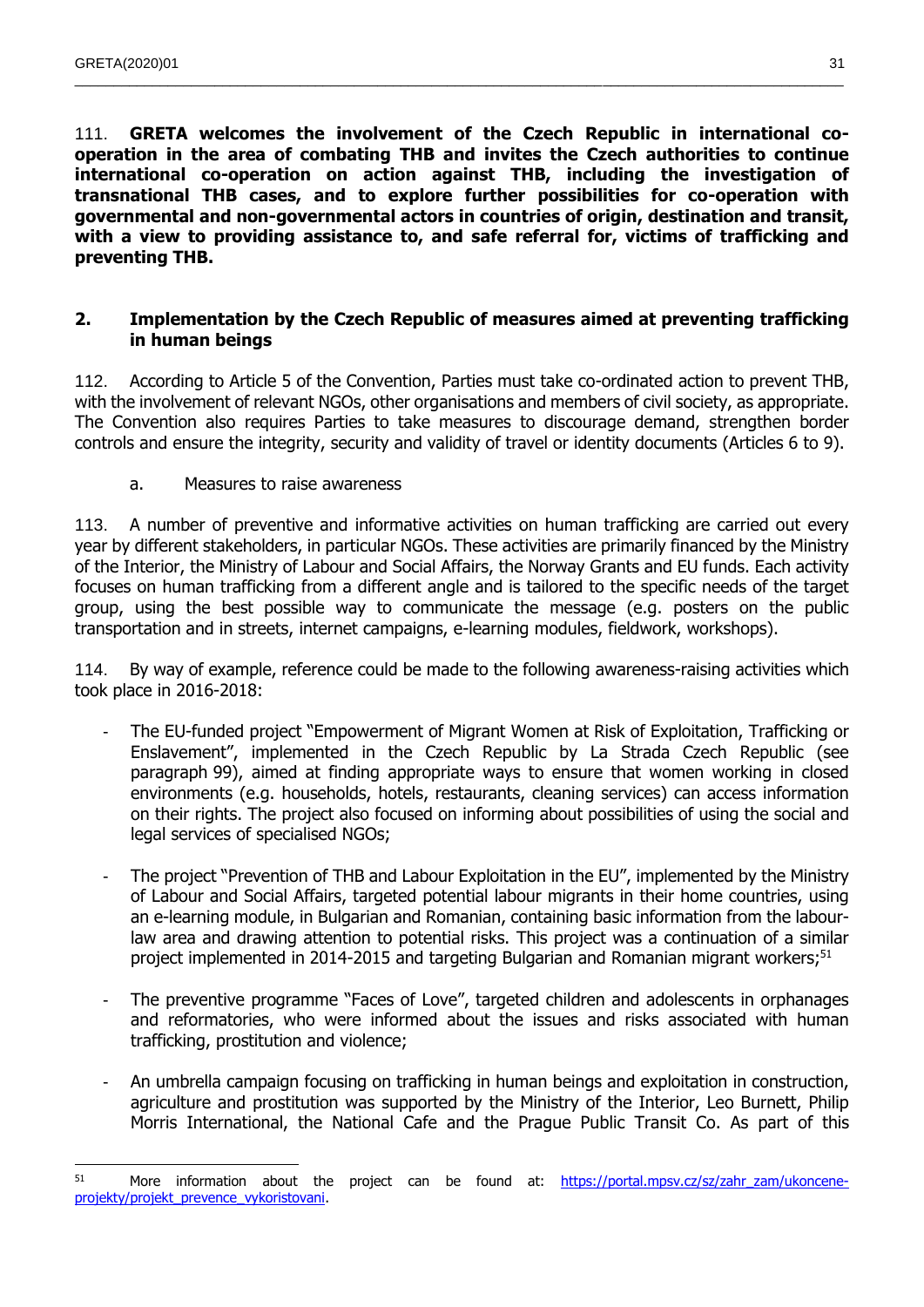111. **GRETA welcomes the involvement of the Czech Republic in international cooperation in the area of combating THB and invites the Czech authorities to continue international co-operation on action against THB, including the investigation of transnational THB cases, and to explore further possibilities for co-operation with governmental and non-governmental actors in countries of origin, destination and transit, with a view to providing assistance to, and safe referral for, victims of trafficking and preventing THB.** 

 $\_$  , and the state of the state of the state of the state of the state of the state of the state of the state of the state of the state of the state of the state of the state of the state of the state of the state of the

#### <span id="page-30-0"></span>**2. Implementation by the Czech Republic of measures aimed at preventing trafficking in human beings**

112. According to Article 5 of the Convention, Parties must take co-ordinated action to prevent THB, with the involvement of relevant NGOs, other organisations and members of civil society, as appropriate. The Convention also requires Parties to take measures to discourage demand, strengthen border controls and ensure the integrity, security and validity of travel or identity documents (Articles 6 to 9).

a. Measures to raise awareness

<span id="page-30-1"></span>113. A number of preventive and informative activities on human trafficking are carried out every year by different stakeholders, in particular NGOs. These activities are primarily financed by the Ministry of the Interior, the Ministry of Labour and Social Affairs, the Norway Grants and EU funds. Each activity focuses on human trafficking from a different angle and is tailored to the specific needs of the target group, using the best possible way to communicate the message (e.g. posters on the public transportation and in streets, internet campaigns, e-learning modules, fieldwork, workshops).

114. By way of example, reference could be made to the following awareness-raising activities which took place in 2016-2018:

- The EU-funded project "Empowerment of Migrant Women at Risk of Exploitation, Trafficking or Enslavement", implemented in the Czech Republic by La Strada Czech Republic (see paragraph 99), aimed at finding appropriate ways to ensure that women working in closed environments (e.g. households, hotels, restaurants, cleaning services) can access information on their rights. The project also focused on informing about possibilities of using the social and legal services of specialised NGOs;
- The project "Prevention of THB and Labour Exploitation in the EU", implemented by the Ministry of Labour and Social Affairs, targeted potential labour migrants in their home countries, using an e-learning module, in Bulgarian and Romanian, containing basic information from the labourlaw area and drawing attention to potential risks. This project was a continuation of a similar project implemented in 2014-2015 and targeting Bulgarian and Romanian migrant workers;<sup>51</sup>
- The preventive programme "Faces of Love", targeted children and adolescents in orphanages and reformatories, who were informed about the issues and risks associated with human trafficking, prostitution and violence;
- An umbrella campaign focusing on trafficking in human beings and exploitation in construction, agriculture and prostitution was supported by the Ministry of the Interior, Leo Burnett, Philip Morris International, the National Cafe and the Prague Public Transit Co. As part of this

 $51$  More information about the project can be found at: [https://portal.mpsv.cz/sz/zahr\\_zam/ukoncene](https://portal.mpsv.cz/sz/zahr_zam/ukoncene-projekty/projekt_prevence_vykoristovani)[projekty/projekt\\_prevence\\_vykoristovani.](https://portal.mpsv.cz/sz/zahr_zam/ukoncene-projekty/projekt_prevence_vykoristovani)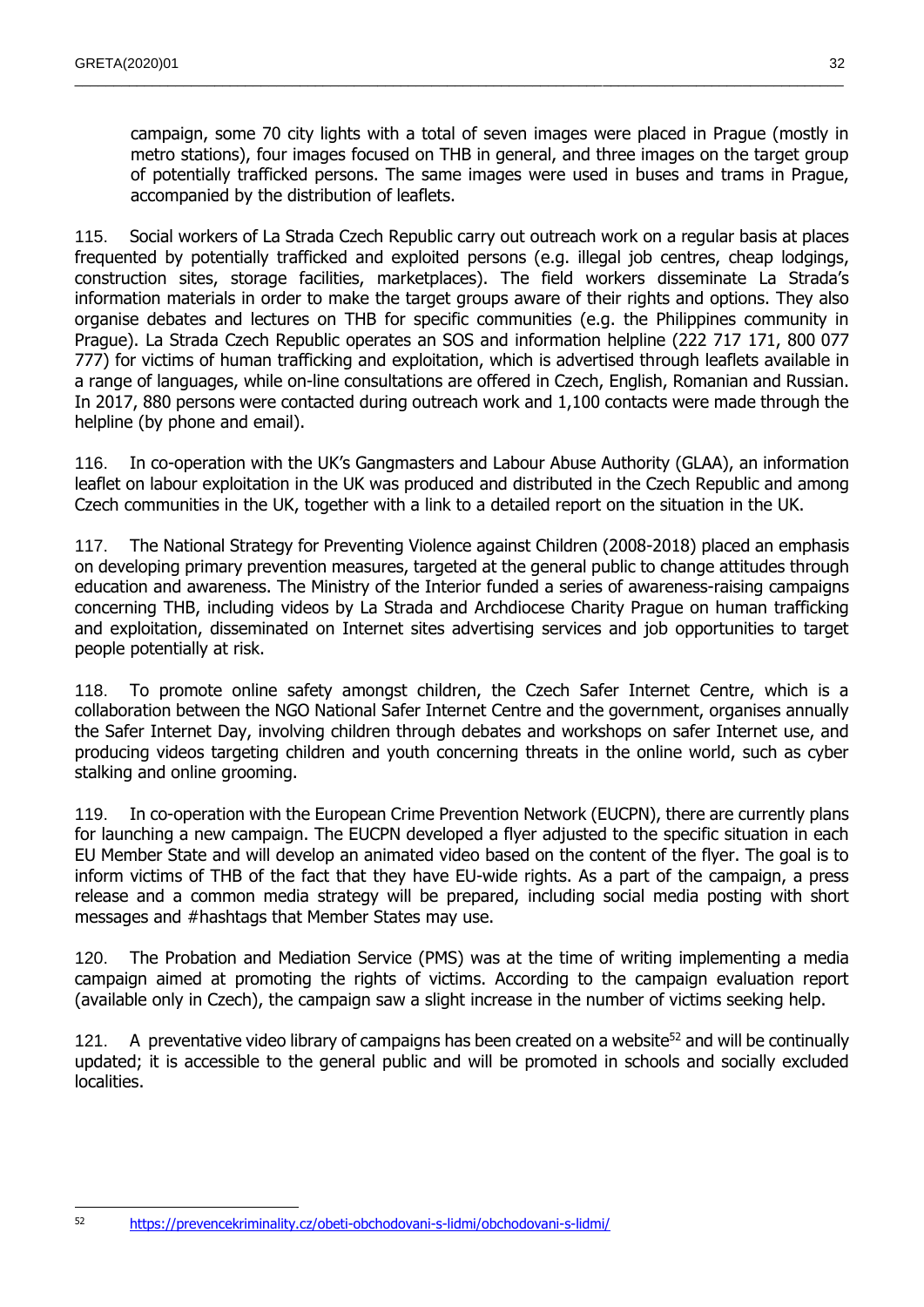campaign, some 70 city lights with a total of seven images were placed in Prague (mostly in metro stations), four images focused on THB in general, and three images on the target group of potentially trafficked persons. The same images were used in buses and trams in Prague, accompanied by the distribution of leaflets.

 $\_$  , and the state of the state of the state of the state of the state of the state of the state of the state of the state of the state of the state of the state of the state of the state of the state of the state of the

115. Social workers of La Strada Czech Republic carry out outreach work on a regular basis at places frequented by potentially trafficked and exploited persons (e.g. illegal job centres, cheap lodgings, construction sites, storage facilities, marketplaces). The field workers disseminate La Strada's information materials in order to make the target groups aware of their rights and options. They also organise debates and lectures on THB for specific communities (e.g. the Philippines community in Prague). La Strada Czech Republic operates an SOS and information helpline (222 717 171, 800 077 777) for victims of human trafficking and exploitation, which is advertised through leaflets available in a range of languages, while on-line consultations are offered in Czech, English, Romanian and Russian. In 2017, 880 persons were contacted during outreach work and 1,100 contacts were made through the helpline (by phone and email).

116. In co-operation with the UK's Gangmasters and Labour Abuse Authority (GLAA), an information leaflet on labour exploitation in the UK was produced and distributed in the Czech Republic and among Czech communities in the UK, together with a link to a detailed report on the situation in the UK.

117. The National Strategy for Preventing Violence against Children (2008-2018) placed an emphasis on developing primary prevention measures, targeted at the general public to change attitudes through education and awareness. The Ministry of the Interior funded a series of awareness-raising campaigns concerning THB, including videos by La Strada and Archdiocese Charity Prague on human trafficking and exploitation, disseminated on Internet sites advertising services and job opportunities to target people potentially at risk.

118. To promote online safety amongst children, the Czech Safer Internet Centre, which is a collaboration between the NGO National Safer Internet Centre and the government, organises annually the Safer Internet Day, involving children through debates and workshops on safer Internet use, and producing videos targeting children and youth concerning threats in the online world, such as cyber stalking and online grooming.

119. In co-operation with the European Crime Prevention Network (EUCPN), there are currently plans for launching a new campaign. The EUCPN developed a flyer adjusted to the specific situation in each EU Member State and will develop an animated video based on the content of the flyer. The goal is to inform victims of THB of the fact that they have EU-wide rights. As a part of the campaign, a press release and a common media strategy will be prepared, including social media posting with short messages and #hashtags that Member States may use.

120. The Probation and Mediation Service (PMS) was at the time of writing implementing a media campaign aimed at promoting the rights of victims. According to the campaign evaluation report (available only in Czech), the campaign saw a slight increase in the number of victims seeking help.

A preventative video library of campaigns has been created on a website<sup>52</sup> and will be continually updated; it is accessible to the general public and will be promoted in schools and socially excluded localities.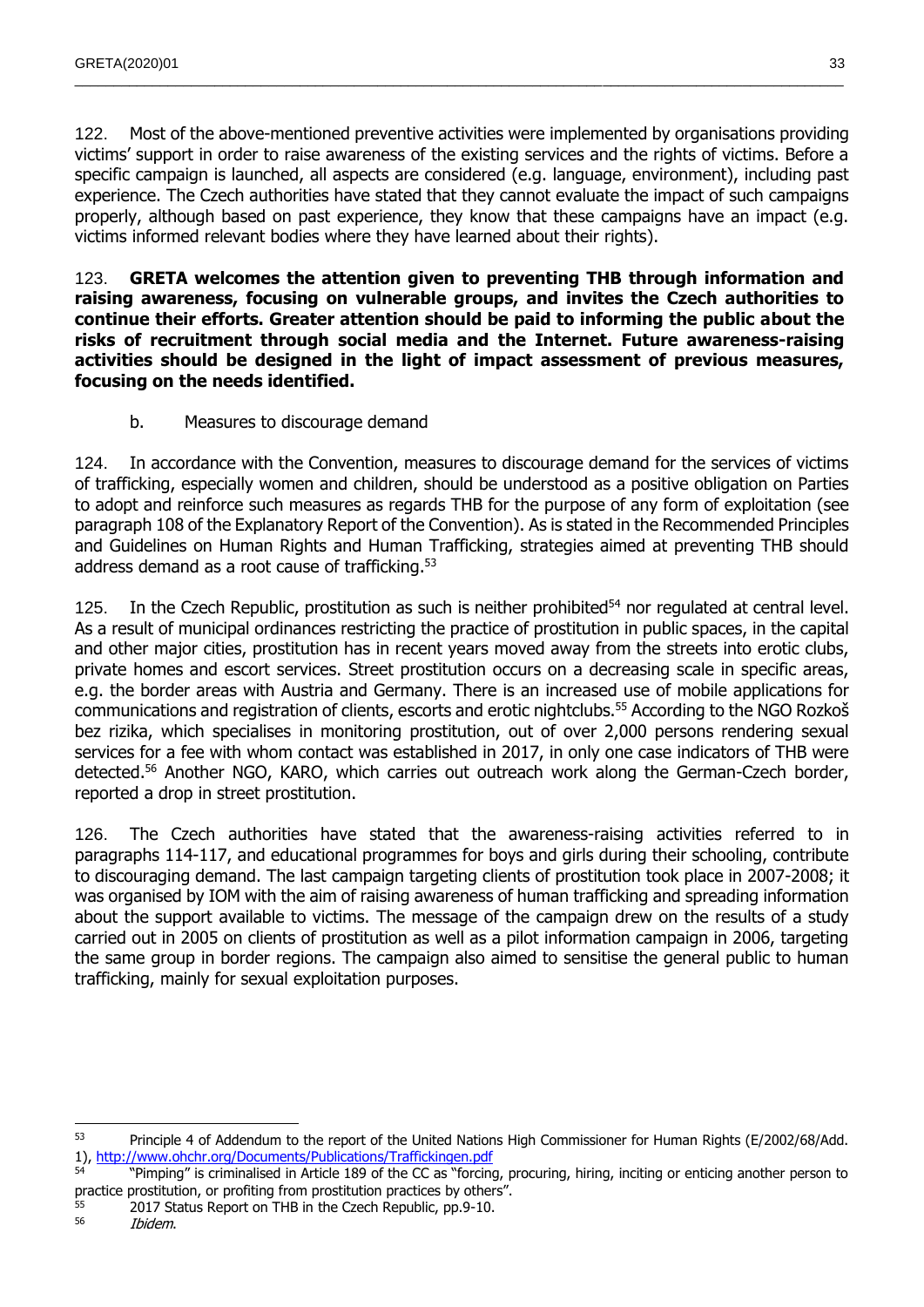122. Most of the above-mentioned preventive activities were implemented by organisations providing victims' support in order to raise awareness of the existing services and the rights of victims. Before a specific campaign is launched, all aspects are considered (e.g. language, environment), including past experience. The Czech authorities have stated that they cannot evaluate the impact of such campaigns properly, although based on past experience, they know that these campaigns have an impact (e.g. victims informed relevant bodies where they have learned about their rights).

 $\_$  , and the state of the state of the state of the state of the state of the state of the state of the state of the state of the state of the state of the state of the state of the state of the state of the state of the

123. **GRETA welcomes the attention given to preventing THB through information and raising awareness, focusing on vulnerable groups, and invites the Czech authorities to continue their efforts. Greater attention should be paid to informing the public about the risks of recruitment through social media and the Internet. Future awareness-raising activities should be designed in the light of impact assessment of previous measures, focusing on the needs identified.**

b. Measures to discourage demand

<span id="page-32-0"></span>124. In accordance with the Convention, measures to discourage demand for the services of victims of trafficking, especially women and children, should be understood as a positive obligation on Parties to adopt and reinforce such measures as regards THB for the purpose of any form of exploitation (see paragraph 108 of the Explanatory Report of the Convention). As is stated in the Recommended Principles and Guidelines on Human Rights and Human Trafficking, strategies aimed at preventing THB should address demand as a root cause of trafficking.<sup>53</sup>

125. In the Czech Republic, prostitution as such is neither prohibited<sup>54</sup> nor regulated at central level. As a result of municipal ordinances restricting the practice of prostitution in public spaces, in the capital and other major cities, prostitution has in recent years moved away from the streets into erotic clubs, private homes and escort services. Street prostitution occurs on a decreasing scale in specific areas, e.g. the border areas with Austria and Germany. There is an increased use of mobile applications for communications and registration of clients, escorts and erotic nightclubs.<sup>55</sup> According to the NGO Rozkoš bez rizika, which specialises in monitoring prostitution, out of over 2,000 persons rendering sexual services for a fee with whom contact was established in 2017, in only one case indicators of THB were detected.<sup>56</sup> Another NGO, KARO, which carries out outreach work along the German-Czech border, reported a drop in street prostitution.

126. The Czech authorities have stated that the awareness-raising activities referred to in paragraphs 114-117, and educational programmes for boys and girls during their schooling, contribute to discouraging demand. The last campaign targeting clients of prostitution took place in 2007-2008; it was organised by IOM with the aim of raising awareness of human trafficking and spreading information about the support available to victims. The message of the campaign drew on the results of a study carried out in 2005 on clients of prostitution as well as a pilot information campaign in 2006, targeting the same group in border regions. The campaign also aimed to sensitise the general public to human trafficking, mainly for sexual exploitation purposes.

 53 Principle 4 of Addendum to the report of the United Nations High Commissioner for Human Rights (E/2002/68/Add. 1),<http://www.ohchr.org/Documents/Publications/Traffickingen.pdf>

<sup>54</sup> "Pimping" is criminalised in Article 189 of the CC as "forcing, procuring, hiring, inciting or enticing another person to practice prostitution, or profiting from prostitution practices by others".

 $^{55}$  2017 Status Report on THB in the Czech Republic, pp.9-10.<br> $^{56}$  *Ibidom* 

<sup>56</sup> Ibidem.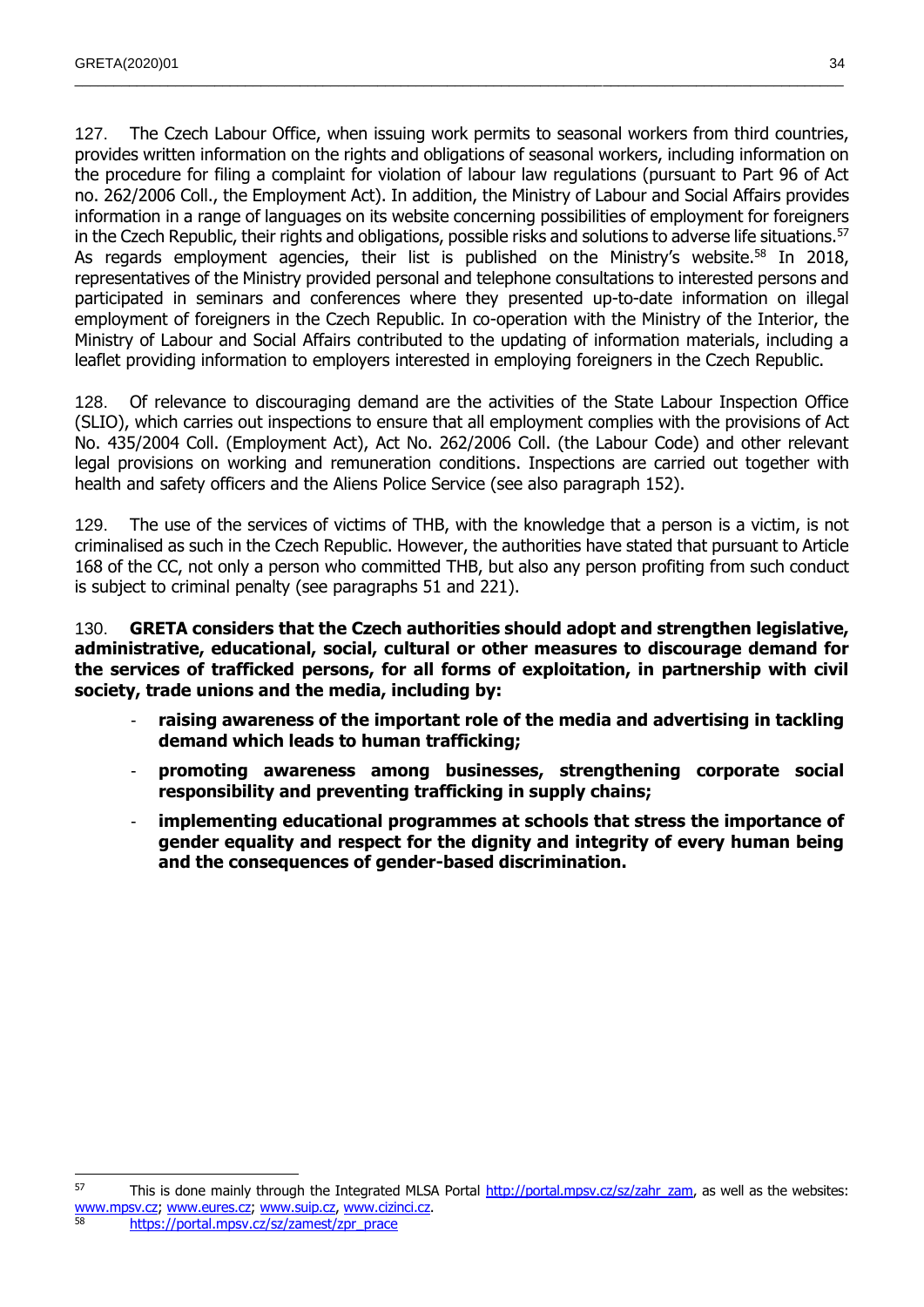127. The Czech Labour Office, when issuing work permits to seasonal workers from third countries, provides written information on the rights and obligations of seasonal workers, including information on the procedure for filing a complaint for violation of labour law regulations (pursuant to Part 96 of Act no. 262/2006 Coll., the Employment Act). In addition, the Ministry of Labour and Social Affairs provides information in a range of languages on its website concerning possibilities of employment for foreigners in the Czech Republic, their rights and obligations, possible risks and solutions to adverse life situations.<sup>57</sup> As regards employment agencies, their list is published on the Ministry's website.<sup>58</sup> In 2018, representatives of the Ministry provided personal and telephone consultations to interested persons and participated in seminars and conferences where they presented up-to-date information on illegal employment of foreigners in the Czech Republic. In co-operation with the Ministry of the Interior, the Ministry of Labour and Social Affairs contributed to the updating of information materials, including a leaflet providing information to employers interested in employing foreigners in the Czech Republic.

128. Of relevance to discouraging demand are the activities of the State Labour Inspection Office (SLIO), which carries out inspections to ensure that all employment complies with the provisions of Act No. 435/2004 Coll. (Employment Act), Act No. 262/2006 Coll. (the Labour Code) and other relevant legal provisions on working and remuneration conditions. Inspections are carried out together with health and safety officers and the Aliens Police Service (see also paragraph 152).

129. The use of the services of victims of THB, with the knowledge that a person is a victim, is not criminalised as such in the Czech Republic. However, the authorities have stated that pursuant to Article 168 of the CC, not only a person who committed THB, but also any person profiting from such conduct is subject to criminal penalty (see paragraphs 51 and 221).

130. **GRETA considers that the Czech authorities should adopt and strengthen legislative, administrative, educational, social, cultural or other measures to discourage demand for the services of trafficked persons, for all forms of exploitation, in partnership with civil society, trade unions and the media, including by:**

- raising awareness of the important role of the media and advertising in tackling **demand which leads to human trafficking;**
- **promoting awareness among businesses, strengthening corporate social responsibility and preventing trafficking in supply chains;**
- **implementing educational programmes at schools that stress the importance of gender equality and respect for the dignity and integrity of every human being and the consequences of gender-based discrimination.**

 $57$  This is done mainly through the Integrated MLSA Portal [http://portal.mpsv.cz/sz/zahr\\_zam,](http://portal.mpsv.cz/sz/zahr_zam) as well as the websites: [www.mpsv.cz;](http://www.mpsv.cz/) [www.eures.cz;](http://www.eures.cz/) [www.suip.cz,](http://www.suip.cz/) [www.cizinci.cz.](http://www.cizinci.cz/) <sup>58</sup> [https://portal.mpsv.cz/sz/zamest/zpr\\_prace](https://portal.mpsv.cz/sz/zamest/zpr_prace)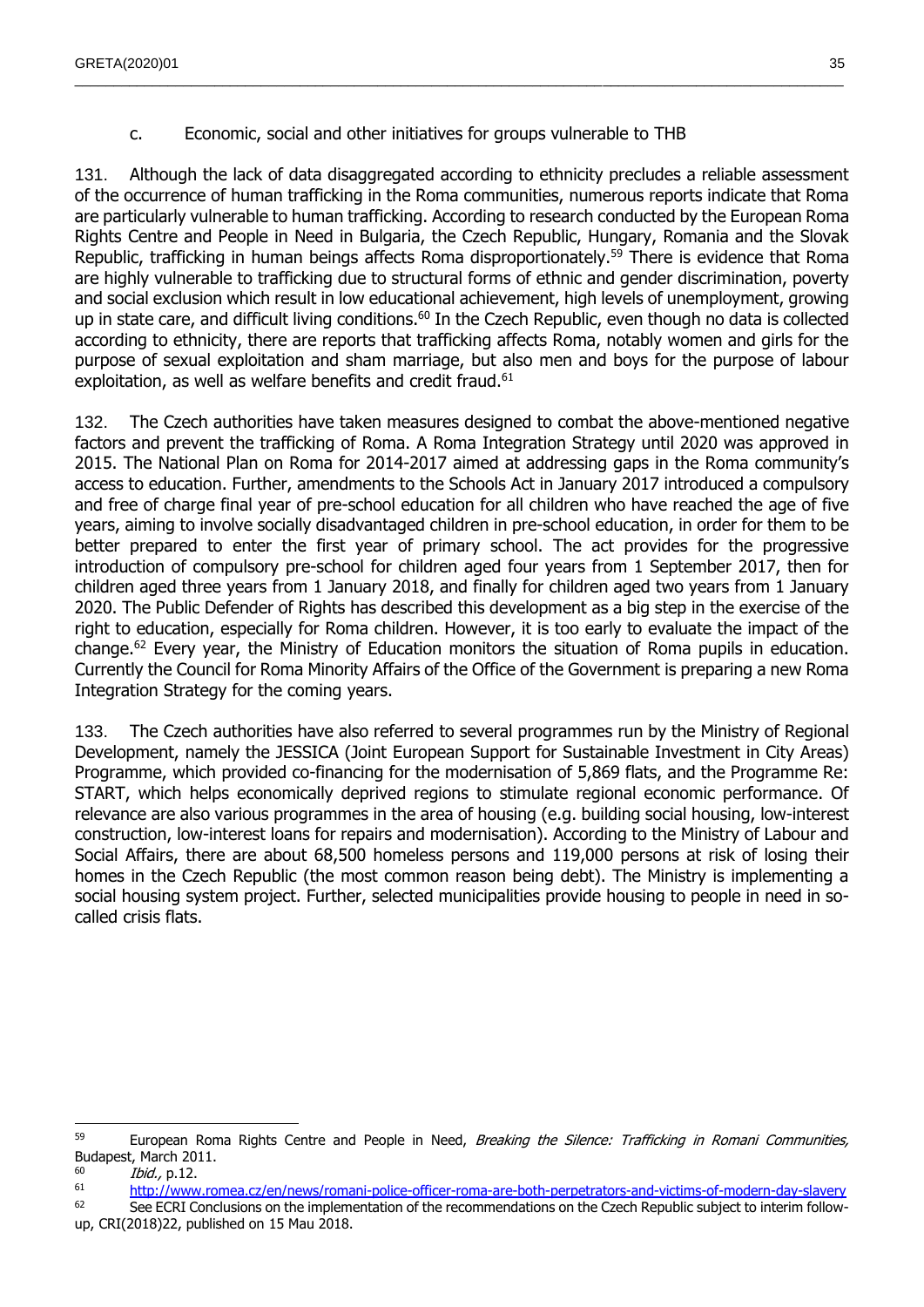### c. Economic, social and other initiatives for groups vulnerable to THB

<span id="page-34-0"></span>131. Although the lack of data disaggregated according to ethnicity precludes a reliable assessment of the occurrence of human trafficking in the Roma communities, numerous reports indicate that Roma are particularly vulnerable to human trafficking. According to research conducted by the European Roma Rights Centre and People in Need in Bulgaria, the Czech Republic, Hungary, Romania and the Slovak Republic, trafficking in human beings affects Roma disproportionately.<sup>59</sup> There is evidence that Roma are highly vulnerable to trafficking due to structural forms of ethnic and gender discrimination, poverty and social exclusion which result in low educational achievement, high levels of unemployment, growing up in state care, and difficult living conditions.<sup>60</sup> In the Czech Republic, even though no data is collected according to ethnicity, there are reports that trafficking affects Roma, notably women and girls for the purpose of sexual exploitation and sham marriage, but also men and boys for the purpose of labour exploitation, as well as welfare benefits and credit fraud.<sup>61</sup>

 $\_$  , and the state of the state of the state of the state of the state of the state of the state of the state of the state of the state of the state of the state of the state of the state of the state of the state of the

132. The Czech authorities have taken measures designed to combat the above-mentioned negative factors and prevent the trafficking of Roma. A Roma Integration Strategy until 2020 was approved in 2015. The National Plan on Roma for 2014-2017 aimed at addressing gaps in the Roma community's access to education. Further, amendments to the Schools Act in January 2017 introduced a compulsory and free of charge final year of pre-school education for all children who have reached the age of five years, aiming to involve socially disadvantaged children in pre-school education, in order for them to be better prepared to enter the first year of primary school. The act provides for the progressive introduction of compulsory pre-school for children aged four years from 1 September 2017, then for children aged three years from 1 January 2018, and finally for children aged two years from 1 January 2020. The Public Defender of Rights has described this development as a big step in the exercise of the right to education, especially for Roma children. However, it is too early to evaluate the impact of the change.<sup>62</sup> Every year, the Ministry of Education monitors the situation of Roma pupils in education. Currently the Council for Roma Minority Affairs of the Office of the Government is preparing a new Roma Integration Strategy for the coming years.

133. The Czech authorities have also referred to several programmes run by the Ministry of Regional Development, namely the JESSICA (Joint European Support for Sustainable Investment in City Areas) Programme, which provided co-financing for the modernisation of 5,869 flats, and the Programme Re: START, which helps economically deprived regions to stimulate regional economic performance. Of relevance are also various programmes in the area of housing (e.g. building social housing, low-interest construction, low-interest loans for repairs and modernisation). According to the Ministry of Labour and Social Affairs, there are about 68,500 homeless persons and 119,000 persons at risk of losing their homes in the Czech Republic (the most common reason being debt). The Ministry is implementing a social housing system project. Further, selected municipalities provide housing to people in need in socalled crisis flats.

<sup>62</sup> See ECRI Conclusions on the implementation of the recommendations on the Czech Republic subject to interim followup, CRI(2018)22, published on 15 Mau 2018.

 <sup>59</sup> European Roma Rights Centre and People in Need, Breaking the Silence: Trafficking in Romani Communities, Budapest, March 2011.

 $\frac{60}{61}$  *Ibid.*, p.12.

<http://www.romea.cz/en/news/romani-police-officer-roma-are-both-perpetrators-and-victims-of-modern-day-slavery>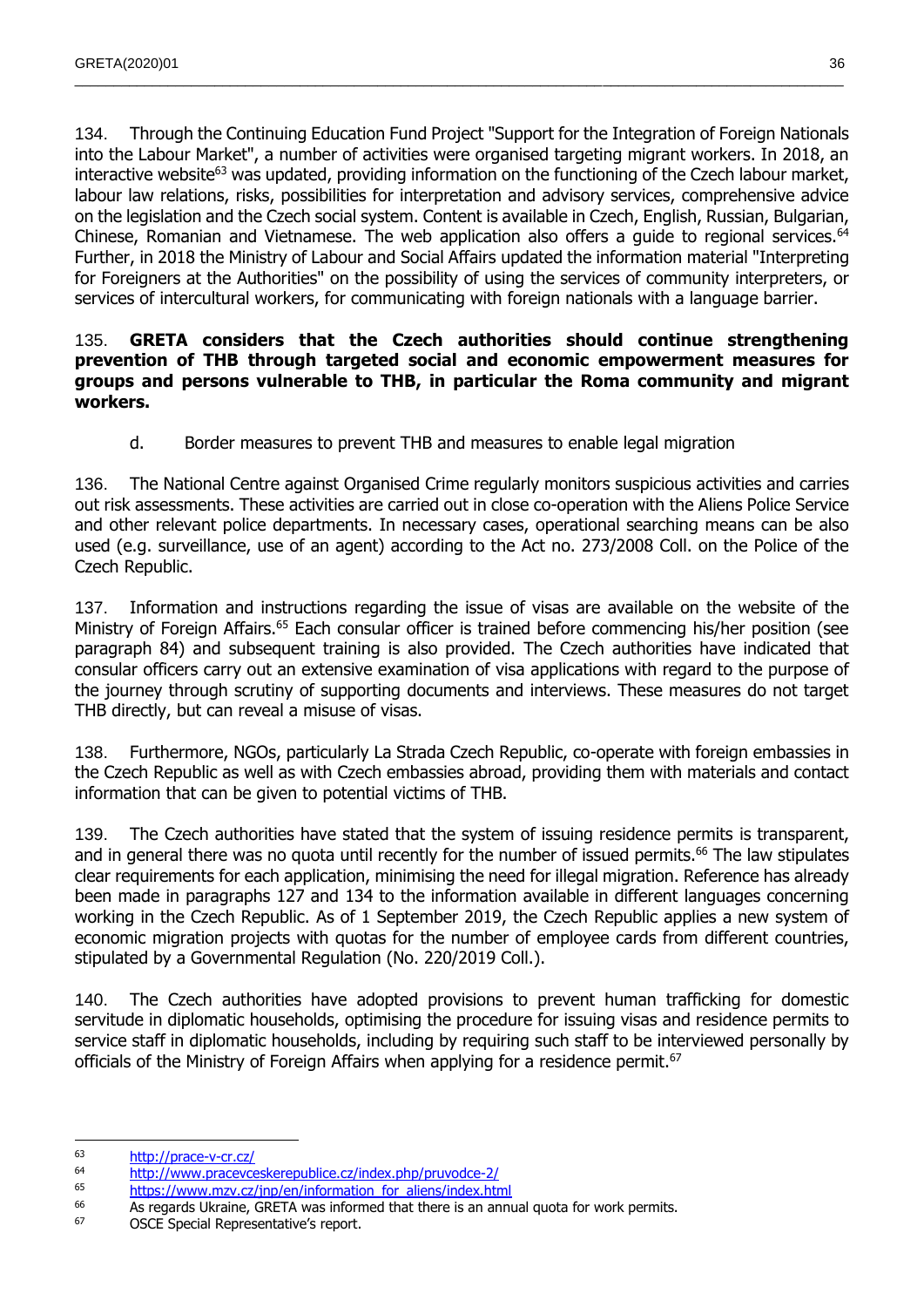134. Through the Continuing Education Fund Project "Support for the Integration of Foreign Nationals into the Labour Market", a number of activities were organised targeting migrant workers. In 2018, an interactive website<sup>63</sup> was updated, providing information on the functioning of the Czech labour market, labour law relations, risks, possibilities for interpretation and advisory services, comprehensive advice on the legislation and the Czech social system. Content is available in Czech, English, Russian, Bulgarian, Chinese, Romanian and Vietnamese. The web application also offers a guide to regional services.<sup>64</sup> Further, in 2018 the Ministry of Labour and Social Affairs updated the information material "Interpreting for Foreigners at the Authorities" on the possibility of using the services of community interpreters, or services of intercultural workers, for communicating with foreign nationals with a language barrier.

 $\_$  , and the state of the state of the state of the state of the state of the state of the state of the state of the state of the state of the state of the state of the state of the state of the state of the state of the

#### 135. **GRETA considers that the Czech authorities should continue strengthening prevention of THB through targeted social and economic empowerment measures for groups and persons vulnerable to THB, in particular the Roma community and migrant workers.**

d. Border measures to prevent THB and measures to enable legal migration

<span id="page-35-0"></span>136. The National Centre against Organised Crime regularly monitors suspicious activities and carries out risk assessments. These activities are carried out in close co-operation with the Aliens Police Service and other relevant police departments. In necessary cases, operational searching means can be also used (e.g. surveillance, use of an agent) according to the Act no. 273/2008 Coll. on the Police of the Czech Republic.

137. Information and instructions regarding the issue of visas are available on the website of the Ministry of Foreign Affairs.<sup>65</sup> Each consular officer is trained before commencing his/her position (see paragraph 84) and subsequent training is also provided. The Czech authorities have indicated that consular officers carry out an extensive examination of visa applications with regard to the purpose of the journey through scrutiny of supporting documents and interviews. These measures do not target THB directly, but can reveal a misuse of visas.

138. Furthermore, NGOs, particularly La Strada Czech Republic, co-operate with foreign embassies in the Czech Republic as well as with Czech embassies abroad, providing them with materials and contact information that can be given to potential victims of THB.

139. The Czech authorities have stated that the system of issuing residence permits is transparent, and in general there was no quota until recently for the number of issued permits.<sup>66</sup> The law stipulates clear requirements for each application, minimising the need for illegal migration. Reference has already been made in paragraphs 127 and 134 to the information available in different languages concerning working in the Czech Republic. As of 1 September 2019, the Czech Republic applies a new system of economic migration projects with quotas for the number of employee cards from different countries, stipulated by a Governmental Regulation (No. 220/2019 Coll.).

140. The Czech authorities have adopted provisions to prevent human trafficking for domestic servitude in diplomatic households, optimising the procedure for issuing visas and residence permits to service staff in diplomatic households, including by requiring such staff to be interviewed personally by officials of the Ministry of Foreign Affairs when applying for a residence permit.<sup>67</sup>

 $\overline{a}$ <sup>63</sup> <http://prace-v-cr.cz/>

<sup>&</sup>lt;sup>64</sup> <http://www.pracevceskerepublice.cz/index.php/pruvodce-2/><br><sup>65</sup> https://www.pracevceskerepublice.cz/index.php/pruvodce-2/

[https://www.mzv.cz/jnp/en/information\\_for\\_aliens/index.html](https://www.mzv.cz/jnp/en/information_for_aliens/index.html)

 $^{66}$  As regards Ukraine, GRETA was informed that there is an annual quota for work permits.<br> $^{67}$  CSCE Special Permission constrained constrained that there is an annual quota for work permits.

OSCE Special Representative's report.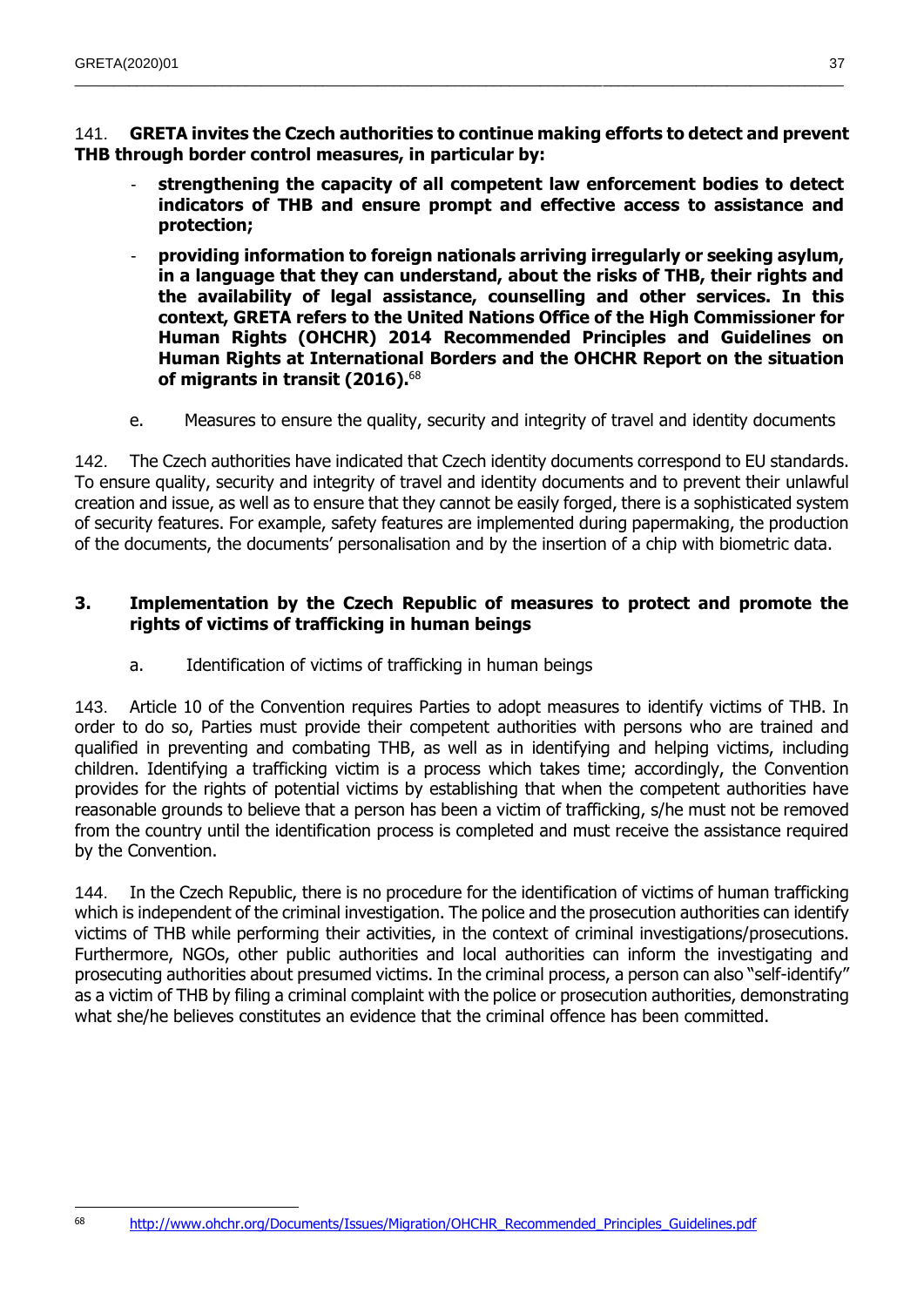141. **GRETA invites the Czech authorities to continue making efforts to detect and prevent THB through border control measures, in particular by:**

- **strengthening the capacity of all competent law enforcement bodies to detect indicators of THB and ensure prompt and effective access to assistance and protection;**
- **providing information to foreign nationals arriving irregularly or seeking asylum, in a language that they can understand, about the risks of THB, their rights and the availability of legal assistance, counselling and other services. In this context, GRETA refers to the United Nations Office of the High Commissioner for Human Rights (OHCHR) 2014 Recommended Principles and Guidelines on Human Rights at International Borders and the OHCHR Report on the situation of migrants in transit (2016).**<sup>68</sup>
- e. Measures to ensure the quality, security and integrity of travel and identity documents

142. The Czech authorities have indicated that Czech identity documents correspond to EU standards. To ensure quality, security and integrity of travel and identity documents and to prevent their unlawful creation and issue, as well as to ensure that they cannot be easily forged, there is a sophisticated system of security features. For example, safety features are implemented during papermaking, the production of the documents, the documents' personalisation and by the insertion of a chip with biometric data.

## **3. Implementation by the Czech Republic of measures to protect and promote the rights of victims of trafficking in human beings**

a. Identification of victims of trafficking in human beings

143. Article 10 of the Convention requires Parties to adopt measures to identify victims of THB. In order to do so, Parties must provide their competent authorities with persons who are trained and qualified in preventing and combating THB, as well as in identifying and helping victims, including children. Identifying a trafficking victim is a process which takes time; accordingly, the Convention provides for the rights of potential victims by establishing that when the competent authorities have reasonable grounds to believe that a person has been a victim of trafficking, s/he must not be removed from the country until the identification process is completed and must receive the assistance required by the Convention.

144. In the Czech Republic, there is no procedure for the identification of victims of human trafficking which is independent of the criminal investigation. The police and the prosecution authorities can identify victims of THB while performing their activities, in the context of criminal investigations/prosecutions. Furthermore, NGOs, other public authorities and local authorities can inform the investigating and prosecuting authorities about presumed victims. In the criminal process, a person can also "self-identify" as a victim of THB by filing a criminal complaint with the police or prosecution authorities, demonstrating what she/he believes constitutes an evidence that the criminal offence has been committed.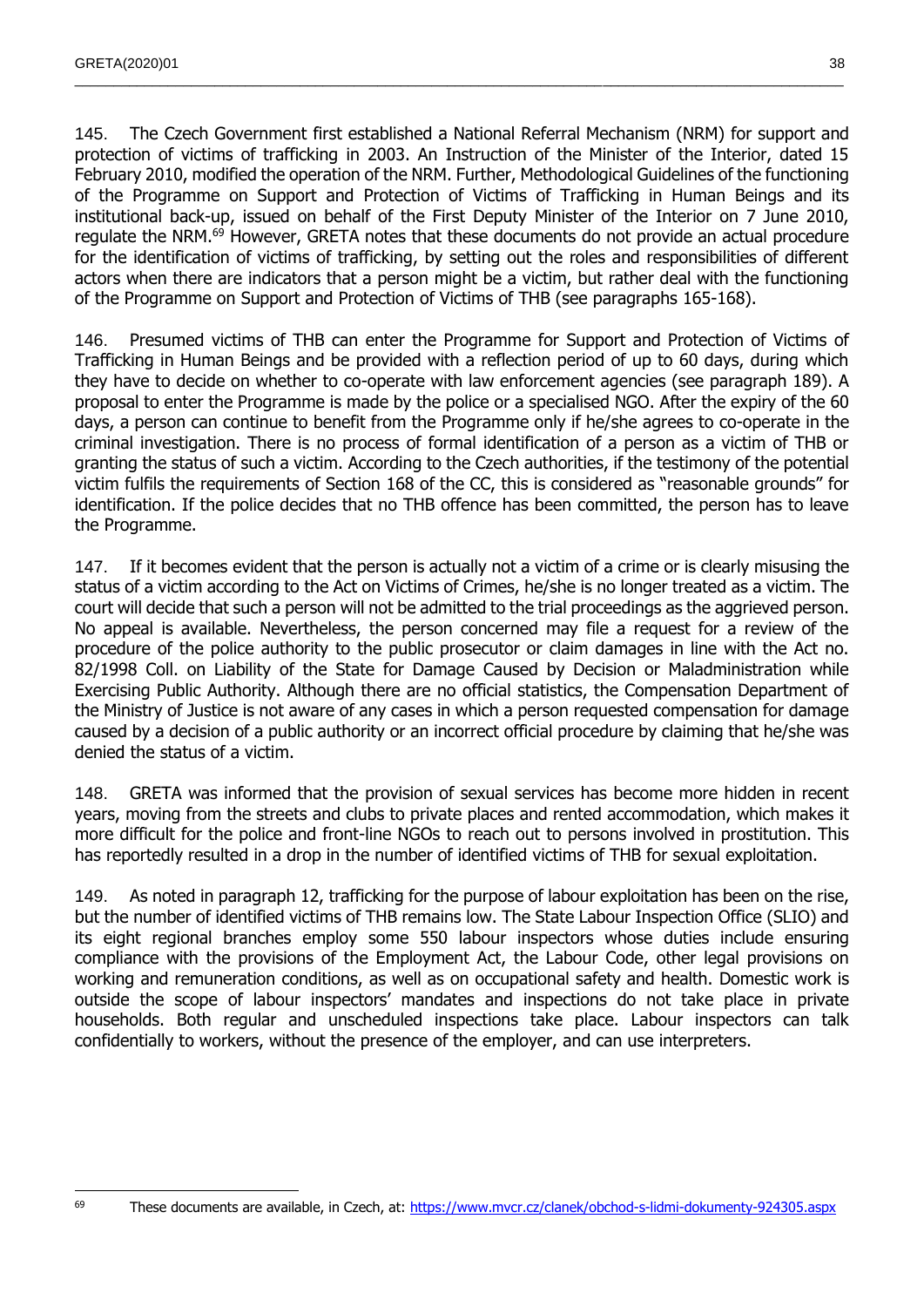145. The Czech Government first established a National Referral Mechanism (NRM) for support and protection of victims of trafficking in 2003. An Instruction of the Minister of the Interior, dated 15 February 2010, modified the operation of the NRM. Further, Methodological Guidelines of the functioning of the Programme on Support and Protection of Victims of Trafficking in Human Beings and its institutional back-up, issued on behalf of the First Deputy Minister of the Interior on 7 June 2010, regulate the NRM.<sup>69</sup> However, GRETA notes that these documents do not provide an actual procedure for the identification of victims of trafficking, by setting out the roles and responsibilities of different actors when there are indicators that a person might be a victim, but rather deal with the functioning of the Programme on Support and Protection of Victims of THB (see paragraphs 165-168).

 $\_$  , and the state of the state of the state of the state of the state of the state of the state of the state of the state of the state of the state of the state of the state of the state of the state of the state of the

146. Presumed victims of THB can enter the Programme for Support and Protection of Victims of Trafficking in Human Beings and be provided with a reflection period of up to 60 days, during which they have to decide on whether to co-operate with law enforcement agencies (see paragraph 189). A proposal to enter the Programme is made by the police or a specialised NGO. After the expiry of the 60 days, a person can continue to benefit from the Programme only if he/she agrees to co-operate in the criminal investigation. There is no process of formal identification of a person as a victim of THB or granting the status of such a victim. According to the Czech authorities, if the testimony of the potential victim fulfils the requirements of Section 168 of the CC, this is considered as "reasonable grounds" for identification. If the police decides that no THB offence has been committed, the person has to leave the Programme.

147. If it becomes evident that the person is actually not a victim of a crime or is clearly misusing the status of a victim according to the Act on Victims of Crimes, he/she is no longer treated as a victim. The court will decide that such a person will not be admitted to the trial proceedings as the aggrieved person. No appeal is available. Nevertheless, the person concerned may file a request for a review of the procedure of the police authority to the public prosecutor or claim damages in line with the Act no. 82/1998 Coll. on Liability of the State for Damage Caused by Decision or Maladministration while Exercising Public Authority. Although there are no official statistics, the Compensation Department of the Ministry of Justice is not aware of any cases in which a person requested compensation for damage caused by a decision of a public authority or an incorrect official procedure by claiming that he/she was denied the status of a victim.

148. GRETA was informed that the provision of sexual services has become more hidden in recent years, moving from the streets and clubs to private places and rented accommodation, which makes it more difficult for the police and front-line NGOs to reach out to persons involved in prostitution. This has reportedly resulted in a drop in the number of identified victims of THB for sexual exploitation.

149. As noted in paragraph 12, trafficking for the purpose of labour exploitation has been on the rise, but the number of identified victims of THB remains low. The State Labour Inspection Office (SLIO) and its eight regional branches employ some 550 labour inspectors whose duties include ensuring compliance with the provisions of the Employment Act, the Labour Code, other legal provisions on working and remuneration conditions, as well as on occupational safety and health. Domestic work is outside the scope of labour inspectors' mandates and inspections do not take place in private households. Both regular and unscheduled inspections take place. Labour inspectors can talk confidentially to workers, without the presence of the employer, and can use interpreters.

 $\overline{a}$ 

<sup>&</sup>lt;sup>69</sup> These documents are available, in Czech, at:<https://www.mvcr.cz/clanek/obchod-s-lidmi-dokumenty-924305.aspx>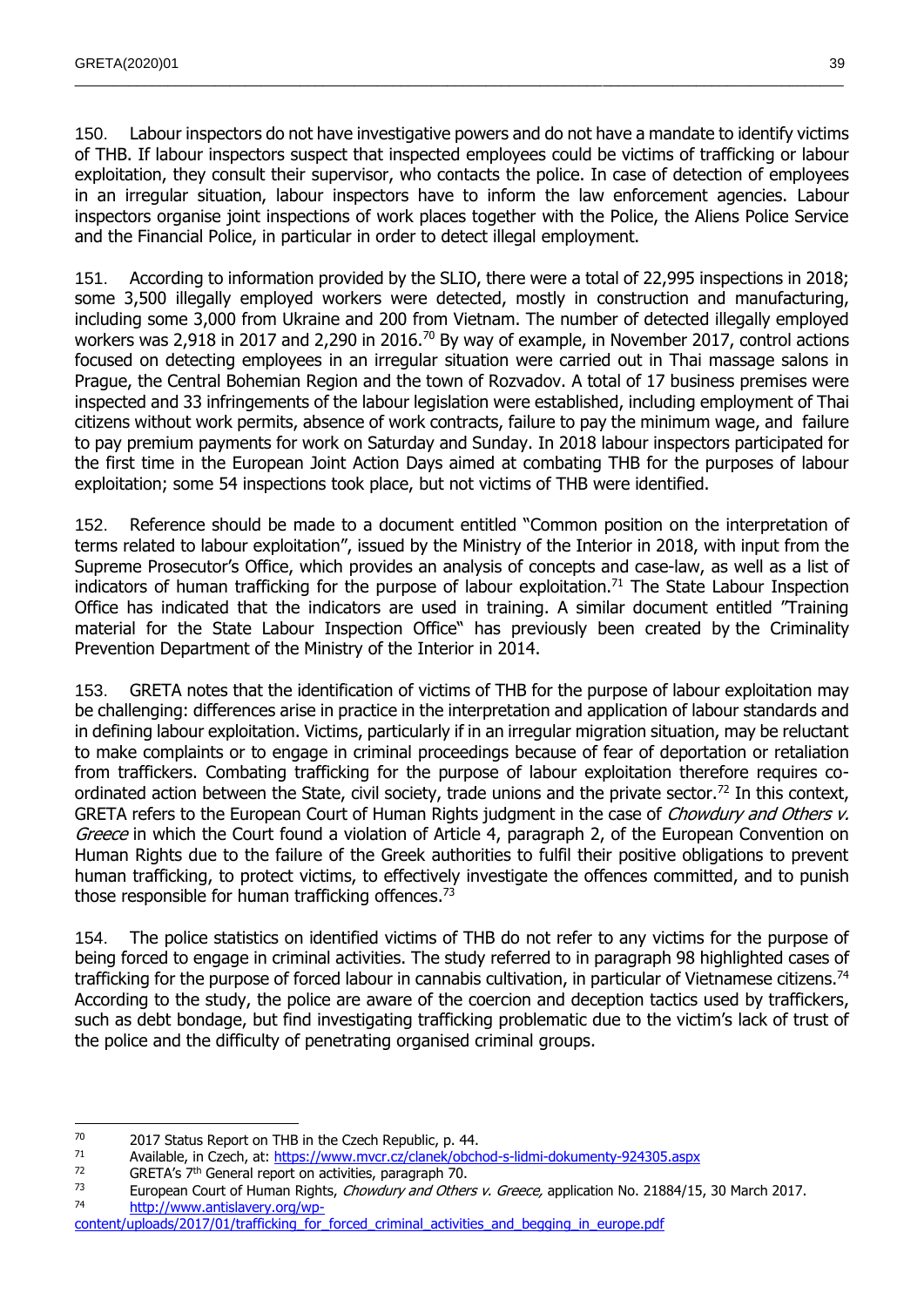150. Labour inspectors do not have investigative powers and do not have a mandate to identify victims of THB. If labour inspectors suspect that inspected employees could be victims of trafficking or labour exploitation, they consult their supervisor, who contacts the police. In case of detection of employees in an irregular situation, labour inspectors have to inform the law enforcement agencies. Labour inspectors organise joint inspections of work places together with the Police, the Aliens Police Service and the Financial Police, in particular in order to detect illegal employment.

 $\_$  , and the state of the state of the state of the state of the state of the state of the state of the state of the state of the state of the state of the state of the state of the state of the state of the state of the

151. According to information provided by the SLIO, there were a total of 22,995 inspections in 2018; some 3,500 illegally employed workers were detected, mostly in construction and manufacturing, including some 3,000 from Ukraine and 200 from Vietnam. The number of detected illegally employed workers was 2,918 in 2017 and 2,290 in 2016.<sup>70</sup> By way of example, in November 2017, control actions focused on detecting employees in an irregular situation were carried out in Thai massage salons in Prague, the Central Bohemian Region and the town of Rozvadov. A total of 17 business premises were inspected and 33 infringements of the labour legislation were established, including employment of Thai citizens without work permits, absence of work contracts, failure to pay the minimum wage, and failure to pay premium payments for work on Saturday and Sunday. In 2018 labour inspectors participated for the first time in the European Joint Action Days aimed at combating THB for the purposes of labour exploitation; some 54 inspections took place, but not victims of THB were identified.

152. Reference should be made to a document entitled "Common position on the interpretation of terms related to labour exploitation", issued by the Ministry of the Interior in 2018, with input from the Supreme Prosecutor's Office, which provides an analysis of concepts and case-law, as well as a list of indicators of human trafficking for the purpose of labour exploitation.<sup>71</sup> The State Labour Inspection Office has indicated that the indicators are used in training. A similar document entitled "Training material for the State Labour Inspection Office" has previously been created by the Criminality Prevention Department of the Ministry of the Interior in 2014.

153. GRETA notes that the identification of victims of THB for the purpose of labour exploitation may be challenging: differences arise in practice in the interpretation and application of labour standards and in defining labour exploitation. Victims, particularly if in an irregular migration situation, may be reluctant to make complaints or to engage in criminal proceedings because of fear of deportation or retaliation from traffickers. Combating trafficking for the purpose of labour exploitation therefore requires coordinated action between the State, civil society, trade unions and the private sector.<sup>72</sup> In this context, GRETA refers to the European Court of Human Rights judgment in the case of *Chowdury and Others v.* Greece in which the Court found a violation of Article 4, paragraph 2, of the European Convention on Human Rights due to the failure of the Greek authorities to fulfil their positive obligations to prevent human trafficking, to protect victims, to effectively investigate the offences committed, and to punish those responsible for human trafficking offences. $73$ 

154. The police statistics on identified victims of THB do not refer to any victims for the purpose of being forced to engage in criminal activities. The study referred to in paragraph 98 highlighted cases of trafficking for the purpose of forced labour in cannabis cultivation, in particular of Vietnamese citizens.<sup>74</sup> According to the study, the police are aware of the coercion and deception tactics used by traffickers, such as debt bondage, but find investigating trafficking problematic due to the victim's lack of trust of the police and the difficulty of penetrating organised criminal groups.

  $70$  2017 Status Report on THB in the Czech Republic, p. 44.

<sup>71</sup> Available, in Czech, at:<https://www.mvcr.cz/clanek/obchod-s-lidmi-dokumenty-924305.aspx><br> $72$  CPETA's 7<sup>th</sup> General report on activities, paragraph 70

<sup>&</sup>lt;sup>72</sup> GRETA's 7<sup>th</sup> General report on activities, paragraph 70.

European Court of Human Rights, Chowdury and Others v. Greece, application No. 21884/15, 30 March 2017. <sup>74</sup> [http://www.antislavery.org/wp-](http://www.antislavery.org/wp-content/uploads/2017/01/trafficking_for_forced_criminal_activities_and_begging_in_europe.pdf)

content/uploads/2017/01/trafficking for forced criminal activities and begging in europe.pdf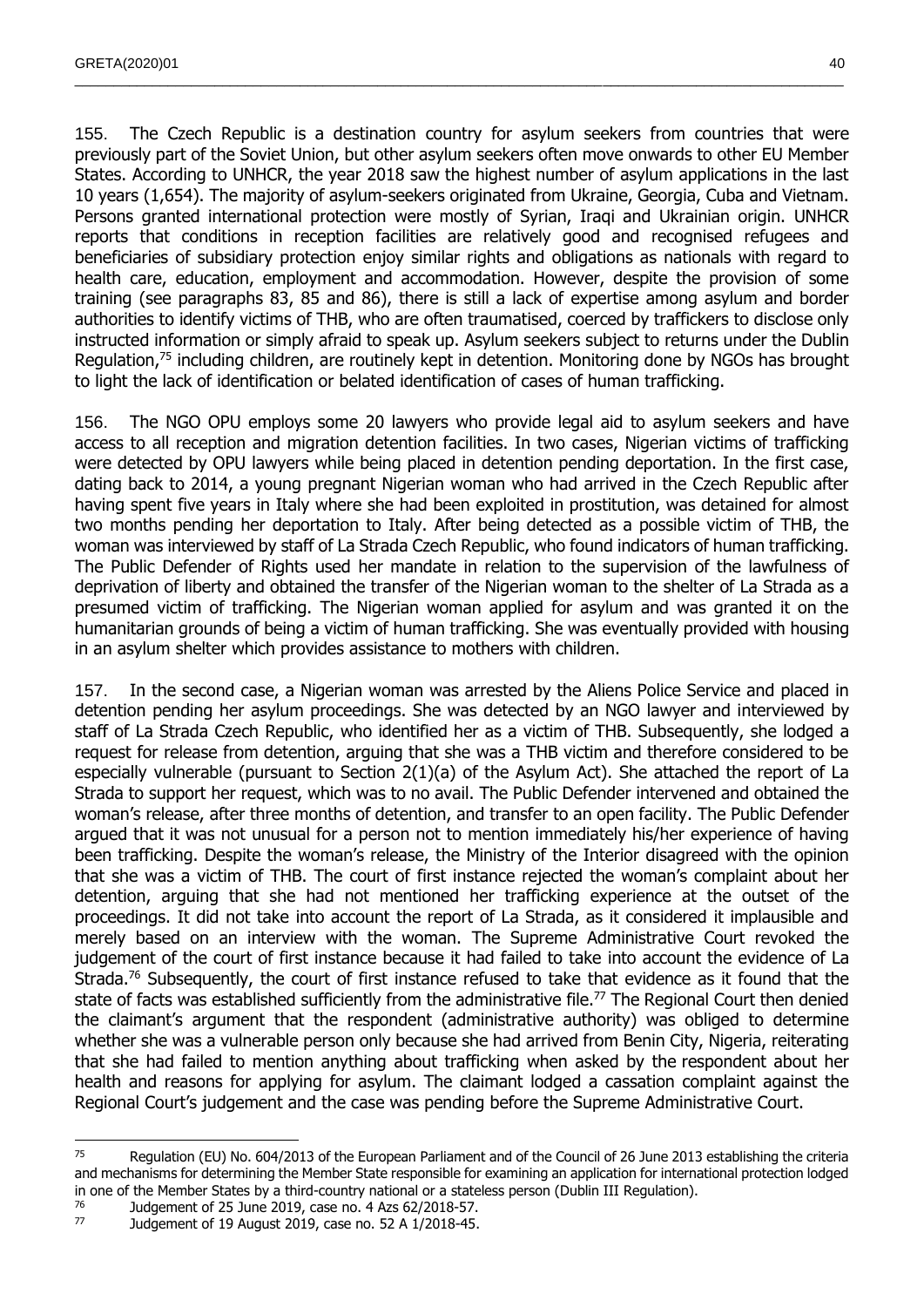155. The Czech Republic is a destination country for asylum seekers from countries that were previously part of the Soviet Union, but other asylum seekers often move onwards to other EU Member States. According to UNHCR, the year 2018 saw the highest number of asylum applications in the last 10 years (1,654). The majority of asylum-seekers originated from Ukraine, Georgia, Cuba and Vietnam. Persons granted international protection were mostly of Syrian, Iraqi and Ukrainian origin. UNHCR reports that conditions in reception facilities are relatively good and recognised refugees and beneficiaries of subsidiary protection enjoy similar rights and obligations as nationals with regard to health care, education, employment and accommodation. However, despite the provision of some training (see paragraphs 83, 85 and 86), there is still a lack of expertise among asylum and border authorities to identify victims of THB, who are often traumatised, coerced by traffickers to disclose only instructed information or simply afraid to speak up. Asylum seekers subject to returns under the Dublin Regulation,<sup>75</sup> including children, are routinely kept in detention. Monitoring done by NGOs has brought to light the lack of identification or belated identification of cases of human trafficking.

 $\_$  , and the state of the state of the state of the state of the state of the state of the state of the state of the state of the state of the state of the state of the state of the state of the state of the state of the

156. The NGO OPU employs some 20 lawyers who provide legal aid to asylum seekers and have access to all reception and migration detention facilities. In two cases, Nigerian victims of trafficking were detected by OPU lawyers while being placed in detention pending deportation. In the first case, dating back to 2014, a young pregnant Nigerian woman who had arrived in the Czech Republic after having spent five years in Italy where she had been exploited in prostitution, was detained for almost two months pending her deportation to Italy. After being detected as a possible victim of THB, the woman was interviewed by staff of La Strada Czech Republic, who found indicators of human trafficking. The Public Defender of Rights used her mandate in relation to the supervision of the lawfulness of deprivation of liberty and obtained the transfer of the Nigerian woman to the shelter of La Strada as a presumed victim of trafficking. The Nigerian woman applied for asylum and was granted it on the humanitarian grounds of being a victim of human trafficking. She was eventually provided with housing in an asylum shelter which provides assistance to mothers with children.

157. In the second case, a Nigerian woman was arrested by the Aliens Police Service and placed in detention pending her asylum proceedings. She was detected by an NGO lawyer and interviewed by staff of La Strada Czech Republic, who identified her as a victim of THB. Subsequently, she lodged a request for release from detention, arguing that she was a THB victim and therefore considered to be especially vulnerable (pursuant to Section 2(1)(a) of the Asylum Act). She attached the report of La Strada to support her request, which was to no avail. The Public Defender intervened and obtained the woman's release, after three months of detention, and transfer to an open facility. The Public Defender argued that it was not unusual for a person not to mention immediately his/her experience of having been trafficking. Despite the woman's release, the Ministry of the Interior disagreed with the opinion that she was a victim of THB. The court of first instance rejected the woman's complaint about her detention, arguing that she had not mentioned her trafficking experience at the outset of the proceedings. It did not take into account the report of La Strada, as it considered it implausible and merely based on an interview with the woman. The Supreme Administrative Court revoked the judgement of the court of first instance because it had failed to take into account the evidence of La Strada.<sup>76</sup> Subsequently, the court of first instance refused to take that evidence as it found that the state of facts was established sufficiently from the administrative file.<sup>77</sup> The Regional Court then denied the claimant's argument that the respondent (administrative authority) was obliged to determine whether she was a vulnerable person only because she had arrived from Benin City, Nigeria, reiterating that she had failed to mention anything about trafficking when asked by the respondent about her health and reasons for applying for asylum. The claimant lodged a cassation complaint against the Regional Court's judgement and the case was pending before the Supreme Administrative Court.

 $\overline{a}$ 

<sup>&</sup>lt;sup>75</sup> Regulation (EU) No. 604/2013 of the European Parliament and of the Council of 26 June 2013 establishing the criteria and mechanisms for determining the Member State responsible for examining an application for international protection lodged in one of the Member States by a third-country national or a stateless person (Dublin III Regulation).

 $^{76}$  Judgement of 25 June 2019, case no. 4 Azs 62/2018-57.<br> $^{77}$  Judgement of 19 August 2019, case no. 52 A 1/2018-45

Judgement of 19 August 2019, case no. 52 A 1/2018-45.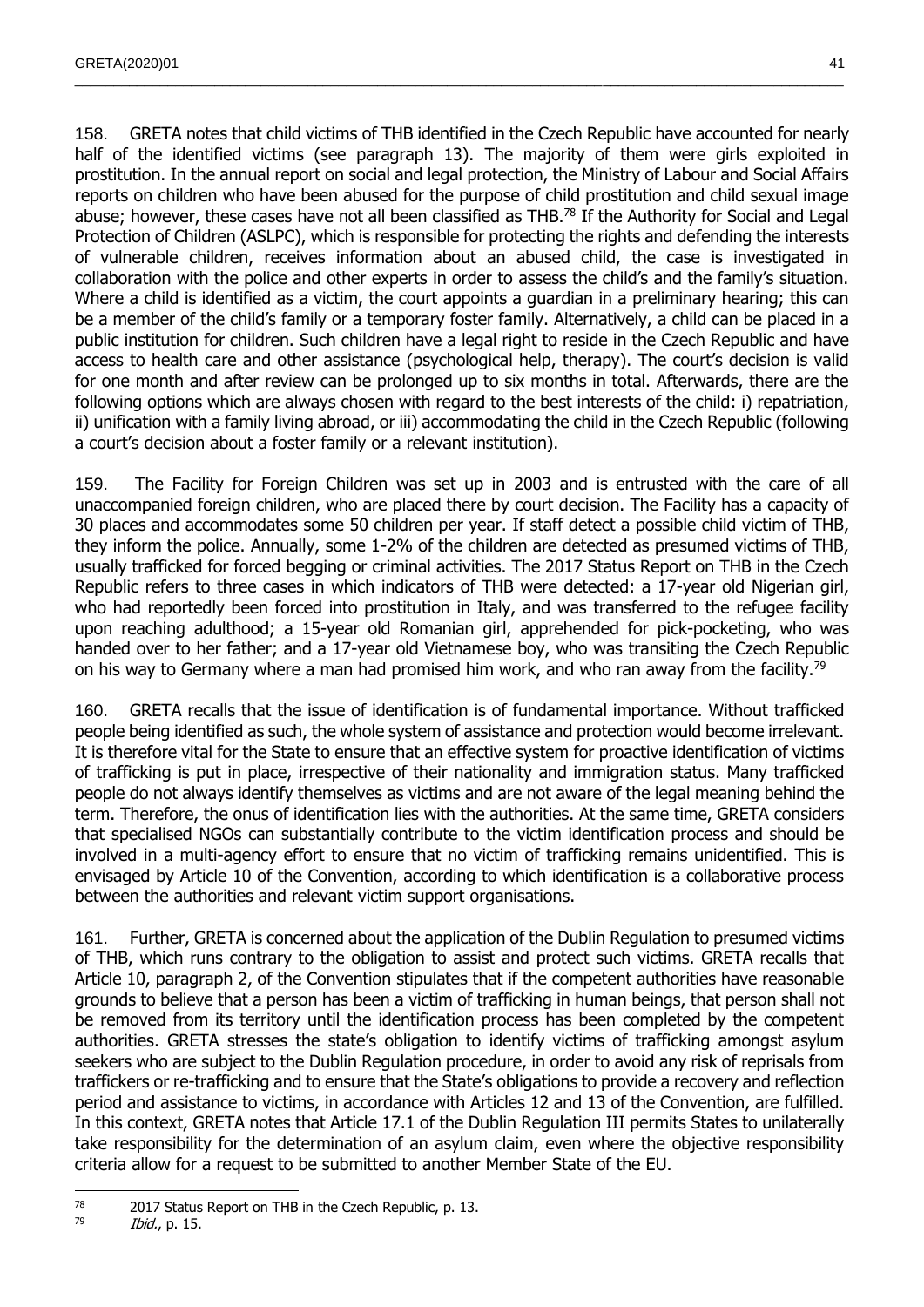158. GRETA notes that child victims of THB identified in the Czech Republic have accounted for nearly half of the identified victims (see paragraph 13). The majority of them were girls exploited in prostitution. In the annual report on social and legal protection, the Ministry of Labour and Social Affairs reports on children who have been abused for the purpose of child prostitution and child sexual image abuse; however, these cases have not all been classified as THB.<sup>78</sup> If the Authority for Social and Legal Protection of Children (ASLPC), which is responsible for protecting the rights and defending the interests of vulnerable children, receives information about an abused child, the case is investigated in collaboration with the police and other experts in order to assess the child's and the family's situation. Where a child is identified as a victim, the court appoints a quardian in a preliminary hearing; this can be a member of the child's family or a temporary foster family. Alternatively, a child can be placed in a public institution for children. Such children have a legal right to reside in the Czech Republic and have access to health care and other assistance (psychological help, therapy). The court's decision is valid for one month and after review can be prolonged up to six months in total. Afterwards, there are the following options which are always chosen with regard to the best interests of the child: i) repatriation, ii) unification with a family living abroad, or iii) accommodating the child in the Czech Republic (following a court's decision about a foster family or a relevant institution).

 $\_$  , and the state of the state of the state of the state of the state of the state of the state of the state of the state of the state of the state of the state of the state of the state of the state of the state of the

159. The Facility for Foreign Children was set up in 2003 and is entrusted with the care of all unaccompanied foreign children, who are placed there by court decision. The Facility has a capacity of 30 places and accommodates some 50 children per year. If staff detect a possible child victim of THB, they inform the police. Annually, some 1-2% of the children are detected as presumed victims of THB, usually trafficked for forced begging or criminal activities. The 2017 Status Report on THB in the Czech Republic refers to three cases in which indicators of THB were detected: a 17-year old Nigerian girl, who had reportedly been forced into prostitution in Italy, and was transferred to the refugee facility upon reaching adulthood; a 15-year old Romanian girl, apprehended for pick-pocketing, who was handed over to her father; and a 17-year old Vietnamese boy, who was transiting the Czech Republic on his way to Germany where a man had promised him work, and who ran away from the facility.<sup>79</sup>

160. GRETA recalls that the issue of identification is of fundamental importance. Without trafficked people being identified as such, the whole system of assistance and protection would become irrelevant. It is therefore vital for the State to ensure that an effective system for proactive identification of victims of trafficking is put in place, irrespective of their nationality and immigration status. Many trafficked people do not always identify themselves as victims and are not aware of the legal meaning behind the term. Therefore, the onus of identification lies with the authorities. At the same time, GRETA considers that specialised NGOs can substantially contribute to the victim identification process and should be involved in a multi-agency effort to ensure that no victim of trafficking remains unidentified. This is envisaged by Article 10 of the Convention, according to which identification is a collaborative process between the authorities and relevant victim support organisations.

161. Further, GRETA is concerned about the application of the Dublin Regulation to presumed victims of THB, which runs contrary to the obligation to assist and protect such victims. GRETA recalls that Article 10, paragraph 2, of the Convention stipulates that if the competent authorities have reasonable grounds to believe that a person has been a victim of trafficking in human beings, that person shall not be removed from its territory until the identification process has been completed by the competent authorities. GRETA stresses the state's obligation to identify victims of trafficking amongst asylum seekers who are subject to the Dublin Regulation procedure, in order to avoid any risk of reprisals from traffickers or re-trafficking and to ensure that the State's obligations to provide a recovery and reflection period and assistance to victims, in accordance with Articles 12 and 13 of the Convention, are fulfilled. In this context, GRETA notes that Article 17.1 of the Dublin Regulation III permits States to unilaterally take responsibility for the determination of an asylum claim, even where the objective responsibility criteria allow for a request to be submitted to another Member State of the EU.

 $\overline{a}$  $^{78}$  2017 Status Report on THB in the Czech Republic, p. 13.

*Ibid.*, p. 15.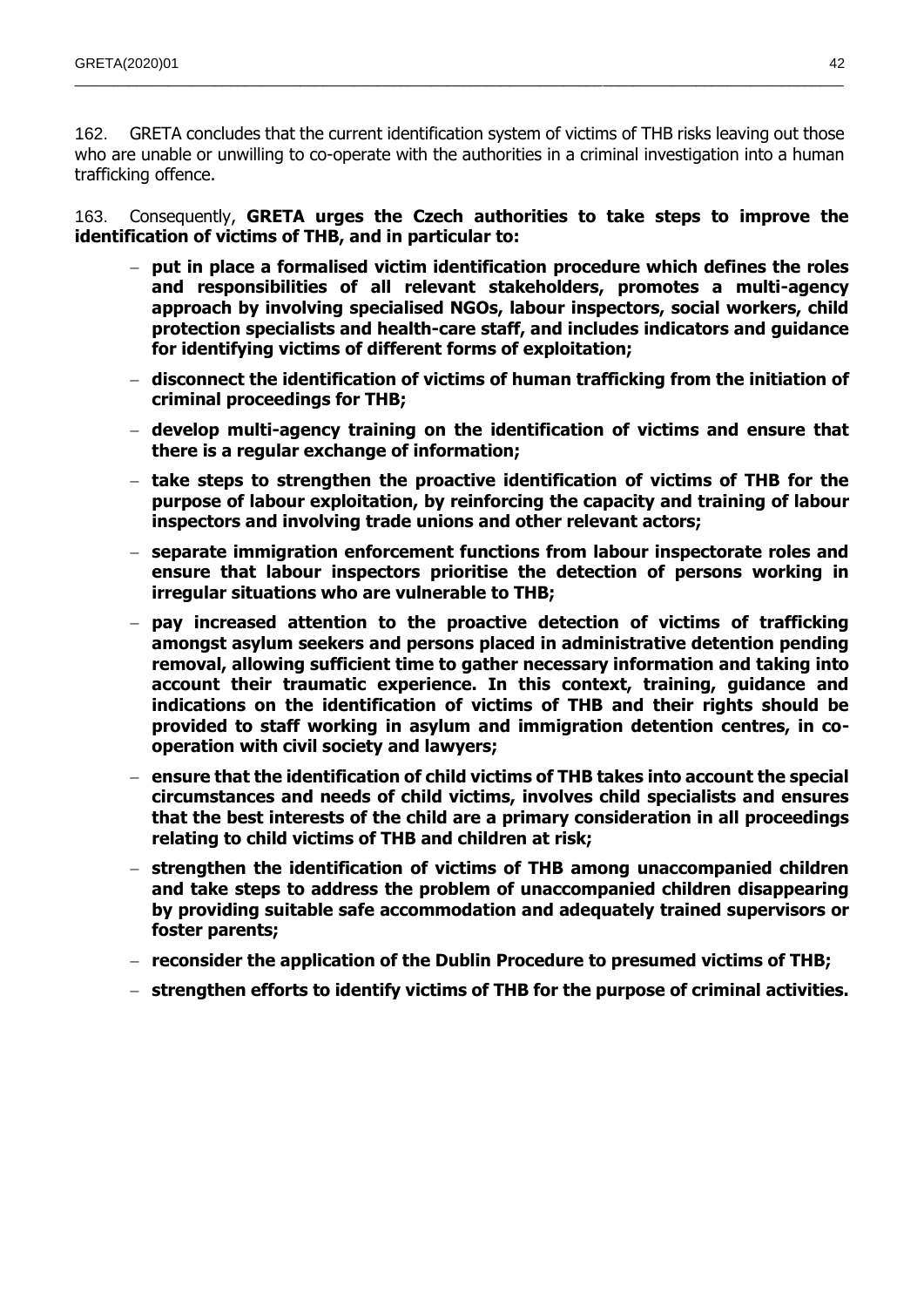162. GRETA concludes that the current identification system of victims of THB risks leaving out those who are unable or unwilling to co-operate with the authorities in a criminal investigation into a human trafficking offence.

 $\_$  , and the state of the state of the state of the state of the state of the state of the state of the state of the state of the state of the state of the state of the state of the state of the state of the state of the

163. Consequently, **GRETA urges the Czech authorities to take steps to improve the identification of victims of THB, and in particular to:**

- **put in place a formalised victim identification procedure which defines the roles and responsibilities of all relevant stakeholders, promotes a multi-agency approach by involving specialised NGOs, labour inspectors, social workers, child protection specialists and health-care staff, and includes indicators and guidance for identifying victims of different forms of exploitation;**
- **disconnect the identification of victims of human trafficking from the initiation of criminal proceedings for THB;**
- **develop multi-agency training on the identification of victims and ensure that there is a regular exchange of information;**
- **take steps to strengthen the proactive identification of victims of THB for the purpose of labour exploitation, by reinforcing the capacity and training of labour inspectors and involving trade unions and other relevant actors;**
- **separate immigration enforcement functions from labour inspectorate roles and ensure that labour inspectors prioritise the detection of persons working in irregular situations who are vulnerable to THB;**
- **pay increased attention to the proactive detection of victims of trafficking amongst asylum seekers and persons placed in administrative detention pending removal, allowing sufficient time to gather necessary information and taking into account their traumatic experience. In this context, training, guidance and indications on the identification of victims of THB and their rights should be provided to staff working in asylum and immigration detention centres, in cooperation with civil society and lawyers;**
- **ensure that the identification of child victims of THB takes into account the special circumstances and needs of child victims, involves child specialists and ensures that the best interests of the child are a primary consideration in all proceedings relating to child victims of THB and children at risk;**
- **strengthen the identification of victims of THB among unaccompanied children and take steps to address the problem of unaccompanied children disappearing by providing suitable safe accommodation and adequately trained supervisors or foster parents;**
- **reconsider the application of the Dublin Procedure to presumed victims of THB;**
- **strengthen efforts to identify victims of THB for the purpose of criminal activities.**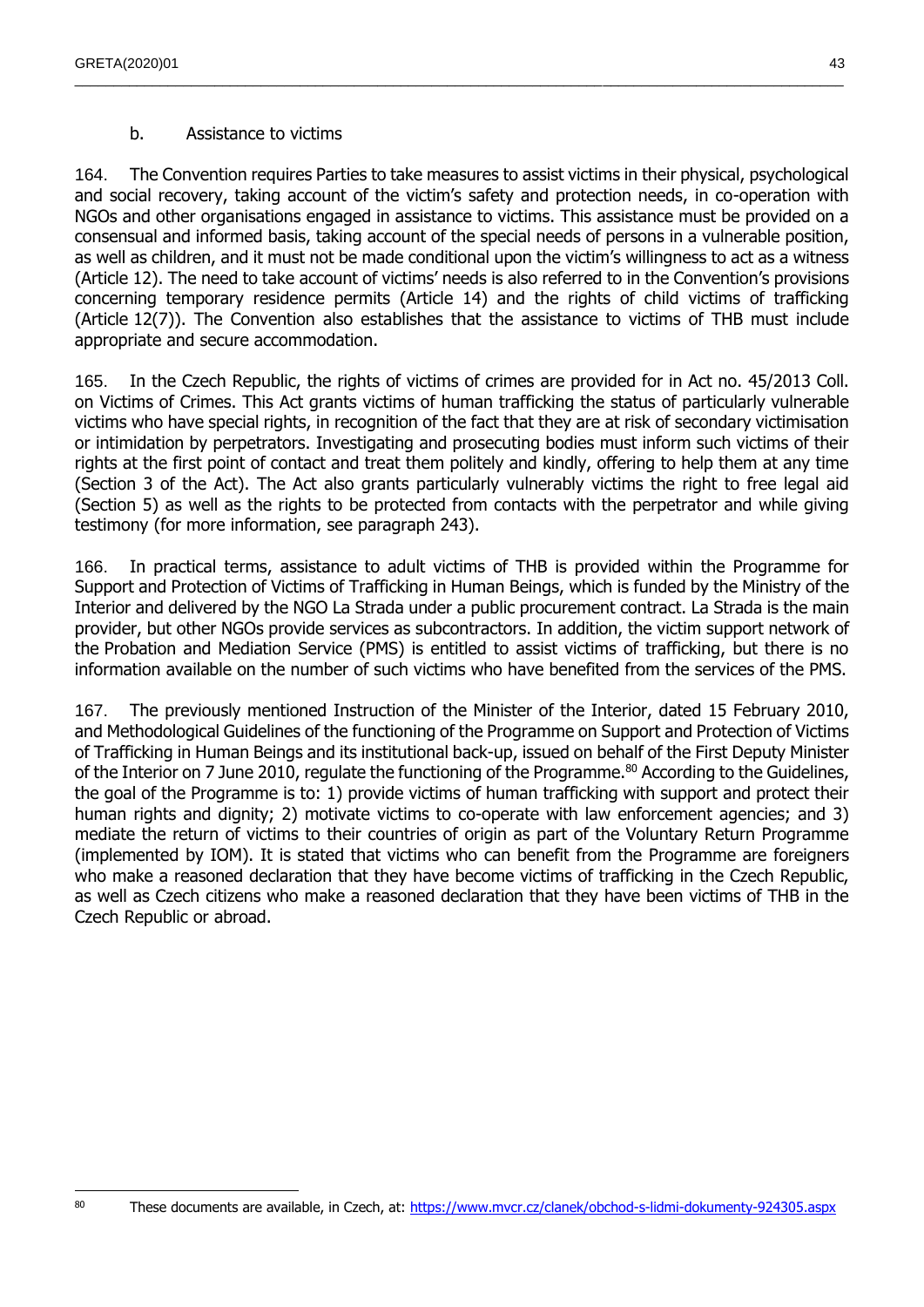## b. Assistance to victims

164. The Convention requires Parties to take measures to assist victims in their physical, psychological and social recovery, taking account of the victim's safety and protection needs, in co-operation with NGOs and other organisations engaged in assistance to victims. This assistance must be provided on a consensual and informed basis, taking account of the special needs of persons in a vulnerable position, as well as children, and it must not be made conditional upon the victim's willingness to act as a witness (Article 12). The need to take account of victims' needs is also referred to in the Convention's provisions concerning temporary residence permits (Article 14) and the rights of child victims of trafficking (Article 12(7)). The Convention also establishes that the assistance to victims of THB must include appropriate and secure accommodation.

 $\_$  , and the state of the state of the state of the state of the state of the state of the state of the state of the state of the state of the state of the state of the state of the state of the state of the state of the

165. In the Czech Republic, the rights of victims of crimes are provided for in Act no. 45/2013 Coll. on Victims of Crimes. This Act grants victims of human trafficking the status of particularly vulnerable victims who have special rights, in recognition of the fact that they are at risk of secondary victimisation or intimidation by perpetrators. Investigating and prosecuting bodies must inform such victims of their rights at the first point of contact and treat them politely and kindly, offering to help them at any time (Section 3 of the Act). The Act also grants particularly vulnerably victims the right to free legal aid (Section 5) as well as the rights to be protected from contacts with the perpetrator and while giving testimony (for more information, see paragraph 243).

166. In practical terms, assistance to adult victims of THB is provided within the Programme for Support and Protection of Victims of Trafficking in Human Beings, which is funded by the Ministry of the Interior and delivered by the NGO La Strada under a public procurement contract. La Strada is the main provider, but other NGOs provide services as subcontractors. In addition, the victim support network of the Probation and Mediation Service (PMS) is entitled to assist victims of trafficking, but there is no information available on the number of such victims who have benefited from the services of the PMS.

167. The previously mentioned Instruction of the Minister of the Interior, dated 15 February 2010, and Methodological Guidelines of the functioning of the Programme on Support and Protection of Victims of Trafficking in Human Beings and its institutional back-up, issued on behalf of the First Deputy Minister of the Interior on 7 June 2010, regulate the functioning of the Programme.<sup>80</sup> According to the Guidelines, the goal of the Programme is to: 1) provide victims of human trafficking with support and protect their human rights and dignity; 2) motivate victims to co-operate with law enforcement agencies; and 3) mediate the return of victims to their countries of origin as part of the Voluntary Return Programme (implemented by IOM). It is stated that victims who can benefit from the Programme are foreigners who make a reasoned declaration that they have become victims of trafficking in the Czech Republic, as well as Czech citizens who make a reasoned declaration that they have been victims of THB in the Czech Republic or abroad.

 $\overline{a}$ 

<sup>80</sup> These documents are available, in Czech, at:<https://www.mvcr.cz/clanek/obchod-s-lidmi-dokumenty-924305.aspx>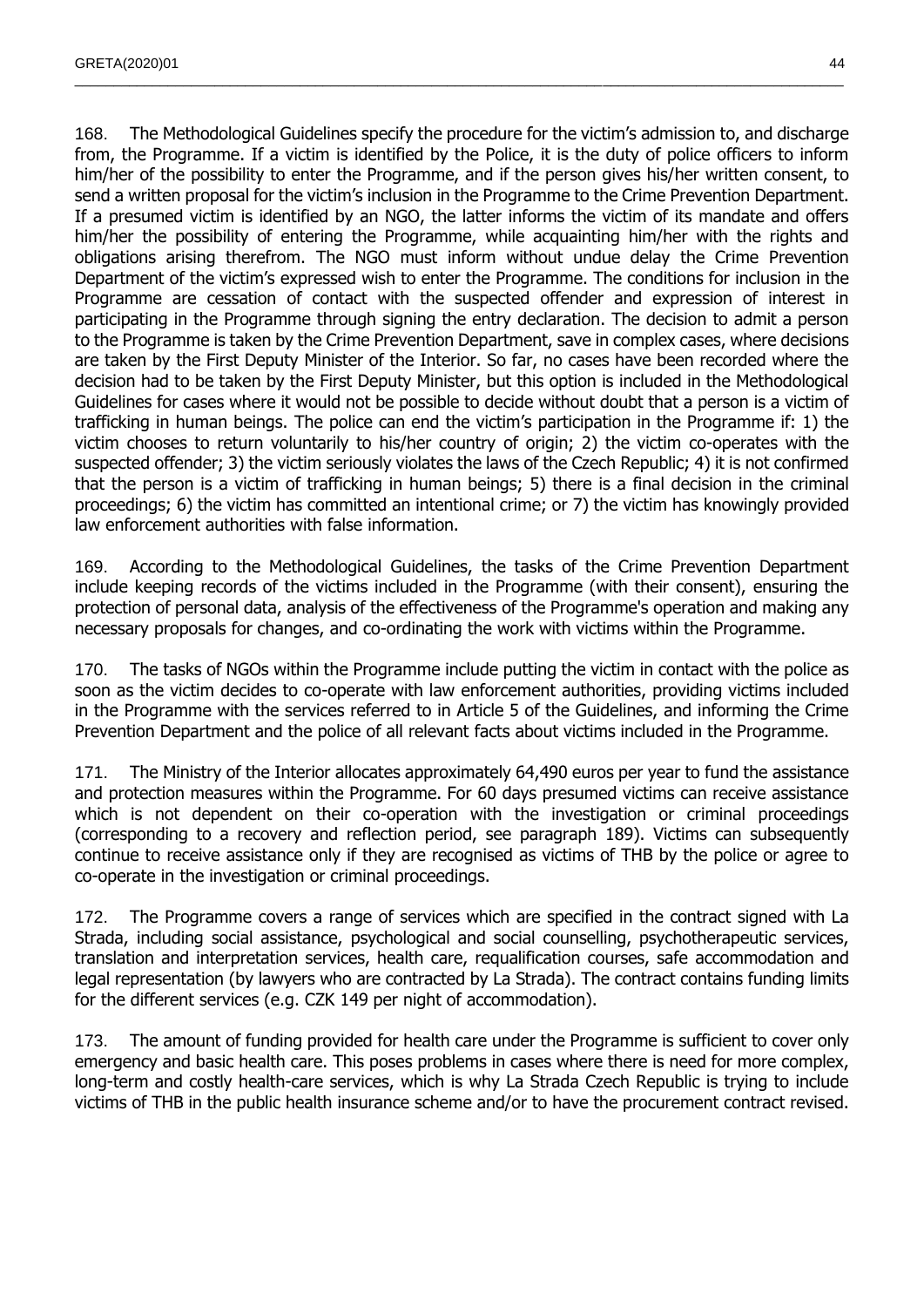168. The Methodological Guidelines specify the procedure for the victim's admission to, and discharge from, the Programme. If a victim is identified by the Police, it is the duty of police officers to inform him/her of the possibility to enter the Programme, and if the person gives his/her written consent, to send a written proposal for the victim's inclusion in the Programme to the Crime Prevention Department. If a presumed victim is identified by an NGO, the latter informs the victim of its mandate and offers him/her the possibility of entering the Programme, while acquainting him/her with the rights and obligations arising therefrom. The NGO must inform without undue delay the Crime Prevention Department of the victim's expressed wish to enter the Programme. The conditions for inclusion in the Programme are cessation of contact with the suspected offender and expression of interest in participating in the Programme through signing the entry declaration. The decision to admit a person to the Programme is taken by the Crime Prevention Department, save in complex cases, where decisions are taken by the First Deputy Minister of the Interior. So far, no cases have been recorded where the decision had to be taken by the First Deputy Minister, but this option is included in the Methodological Guidelines for cases where it would not be possible to decide without doubt that a person is a victim of trafficking in human beings. The police can end the victim's participation in the Programme if: 1) the victim chooses to return voluntarily to his/her country of origin; 2) the victim co-operates with the suspected offender; 3) the victim seriously violates the laws of the Czech Republic; 4) it is not confirmed that the person is a victim of trafficking in human beings; 5) there is a final decision in the criminal proceedings; 6) the victim has committed an intentional crime; or 7) the victim has knowingly provided law enforcement authorities with false information.

 $\_$  , and the state of the state of the state of the state of the state of the state of the state of the state of the state of the state of the state of the state of the state of the state of the state of the state of the

169. According to the Methodological Guidelines, the tasks of the Crime Prevention Department include keeping records of the victims included in the Programme (with their consent), ensuring the protection of personal data, analysis of the effectiveness of the Programme's operation and making any necessary proposals for changes, and co-ordinating the work with victims within the Programme.

170. The tasks of NGOs within the Programme include putting the victim in contact with the police as soon as the victim decides to co-operate with law enforcement authorities, providing victims included in the Programme with the services referred to in Article 5 of the Guidelines, and informing the Crime Prevention Department and the police of all relevant facts about victims included in the Programme.

171. The Ministry of the Interior allocates approximately 64,490 euros per year to fund the assistance and protection measures within the Programme. For 60 days presumed victims can receive assistance which is not dependent on their co-operation with the investigation or criminal proceedings (corresponding to a recovery and reflection period, see paragraph 189). Victims can subsequently continue to receive assistance only if they are recognised as victims of THB by the police or agree to co-operate in the investigation or criminal proceedings.

172. The Programme covers a range of services which are specified in the contract signed with La Strada, including social assistance, psychological and social counselling, psychotherapeutic services, translation and interpretation services, health care, requalification courses, safe accommodation and legal representation (by lawyers who are contracted by La Strada). The contract contains funding limits for the different services (e.g. CZK 149 per night of accommodation).

173. The amount of funding provided for health care under the Programme is sufficient to cover only emergency and basic health care. This poses problems in cases where there is need for more complex, long-term and costly health-care services, which is why La Strada Czech Republic is trying to include victims of THB in the public health insurance scheme and/or to have the procurement contract revised.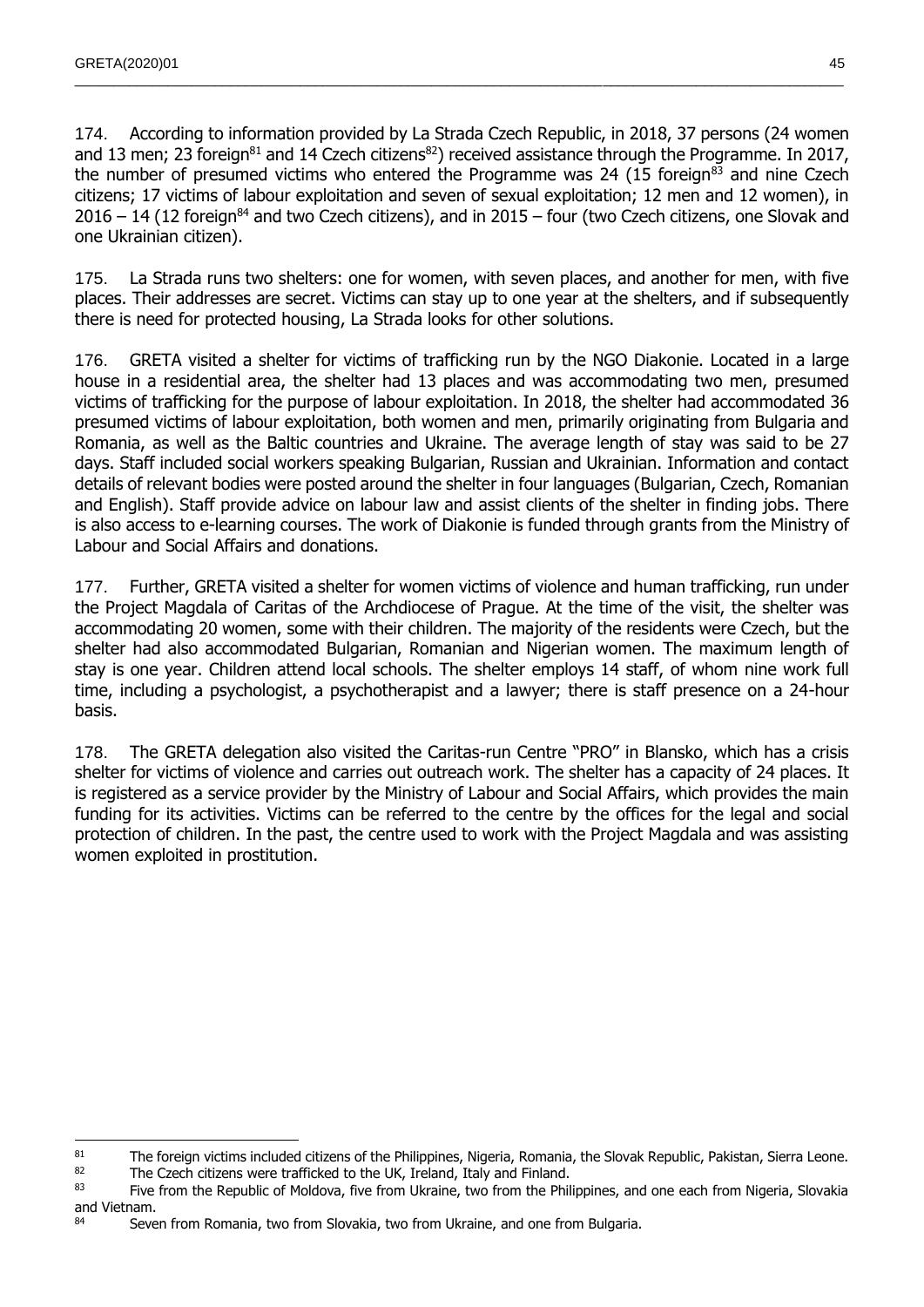$\overline{a}$ 

174. According to information provided by La Strada Czech Republic, in 2018, 37 persons (24 women and 13 men; 23 foreign<sup>81</sup> and 14 Czech citizens<sup>82</sup>) received assistance through the Programme. In 2017, the number of presumed victims who entered the Programme was 24 (15 foreign $^{83}$  and nine Czech citizens; 17 victims of labour exploitation and seven of sexual exploitation; 12 men and 12 women), in  $2016 - 14$  (12 foreign<sup>84</sup> and two Czech citizens), and in  $2015 -$  four (two Czech citizens, one Slovak and one Ukrainian citizen).

 $\_$  , and the state of the state of the state of the state of the state of the state of the state of the state of the state of the state of the state of the state of the state of the state of the state of the state of the

175. La Strada runs two shelters: one for women, with seven places, and another for men, with five places. Their addresses are secret. Victims can stay up to one year at the shelters, and if subsequently there is need for protected housing, La Strada looks for other solutions.

176. GRETA visited a shelter for victims of trafficking run by the NGO Diakonie. Located in a large house in a residential area, the shelter had 13 places and was accommodating two men, presumed victims of trafficking for the purpose of labour exploitation. In 2018, the shelter had accommodated 36 presumed victims of labour exploitation, both women and men, primarily originating from Bulgaria and Romania, as well as the Baltic countries and Ukraine. The average length of stay was said to be 27 days. Staff included social workers speaking Bulgarian, Russian and Ukrainian. Information and contact details of relevant bodies were posted around the shelter in four languages (Bulgarian, Czech, Romanian and English). Staff provide advice on labour law and assist clients of the shelter in finding jobs. There is also access to e-learning courses. The work of Diakonie is funded through grants from the Ministry of Labour and Social Affairs and donations.

177. Further, GRETA visited a shelter for women victims of violence and human trafficking, run under the Project Magdala of Caritas of the Archdiocese of Prague. At the time of the visit, the shelter was accommodating 20 women, some with their children. The majority of the residents were Czech, but the shelter had also accommodated Bulgarian, Romanian and Nigerian women. The maximum length of stay is one year. Children attend local schools. The shelter employs 14 staff, of whom nine work full time, including a psychologist, a psychotherapist and a lawyer; there is staff presence on a 24-hour basis.

178. The GRETA delegation also visited the Caritas-run Centre "PRO" in Blansko, which has a crisis shelter for victims of violence and carries out outreach work. The shelter has a capacity of 24 places. It is registered as a service provider by the Ministry of Labour and Social Affairs, which provides the main funding for its activities. Victims can be referred to the centre by the offices for the legal and social protection of children. In the past, the centre used to work with the Project Magdala and was assisting women exploited in prostitution.

<sup>&</sup>lt;sup>81</sup> The foreign victims included citizens of the Philippines, Nigeria, Romania, the Slovak Republic, Pakistan, Sierra Leone.<br><sup>82</sup> The Czech citizens were trafficked to the UK Ireland. Italy and Einland

<sup>&</sup>lt;sup>82</sup> The Czech citizens were trafficked to the UK, Ireland, Italy and Finland.<br><sup>83</sup> Five from the Republic of Moldova, five from Ukraine, two from the Philippines, and one each from Nigeria, Slovakia and Vietnam.

<sup>84</sup> Seven from Romania, two from Slovakia, two from Ukraine, and one from Bulgaria.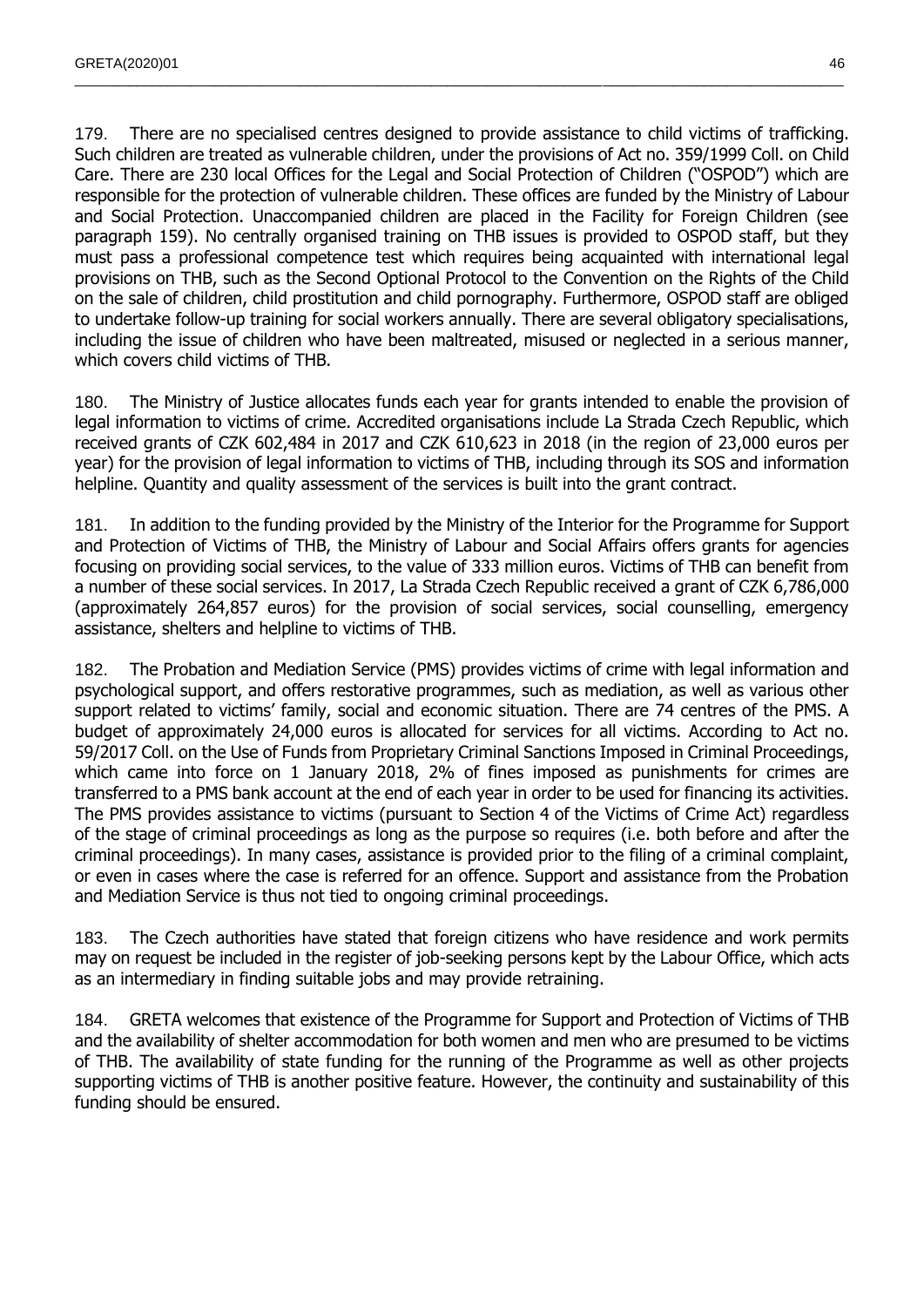179. There are no specialised centres designed to provide assistance to child victims of trafficking. Such children are treated as vulnerable children, under the provisions of Act no. 359/1999 Coll. on Child Care. There are 230 local Offices for the Legal and Social Protection of Children ("OSPOD") which are responsible for the protection of vulnerable children. These offices are funded by the Ministry of Labour and Social Protection. Unaccompanied children are placed in the Facility for Foreign Children (see paragraph 159). No centrally organised training on THB issues is provided to OSPOD staff, but they must pass a professional competence test which requires being acquainted with international legal provisions on THB, such as the Second Optional Protocol to the Convention on the Rights of the Child on the sale of children, child prostitution and child pornography. Furthermore, OSPOD staff are obliged to undertake follow-up training for social workers annually. There are several obligatory specialisations, including the issue of children who have been maltreated, misused or neglected in a serious manner, which covers child victims of THB.

 $\_$  , and the state of the state of the state of the state of the state of the state of the state of the state of the state of the state of the state of the state of the state of the state of the state of the state of the

180. The Ministry of Justice allocates funds each year for grants intended to enable the provision of legal information to victims of crime. Accredited organisations include La Strada Czech Republic, which received grants of CZK 602,484 in 2017 and CZK 610,623 in 2018 (in the region of 23,000 euros per year) for the provision of legal information to victims of THB, including through its SOS and information helpline. Quantity and quality assessment of the services is built into the grant contract.

181. In addition to the funding provided by the Ministry of the Interior for the Programme for Support and Protection of Victims of THB, the Ministry of Labour and Social Affairs offers grants for agencies focusing on providing social services, to the value of 333 million euros. Victims of THB can benefit from a number of these social services. In 2017, La Strada Czech Republic received a grant of CZK 6,786,000 (approximately 264,857 euros) for the provision of social services, social counselling, emergency assistance, shelters and helpline to victims of THB.

182. The Probation and Mediation Service (PMS) provides victims of crime with legal information and psychological support, and offers restorative programmes, such as mediation, as well as various other support related to victims' family, social and economic situation. There are 74 centres of the PMS. A budget of approximately 24,000 euros is allocated for services for all victims. According to Act no. 59/2017 Coll. on the Use of Funds from Proprietary Criminal Sanctions Imposed in Criminal Proceedings, which came into force on 1 January 2018, 2% of fines imposed as punishments for crimes are transferred to a PMS bank account at the end of each year in order to be used for financing its activities. The PMS provides assistance to victims (pursuant to Section 4 of the Victims of Crime Act) regardless of the stage of criminal proceedings as long as the purpose so requires (i.e. both before and after the criminal proceedings). In many cases, assistance is provided prior to the filing of a criminal complaint, or even in cases where the case is referred for an offence. Support and assistance from the Probation and Mediation Service is thus not tied to ongoing criminal proceedings.

183. The Czech authorities have stated that foreign citizens who have residence and work permits may on request be included in the register of job-seeking persons kept by the Labour Office, which acts as an intermediary in finding suitable jobs and may provide retraining.

184. GRETA welcomes that existence of the Programme for Support and Protection of Victims of THB and the availability of shelter accommodation for both women and men who are presumed to be victims of THB. The availability of state funding for the running of the Programme as well as other projects supporting victims of THB is another positive feature. However, the continuity and sustainability of this funding should be ensured.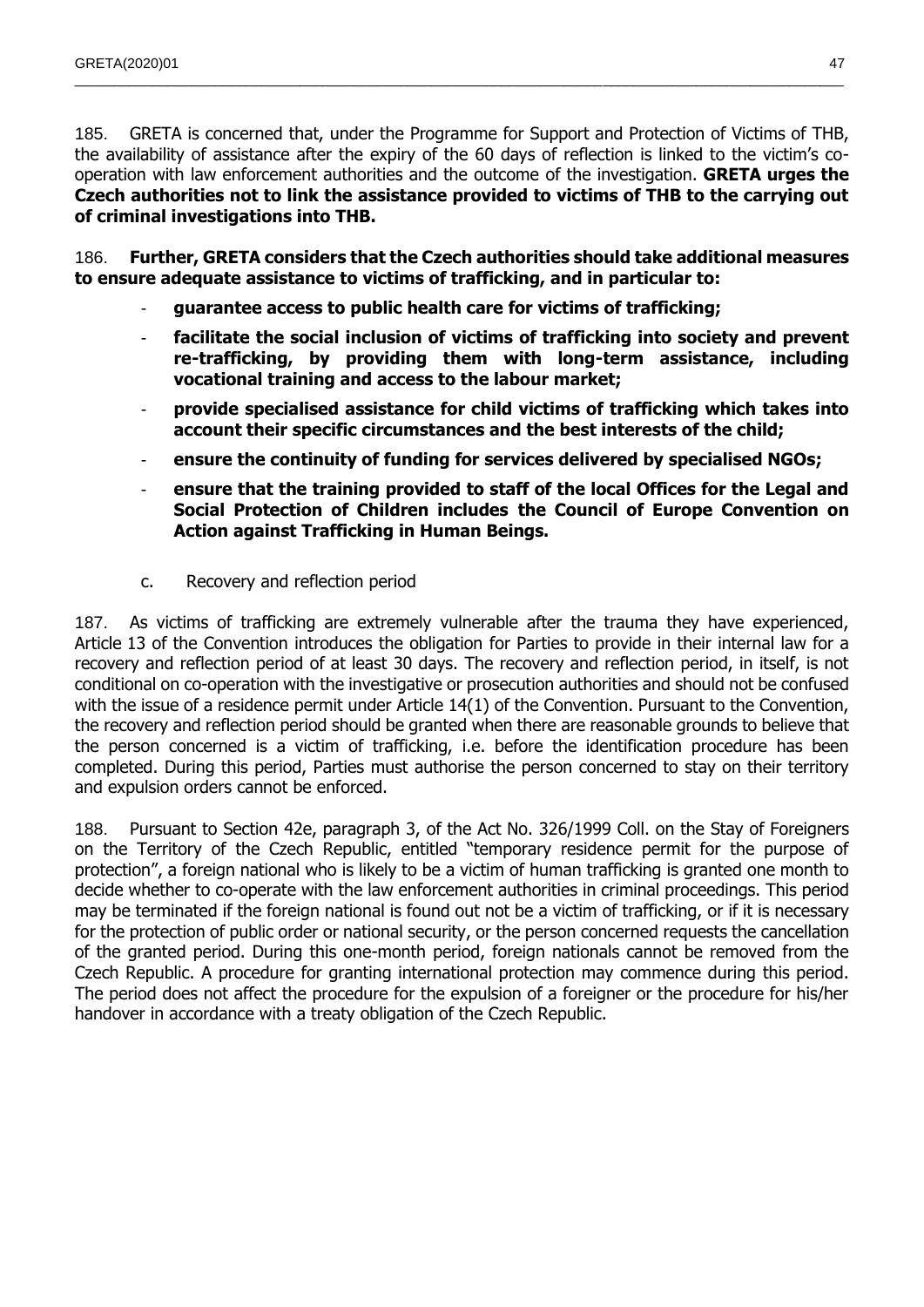185. GRETA is concerned that, under the Programme for Support and Protection of Victims of THB, the availability of assistance after the expiry of the 60 days of reflection is linked to the victim's cooperation with law enforcement authorities and the outcome of the investigation. **GRETA urges the Czech authorities not to link the assistance provided to victims of THB to the carrying out of criminal investigations into THB.** 

 $\_$  , and the state of the state of the state of the state of the state of the state of the state of the state of the state of the state of the state of the state of the state of the state of the state of the state of the

186. **Further, GRETA considers that the Czech authorities should take additional measures to ensure adequate assistance to victims of trafficking, and in particular to:**

- **guarantee access to public health care for victims of trafficking;**
- **facilitate the social inclusion of victims of trafficking into society and prevent re-trafficking, by providing them with long-term assistance, including vocational training and access to the labour market;**
- **provide specialised assistance for child victims of trafficking which takes into account their specific circumstances and the best interests of the child;**
- ensure the continuity of funding for services delivered by specialised NGOs;
- **ensure that the training provided to staff of the local Offices for the Legal and Social Protection of Children includes the Council of Europe Convention on Action against Trafficking in Human Beings.**
- c. Recovery and reflection period

187. As victims of trafficking are extremely vulnerable after the trauma they have experienced, Article 13 of the Convention introduces the obligation for Parties to provide in their internal law for a recovery and reflection period of at least 30 days. The recovery and reflection period, in itself, is not conditional on co-operation with the investigative or prosecution authorities and should not be confused with the issue of a residence permit under Article 14(1) of the Convention. Pursuant to the Convention, the recovery and reflection period should be granted when there are reasonable grounds to believe that the person concerned is a victim of trafficking, i.e. before the identification procedure has been completed. During this period, Parties must authorise the person concerned to stay on their territory and expulsion orders cannot be enforced.

188. Pursuant to Section 42e, paragraph 3, of the Act No. 326/1999 Coll. on the Stay of Foreigners on the Territory of the Czech Republic, entitled "temporary residence permit for the purpose of protection", a foreign national who is likely to be a victim of human trafficking is granted one month to decide whether to co-operate with the law enforcement authorities in criminal proceedings. This period may be terminated if the foreign national is found out not be a victim of trafficking, or if it is necessary for the protection of public order or national security, or the person concerned requests the cancellation of the granted period. During this one-month period, foreign nationals cannot be removed from the Czech Republic. A procedure for granting international protection may commence during this period. The period does not affect the procedure for the expulsion of a foreigner or the procedure for his/her handover in accordance with a treaty obligation of the Czech Republic.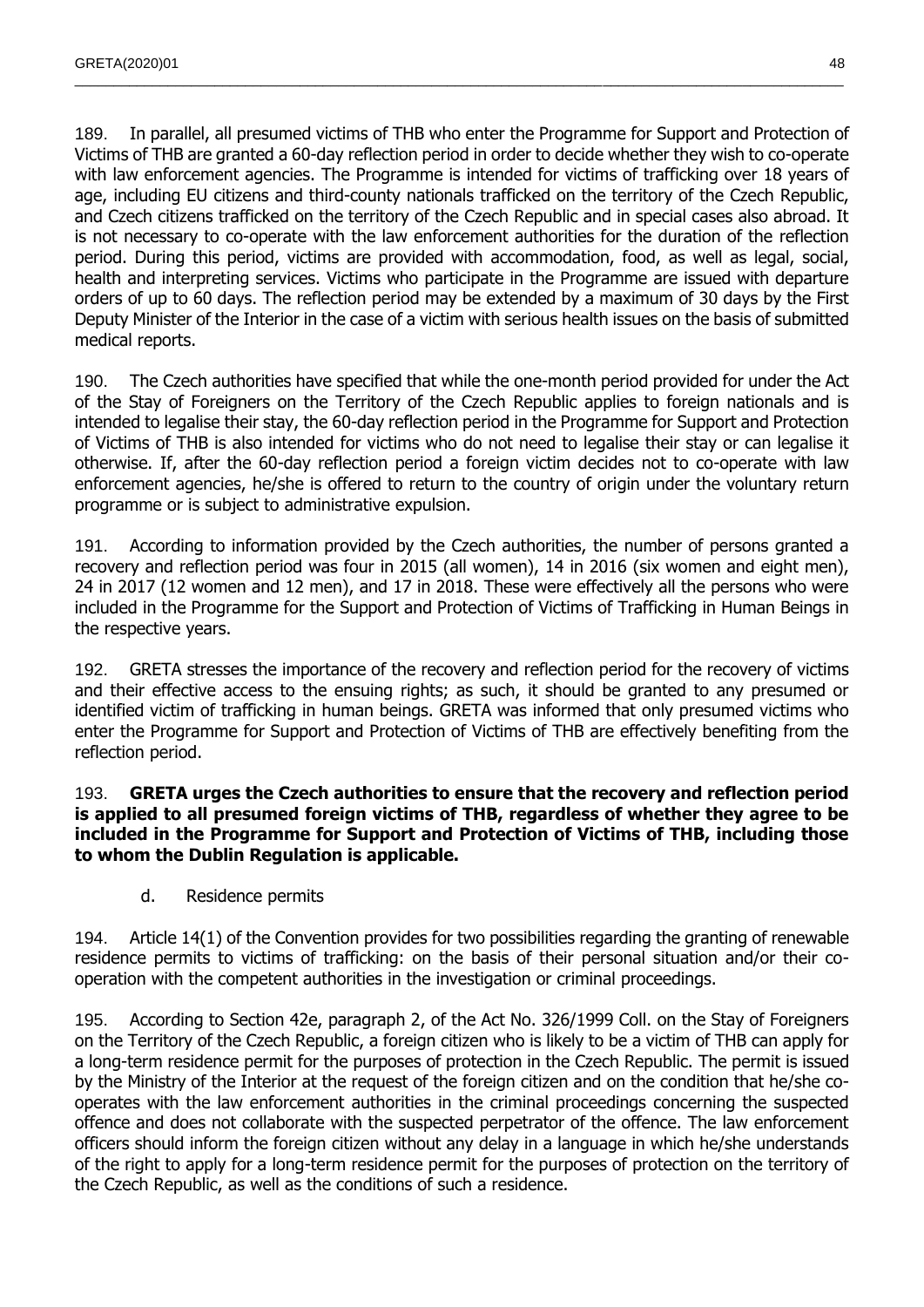189. In parallel, all presumed victims of THB who enter the Programme for Support and Protection of Victims of THB are granted a 60-day reflection period in order to decide whether they wish to co-operate with law enforcement agencies. The Programme is intended for victims of trafficking over 18 years of age, including EU citizens and third-county nationals trafficked on the territory of the Czech Republic, and Czech citizens trafficked on the territory of the Czech Republic and in special cases also abroad. It is not necessary to co-operate with the law enforcement authorities for the duration of the reflection period. During this period, victims are provided with accommodation, food, as well as legal, social, health and interpreting services. Victims who participate in the Programme are issued with departure orders of up to 60 days. The reflection period may be extended by a maximum of 30 days by the First Deputy Minister of the Interior in the case of a victim with serious health issues on the basis of submitted medical reports.

 $\_$  , and the state of the state of the state of the state of the state of the state of the state of the state of the state of the state of the state of the state of the state of the state of the state of the state of the

190. The Czech authorities have specified that while the one-month period provided for under the Act of the Stay of Foreigners on the Territory of the Czech Republic applies to foreign nationals and is intended to legalise their stay, the 60-day reflection period in the Programme for Support and Protection of Victims of THB is also intended for victims who do not need to legalise their stay or can legalise it otherwise. If, after the 60-day reflection period a foreign victim decides not to co-operate with law enforcement agencies, he/she is offered to return to the country of origin under the voluntary return programme or is subject to administrative expulsion.

191. According to information provided by the Czech authorities, the number of persons granted a recovery and reflection period was four in 2015 (all women), 14 in 2016 (six women and eight men), 24 in 2017 (12 women and 12 men), and 17 in 2018. These were effectively all the persons who were included in the Programme for the Support and Protection of Victims of Trafficking in Human Beings in the respective years.

192. GRETA stresses the importance of the recovery and reflection period for the recovery of victims and their effective access to the ensuing rights; as such, it should be granted to any presumed or identified victim of trafficking in human beings. GRETA was informed that only presumed victims who enter the Programme for Support and Protection of Victims of THB are effectively benefiting from the reflection period.

## 193. **GRETA urges the Czech authorities to ensure that the recovery and reflection period is applied to all presumed foreign victims of THB, regardless of whether they agree to be included in the Programme for Support and Protection of Victims of THB, including those to whom the Dublin Regulation is applicable.**

d. Residence permits

194. Article 14(1) of the Convention provides for two possibilities regarding the granting of renewable residence permits to victims of trafficking: on the basis of their personal situation and/or their cooperation with the competent authorities in the investigation or criminal proceedings.

195. According to Section 42e, paragraph 2, of the Act No. 326/1999 Coll. on the Stay of Foreigners on the Territory of the Czech Republic, a foreign citizen who is likely to be a victim of THB can apply for a long-term residence permit for the purposes of protection in the Czech Republic. The permit is issued by the Ministry of the Interior at the request of the foreign citizen and on the condition that he/she cooperates with the law enforcement authorities in the criminal proceedings concerning the suspected offence and does not collaborate with the suspected perpetrator of the offence. The law enforcement officers should inform the foreign citizen without any delay in a language in which he/she understands of the right to apply for a long-term residence permit for the purposes of protection on the territory of the Czech Republic, as well as the conditions of such a residence.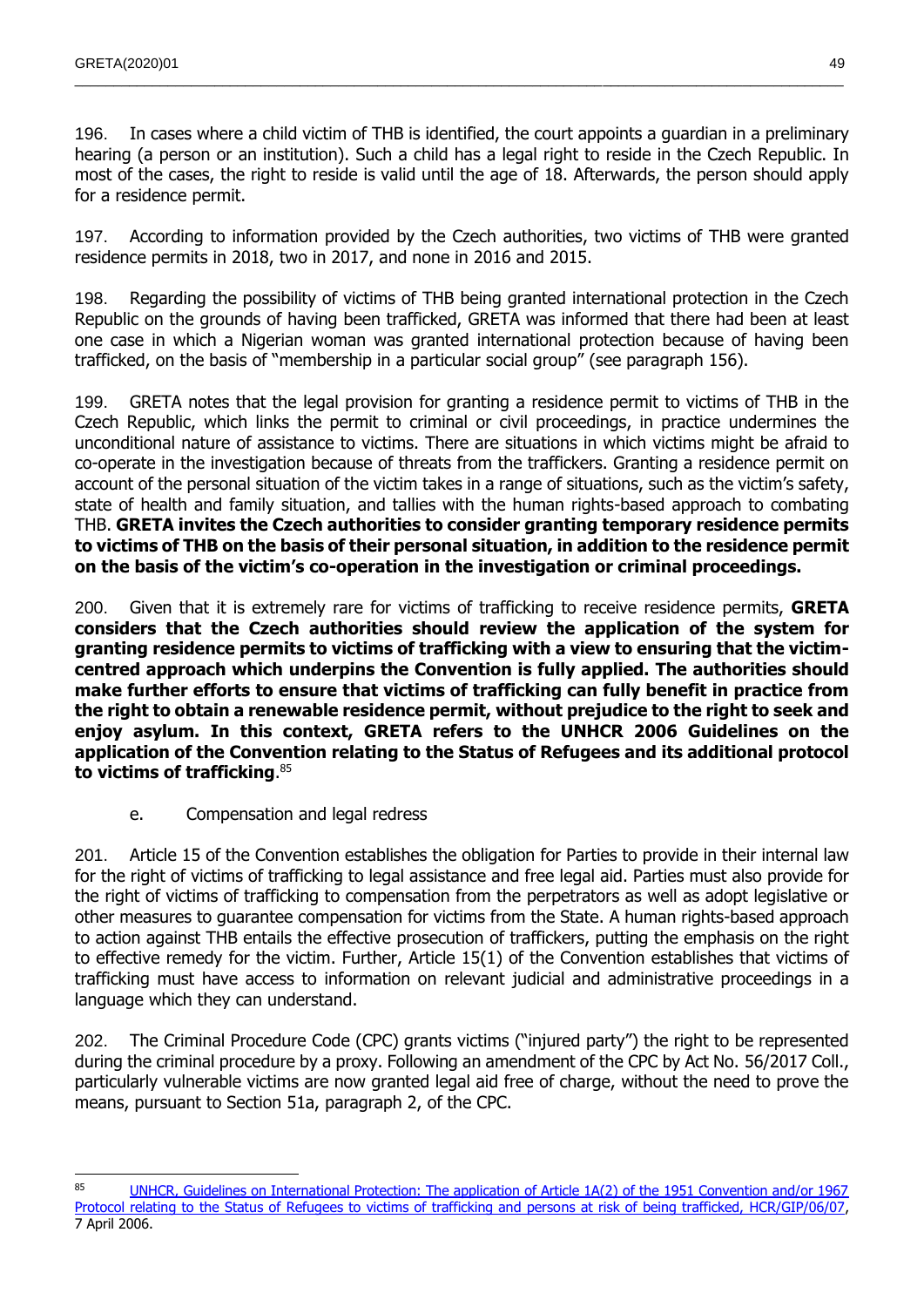196. In cases where a child victim of THB is identified, the court appoints a guardian in a preliminary hearing (a person or an institution). Such a child has a legal right to reside in the Czech Republic. In most of the cases, the right to reside is valid until the age of 18. Afterwards, the person should apply for a residence permit.

 $\_$  , and the state of the state of the state of the state of the state of the state of the state of the state of the state of the state of the state of the state of the state of the state of the state of the state of the

197. According to information provided by the Czech authorities, two victims of THB were granted residence permits in 2018, two in 2017, and none in 2016 and 2015.

198. Regarding the possibility of victims of THB being granted international protection in the Czech Republic on the grounds of having been trafficked, GRETA was informed that there had been at least one case in which a Nigerian woman was granted international protection because of having been trafficked, on the basis of "membership in a particular social group" (see paragraph 156).

199. GRETA notes that the legal provision for granting a residence permit to victims of THB in the Czech Republic, which links the permit to criminal or civil proceedings, in practice undermines the unconditional nature of assistance to victims. There are situations in which victims might be afraid to co-operate in the investigation because of threats from the traffickers. Granting a residence permit on account of the personal situation of the victim takes in a range of situations, such as the victim's safety, state of health and family situation, and tallies with the human rights-based approach to combating THB. **GRETA invites the Czech authorities to consider granting temporary residence permits to victims of THB on the basis of their personal situation, in addition to the residence permit on the basis of the victim's co-operation in the investigation or criminal proceedings.**

200. Given that it is extremely rare for victims of trafficking to receive residence permits, **GRETA considers that the Czech authorities should review the application of the system for granting residence permits to victims of trafficking with a view to ensuring that the victimcentred approach which underpins the Convention is fully applied. The authorities should make further efforts to ensure that victims of trafficking can fully benefit in practice from the right to obtain a renewable residence permit, without prejudice to the right to seek and enjoy asylum. In this context, GRETA refers to the UNHCR 2006 Guidelines on the application of the Convention relating to the Status of Refugees and its additional protocol to victims of trafficking**. 85

e. Compensation and legal redress

201. Article 15 of the Convention establishes the obligation for Parties to provide in their internal law for the right of victims of trafficking to legal assistance and free legal aid. Parties must also provide for the right of victims of trafficking to compensation from the perpetrators as well as adopt legislative or other measures to guarantee compensation for victims from the State. A human rights-based approach to action against THB entails the effective prosecution of traffickers, putting the emphasis on the right to effective remedy for the victim. Further, Article 15(1) of the Convention establishes that victims of trafficking must have access to information on relevant judicial and administrative proceedings in a language which they can understand.

202. The Criminal Procedure Code (CPC) grants victims ("injured party") the right to be represented during the criminal procedure by a proxy. Following an amendment of the CPC by Act No. 56/2017 Coll., particularly vulnerable victims are now granted legal aid free of charge, without the need to prove the means, pursuant to Section 51a, paragraph 2, of the CPC.

<sup>85</sup> UNHCR, Guidelines on International Protection: The application of Article 1A(2) of the 1951 Convention and/or 1967 [Protocol relating to the Status of Refugees to victims of trafficking and persons at risk of being trafficked, HCR/GIP/06/07,](http://www.unhcr.org/publ/PUBL/443b626b2.pdf) 7 April 2006.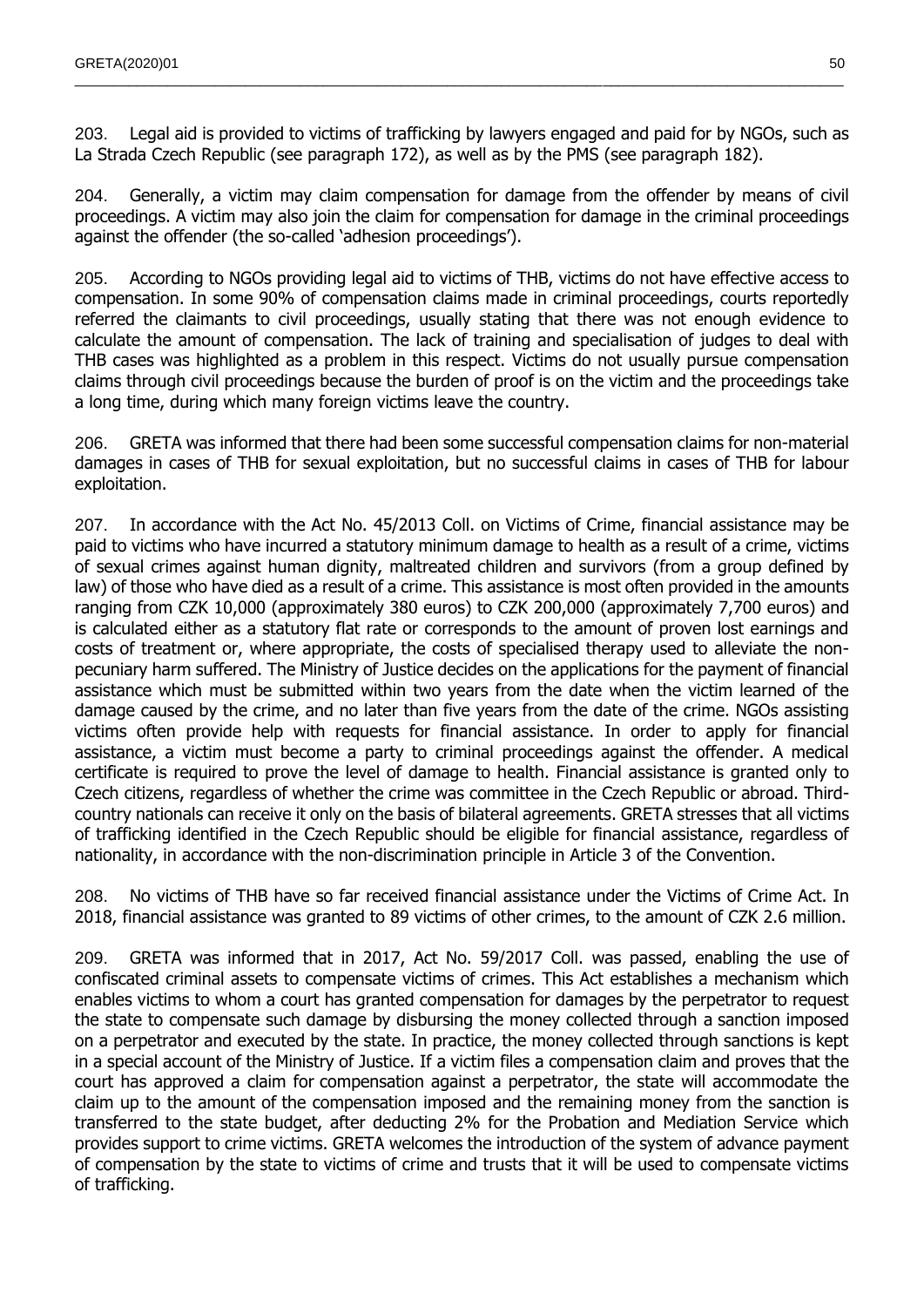203. Legal aid is provided to victims of trafficking by lawyers engaged and paid for by NGOs, such as La Strada Czech Republic (see paragraph 172), as well as by the PMS (see paragraph 182).

 $\_$  , and the state of the state of the state of the state of the state of the state of the state of the state of the state of the state of the state of the state of the state of the state of the state of the state of the

204. Generally, a victim may claim compensation for damage from the offender by means of civil proceedings. A victim may also join the claim for compensation for damage in the criminal proceedings against the offender (the so-called 'adhesion proceedings').

205. According to NGOs providing legal aid to victims of THB, victims do not have effective access to compensation. In some 90% of compensation claims made in criminal proceedings, courts reportedly referred the claimants to civil proceedings, usually stating that there was not enough evidence to calculate the amount of compensation. The lack of training and specialisation of judges to deal with THB cases was highlighted as a problem in this respect. Victims do not usually pursue compensation claims through civil proceedings because the burden of proof is on the victim and the proceedings take a long time, during which many foreign victims leave the country.

206. GRETA was informed that there had been some successful compensation claims for non-material damages in cases of THB for sexual exploitation, but no successful claims in cases of THB for labour exploitation.

207. In accordance with the Act No. 45/2013 Coll. on Victims of Crime, financial assistance may be paid to victims who have incurred a statutory minimum damage to health as a result of a crime, victims of sexual crimes against human dignity, maltreated children and survivors (from a group defined by law) of those who have died as a result of a crime. This assistance is most often provided in the amounts ranging from CZK 10,000 (approximately 380 euros) to CZK 200,000 (approximately 7,700 euros) and is calculated either as a statutory flat rate or corresponds to the amount of proven lost earnings and costs of treatment or, where appropriate, the costs of specialised therapy used to alleviate the nonpecuniary harm suffered. The Ministry of Justice decides on the applications for the payment of financial assistance which must be submitted within two years from the date when the victim learned of the damage caused by the crime, and no later than five years from the date of the crime. NGOs assisting victims often provide help with requests for financial assistance. In order to apply for financial assistance, a victim must become a party to criminal proceedings against the offender. A medical certificate is required to prove the level of damage to health. Financial assistance is granted only to Czech citizens, regardless of whether the crime was committee in the Czech Republic or abroad. Thirdcountry nationals can receive it only on the basis of bilateral agreements. GRETA stresses that all victims of trafficking identified in the Czech Republic should be eligible for financial assistance, regardless of nationality, in accordance with the non-discrimination principle in Article 3 of the Convention.

208. No victims of THB have so far received financial assistance under the Victims of Crime Act. In 2018, financial assistance was granted to 89 victims of other crimes, to the amount of CZK 2.6 million.

209. GRETA was informed that in 2017, Act No. 59/2017 Coll. was passed, enabling the use of confiscated criminal assets to compensate victims of crimes. This Act establishes a mechanism which enables victims to whom a court has granted compensation for damages by the perpetrator to request the state to compensate such damage by disbursing the money collected through a sanction imposed on a perpetrator and executed by the state. In practice, the money collected through sanctions is kept in a special account of the Ministry of Justice. If a victim files a compensation claim and proves that the court has approved a claim for compensation against a perpetrator, the state will accommodate the claim up to the amount of the compensation imposed and the remaining money from the sanction is transferred to the state budget, after deducting 2% for the Probation and Mediation Service which provides support to crime victims. GRETA welcomes the introduction of the system of advance payment of compensation by the state to victims of crime and trusts that it will be used to compensate victims of trafficking.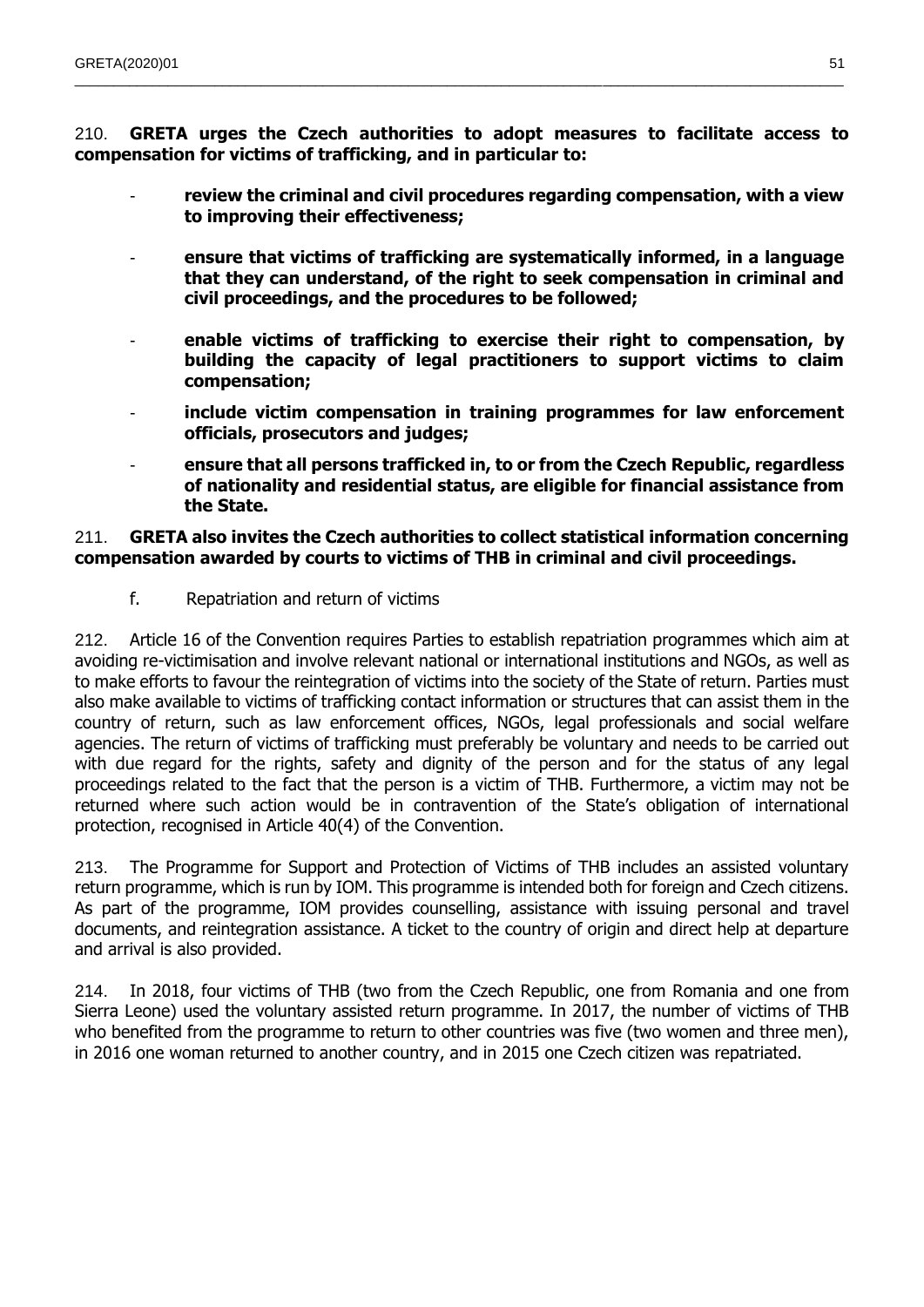210. **GRETA urges the Czech authorities to adopt measures to facilitate access to compensation for victims of trafficking, and in particular to:**

 $\_$  , and the state of the state of the state of the state of the state of the state of the state of the state of the state of the state of the state of the state of the state of the state of the state of the state of the

- review the criminal and civil procedures regarding compensation, with a view **to improving their effectiveness;**
- **ensure that victims of trafficking are systematically informed, in a language that they can understand, of the right to seek compensation in criminal and civil proceedings, and the procedures to be followed;**
- **enable victims of trafficking to exercise their right to compensation, by building the capacity of legal practitioners to support victims to claim compensation;**
- **include victim compensation in training programmes for law enforcement officials, prosecutors and judges;**
- **ensure that all persons trafficked in, to or from the Czech Republic, regardless of nationality and residential status, are eligible for financial assistance from the State.**

## 211. **GRETA also invites the Czech authorities to collect statistical information concerning compensation awarded by courts to victims of THB in criminal and civil proceedings.**

f. Repatriation and return of victims

212. Article 16 of the Convention requires Parties to establish repatriation programmes which aim at avoiding re-victimisation and involve relevant national or international institutions and NGOs, as well as to make efforts to favour the reintegration of victims into the society of the State of return. Parties must also make available to victims of trafficking contact information or structures that can assist them in the country of return, such as law enforcement offices, NGOs, legal professionals and social welfare agencies. The return of victims of trafficking must preferably be voluntary and needs to be carried out with due regard for the rights, safety and dignity of the person and for the status of any legal proceedings related to the fact that the person is a victim of THB. Furthermore, a victim may not be returned where such action would be in contravention of the State's obligation of international protection, recognised in Article 40(4) of the Convention.

213. The Programme for Support and Protection of Victims of THB includes an assisted voluntary return programme, which is run by IOM. This programme is intended both for foreign and Czech citizens. As part of the programme, IOM provides counselling, assistance with issuing personal and travel documents, and reintegration assistance. A ticket to the country of origin and direct help at departure and arrival is also provided.

214. In 2018, four victims of THB (two from the Czech Republic, one from Romania and one from Sierra Leone) used the voluntary assisted return programme. In 2017, the number of victims of THB who benefited from the programme to return to other countries was five (two women and three men), in 2016 one woman returned to another country, and in 2015 one Czech citizen was repatriated.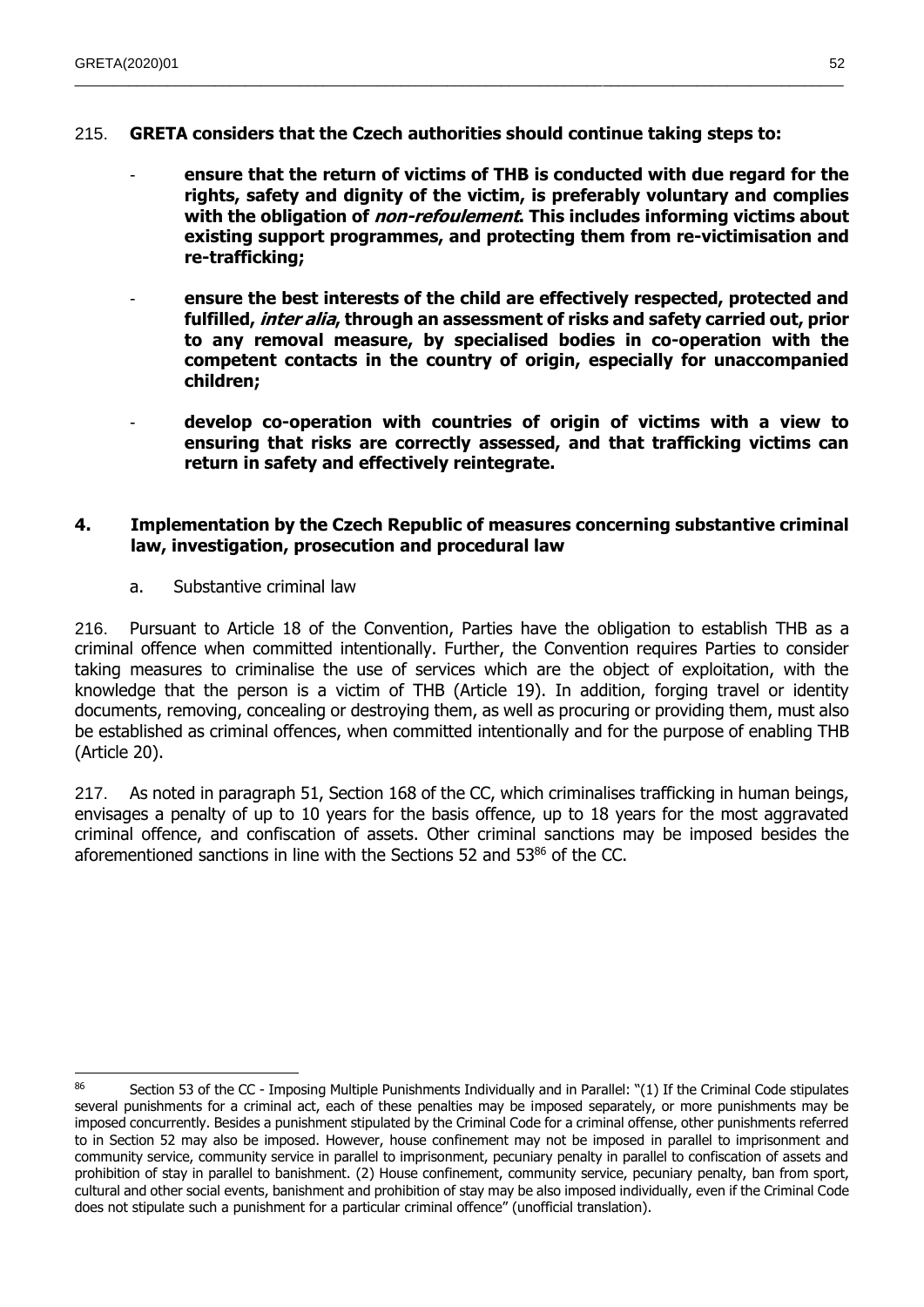215. **GRETA considers that the Czech authorities should continue taking steps to:**

 $\_$  , and the state of the state of the state of the state of the state of the state of the state of the state of the state of the state of the state of the state of the state of the state of the state of the state of the

- **ensure that the return of victims of THB is conducted with due regard for the rights, safety and dignity of the victim, is preferably voluntary and complies with the obligation of non-refoulement. This includes informing victims about existing support programmes, and protecting them from re-victimisation and re-trafficking;**
- **ensure the best interests of the child are effectively respected, protected and fulfilled, inter alia, through an assessment of risks and safety carried out, prior to any removal measure, by specialised bodies in co-operation with the competent contacts in the country of origin, especially for unaccompanied children;**
- **develop co-operation with countries of origin of victims with a view to ensuring that risks are correctly assessed, and that trafficking victims can return in safety and effectively reintegrate.**

## **4. Implementation by the Czech Republic of measures concerning substantive criminal law, investigation, prosecution and procedural law**

a. Substantive criminal law

216. Pursuant to Article 18 of the Convention, Parties have the obligation to establish THB as a criminal offence when committed intentionally. Further, the Convention requires Parties to consider taking measures to criminalise the use of services which are the object of exploitation, with the knowledge that the person is a victim of THB (Article 19). In addition, forging travel or identity documents, removing, concealing or destroying them, as well as procuring or providing them, must also be established as criminal offences, when committed intentionally and for the purpose of enabling THB (Article 20).

217. As noted in paragraph 51, Section 168 of the CC, which criminalises trafficking in human beings, envisages a penalty of up to 10 years for the basis offence, up to 18 years for the most aggravated criminal offence, and confiscation of assets. Other criminal sanctions may be imposed besides the aforementioned sanctions in line with the Sections 52 and 53<sup>86</sup> of the CC.

 $\overline{a}$ 86 Section 53 of the CC - Imposing Multiple Punishments Individually and in Parallel: "(1) If the Criminal Code stipulates several punishments for a criminal act, each of these penalties may be imposed separately, or more punishments may be imposed concurrently. Besides a punishment stipulated by the Criminal Code for a criminal offense, other punishments referred to in Section 52 may also be imposed. However, house confinement may not be imposed in parallel to imprisonment and community service, community service in parallel to imprisonment, pecuniary penalty in parallel to confiscation of assets and prohibition of stay in parallel to banishment. (2) House confinement, community service, pecuniary penalty, ban from sport, cultural and other social events, banishment and prohibition of stay may be also imposed individually, even if the Criminal Code does not stipulate such a punishment for a particular criminal offence" (unofficial translation).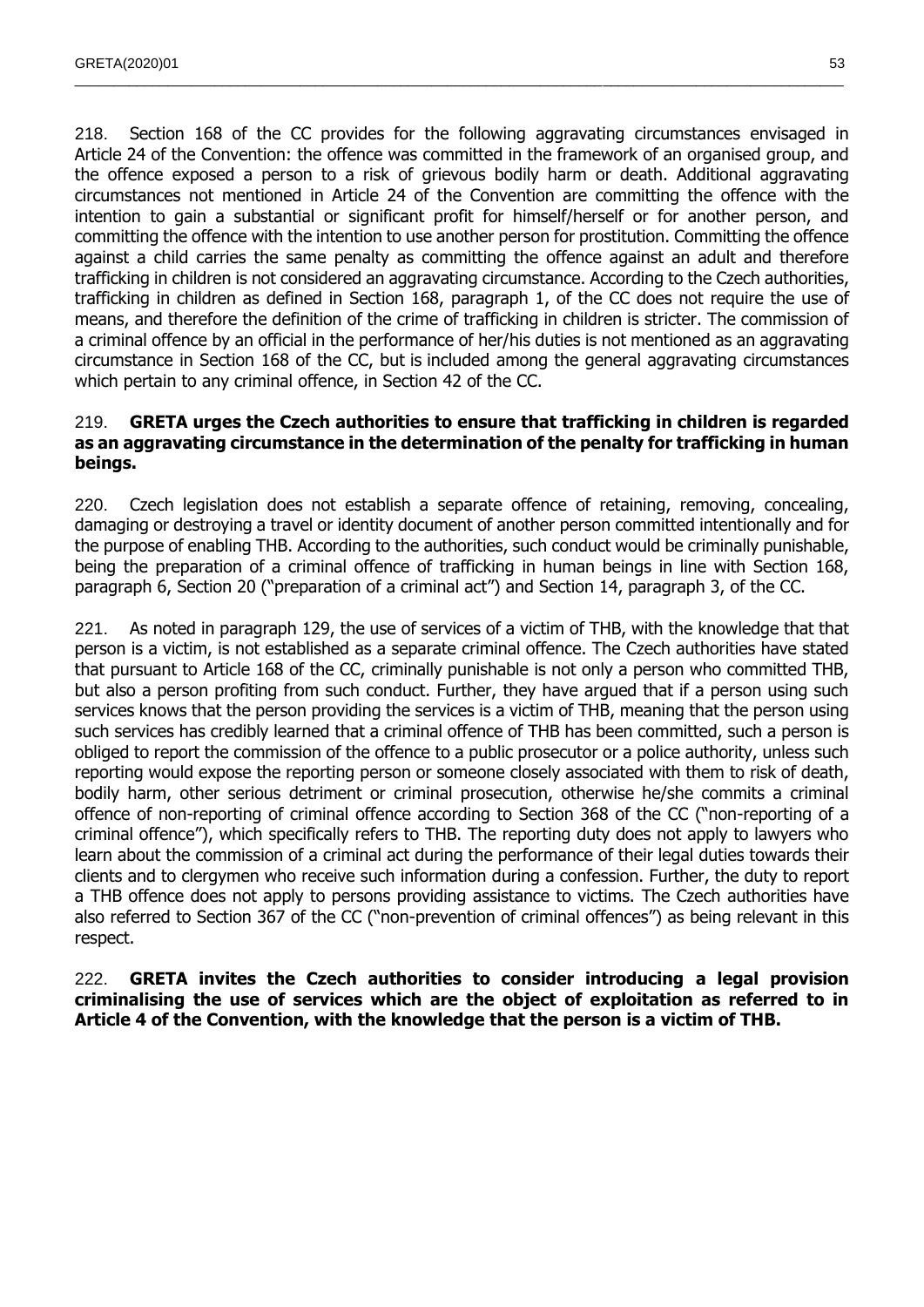218. Section 168 of the CC provides for the following aggravating circumstances envisaged in Article 24 of the Convention: the offence was committed in the framework of an organised group, and the offence exposed a person to a risk of grievous bodily harm or death. Additional aggravating circumstances not mentioned in Article 24 of the Convention are committing the offence with the intention to gain a substantial or significant profit for himself/herself or for another person, and committing the offence with the intention to use another person for prostitution. Committing the offence against a child carries the same penalty as committing the offence against an adult and therefore trafficking in children is not considered an aggravating circumstance. According to the Czech authorities, trafficking in children as defined in Section 168, paragraph 1, of the CC does not require the use of means, and therefore the definition of the crime of trafficking in children is stricter. The commission of a criminal offence by an official in the performance of her/his duties is not mentioned as an aggravating circumstance in Section 168 of the CC, but is included among the general aggravating circumstances which pertain to any criminal offence, in Section 42 of the CC.

 $\_$  , and the state of the state of the state of the state of the state of the state of the state of the state of the state of the state of the state of the state of the state of the state of the state of the state of the

## 219. **GRETA urges the Czech authorities to ensure that trafficking in children is regarded as an aggravating circumstance in the determination of the penalty for trafficking in human beings.**

220. Czech legislation does not establish a separate offence of retaining, removing, concealing, damaging or destroying a travel or identity document of another person committed intentionally and for the purpose of enabling THB. According to the authorities, such conduct would be criminally punishable, being the preparation of a criminal offence of trafficking in human beings in line with Section 168, paragraph 6, Section 20 ("preparation of a criminal act") and Section 14, paragraph 3, of the CC.

221. As noted in paragraph 129, the use of services of a victim of THB, with the knowledge that that person is a victim, is not established as a separate criminal offence. The Czech authorities have stated that pursuant to Article 168 of the CC, criminally punishable is not only a person who committed THB, but also a person profiting from such conduct. Further, they have argued that if a person using such services knows that the person providing the services is a victim of THB, meaning that the person using such services has credibly learned that a criminal offence of THB has been committed, such a person is obliged to report the commission of the offence to a public prosecutor or a police authority, unless such reporting would expose the reporting person or someone closely associated with them to risk of death, bodily harm, other serious detriment or criminal prosecution, otherwise he/she commits a criminal offence of non-reporting of criminal offence according to Section 368 of the CC ("non-reporting of a criminal offence"), which specifically refers to THB. The reporting duty does not apply to lawyers who learn about the commission of a criminal act during the performance of their legal duties towards their clients and to clergymen who receive such information during a confession. Further, the duty to report a THB offence does not apply to persons providing assistance to victims. The Czech authorities have also referred to Section 367 of the CC ("non-prevention of criminal offences") as being relevant in this respect.

222. **GRETA invites the Czech authorities to consider introducing a legal provision criminalising the use of services which are the object of exploitation as referred to in Article 4 of the Convention, with the knowledge that the person is a victim of THB.**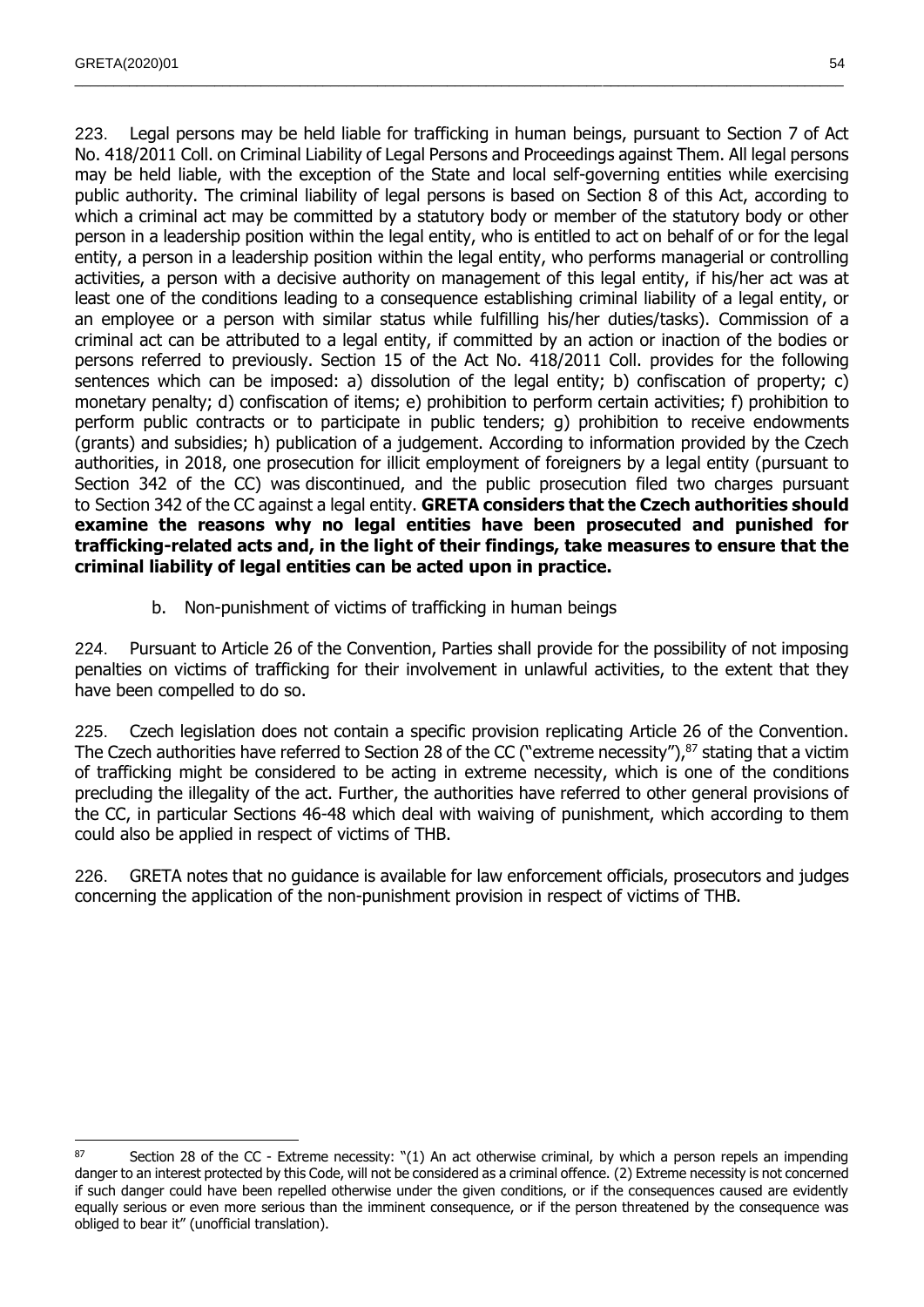$\overline{a}$ 

223. Legal persons may be held liable for trafficking in human beings, pursuant to Section 7 of Act No. 418/2011 Coll. on Criminal Liability of Legal Persons and Proceedings against Them. All legal persons may be held liable, with the exception of the State and local self-governing entities while exercising public authority. The criminal liability of legal persons is based on Section 8 of this Act, according to which a criminal act may be committed by a statutory body or member of the statutory body or other person in a leadership position within the legal entity, who is entitled to act on behalf of or for the legal entity, a person in a leadership position within the legal entity, who performs managerial or controlling activities, a person with a decisive authority on management of this legal entity, if his/her act was at least one of the conditions leading to a consequence establishing criminal liability of a legal entity, or an employee or a person with similar status while fulfilling his/her duties/tasks). Commission of a criminal act can be attributed to a legal entity, if committed by an action or inaction of the bodies or persons referred to previously. Section 15 of the Act No. 418/2011 Coll. provides for the following sentences which can be imposed: a) dissolution of the legal entity; b) confiscation of property; c) monetary penalty; d) confiscation of items; e) prohibition to perform certain activities; f) prohibition to perform public contracts or to participate in public tenders; g) prohibition to receive endowments (grants) and subsidies; h) publication of a judgement. According to information provided by the Czech authorities, in 2018, one prosecution for illicit employment of foreigners by a legal entity (pursuant to Section 342 of the CC) was discontinued, and the public prosecution filed two charges pursuant to Section 342 of the CC against a legal entity. **GRETA considers that the Czech authorities should examine the reasons why no legal entities have been prosecuted and punished for trafficking-related acts and, in the light of their findings, take measures to ensure that the criminal liability of legal entities can be acted upon in practice.**

 $\_$  , and the state of the state of the state of the state of the state of the state of the state of the state of the state of the state of the state of the state of the state of the state of the state of the state of the

b. Non-punishment of victims of trafficking in human beings

224. Pursuant to Article 26 of the Convention, Parties shall provide for the possibility of not imposing penalties on victims of trafficking for their involvement in unlawful activities, to the extent that they have been compelled to do so.

225. Czech legislation does not contain a specific provision replicating Article 26 of the Convention. The Czech authorities have referred to Section 28 of the CC ("extreme necessity"), $87$  stating that a victim of trafficking might be considered to be acting in extreme necessity, which is one of the conditions precluding the illegality of the act. Further, the authorities have referred to other general provisions of the CC, in particular Sections 46-48 which deal with waiving of punishment, which according to them could also be applied in respect of victims of THB.

226. GRETA notes that no guidance is available for law enforcement officials, prosecutors and judges concerning the application of the non-punishment provision in respect of victims of THB.

<sup>87</sup> Section 28 of the CC - Extreme necessity: "(1) An act otherwise criminal, by which a person repels an impending danger to an interest protected by this Code, will not be considered as a criminal offence. (2) Extreme necessity is not concerned if such danger could have been repelled otherwise under the given conditions, or if the consequences caused are evidently equally serious or even more serious than the imminent consequence, or if the person threatened by the consequence was obliged to bear it" (unofficial translation).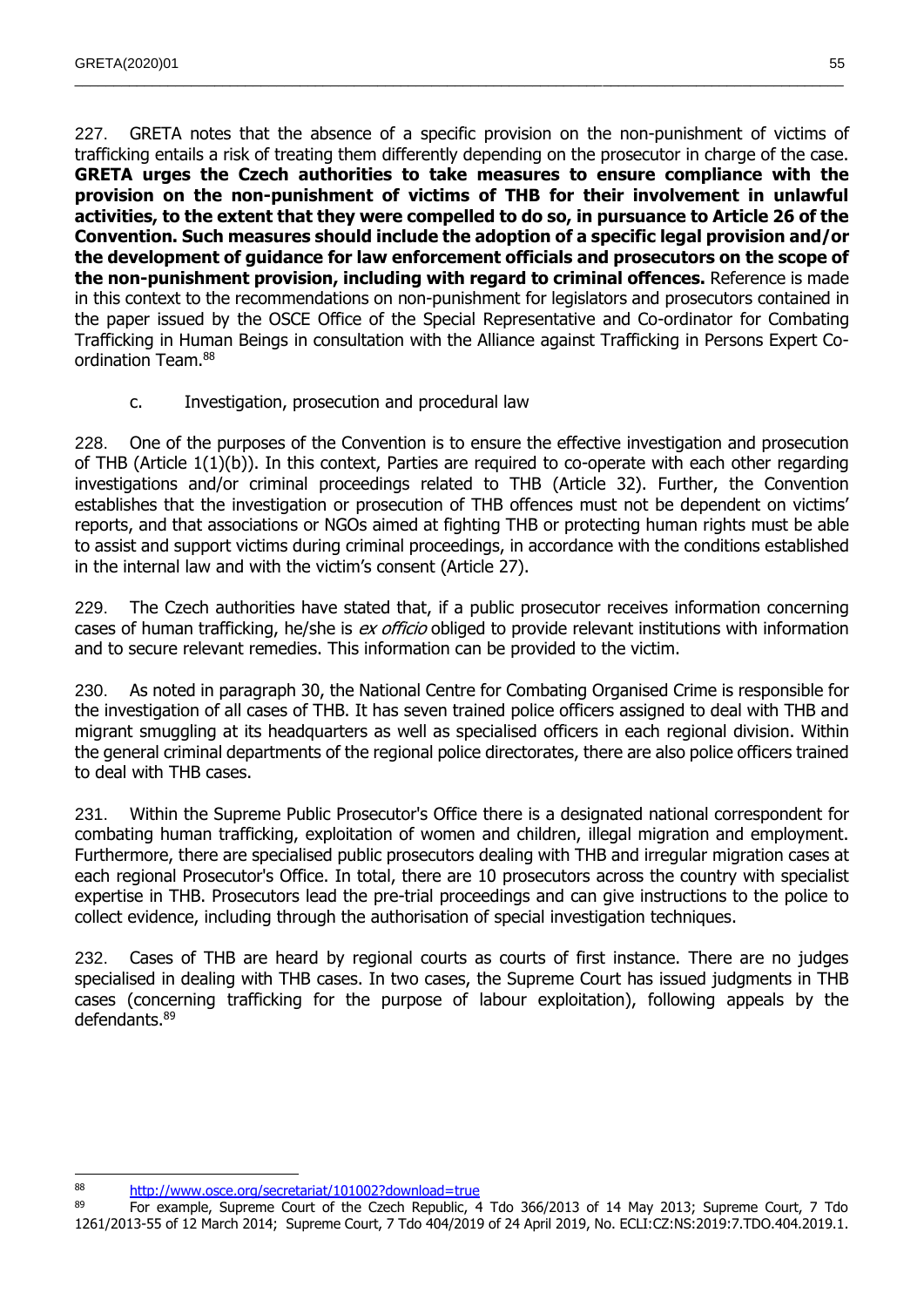227. GRETA notes that the absence of a specific provision on the non-punishment of victims of trafficking entails a risk of treating them differently depending on the prosecutor in charge of the case. **GRETA urges the Czech authorities to take measures to ensure compliance with the provision on the non-punishment of victims of THB for their involvement in unlawful activities, to the extent that they were compelled to do so, in pursuance to Article 26 of the Convention. Such measures should include the adoption of a specific legal provision and/or the development of guidance for law enforcement officials and prosecutors on the scope of the non-punishment provision, including with regard to criminal offences.** Reference is made in this context to the recommendations on non-punishment for legislators and prosecutors contained in the paper issued by the OSCE Office of the Special Representative and Co-ordinator for Combating Trafficking in Human Beings in consultation with the Alliance against Trafficking in Persons Expert Coordination Team.<sup>88</sup>

 $\_$  , and the state of the state of the state of the state of the state of the state of the state of the state of the state of the state of the state of the state of the state of the state of the state of the state of the

## c. Investigation, prosecution and procedural law

228. One of the purposes of the Convention is to ensure the effective investigation and prosecution of THB (Article 1(1)(b)). In this context, Parties are required to co-operate with each other regarding investigations and/or criminal proceedings related to THB (Article 32). Further, the Convention establishes that the investigation or prosecution of THB offences must not be dependent on victims' reports, and that associations or NGOs aimed at fighting THB or protecting human rights must be able to assist and support victims during criminal proceedings, in accordance with the conditions established in the internal law and with the victim's consent (Article 27).

229. The Czech authorities have stated that, if a public prosecutor receives information concerning cases of human trafficking, he/she is ex officio obliged to provide relevant institutions with information and to secure relevant remedies. This information can be provided to the victim.

230. As noted in paragraph 30, the National Centre for Combating Organised Crime is responsible for the investigation of all cases of THB. It has seven trained police officers assigned to deal with THB and migrant smuggling at its headquarters as well as specialised officers in each regional division. Within the general criminal departments of the regional police directorates, there are also police officers trained to deal with THB cases.

231. Within the Supreme Public Prosecutor's Office there is a designated national correspondent for combating human trafficking, exploitation of women and children, illegal migration and employment. Furthermore, there are specialised public prosecutors dealing with THB and irregular migration cases at each regional Prosecutor's Office. In total, there are 10 prosecutors across the country with specialist expertise in THB. Prosecutors lead the pre-trial proceedings and can give instructions to the police to collect evidence, including through the authorisation of special investigation techniques.

232. Cases of THB are heard by regional courts as courts of first instance. There are no judges specialised in dealing with THB cases. In two cases, the Supreme Court has issued judgments in THB cases (concerning trafficking for the purpose of labour exploitation), following appeals by the defendants.<sup>89</sup>

 88 <http://www.osce.org/secretariat/101002?download=true>

<sup>89</sup> For example, Supreme Court of the Czech Republic, 4 Tdo 366/2013 of 14 May 2013; Supreme Court, 7 Tdo 1261/2013-55 of 12 March 2014; Supreme Court, 7 Tdo 404/2019 of 24 April 2019, No. ECLI:CZ:NS:2019:7.TDO.404.2019.1.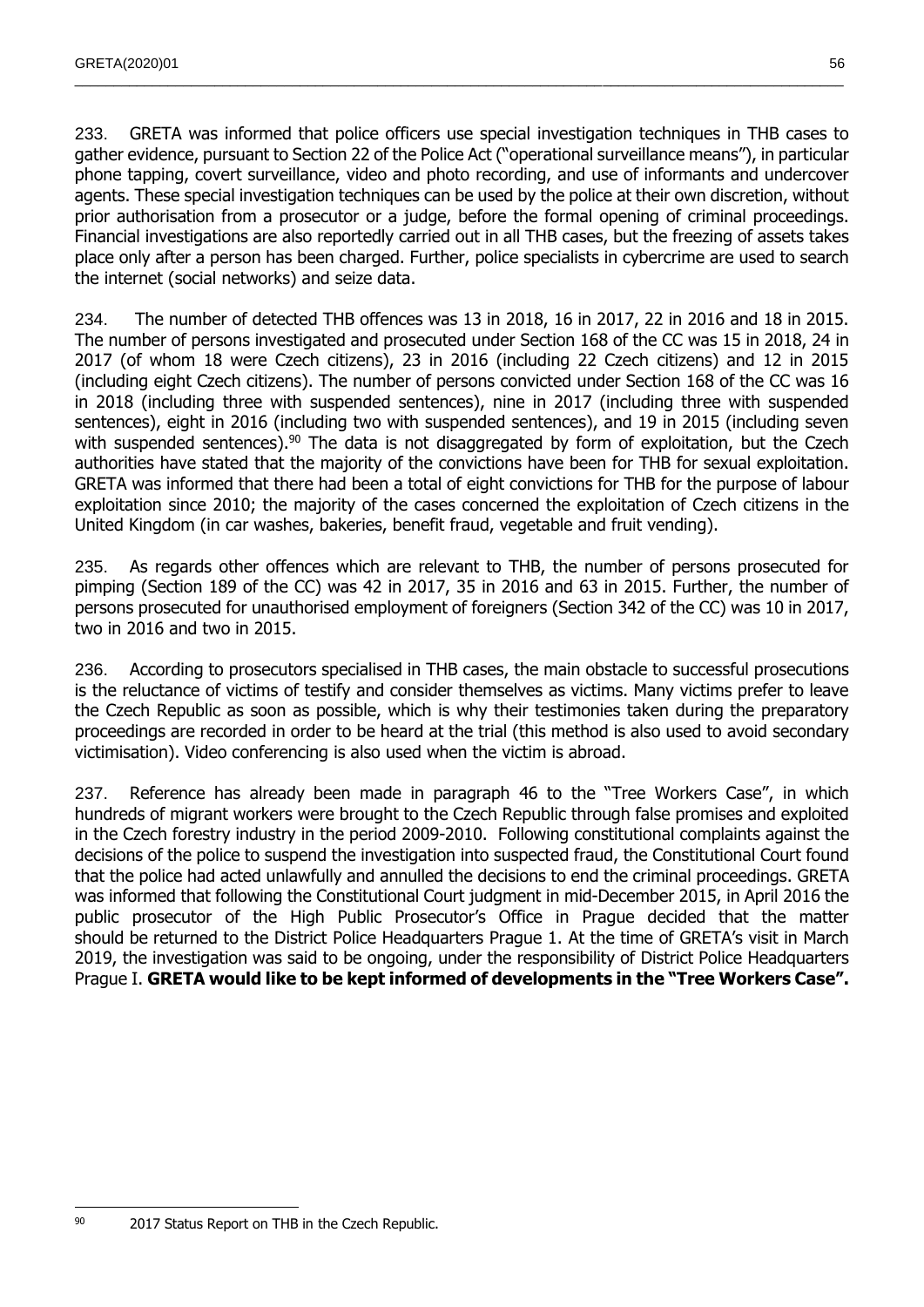233. GRETA was informed that police officers use special investigation techniques in THB cases to gather evidence, pursuant to Section 22 of the Police Act ("operational surveillance means"), in particular phone tapping, covert surveillance, video and photo recording, and use of informants and undercover agents. These special investigation techniques can be used by the police at their own discretion, without prior authorisation from a prosecutor or a judge, before the formal opening of criminal proceedings. Financial investigations are also reportedly carried out in all THB cases, but the freezing of assets takes place only after a person has been charged. Further, police specialists in cybercrime are used to search the internet (social networks) and seize data.

 $\_$  , and the state of the state of the state of the state of the state of the state of the state of the state of the state of the state of the state of the state of the state of the state of the state of the state of the

234. The number of detected THB offences was 13 in 2018, 16 in 2017, 22 in 2016 and 18 in 2015. The number of persons investigated and prosecuted under Section 168 of the CC was 15 in 2018, 24 in 2017 (of whom 18 were Czech citizens), 23 in 2016 (including 22 Czech citizens) and 12 in 2015 (including eight Czech citizens). The number of persons convicted under Section 168 of the CC was 16 in 2018 (including three with suspended sentences), nine in 2017 (including three with suspended sentences), eight in 2016 (including two with suspended sentences), and 19 in 2015 (including seven with suspended sentences).<sup>90</sup> The data is not disaggregated by form of exploitation, but the Czech authorities have stated that the majority of the convictions have been for THB for sexual exploitation. GRETA was informed that there had been a total of eight convictions for THB for the purpose of labour exploitation since 2010; the majority of the cases concerned the exploitation of Czech citizens in the United Kingdom (in car washes, bakeries, benefit fraud, vegetable and fruit vending).

235. As regards other offences which are relevant to THB, the number of persons prosecuted for pimping (Section 189 of the CC) was 42 in 2017, 35 in 2016 and 63 in 2015. Further, the number of persons prosecuted for unauthorised employment of foreigners (Section 342 of the CC) was 10 in 2017, two in 2016 and two in 2015.

236. According to prosecutors specialised in THB cases, the main obstacle to successful prosecutions is the reluctance of victims of testify and consider themselves as victims. Many victims prefer to leave the Czech Republic as soon as possible, which is why their testimonies taken during the preparatory proceedings are recorded in order to be heard at the trial (this method is also used to avoid secondary victimisation). Video conferencing is also used when the victim is abroad.

237. Reference has already been made in paragraph 46 to the "Tree Workers Case", in which hundreds of migrant workers were brought to the Czech Republic through false promises and exploited in the Czech forestry industry in the period 2009-2010. Following constitutional complaints against the decisions of the police to suspend the investigation into suspected fraud, the Constitutional Court found that the police had acted unlawfully and annulled the decisions to end the criminal proceedings. GRETA was informed that following the Constitutional Court judgment in mid-December 2015, in April 2016 the public prosecutor of the High Public Prosecutor's Office in Prague decided that the matter should be returned to the District Police Headquarters Prague 1. At the time of GRETA's visit in March 2019, the investigation was said to be ongoing, under the responsibility of District Police Headquarters Prague I. **GRETA would like to be kept informed of developments in the "Tree Workers Case".**

<sup>90 2017</sup> Status Report on THB in the Czech Republic.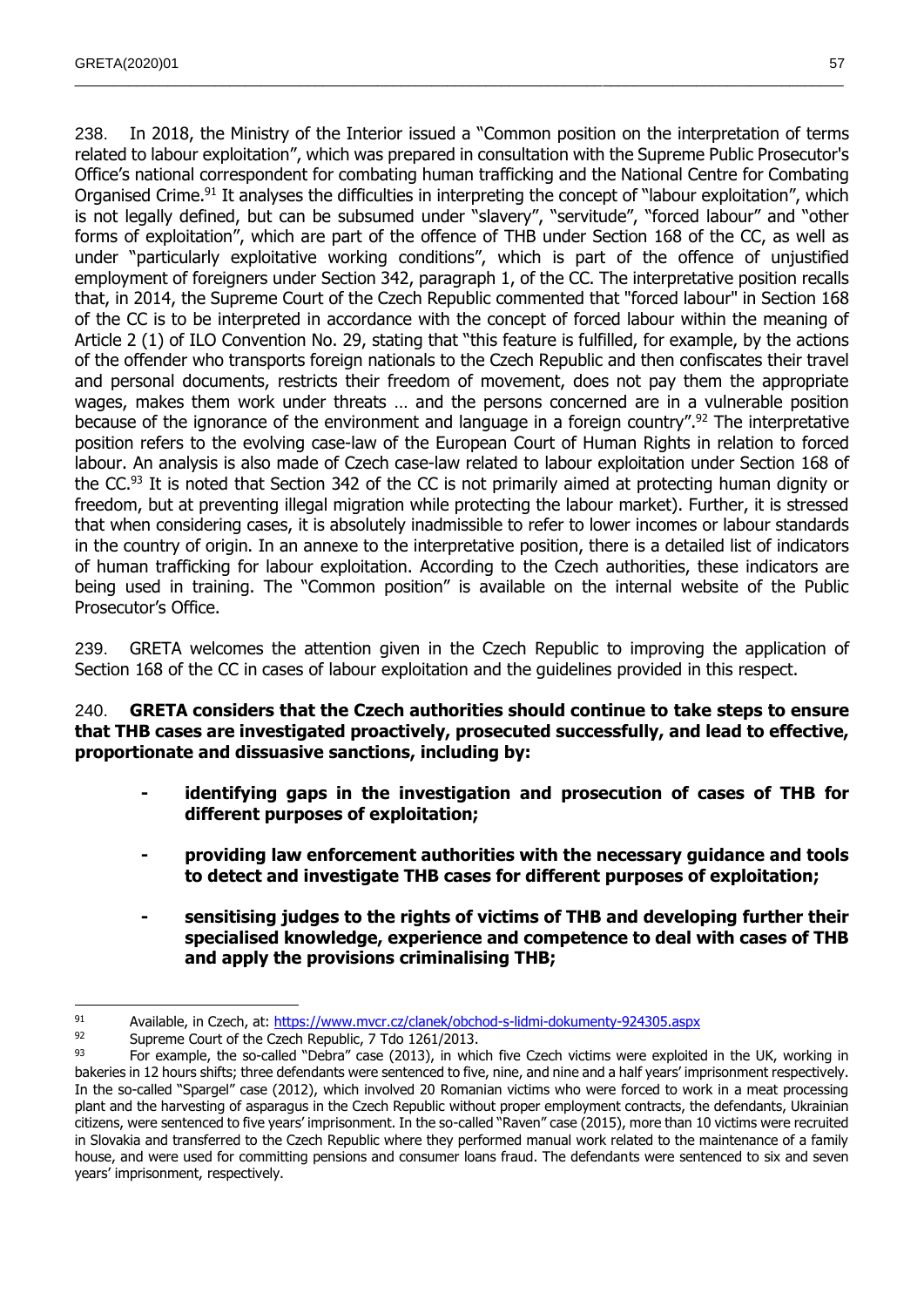238. In 2018, the Ministry of the Interior issued a "Common position on the interpretation of terms related to labour exploitation", which was prepared in consultation with the Supreme Public Prosecutor's Office's national correspondent for combating human trafficking and the National Centre for Combating Organised Crime.<sup>91</sup> It analyses the difficulties in interpreting the concept of "labour exploitation", which is not legally defined, but can be subsumed under "slavery", "servitude", "forced labour" and "other forms of exploitation", which are part of the offence of THB under Section 168 of the CC, as well as under "particularly exploitative working conditions", which is part of the offence of unjustified employment of foreigners under Section 342, paragraph 1, of the CC. The interpretative position recalls that, in 2014, the Supreme Court of the Czech Republic commented that "forced labour" in Section 168 of the CC is to be interpreted in accordance with the concept of forced labour within the meaning of Article 2 (1) of ILO Convention No. 29, stating that "this feature is fulfilled, for example, by the actions of the offender who transports foreign nationals to the Czech Republic and then confiscates their travel and personal documents, restricts their freedom of movement, does not pay them the appropriate wages, makes them work under threats … and the persons concerned are in a vulnerable position because of the ignorance of the environment and language in a foreign country".<sup>92</sup> The interpretative position refers to the evolving case-law of the European Court of Human Rights in relation to forced labour. An analysis is also made of Czech case-law related to labour exploitation under Section 168 of the CC.<sup>93</sup> It is noted that Section 342 of the CC is not primarily aimed at protecting human dignity or freedom, but at preventing illegal migration while protecting the labour market). Further, it is stressed that when considering cases, it is absolutely inadmissible to refer to lower incomes or labour standards in the country of origin. In an annexe to the interpretative position, there is a detailed list of indicators of human trafficking for labour exploitation. According to the Czech authorities, these indicators are being used in training. The "Common position" is available on the internal website of the Public Prosecutor's Office.

 $\_$  , and the state of the state of the state of the state of the state of the state of the state of the state of the state of the state of the state of the state of the state of the state of the state of the state of the

239. GRETA welcomes the attention given in the Czech Republic to improving the application of Section 168 of the CC in cases of labour exploitation and the guidelines provided in this respect.

240. **GRETA considers that the Czech authorities should continue to take steps to ensure that THB cases are investigated proactively, prosecuted successfully, and lead to effective, proportionate and dissuasive sanctions, including by:**

- **- identifying gaps in the investigation and prosecution of cases of THB for different purposes of exploitation;**
- **- providing law enforcement authorities with the necessary guidance and tools to detect and investigate THB cases for different purposes of exploitation;**
- **- sensitising judges to the rights of victims of THB and developing further their specialised knowledge, experience and competence to deal with cases of THB and apply the provisions criminalising THB;**

 91 Available, in Czech, at:<https://www.mvcr.cz/clanek/obchod-s-lidmi-dokumenty-924305.aspx><br>92 Supreme Court of the Czech Benublic 7 Tdo 1261/2013

<sup>&</sup>lt;sup>92</sup> Supreme Court of the Czech Republic, 7 Tdo 1261/2013.

For example, the so-called "Debra" case (2013), in which five Czech victims were exploited in the UK, working in bakeries in 12 hours shifts; three defendants were sentenced to five, nine, and nine and a half years' imprisonment respectively. In the so-called "Spargel" case (2012), which involved 20 Romanian victims who were forced to work in a meat processing plant and the harvesting of asparagus in the Czech Republic without proper employment contracts, the defendants, Ukrainian citizens, were sentenced to five years' imprisonment. In the so-called "Raven" case (2015), more than 10 victims were recruited in Slovakia and transferred to the Czech Republic where they performed manual work related to the maintenance of a family house, and were used for committing pensions and consumer loans fraud. The defendants were sentenced to six and seven years' imprisonment, respectively.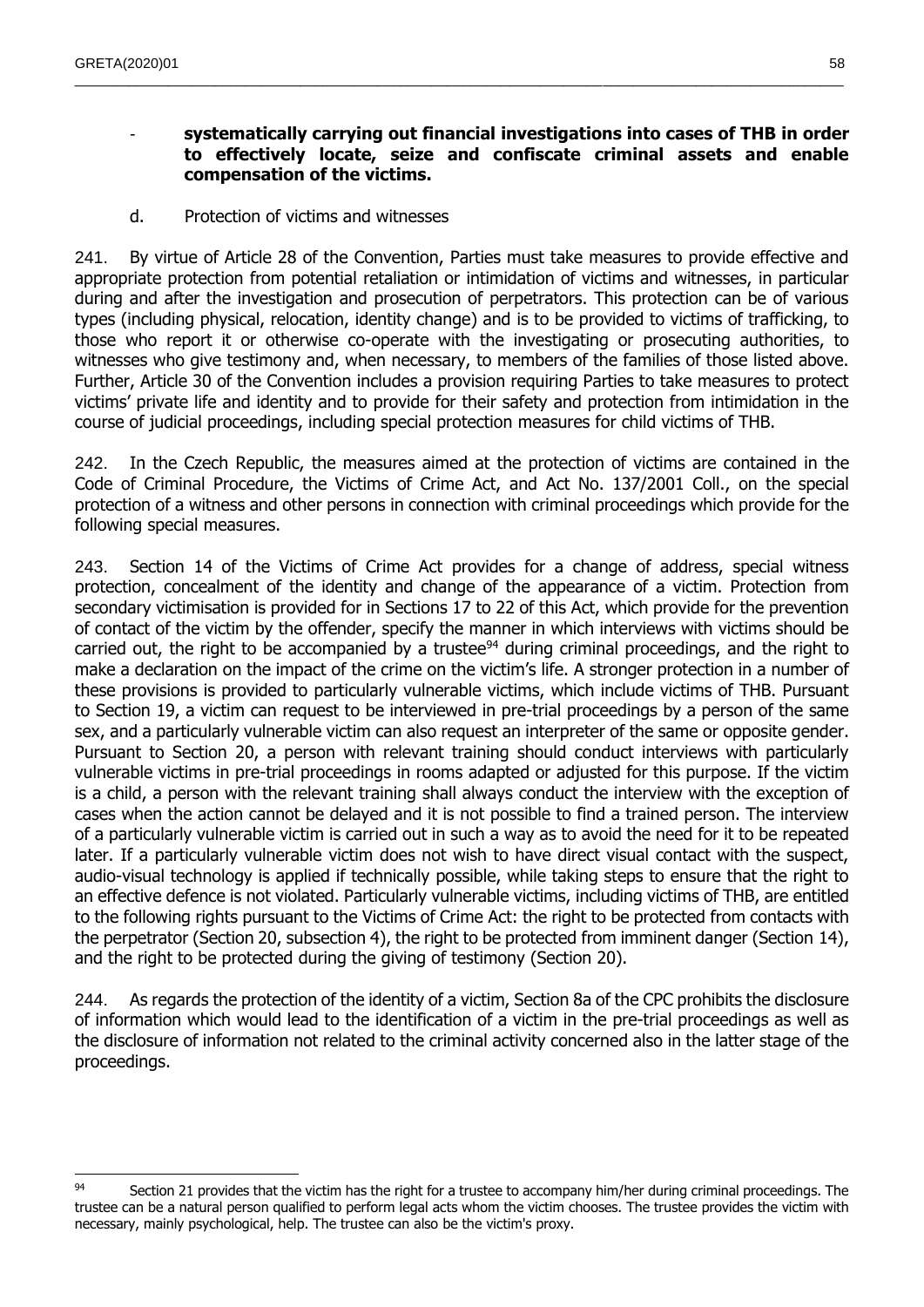## - **systematically carrying out financial investigations into cases of THB in order to effectively locate, seize and confiscate criminal assets and enable compensation of the victims.**

 $\_$  , and the state of the state of the state of the state of the state of the state of the state of the state of the state of the state of the state of the state of the state of the state of the state of the state of the

d. Protection of victims and witnesses

241. By virtue of Article 28 of the Convention, Parties must take measures to provide effective and appropriate protection from potential retaliation or intimidation of victims and witnesses, in particular during and after the investigation and prosecution of perpetrators. This protection can be of various types (including physical, relocation, identity change) and is to be provided to victims of trafficking, to those who report it or otherwise co-operate with the investigating or prosecuting authorities, to witnesses who give testimony and, when necessary, to members of the families of those listed above. Further, Article 30 of the Convention includes a provision requiring Parties to take measures to protect victims' private life and identity and to provide for their safety and protection from intimidation in the course of judicial proceedings, including special protection measures for child victims of THB.

242. In the Czech Republic, the measures aimed at the protection of victims are contained in the Code of Criminal Procedure, the Victims of Crime Act, and Act No. 137/2001 Coll., on the special protection of a witness and other persons in connection with criminal proceedings which provide for the following special measures.

243. Section 14 of the Victims of Crime Act provides for a change of address, special witness protection, concealment of the identity and change of the appearance of a victim. Protection from secondary victimisation is provided for in Sections 17 to 22 of this Act, which provide for the prevention of contact of the victim by the offender, specify the manner in which interviews with victims should be carried out, the right to be accompanied by a trustee<sup>94</sup> during criminal proceedings, and the right to make a declaration on the impact of the crime on the victim's life. A stronger protection in a number of these provisions is provided to particularly vulnerable victims, which include victims of THB. Pursuant to Section 19, a victim can request to be interviewed in pre-trial proceedings by a person of the same sex, and a particularly vulnerable victim can also request an interpreter of the same or opposite gender. Pursuant to Section 20, a person with relevant training should conduct interviews with particularly vulnerable victims in pre-trial proceedings in rooms adapted or adjusted for this purpose. If the victim is a child, a person with the relevant training shall always conduct the interview with the exception of cases when the action cannot be delayed and it is not possible to find a trained person. The interview of a particularly vulnerable victim is carried out in such a way as to avoid the need for it to be repeated later. If a particularly vulnerable victim does not wish to have direct visual contact with the suspect, audio-visual technology is applied if technically possible, while taking steps to ensure that the right to an effective defence is not violated. Particularly vulnerable victims, including victims of THB, are entitled to the following rights pursuant to the Victims of Crime Act: the right to be protected from contacts with the perpetrator (Section 20, subsection 4), the right to be protected from imminent danger (Section 14), and the right to be protected during the giving of testimony (Section 20).

244. As regards the protection of the identity of a victim, Section 8a of the CPC prohibits the disclosure of information which would lead to the identification of a victim in the pre-trial proceedings as well as the disclosure of information not related to the criminal activity concerned also in the latter stage of the proceedings.

<sup>94</sup> Section 21 provides that the victim has the right for a trustee to accompany him/her during criminal proceedings. The trustee can be a natural person qualified to perform legal acts whom the victim chooses. The trustee provides the victim with necessary, mainly psychological, help. The trustee can also be the victim's proxy.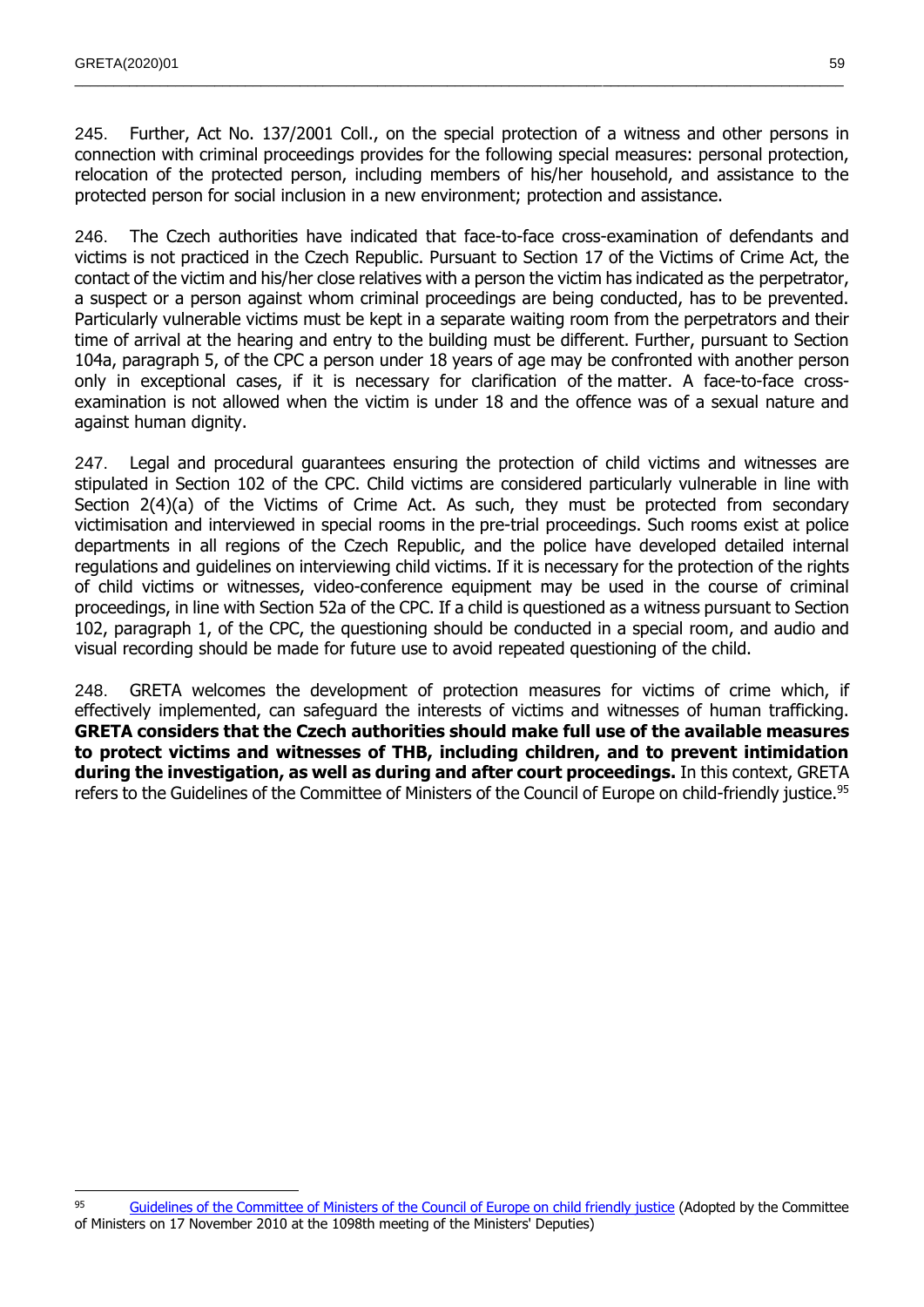245. Further, Act No. 137/2001 Coll., on the special protection of a witness and other persons in connection with criminal proceedings provides for the following special measures: personal protection, relocation of the protected person, including members of his/her household, and assistance to the protected person for social inclusion in a new environment; protection and assistance.

 $\_$  , and the state of the state of the state of the state of the state of the state of the state of the state of the state of the state of the state of the state of the state of the state of the state of the state of the

246. The Czech authorities have indicated that face-to-face cross-examination of defendants and victims is not practiced in the Czech Republic. Pursuant to Section 17 of the Victims of Crime Act, the contact of the victim and his/her close relatives with a person the victim has indicated as the perpetrator, a suspect or a person against whom criminal proceedings are being conducted, has to be prevented. Particularly vulnerable victims must be kept in a separate waiting room from the perpetrators and their time of arrival at the hearing and entry to the building must be different. Further, pursuant to Section 104a, paragraph 5, of the CPC a person under 18 years of age may be confronted with another person only in exceptional cases, if it is necessary for clarification of the matter. A face-to-face crossexamination is not allowed when the victim is under 18 and the offence was of a sexual nature and against human dignity.

247. Legal and procedural guarantees ensuring the protection of child victims and witnesses are stipulated in Section 102 of the CPC. Child victims are considered particularly vulnerable in line with Section 2(4)(a) of the Victims of Crime Act. As such, they must be protected from secondary victimisation and interviewed in special rooms in the pre-trial proceedings. Such rooms exist at police departments in all regions of the Czech Republic, and the police have developed detailed internal regulations and guidelines on interviewing child victims. If it is necessary for the protection of the rights of child victims or witnesses, video-conference equipment may be used in the course of criminal proceedings, in line with Section 52a of the CPC. If a child is questioned as a witness pursuant to Section 102, paragraph 1, of the CPC, the questioning should be conducted in a special room, and audio and visual recording should be made for future use to avoid repeated questioning of the child.

248. GRETA welcomes the development of protection measures for victims of crime which, if effectively implemented, can safeguard the interests of victims and witnesses of human trafficking. **GRETA considers that the Czech authorities should make full use of the available measures to protect victims and witnesses of THB, including children, and to prevent intimidation during the investigation, as well as during and after court proceedings.** In this context, GRETA refers to the Guidelines of the Committee of Ministers of the Council of Europe on child-friendly justice.<sup>95</sup>

 $\overline{a}$ 95 [Guidelines of the Committee of Ministers of the Council of Europe on child friendly justice](http://rm.coe.int/CoERMPublicCommonSearchServices/DisplayDCTMContent?documentId=09000016804b2cf3) (Adopted by the Committee of Ministers on 17 November 2010 at the 1098th meeting of the Ministers' Deputies)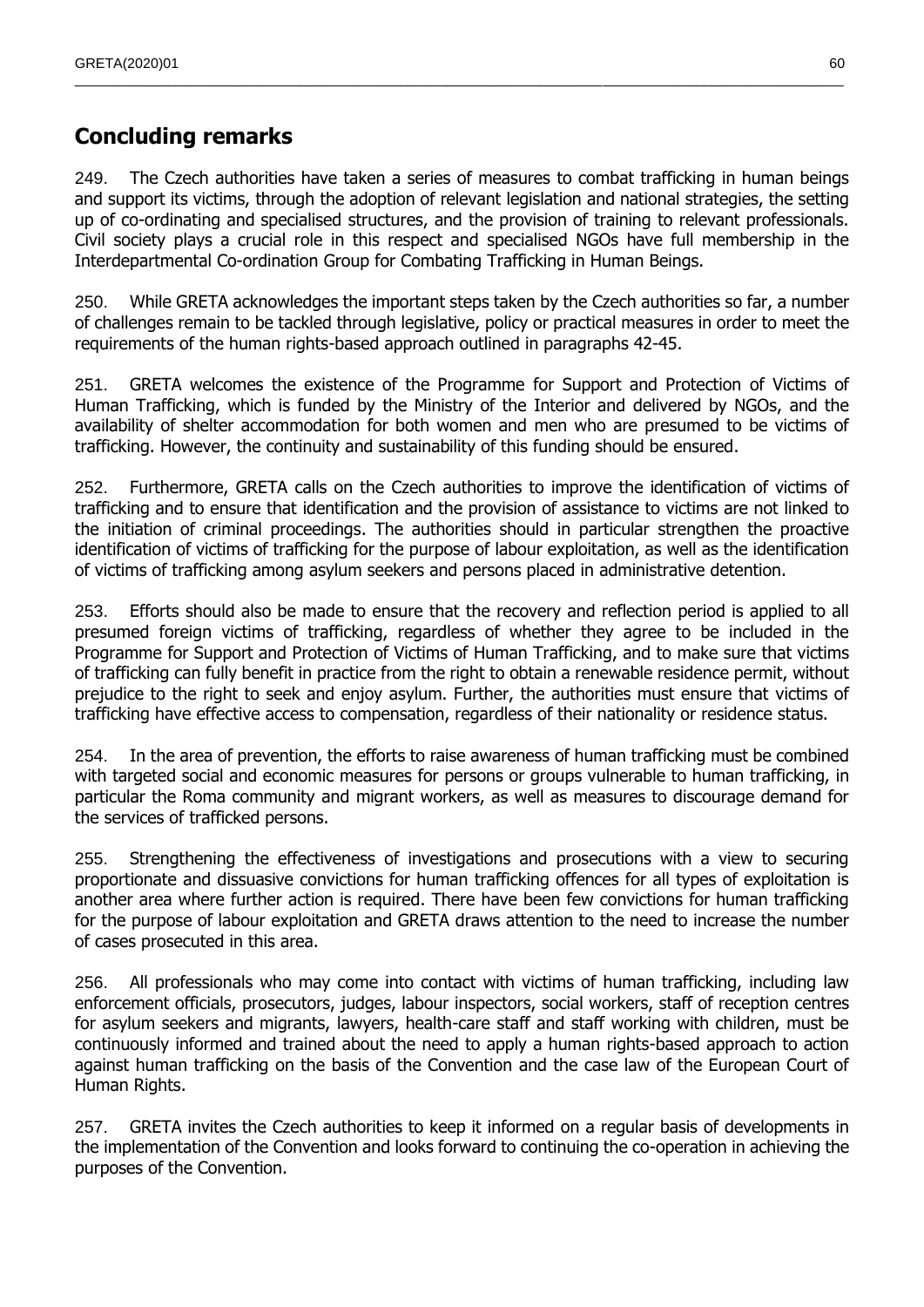# **Concluding remarks**

249. The Czech authorities have taken a series of measures to combat trafficking in human beings and support its victims, through the adoption of relevant legislation and national strategies, the setting up of co-ordinating and specialised structures, and the provision of training to relevant professionals. Civil society plays a crucial role in this respect and specialised NGOs have full membership in the Interdepartmental Co-ordination Group for Combating Trafficking in Human Beings.

 $\_$  , and the state of the state of the state of the state of the state of the state of the state of the state of the state of the state of the state of the state of the state of the state of the state of the state of the

250. While GRETA acknowledges the important steps taken by the Czech authorities so far, a number of challenges remain to be tackled through legislative, policy or practical measures in order to meet the requirements of the human rights-based approach outlined in paragraphs 42-45.

251. GRETA welcomes the existence of the Programme for Support and Protection of Victims of Human Trafficking, which is funded by the Ministry of the Interior and delivered by NGOs, and the availability of shelter accommodation for both women and men who are presumed to be victims of trafficking. However, the continuity and sustainability of this funding should be ensured.

252. Furthermore, GRETA calls on the Czech authorities to improve the identification of victims of trafficking and to ensure that identification and the provision of assistance to victims are not linked to the initiation of criminal proceedings. The authorities should in particular strengthen the proactive identification of victims of trafficking for the purpose of labour exploitation, as well as the identification of victims of trafficking among asylum seekers and persons placed in administrative detention.

253. Efforts should also be made to ensure that the recovery and reflection period is applied to all presumed foreign victims of trafficking, regardless of whether they agree to be included in the Programme for Support and Protection of Victims of Human Trafficking, and to make sure that victims of trafficking can fully benefit in practice from the right to obtain a renewable residence permit, without prejudice to the right to seek and enjoy asylum. Further, the authorities must ensure that victims of trafficking have effective access to compensation, regardless of their nationality or residence status.

254. In the area of prevention, the efforts to raise awareness of human trafficking must be combined with targeted social and economic measures for persons or groups vulnerable to human trafficking, in particular the Roma community and migrant workers, as well as measures to discourage demand for the services of trafficked persons.

255. Strengthening the effectiveness of investigations and prosecutions with a view to securing proportionate and dissuasive convictions for human trafficking offences for all types of exploitation is another area where further action is required. There have been few convictions for human trafficking for the purpose of labour exploitation and GRETA draws attention to the need to increase the number of cases prosecuted in this area.

256. All professionals who may come into contact with victims of human trafficking, including law enforcement officials, prosecutors, judges, labour inspectors, social workers, staff of reception centres for asylum seekers and migrants, lawyers, health-care staff and staff working with children, must be continuously informed and trained about the need to apply a human rights-based approach to action against human trafficking on the basis of the Convention and the case law of the European Court of Human Rights.

257. GRETA invites the Czech authorities to keep it informed on a regular basis of developments in the implementation of the Convention and looks forward to continuing the co-operation in achieving the purposes of the Convention.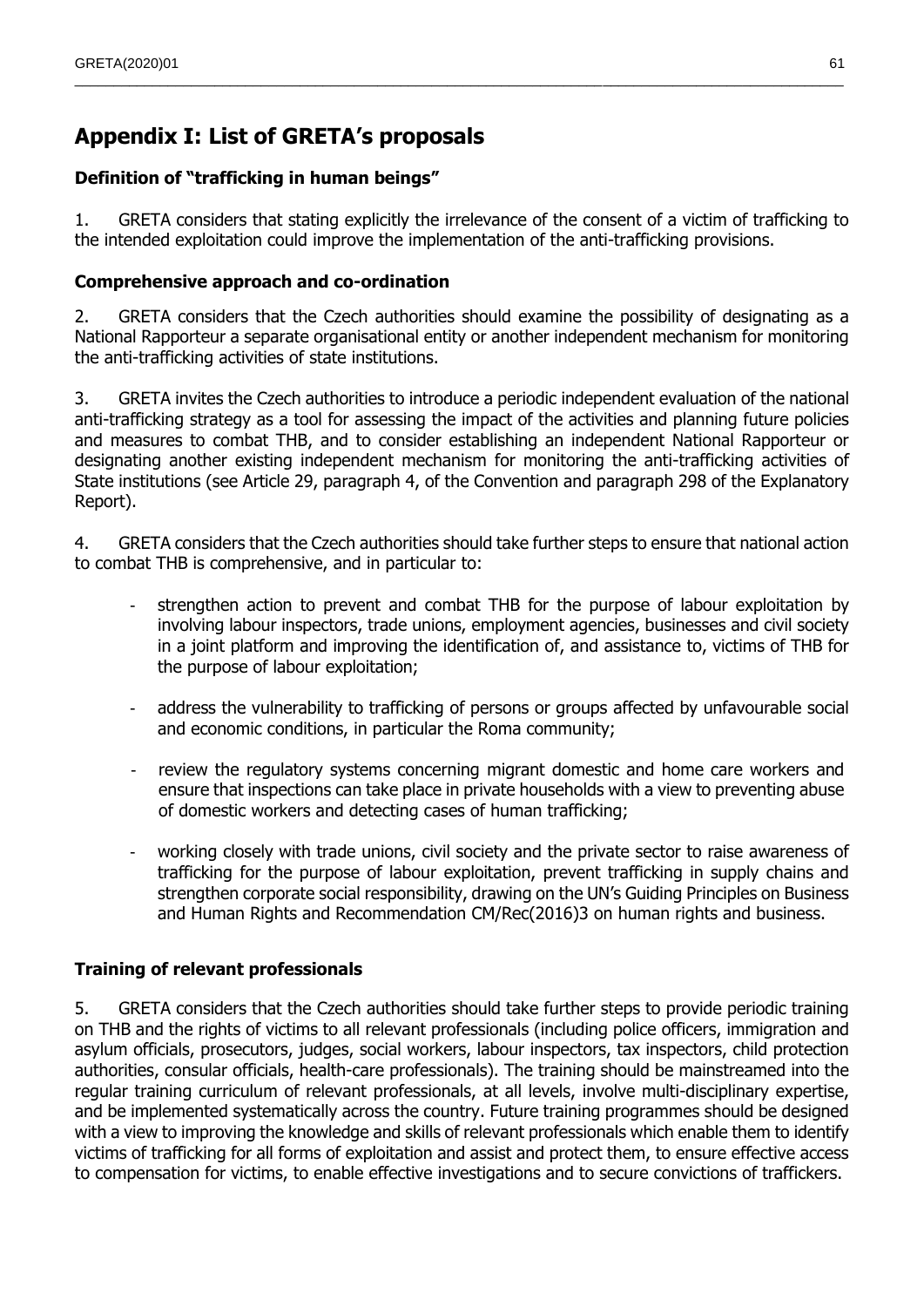# **Appendix I: List of GRETA's proposals**

## **Definition of "trafficking in human beings"**

1. GRETA considers that stating explicitly the irrelevance of the consent of a victim of trafficking to the intended exploitation could improve the implementation of the anti-trafficking provisions.

 $\_$  , and the state of the state of the state of the state of the state of the state of the state of the state of the state of the state of the state of the state of the state of the state of the state of the state of the

## **Comprehensive approach and co-ordination**

2. GRETA considers that the Czech authorities should examine the possibility of designating as a National Rapporteur a separate organisational entity or another independent mechanism for monitoring the anti-trafficking activities of state institutions.

3. GRETA invites the Czech authorities to introduce a periodic independent evaluation of the national anti-trafficking strategy as a tool for assessing the impact of the activities and planning future policies and measures to combat THB, and to consider establishing an independent National Rapporteur or designating another existing independent mechanism for monitoring the anti-trafficking activities of State institutions (see Article 29, paragraph 4, of the Convention and paragraph 298 of the Explanatory Report).

4. GRETA considers that the Czech authorities should take further steps to ensure that national action to combat THB is comprehensive, and in particular to:

- strengthen action to prevent and combat THB for the purpose of labour exploitation by involving labour inspectors, trade unions, employment agencies, businesses and civil society in a joint platform and improving the identification of, and assistance to, victims of THB for the purpose of labour exploitation;
- address the vulnerability to trafficking of persons or groups affected by unfavourable social and economic conditions, in particular the Roma community;
- review the regulatory systems concerning migrant domestic and home care workers and ensure that inspections can take place in private households with a view to preventing abuse of domestic workers and detecting cases of human trafficking;
- working closely with trade unions, civil society and the private sector to raise awareness of trafficking for the purpose of labour exploitation, prevent trafficking in supply chains and strengthen corporate social responsibility, drawing on the UN's Guiding Principles on Business and Human Rights and Recommendation CM/Rec(2016)3 on human rights and business.

## **Training of relevant professionals**

5. GRETA considers that the Czech authorities should take further steps to provide periodic training on THB and the rights of victims to all relevant professionals (including police officers, immigration and asylum officials, prosecutors, judges, social workers, labour inspectors, tax inspectors, child protection authorities, consular officials, health-care professionals). The training should be mainstreamed into the regular training curriculum of relevant professionals, at all levels, involve multi-disciplinary expertise, and be implemented systematically across the country. Future training programmes should be designed with a view to improving the knowledge and skills of relevant professionals which enable them to identify victims of trafficking for all forms of exploitation and assist and protect them, to ensure effective access to compensation for victims, to enable effective investigations and to secure convictions of traffickers.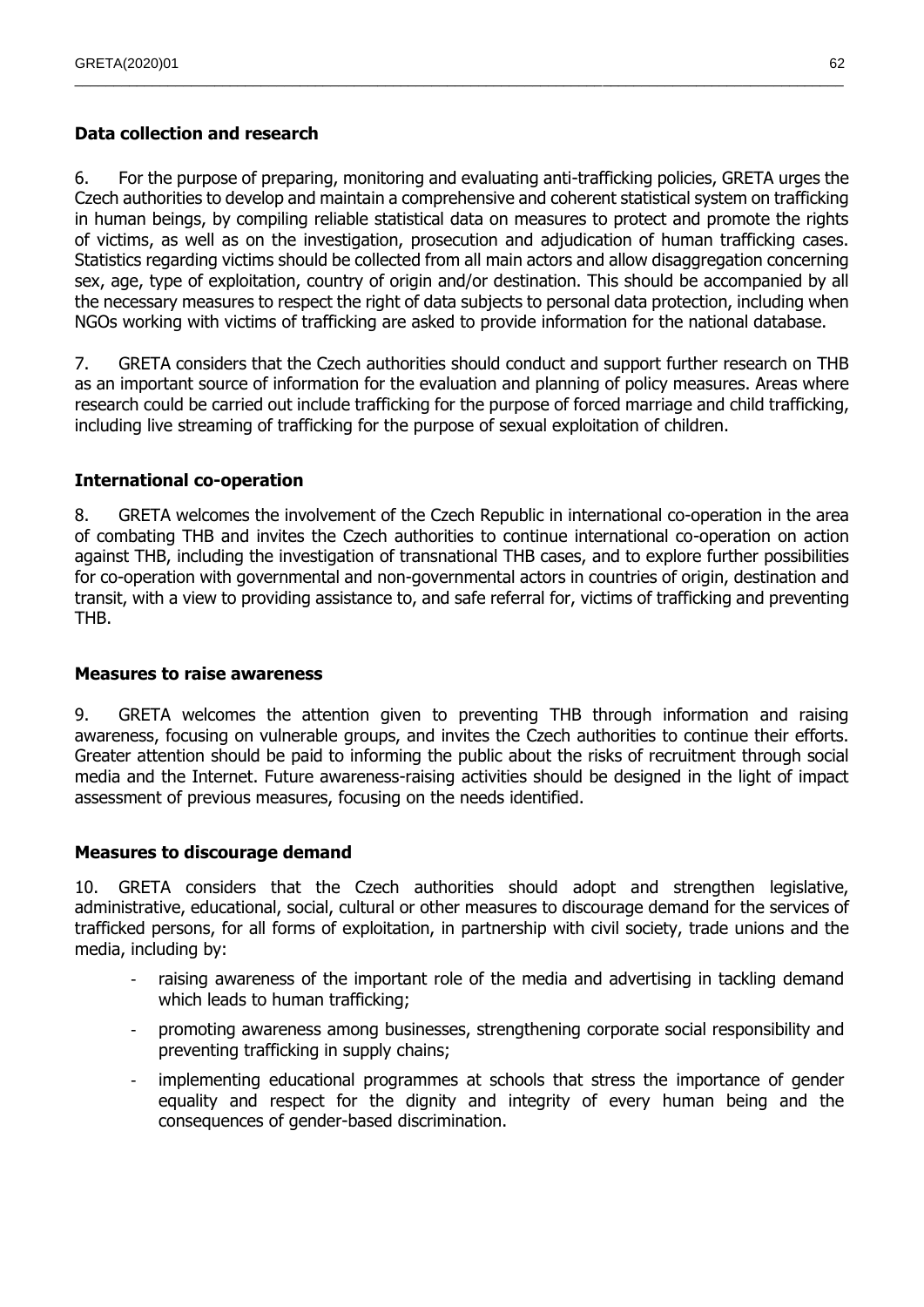## **Data collection and research**

6. For the purpose of preparing, monitoring and evaluating anti-trafficking policies, GRETA urges the Czech authorities to develop and maintain a comprehensive and coherent statistical system on trafficking in human beings, by compiling reliable statistical data on measures to protect and promote the rights of victims, as well as on the investigation, prosecution and adjudication of human trafficking cases. Statistics regarding victims should be collected from all main actors and allow disaggregation concerning sex, age, type of exploitation, country of origin and/or destination. This should be accompanied by all the necessary measures to respect the right of data subjects to personal data protection, including when NGOs working with victims of trafficking are asked to provide information for the national database.

 $\_$  , and the state of the state of the state of the state of the state of the state of the state of the state of the state of the state of the state of the state of the state of the state of the state of the state of the

7. GRETA considers that the Czech authorities should conduct and support further research on THB as an important source of information for the evaluation and planning of policy measures. Areas where research could be carried out include trafficking for the purpose of forced marriage and child trafficking, including live streaming of trafficking for the purpose of sexual exploitation of children.

## **International co-operation**

8. GRETA welcomes the involvement of the Czech Republic in international co-operation in the area of combating THB and invites the Czech authorities to continue international co-operation on action against THB, including the investigation of transnational THB cases, and to explore further possibilities for co-operation with governmental and non-governmental actors in countries of origin, destination and transit, with a view to providing assistance to, and safe referral for, victims of trafficking and preventing THB.

## **Measures to raise awareness**

9. GRETA welcomes the attention given to preventing THB through information and raising awareness, focusing on vulnerable groups, and invites the Czech authorities to continue their efforts. Greater attention should be paid to informing the public about the risks of recruitment through social media and the Internet. Future awareness-raising activities should be designed in the light of impact assessment of previous measures, focusing on the needs identified.

## **Measures to discourage demand**

10. GRETA considers that the Czech authorities should adopt and strengthen legislative, administrative, educational, social, cultural or other measures to discourage demand for the services of trafficked persons, for all forms of exploitation, in partnership with civil society, trade unions and the media, including by:

- raising awareness of the important role of the media and advertising in tackling demand which leads to human trafficking;
- promoting awareness among businesses, strengthening corporate social responsibility and preventing trafficking in supply chains;
- implementing educational programmes at schools that stress the importance of gender equality and respect for the dignity and integrity of every human being and the consequences of gender-based discrimination.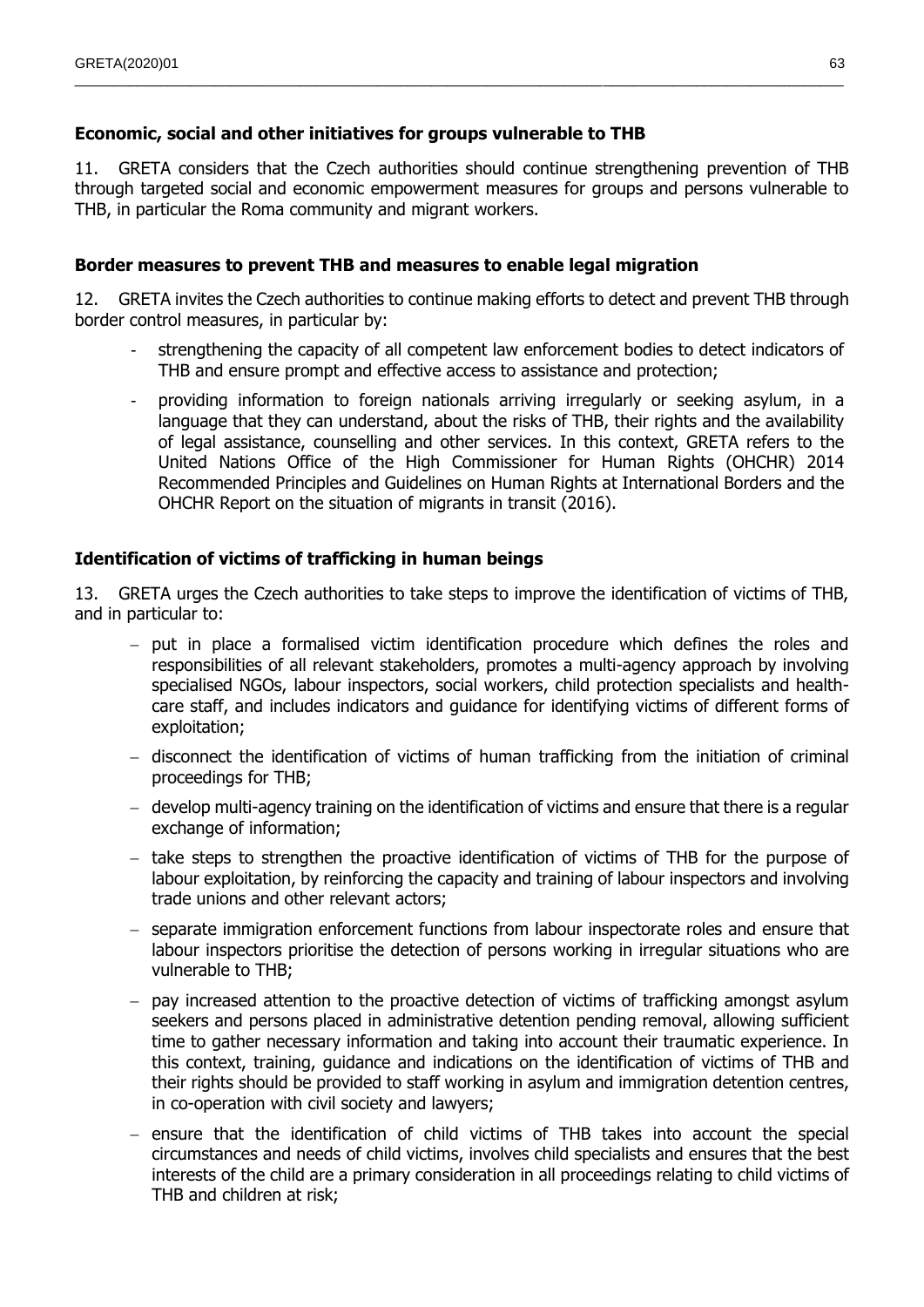## **Economic, social and other initiatives for groups vulnerable to THB**

11. GRETA considers that the Czech authorities should continue strengthening prevention of THB through targeted social and economic empowerment measures for groups and persons vulnerable to THB, in particular the Roma community and migrant workers.

 $\_$  , and the state of the state of the state of the state of the state of the state of the state of the state of the state of the state of the state of the state of the state of the state of the state of the state of the

## **Border measures to prevent THB and measures to enable legal migration**

12. GRETA invites the Czech authorities to continue making efforts to detect and prevent THB through border control measures, in particular by:

- strengthening the capacity of all competent law enforcement bodies to detect indicators of THB and ensure prompt and effective access to assistance and protection;
- providing information to foreign nationals arriving irregularly or seeking asylum, in a language that they can understand, about the risks of THB, their rights and the availability of legal assistance, counselling and other services. In this context, GRETA refers to the United Nations Office of the High Commissioner for Human Rights (OHCHR) 2014 Recommended Principles and Guidelines on Human Rights at International Borders and the OHCHR Report on the situation of migrants in transit (2016).

## **Identification of victims of trafficking in human beings**

13. GRETA urges the Czech authorities to take steps to improve the identification of victims of THB, and in particular to:

- $-$  put in place a formalised victim identification procedure which defines the roles and responsibilities of all relevant stakeholders, promotes a multi-agency approach by involving specialised NGOs, labour inspectors, social workers, child protection specialists and healthcare staff, and includes indicators and guidance for identifying victims of different forms of exploitation;
- $-$  disconnect the identification of victims of human trafficking from the initiation of criminal proceedings for THB;
- develop multi-agency training on the identification of victims and ensure that there is a regular exchange of information;
- $-$  take steps to strengthen the proactive identification of victims of THB for the purpose of labour exploitation, by reinforcing the capacity and training of labour inspectors and involving trade unions and other relevant actors;
- separate immigration enforcement functions from labour inspectorate roles and ensure that labour inspectors prioritise the detection of persons working in irregular situations who are vulnerable to THB;
- $-$  pay increased attention to the proactive detection of victims of trafficking amongst asylum seekers and persons placed in administrative detention pending removal, allowing sufficient time to gather necessary information and taking into account their traumatic experience. In this context, training, guidance and indications on the identification of victims of THB and their rights should be provided to staff working in asylum and immigration detention centres, in co-operation with civil society and lawyers;
- ensure that the identification of child victims of THB takes into account the special circumstances and needs of child victims, involves child specialists and ensures that the best interests of the child are a primary consideration in all proceedings relating to child victims of THB and children at risk;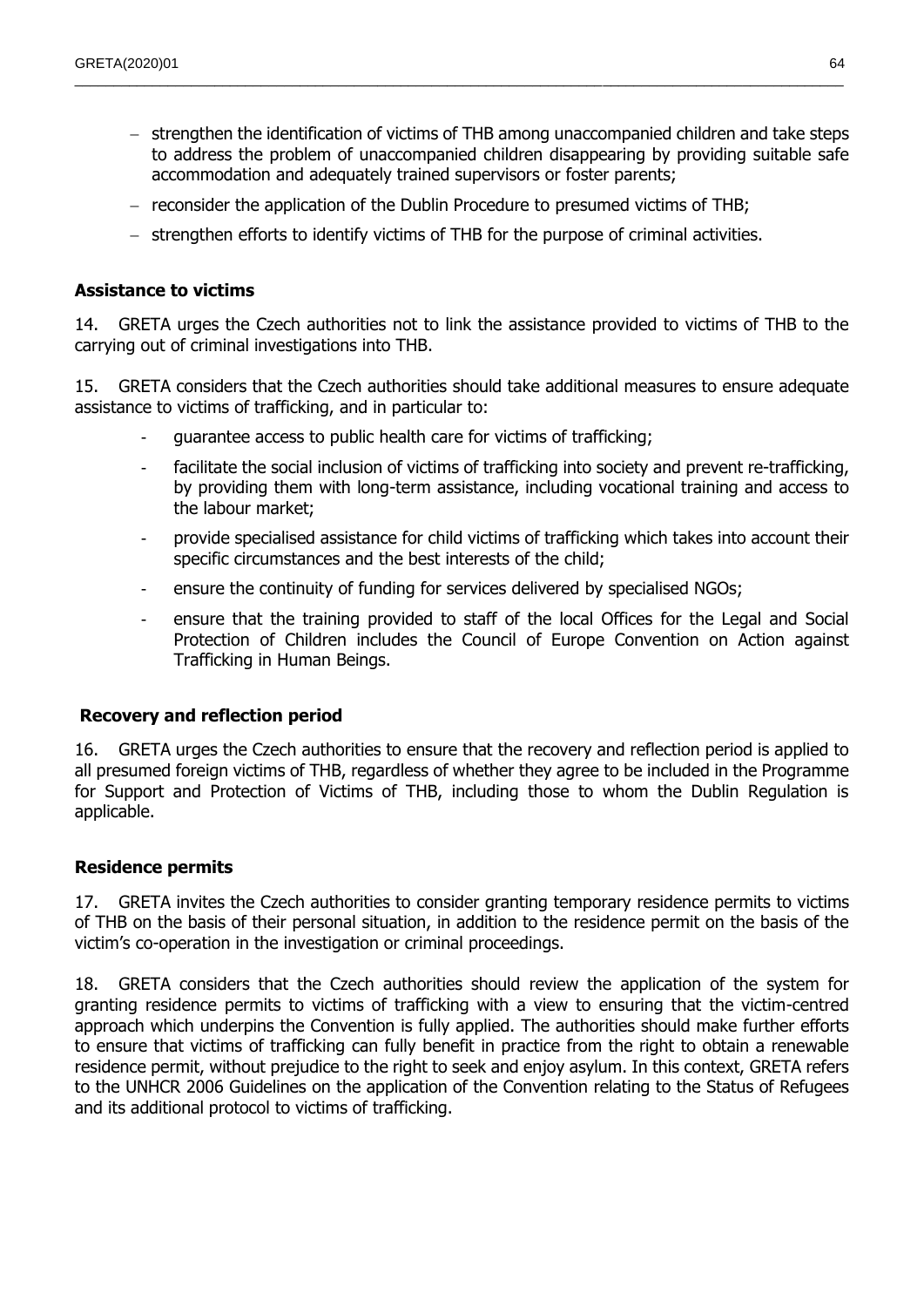- $-$  strengthen the identification of victims of THB among unaccompanied children and take steps to address the problem of unaccompanied children disappearing by providing suitable safe accommodation and adequately trained supervisors or foster parents;
- reconsider the application of the Dublin Procedure to presumed victims of THB;

 $\_$  , and the state of the state of the state of the state of the state of the state of the state of the state of the state of the state of the state of the state of the state of the state of the state of the state of the

 $-$  strengthen efforts to identify victims of THB for the purpose of criminal activities.

#### **Assistance to victims**

14. GRETA urges the Czech authorities not to link the assistance provided to victims of THB to the carrying out of criminal investigations into THB.

15. GRETA considers that the Czech authorities should take additional measures to ensure adequate assistance to victims of trafficking, and in particular to:

- quarantee access to public health care for victims of trafficking;
- facilitate the social inclusion of victims of trafficking into society and prevent re-trafficking, by providing them with long-term assistance, including vocational training and access to the labour market;
- provide specialised assistance for child victims of trafficking which takes into account their specific circumstances and the best interests of the child;
- ensure the continuity of funding for services delivered by specialised NGOs;
- ensure that the training provided to staff of the local Offices for the Legal and Social Protection of Children includes the Council of Europe Convention on Action against Trafficking in Human Beings.

#### **Recovery and reflection period**

16. GRETA urges the Czech authorities to ensure that the recovery and reflection period is applied to all presumed foreign victims of THB, regardless of whether they agree to be included in the Programme for Support and Protection of Victims of THB, including those to whom the Dublin Regulation is applicable.

#### **Residence permits**

17. GRETA invites the Czech authorities to consider granting temporary residence permits to victims of THB on the basis of their personal situation, in addition to the residence permit on the basis of the victim's co-operation in the investigation or criminal proceedings.

18. GRETA considers that the Czech authorities should review the application of the system for granting residence permits to victims of trafficking with a view to ensuring that the victim-centred approach which underpins the Convention is fully applied. The authorities should make further efforts to ensure that victims of trafficking can fully benefit in practice from the right to obtain a renewable residence permit, without prejudice to the right to seek and enjoy asylum. In this context, GRETA refers to the UNHCR 2006 Guidelines on the application of the Convention relating to the Status of Refugees and its additional protocol to victims of trafficking.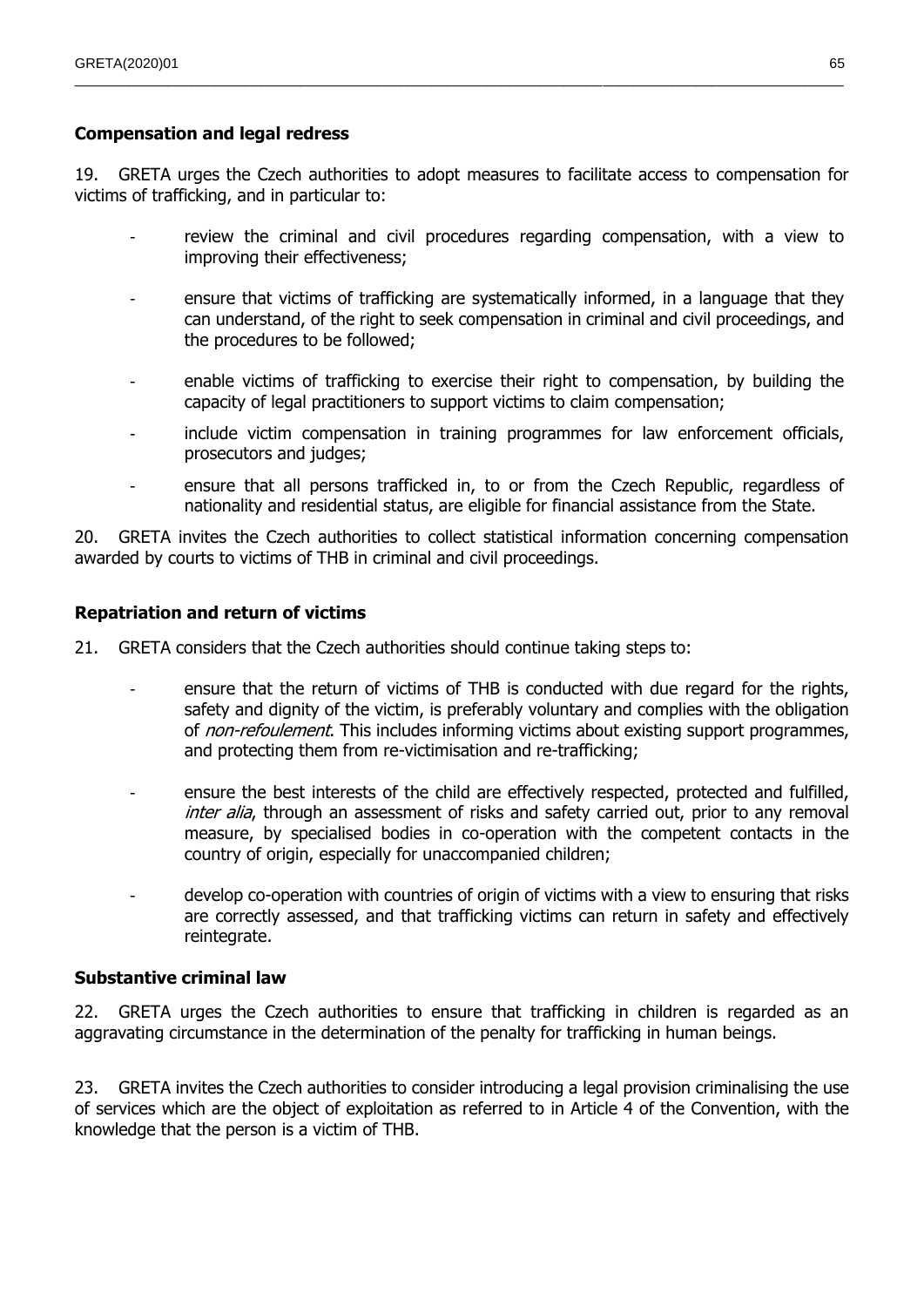## **Compensation and legal redress**

19. GRETA urges the Czech authorities to adopt measures to facilitate access to compensation for victims of trafficking, and in particular to:

 $\_$  , and the state of the state of the state of the state of the state of the state of the state of the state of the state of the state of the state of the state of the state of the state of the state of the state of the

- review the criminal and civil procedures regarding compensation, with a view to improving their effectiveness;
- ensure that victims of trafficking are systematically informed, in a language that they can understand, of the right to seek compensation in criminal and civil proceedings, and the procedures to be followed;
- enable victims of trafficking to exercise their right to compensation, by building the capacity of legal practitioners to support victims to claim compensation;
- include victim compensation in training programmes for law enforcement officials, prosecutors and judges;
- ensure that all persons trafficked in, to or from the Czech Republic, regardless of nationality and residential status, are eligible for financial assistance from the State.

20. GRETA invites the Czech authorities to collect statistical information concerning compensation awarded by courts to victims of THB in criminal and civil proceedings.

#### **Repatriation and return of victims**

21. GRETA considers that the Czech authorities should continue taking steps to:

- ensure that the return of victims of THB is conducted with due regard for the rights, safety and dignity of the victim, is preferably voluntary and complies with the obligation of *non-refoulement*. This includes informing victims about existing support programmes, and protecting them from re-victimisation and re-trafficking;
- ensure the best interests of the child are effectively respected, protected and fulfilled, inter alia, through an assessment of risks and safety carried out, prior to any removal measure, by specialised bodies in co-operation with the competent contacts in the country of origin, especially for unaccompanied children;
- develop co-operation with countries of origin of victims with a view to ensuring that risks are correctly assessed, and that trafficking victims can return in safety and effectively reintegrate.

#### **Substantive criminal law**

22. GRETA urges the Czech authorities to ensure that trafficking in children is regarded as an aggravating circumstance in the determination of the penalty for trafficking in human beings.

23. GRETA invites the Czech authorities to consider introducing a legal provision criminalising the use of services which are the object of exploitation as referred to in Article 4 of the Convention, with the knowledge that the person is a victim of THB.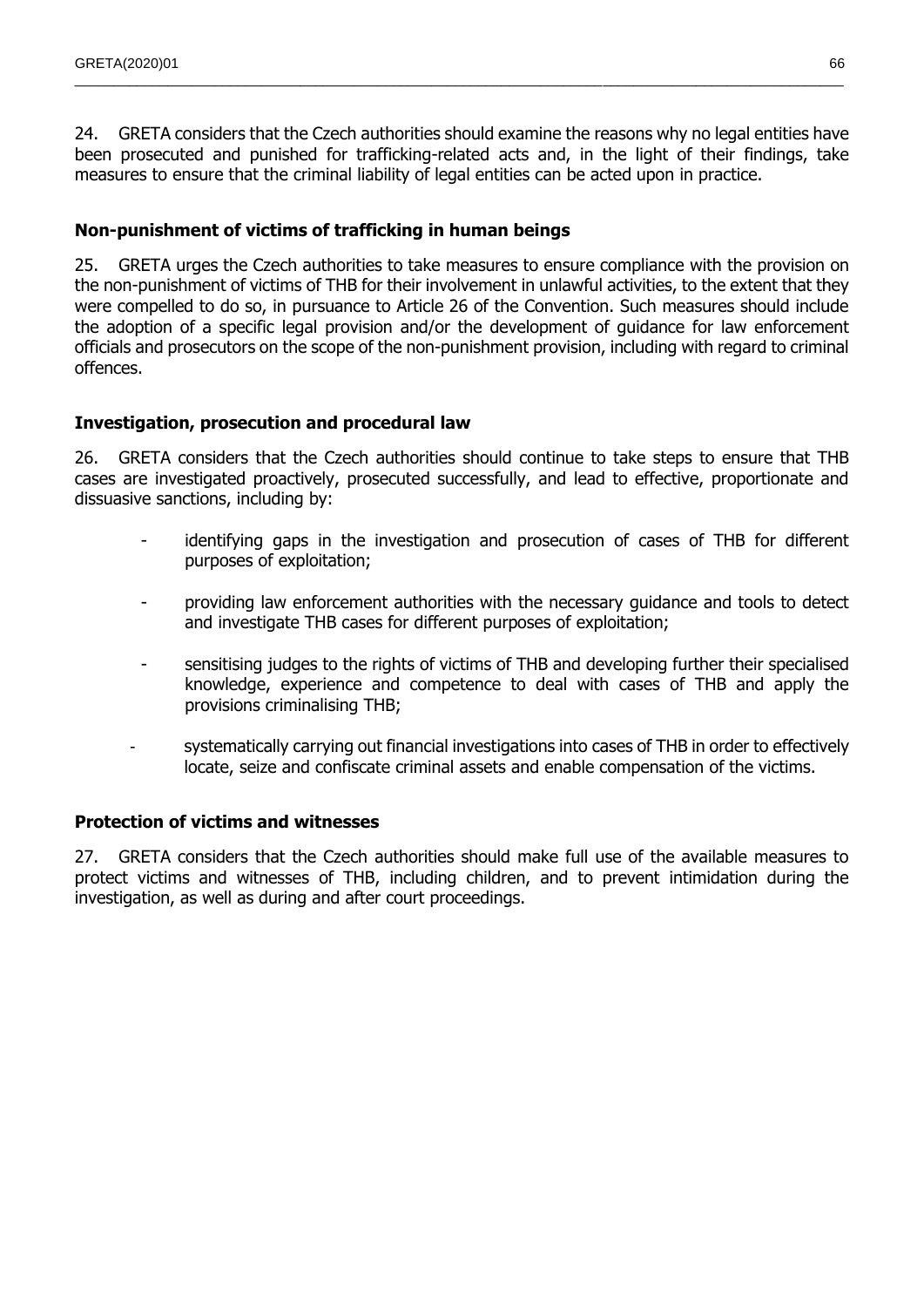24. GRETA considers that the Czech authorities should examine the reasons why no legal entities have been prosecuted and punished for trafficking-related acts and, in the light of their findings, take measures to ensure that the criminal liability of legal entities can be acted upon in practice.

 $\_$  , and the state of the state of the state of the state of the state of the state of the state of the state of the state of the state of the state of the state of the state of the state of the state of the state of the

## **Non-punishment of victims of trafficking in human beings**

25. GRETA urges the Czech authorities to take measures to ensure compliance with the provision on the non-punishment of victims of THB for their involvement in unlawful activities, to the extent that they were compelled to do so, in pursuance to Article 26 of the Convention. Such measures should include the adoption of a specific legal provision and/or the development of guidance for law enforcement officials and prosecutors on the scope of the non-punishment provision, including with regard to criminal offences.

## **Investigation, prosecution and procedural law**

26. GRETA considers that the Czech authorities should continue to take steps to ensure that THB cases are investigated proactively, prosecuted successfully, and lead to effective, proportionate and dissuasive sanctions, including by:

- identifying gaps in the investigation and prosecution of cases of THB for different purposes of exploitation;
- providing law enforcement authorities with the necessary guidance and tools to detect and investigate THB cases for different purposes of exploitation;
- sensitising judges to the rights of victims of THB and developing further their specialised knowledge, experience and competence to deal with cases of THB and apply the provisions criminalising THB;
- systematically carrying out financial investigations into cases of THB in order to effectively locate, seize and confiscate criminal assets and enable compensation of the victims.

## **Protection of victims and witnesses**

27. GRETA considers that the Czech authorities should make full use of the available measures to protect victims and witnesses of THB, including children, and to prevent intimidation during the investigation, as well as during and after court proceedings.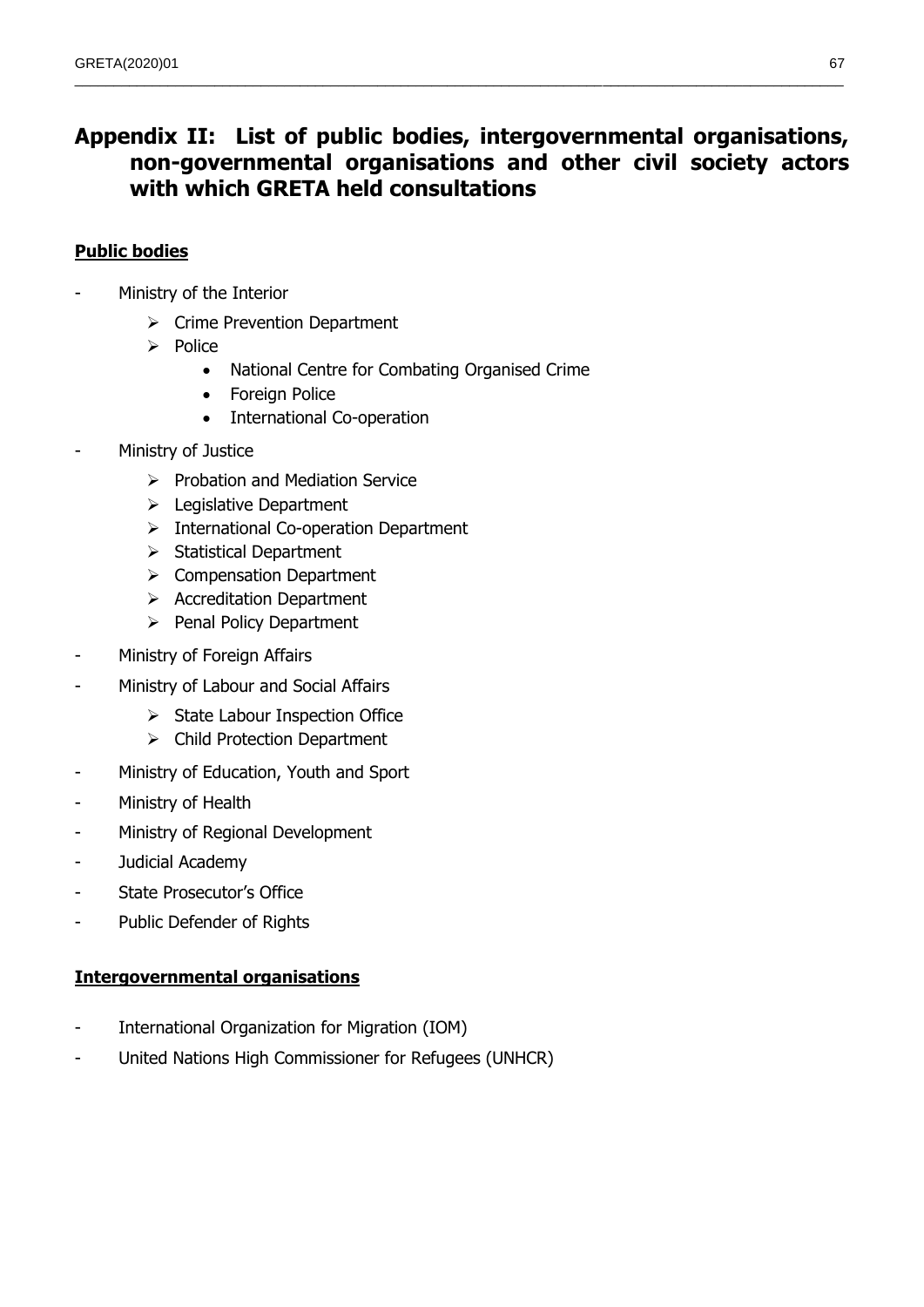# **Appendix II: List of public bodies, intergovernmental organisations, non-governmental organisations and other civil society actors with which GRETA held consultations**

 $\_$  , and the state of the state of the state of the state of the state of the state of the state of the state of the state of the state of the state of the state of the state of the state of the state of the state of the

## **Public bodies**

- Ministry of the Interior
	- $\triangleright$  Crime Prevention Department
	- $\triangleright$  Police
		- National Centre for Combating Organised Crime
		- Foreign Police
		- International Co-operation
- Ministry of Justice
	- $\triangleright$  Probation and Mediation Service
	- $\triangleright$  Legislative Department
	- $\triangleright$  International Co-operation Department
	- $\triangleright$  Statistical Department
	- $\triangleright$  Compensation Department
	- $\triangleright$  Accreditation Department
	- $\triangleright$  Penal Policy Department
- Ministry of Foreign Affairs
- Ministry of Labour and Social Affairs
	- $\triangleright$  State Labour Inspection Office
	- $\triangleright$  Child Protection Department
- Ministry of Education, Youth and Sport
- Ministry of Health
- Ministry of Regional Development
- Judicial Academy
- State Prosecutor's Office
- Public Defender of Rights

## **Intergovernmental organisations**

- International Organization for Migration (IOM)
- United Nations High Commissioner for Refugees (UNHCR)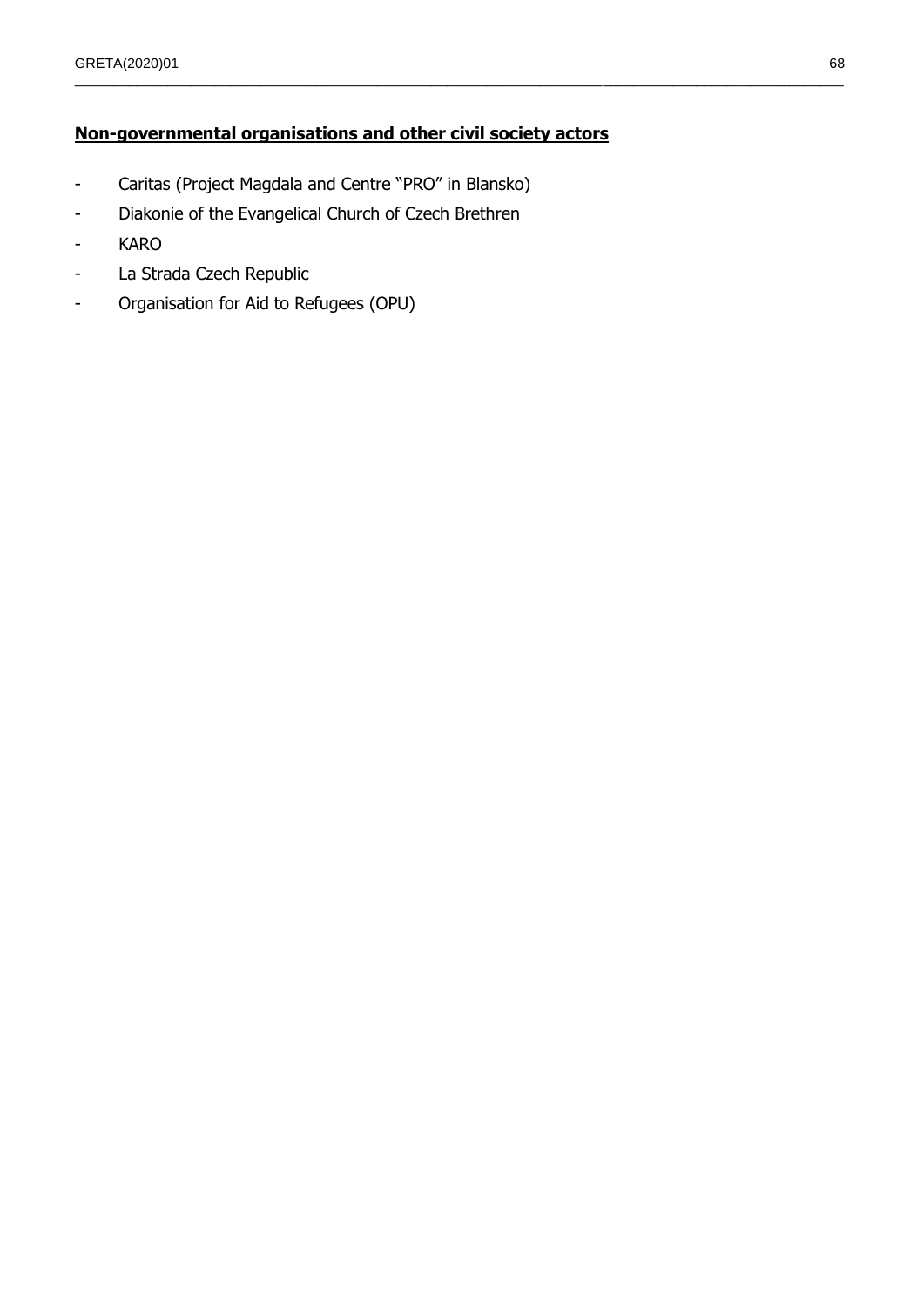## **Non-governmental organisations and other civil society actors**

 $\_$  , and the state of the state of the state of the state of the state of the state of the state of the state of the state of the state of the state of the state of the state of the state of the state of the state of the

- Caritas (Project Magdala and Centre "PRO" in Blansko)
- Diakonie of the Evangelical Church of Czech Brethren
- KARO
- La Strada Czech Republic
- Organisation for Aid to Refugees (OPU)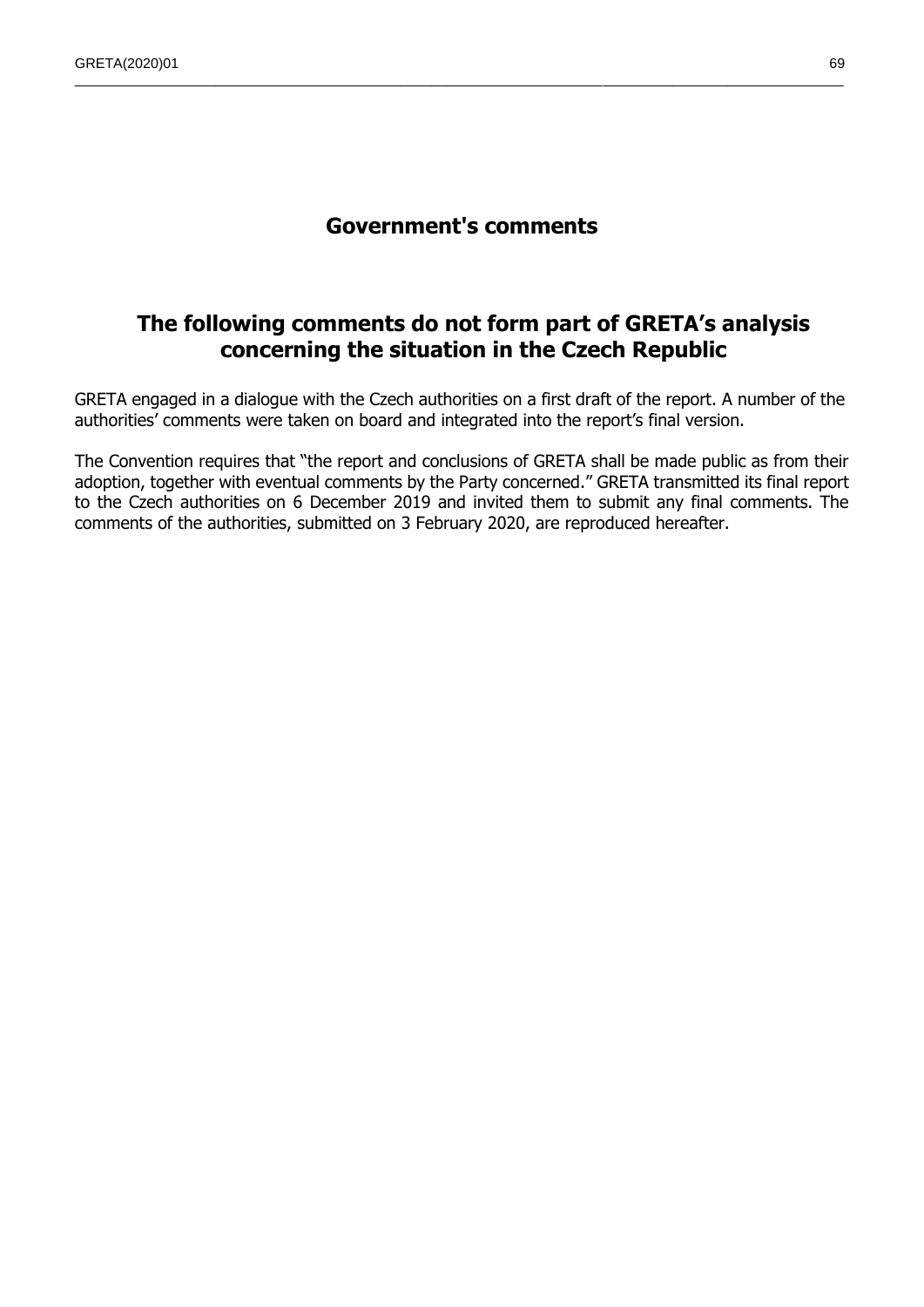## **Government's comments**

 $\_$  , and the state of the state of the state of the state of the state of the state of the state of the state of the state of the state of the state of the state of the state of the state of the state of the state of the

## **The following comments do not form part of GRETA's analysis concerning the situation in the Czech Republic**

GRETA engaged in a dialogue with the Czech authorities on a first draft of the report. A number of the authorities' comments were taken on board and integrated into the report's final version.

The Convention requires that "the report and conclusions of GRETA shall be made public as from their adoption, together with eventual comments by the Party concerned." GRETA transmitted its final report to the Czech authorities on 6 December 2019 and invited them to submit any final comments. The comments of the authorities, submitted on 3 February 2020, are reproduced hereafter.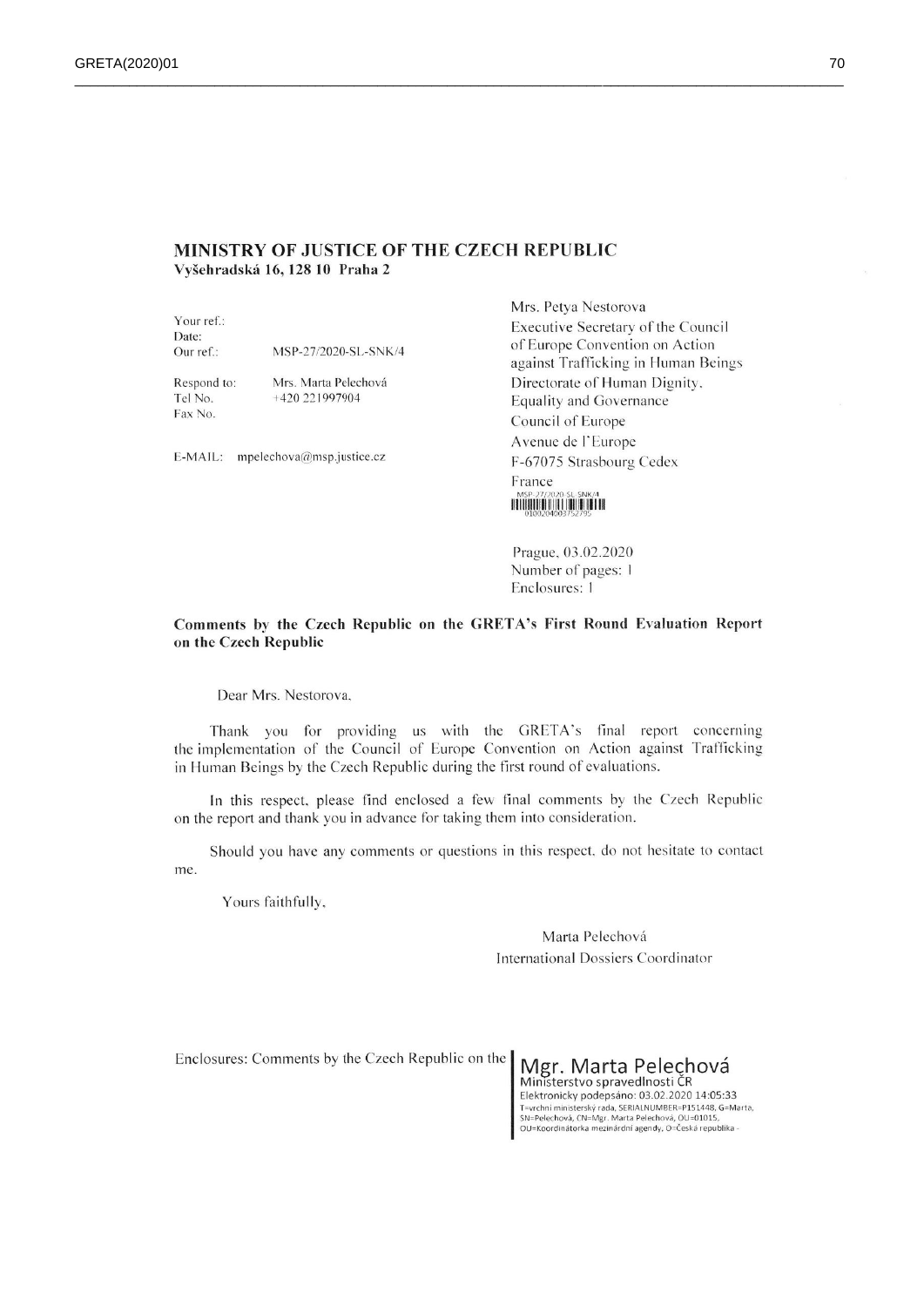#### MINISTRY OF JUSTICE OF THE CZECH REPUBLIC Vyšehradská 16, 128 10 Praha 2

Your ref.: Date: MSP-27/2020-SL-SNK/4 Our ref.:

Respond to: Tel No. Fax No.

Mrs. Marta Pelechová +420 221997904

E-MAIL: mpelechova@msp.justice.cz

Mrs. Petya Nestorova Executive Secretary of the Council of Europe Convention on Action against Trafficking in Human Beings Directorate of Human Dignity. **Equality and Governance** Council of Europe Avenue de l'Europe F-67075 Strasbourg Cedex France HITHIHITHI HITHIHITHI

Prague, 03.02.2020 Number of pages: 1 Enclosures: 1

#### Comments by the Czech Republic on the GRETA's First Round Evaluation Report on the Czech Republic

Dear Mrs. Nestorova,

Thank you for providing us with the GRETA's final report concerning the implementation of the Council of Europe Convention on Action against Trafficking in Human Beings by the Czech Republic during the first round of evaluations.

In this respect, please find enclosed a few final comments by the Czech Republic on the report and thank you in advance for taking them into consideration.

Should you have any comments or questions in this respect, do not hesitate to contact me.

Yours faithfully,

Marta Pelechová International Dossiers Coordinator

Enclosures: Comments by the Czech Republic on the Mgr. Marta Pelechová

Ministerstvo spravedlnosti ČR Elektronicky podepsáno: 03.02.2020 14:05:33 T=vrchní ministerský rada, SERIALNUMBER=P151448, G=Marta, SN=Pelechová, CN=Mgr. Marta Pelechová, OU=01015,<br>OU=Koordinátorka mezinárdní agendy, O=Česká republika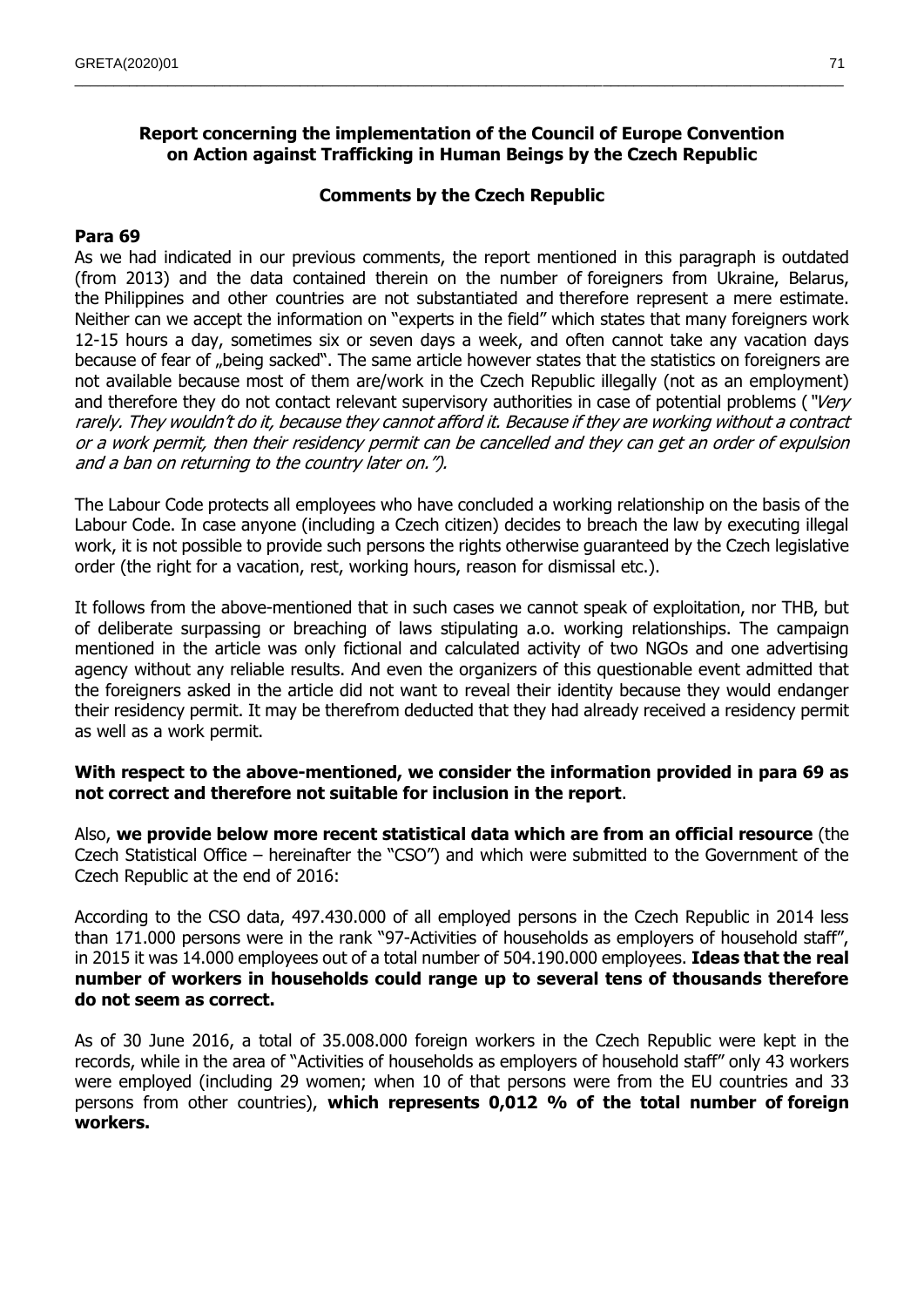## **Report concerning the implementation of the Council of Europe Convention on Action against Trafficking in Human Beings by the Czech Republic**

 $\_$  , and the state of the state of the state of the state of the state of the state of the state of the state of the state of the state of the state of the state of the state of the state of the state of the state of the

#### **Comments by the Czech Republic**

#### **Para 69**

As we had indicated in our previous comments, the report mentioned in this paragraph is outdated (from 2013) and the data contained therein on the number of foreigners from Ukraine, Belarus, the Philippines and other countries are not substantiated and therefore represent a mere estimate. Neither can we accept the information on "experts in the field" which states that many foreigners work 12-15 hours a day, sometimes six or seven days a week, and often cannot take any vacation days because of fear of "being sacked". The same article however states that the statistics on foreigners are not available because most of them are/work in the Czech Republic illegally (not as an employment) and therefore they do not contact relevant supervisory authorities in case of potential problems ("Very rarely. They wouldn't do it, because they cannot afford it. Because if they are working without a contract or a work permit, then their residency permit can be cancelled and they can get an order of expulsion and a ban on returning to the country later on.").

The Labour Code protects all employees who have concluded a working relationship on the basis of the Labour Code. In case anyone (including a Czech citizen) decides to breach the law by executing illegal work, it is not possible to provide such persons the rights otherwise guaranteed by the Czech legislative order (the right for a vacation, rest, working hours, reason for dismissal etc.).

It follows from the above-mentioned that in such cases we cannot speak of exploitation, nor THB, but of deliberate surpassing or breaching of laws stipulating a.o. working relationships. The campaign mentioned in the article was only fictional and calculated activity of two NGOs and one advertising agency without any reliable results. And even the organizers of this questionable event admitted that the foreigners asked in the article did not want to reveal their identity because they would endanger their residency permit. It may be therefrom deducted that they had already received a residency permit as well as a work permit.

## **With respect to the above-mentioned, we consider the information provided in para 69 as not correct and therefore not suitable for inclusion in the report**.

Also, **we provide below more recent statistical data which are from an official resource** (the Czech Statistical Office – hereinafter the "CSO") and which were submitted to the Government of the Czech Republic at the end of 2016:

According to the CSO data, 497.430.000 of all employed persons in the Czech Republic in 2014 less than 171.000 persons were in the rank "97-Activities of households as employers of household staff", in 2015 it was 14.000 employees out of a total number of 504.190.000 employees. **Ideas that the real number of workers in households could range up to several tens of thousands therefore do not seem as correct.**

As of 30 June 2016, a total of 35.008.000 foreign workers in the Czech Republic were kept in the records, while in the area of "Activities of households as employers of household staff" only 43 workers were employed (including 29 women; when 10 of that persons were from the EU countries and 33 persons from other countries), **which represents 0,012 % of the total number of foreign workers.**